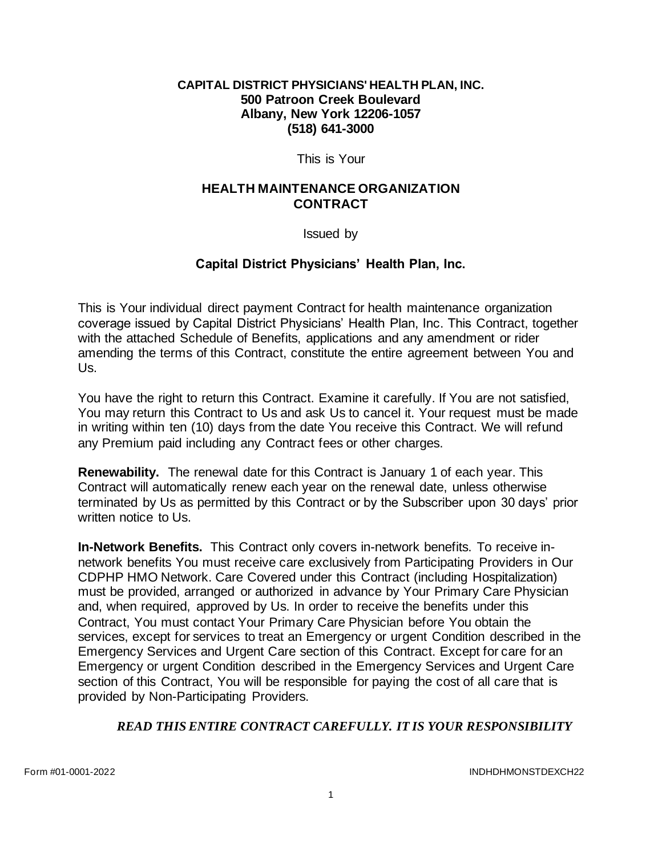#### **CAPITAL DISTRICT PHYSICIANS' HEALTH PLAN, INC. 500 Patroon Creek Boulevard Albany, New York 12206-1057 (518) 641-3000**

This is Your

#### **HEALTH MAINTENANCE ORGANIZATION CONTRACT**

Issued by

## **Capital District Physicians' Health Plan, Inc.**

This is Your individual direct payment Contract for health maintenance organization coverage issued by Capital District Physicians' Health Plan, Inc. This Contract, together with the attached Schedule of Benefits, applications and any amendment or rider amending the terms of this Contract, constitute the entire agreement between You and Us.

You have the right to return this Contract. Examine it carefully. If You are not satisfied, You may return this Contract to Us and ask Us to cancel it. Your request must be made in writing within ten (10) days from the date You receive this Contract. We will refund any Premium paid including any Contract fees or other charges.

**Renewability.** The renewal date for this Contract is January 1 of each year. This Contract will automatically renew each year on the renewal date, unless otherwise terminated by Us as permitted by this Contract or by the Subscriber upon 30 days' prior written notice to Us.

**In-Network Benefits.** This Contract only covers in-network benefits. To receive innetwork benefits You must receive care exclusively from Participating Providers in Our CDPHP HMO Network. Care Covered under this Contract (including Hospitalization) must be provided, arranged or authorized in advance by Your Primary Care Physician and, when required, approved by Us. In order to receive the benefits under this Contract, You must contact Your Primary Care Physician before You obtain the services, except for services to treat an Emergency or urgent Condition described in the Emergency Services and Urgent Care section of this Contract. Except for care for an Emergency or urgent Condition described in the Emergency Services and Urgent Care section of this Contract, You will be responsible for paying the cost of all care that is provided by Non-Participating Providers.

#### *READ THIS ENTIRE CONTRACT CAREFULLY. IT IS YOUR RESPONSIBILITY*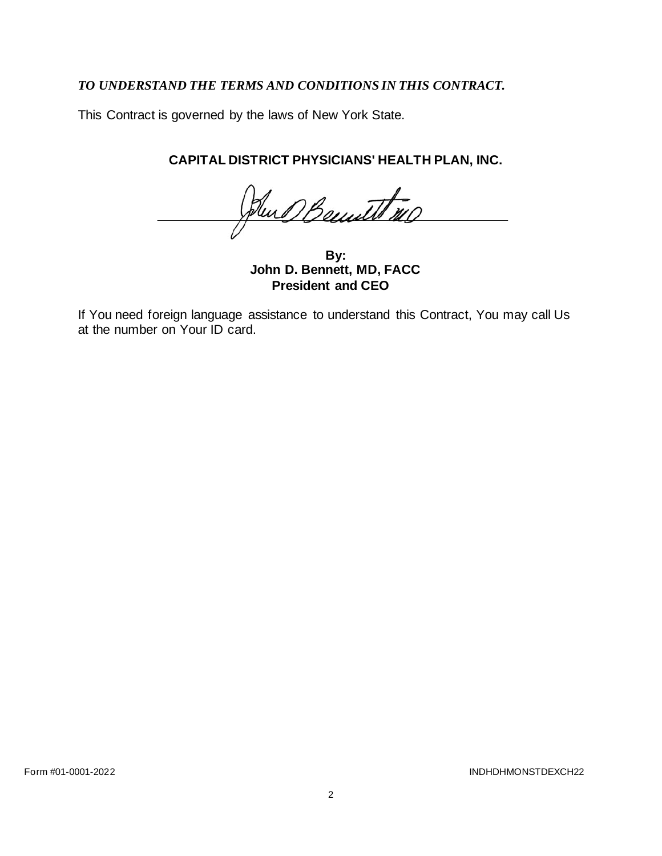# *TO UNDERSTAND THE TERMS AND CONDITIONS IN THIS CONTRACT.*

This Contract is governed by the laws of New York State.

# **CAPITAL DISTRICT PHYSICIANS' HEALTH PLAN, INC.**

Dun Benutt 110

**By: John D. Bennett, MD, FACC President and CEO**

If You need foreign language assistance to understand this Contract, You may call Us at the number on Your ID card.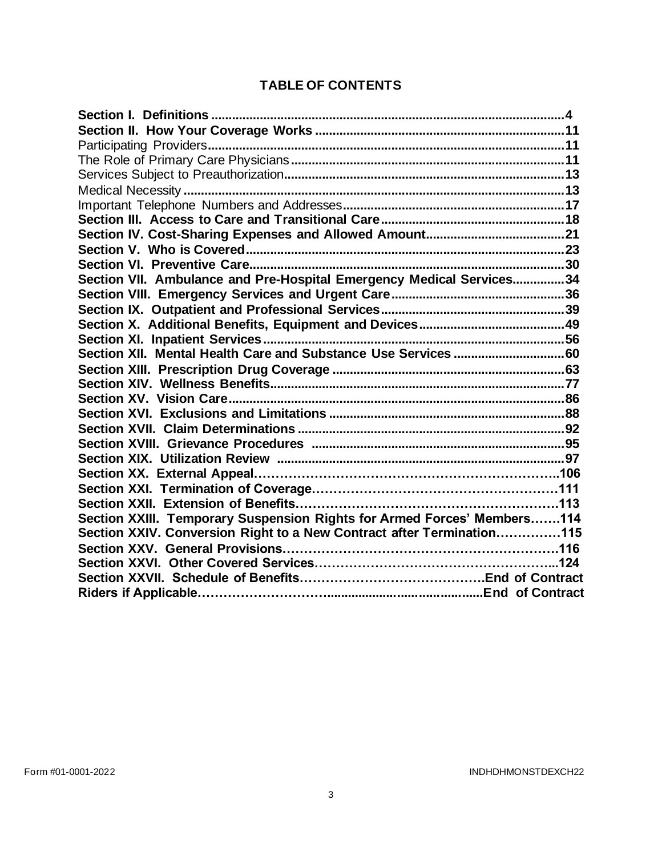# **TABLE OF CONTENTS**

| Section VII. Ambulance and Pre-Hospital Emergency Medical Services34    |
|-------------------------------------------------------------------------|
|                                                                         |
|                                                                         |
|                                                                         |
|                                                                         |
|                                                                         |
|                                                                         |
|                                                                         |
|                                                                         |
|                                                                         |
|                                                                         |
|                                                                         |
|                                                                         |
|                                                                         |
|                                                                         |
|                                                                         |
| Section XXIII. Temporary Suspension Rights for Armed Forces' Members114 |
| Section XXIV. Conversion Right to a New Contract after Termination115   |
|                                                                         |
|                                                                         |
|                                                                         |
|                                                                         |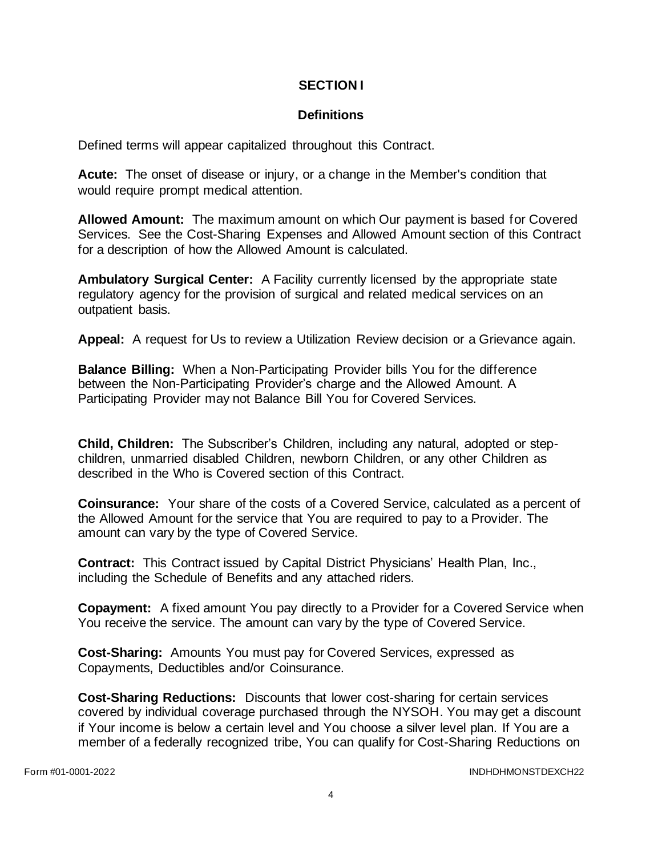#### **SECTION I**

## **Definitions**

Defined terms will appear capitalized throughout this Contract.

**Acute:** The onset of disease or injury, or a change in the Member's condition that would require prompt medical attention.

**Allowed Amount:** The maximum amount on which Our payment is based for Covered Services. See the Cost-Sharing Expenses and Allowed Amount section of this Contract for a description of how the Allowed Amount is calculated.

**Ambulatory Surgical Center:** A Facility currently licensed by the appropriate state regulatory agency for the provision of surgical and related medical services on an outpatient basis.

**Appeal:** A request for Us to review a Utilization Review decision or a Grievance again.

**Balance Billing:** When a Non-Participating Provider bills You for the difference between the Non-Participating Provider's charge and the Allowed Amount. A Participating Provider may not Balance Bill You for Covered Services.

**Child, Children:** The Subscriber's Children, including any natural, adopted or stepchildren, unmarried disabled Children, newborn Children, or any other Children as described in the Who is Covered section of this Contract.

**Coinsurance:** Your share of the costs of a Covered Service, calculated as a percent of the Allowed Amount for the service that You are required to pay to a Provider. The amount can vary by the type of Covered Service.

**Contract:** This Contract issued by Capital District Physicians' Health Plan, Inc., including the Schedule of Benefits and any attached riders.

**Copayment:** A fixed amount You pay directly to a Provider for a Covered Service when You receive the service. The amount can vary by the type of Covered Service.

**Cost-Sharing:** Amounts You must pay for Covered Services, expressed as Copayments, Deductibles and/or Coinsurance.

**Cost-Sharing Reductions:** Discounts that lower cost-sharing for certain services covered by individual coverage purchased through the NYSOH. You may get a discount if Your income is below a certain level and You choose a silver level plan. If You are a member of a federally recognized tribe, You can qualify for Cost-Sharing Reductions on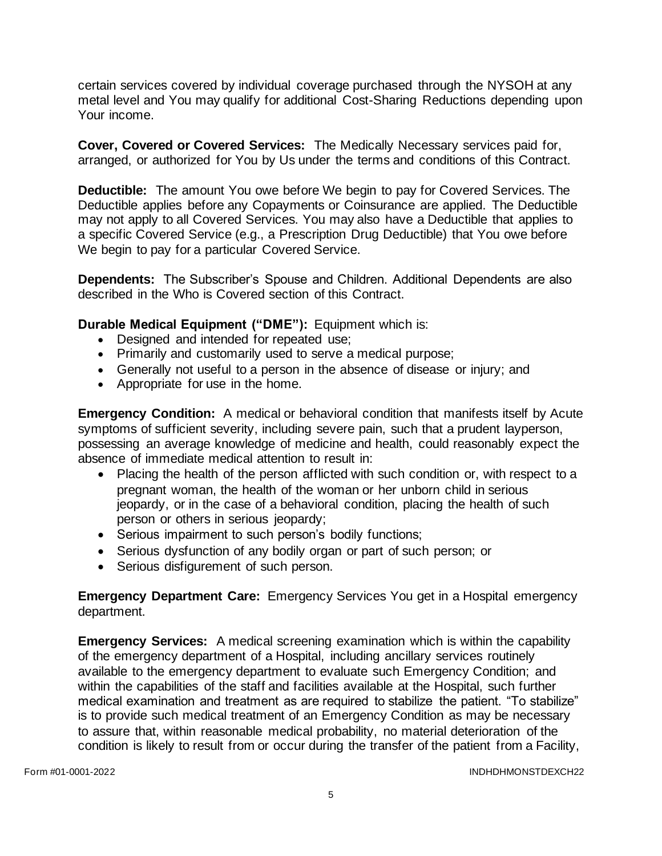certain services covered by individual coverage purchased through the NYSOH at any metal level and You may qualify for additional Cost-Sharing Reductions depending upon Your income.

**Cover, Covered or Covered Services:** The Medically Necessary services paid for, arranged, or authorized for You by Us under the terms and conditions of this Contract.

**Deductible:** The amount You owe before We begin to pay for Covered Services. The Deductible applies before any Copayments or Coinsurance are applied. The Deductible may not apply to all Covered Services. You may also have a Deductible that applies to a specific Covered Service (e.g., a Prescription Drug Deductible) that You owe before We begin to pay for a particular Covered Service.

**Dependents:** The Subscriber's Spouse and Children. Additional Dependents are also described in the Who is Covered section of this Contract.

**Durable Medical Equipment ("DME"):** Equipment which is:

- Designed and intended for repeated use;
- Primarily and customarily used to serve a medical purpose;
- Generally not useful to a person in the absence of disease or injury; and
- Appropriate for use in the home.

**Emergency Condition:** A medical or behavioral condition that manifests itself by Acute symptoms of sufficient severity, including severe pain, such that a prudent layperson, possessing an average knowledge of medicine and health, could reasonably expect the absence of immediate medical attention to result in:

- Placing the health of the person afflicted with such condition or, with respect to a pregnant woman, the health of the woman or her unborn child in serious jeopardy, or in the case of a behavioral condition, placing the health of such person or others in serious jeopardy;
- Serious impairment to such person's bodily functions;
- Serious dysfunction of any bodily organ or part of such person; or
- Serious disfigurement of such person.

**Emergency Department Care:** Emergency Services You get in a Hospital emergency department.

**Emergency Services:** A medical screening examination which is within the capability of the emergency department of a Hospital, including ancillary services routinely available to the emergency department to evaluate such Emergency Condition; and within the capabilities of the staff and facilities available at the Hospital, such further medical examination and treatment as are required to stabilize the patient. "To stabilize" is to provide such medical treatment of an Emergency Condition as may be necessary to assure that, within reasonable medical probability, no material deterioration of the condition is likely to result from or occur during the transfer of the patient from a Facility,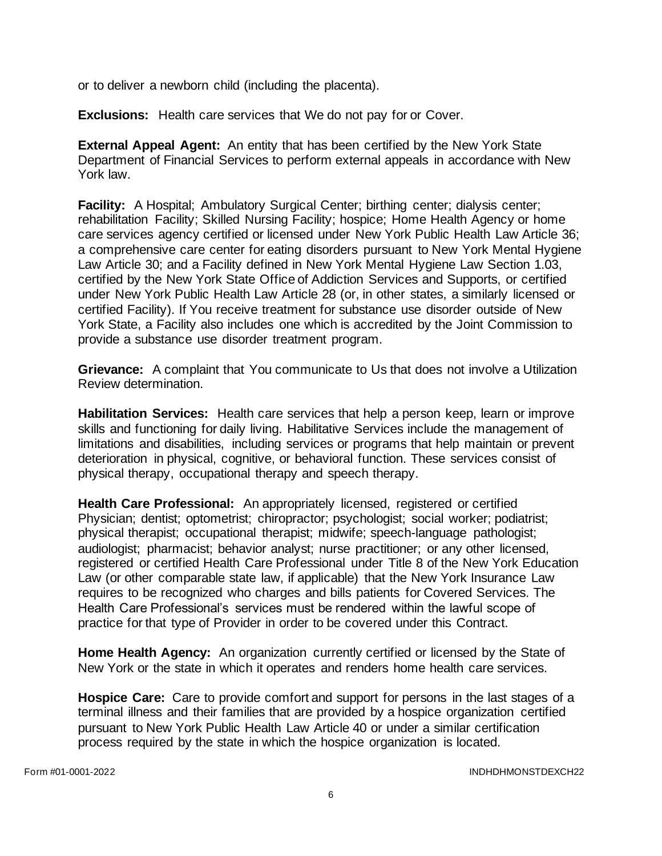or to deliver a newborn child (including the placenta).

**Exclusions:** Health care services that We do not pay for or Cover.

**External Appeal Agent:** An entity that has been certified by the New York State Department of Financial Services to perform external appeals in accordance with New York law.

**Facility:** A Hospital; Ambulatory Surgical Center; birthing center; dialysis center; rehabilitation Facility; Skilled Nursing Facility; hospice; Home Health Agency or home care services agency certified or licensed under New York Public Health Law Article 36; a comprehensive care center for eating disorders pursuant to New York Mental Hygiene Law Article 30; and a Facility defined in New York Mental Hygiene Law Section 1.03, certified by the New York State Office of Addiction Services and Supports, or certified under New York Public Health Law Article 28 (or, in other states, a similarly licensed or certified Facility). If You receive treatment for substance use disorder outside of New York State, a Facility also includes one which is accredited by the Joint Commission to provide a substance use disorder treatment program.

**Grievance:** A complaint that You communicate to Us that does not involve a Utilization Review determination.

**Habilitation Services:** Health care services that help a person keep, learn or improve skills and functioning for daily living. Habilitative Services include the management of limitations and disabilities, including services or programs that help maintain or prevent deterioration in physical, cognitive, or behavioral function. These services consist of physical therapy, occupational therapy and speech therapy.

**Health Care Professional:** An appropriately licensed, registered or certified Physician; dentist; optometrist; chiropractor; psychologist; social worker; podiatrist; physical therapist; occupational therapist; midwife; speech-language pathologist; audiologist; pharmacist; behavior analyst; nurse practitioner; or any other licensed, registered or certified Health Care Professional under Title 8 of the New York Education Law (or other comparable state law, if applicable) that the New York Insurance Law requires to be recognized who charges and bills patients for Covered Services. The Health Care Professional's services must be rendered within the lawful scope of practice for that type of Provider in order to be covered under this Contract.

**Home Health Agency:** An organization currently certified or licensed by the State of New York or the state in which it operates and renders home health care services.

**Hospice Care:** Care to provide comfort and support for persons in the last stages of a terminal illness and their families that are provided by a hospice organization certified pursuant to New York Public Health Law Article 40 or under a similar certification process required by the state in which the hospice organization is located.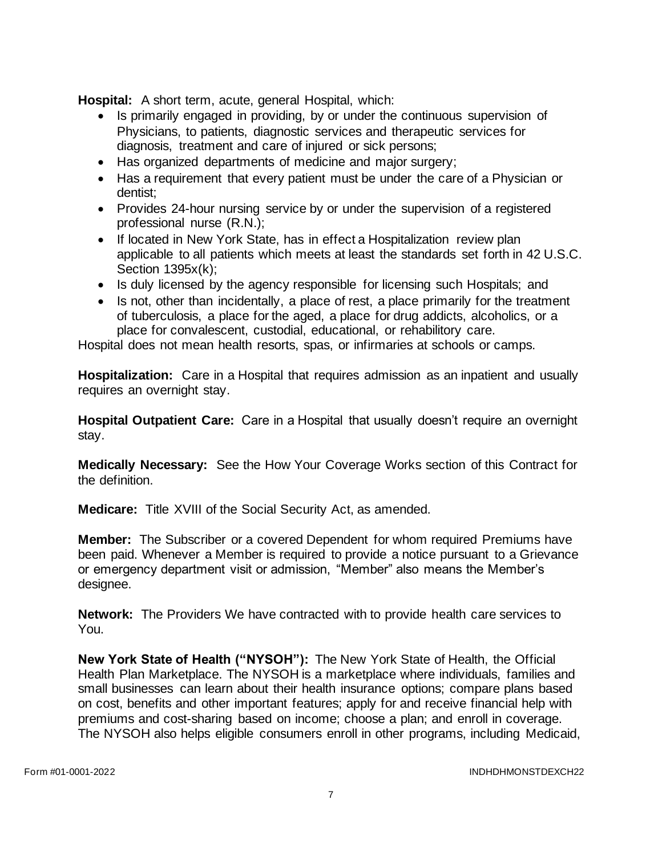**Hospital:** A short term, acute, general Hospital, which:

- Is primarily engaged in providing, by or under the continuous supervision of Physicians, to patients, diagnostic services and therapeutic services for diagnosis, treatment and care of injured or sick persons;
- Has organized departments of medicine and major surgery;
- Has a requirement that every patient must be under the care of a Physician or dentist;
- Provides 24-hour nursing service by or under the supervision of a registered professional nurse (R.N.);
- If located in New York State, has in effect a Hospitalization review plan applicable to all patients which meets at least the standards set forth in 42 U.S.C. Section 1395x(k);
- Is duly licensed by the agency responsible for licensing such Hospitals; and
- Is not, other than incidentally, a place of rest, a place primarily for the treatment of tuberculosis, a place for the aged, a place for drug addicts, alcoholics, or a place for convalescent, custodial, educational, or rehabilitory care.

Hospital does not mean health resorts, spas, or infirmaries at schools or camps.

**Hospitalization:** Care in a Hospital that requires admission as an inpatient and usually requires an overnight stay.

**Hospital Outpatient Care:** Care in a Hospital that usually doesn't require an overnight stay.

**Medically Necessary:** See the How Your Coverage Works section of this Contract for the definition.

**Medicare:** Title XVIII of the Social Security Act, as amended.

**Member:** The Subscriber or a covered Dependent for whom required Premiums have been paid. Whenever a Member is required to provide a notice pursuant to a Grievance or emergency department visit or admission, "Member" also means the Member's designee.

**Network:** The Providers We have contracted with to provide health care services to You.

**New York State of Health ("NYSOH"):** The New York State of Health, the Official Health Plan Marketplace. The NYSOH is a marketplace where individuals, families and small businesses can learn about their health insurance options; compare plans based on cost, benefits and other important features; apply for and receive financial help with premiums and cost-sharing based on income; choose a plan; and enroll in coverage. The NYSOH also helps eligible consumers enroll in other programs, including Medicaid,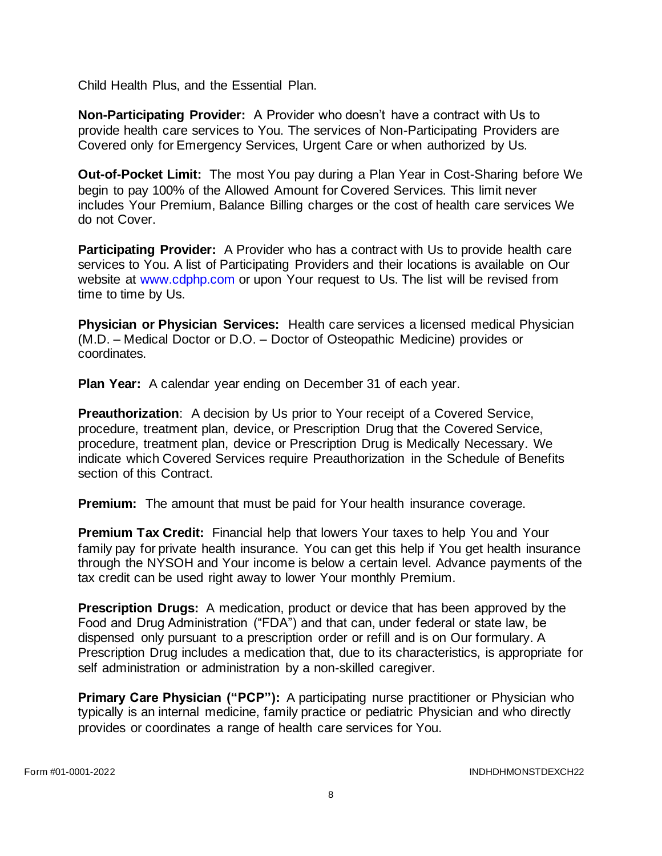Child Health Plus, and the Essential Plan.

**Non-Participating Provider:** A Provider who doesn't have a contract with Us to provide health care services to You. The services of Non-Participating Providers are Covered only for Emergency Services, Urgent Care or when authorized by Us.

**Out-of-Pocket Limit:** The most You pay during a Plan Year in Cost-Sharing before We begin to pay 100% of the Allowed Amount for Covered Services. This limit never includes Your Premium, Balance Billing charges or the cost of health care services We do not Cover.

**Participating Provider:** A Provider who has a contract with Us to provide health care services to You. A list of Participating Providers and their locations is available on Our website at [www.cdphp.com](http://www.cdphp.com/) or upon Your request to Us. The list will be revised from time to time by Us.

**Physician or Physician Services:** Health care services a licensed medical Physician (M.D. – Medical Doctor or D.O. – Doctor of Osteopathic Medicine) provides or coordinates.

**Plan Year:** A calendar year ending on December 31 of each year.

**Preauthorization**: A decision by Us prior to Your receipt of a Covered Service, procedure, treatment plan, device, or Prescription Drug that the Covered Service, procedure, treatment plan, device or Prescription Drug is Medically Necessary. We indicate which Covered Services require Preauthorization in the Schedule of Benefits section of this Contract.

**Premium:** The amount that must be paid for Your health insurance coverage.

**Premium Tax Credit:** Financial help that lowers Your taxes to help You and Your family pay for private health insurance. You can get this help if You get health insurance through the NYSOH and Your income is below a certain level. Advance payments of the tax credit can be used right away to lower Your monthly Premium.

**Prescription Drugs:** A medication, product or device that has been approved by the Food and Drug Administration ("FDA") and that can, under federal or state law, be dispensed only pursuant to a prescription order or refill and is on Our formulary. A Prescription Drug includes a medication that, due to its characteristics, is appropriate for self administration or administration by a non-skilled caregiver.

**Primary Care Physician ("PCP"):** A participating nurse practitioner or Physician who typically is an internal medicine, family practice or pediatric Physician and who directly provides or coordinates a range of health care services for You.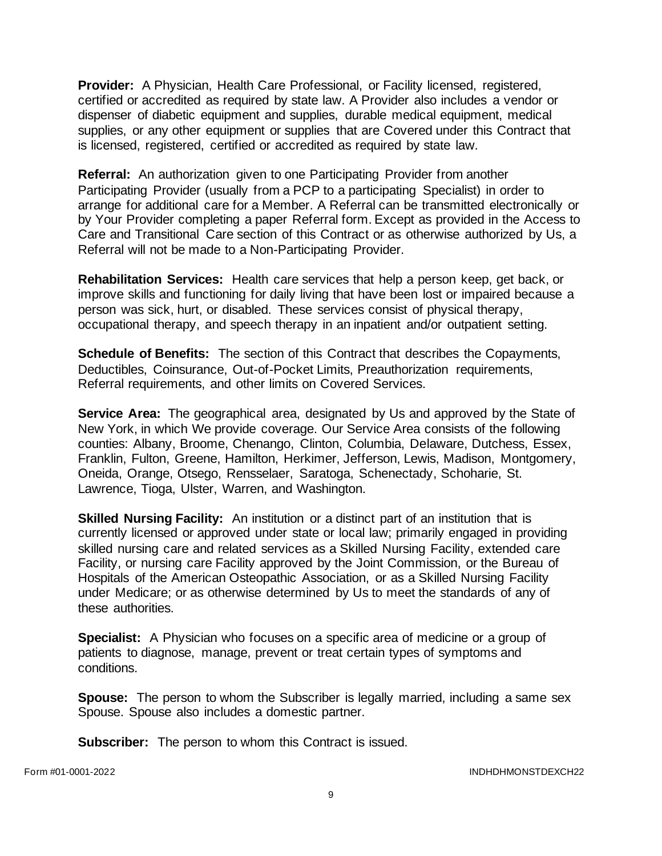**Provider:** A Physician, Health Care Professional, or Facility licensed, registered, certified or accredited as required by state law. A Provider also includes a vendor or dispenser of diabetic equipment and supplies, durable medical equipment, medical supplies, or any other equipment or supplies that are Covered under this Contract that is licensed, registered, certified or accredited as required by state law.

**Referral:** An authorization given to one Participating Provider from another Participating Provider (usually from a PCP to a participating Specialist) in order to arrange for additional care for a Member. A Referral can be transmitted electronically or by Your Provider completing a paper Referral form. Except as provided in the Access to Care and Transitional Care section of this Contract or as otherwise authorized by Us, a Referral will not be made to a Non-Participating Provider.

**Rehabilitation Services:** Health care services that help a person keep, get back, or improve skills and functioning for daily living that have been lost or impaired because a person was sick, hurt, or disabled. These services consist of physical therapy, occupational therapy, and speech therapy in an inpatient and/or outpatient setting.

**Schedule of Benefits:** The section of this Contract that describes the Copayments, Deductibles, Coinsurance, Out-of-Pocket Limits, Preauthorization requirements, Referral requirements, and other limits on Covered Services.

**Service Area:** The geographical area, designated by Us and approved by the State of New York, in which We provide coverage. Our Service Area consists of the following counties: Albany, Broome, Chenango, Clinton, Columbia, Delaware, Dutchess, Essex, Franklin, Fulton, Greene, Hamilton, Herkimer, Jefferson, Lewis, Madison, Montgomery, Oneida, Orange, Otsego, Rensselaer, Saratoga, Schenectady, Schoharie, St. Lawrence, Tioga, Ulster, Warren, and Washington.

**Skilled Nursing Facility:** An institution or a distinct part of an institution that is currently licensed or approved under state or local law; primarily engaged in providing skilled nursing care and related services as a Skilled Nursing Facility, extended care Facility, or nursing care Facility approved by the Joint Commission, or the Bureau of Hospitals of the American Osteopathic Association, or as a Skilled Nursing Facility under Medicare; or as otherwise determined by Us to meet the standards of any of these authorities.

**Specialist:** A Physician who focuses on a specific area of medicine or a group of patients to diagnose, manage, prevent or treat certain types of symptoms and conditions.

**Spouse:** The person to whom the Subscriber is legally married, including a same sex Spouse. Spouse also includes a domestic partner.

**Subscriber:** The person to whom this Contract is issued.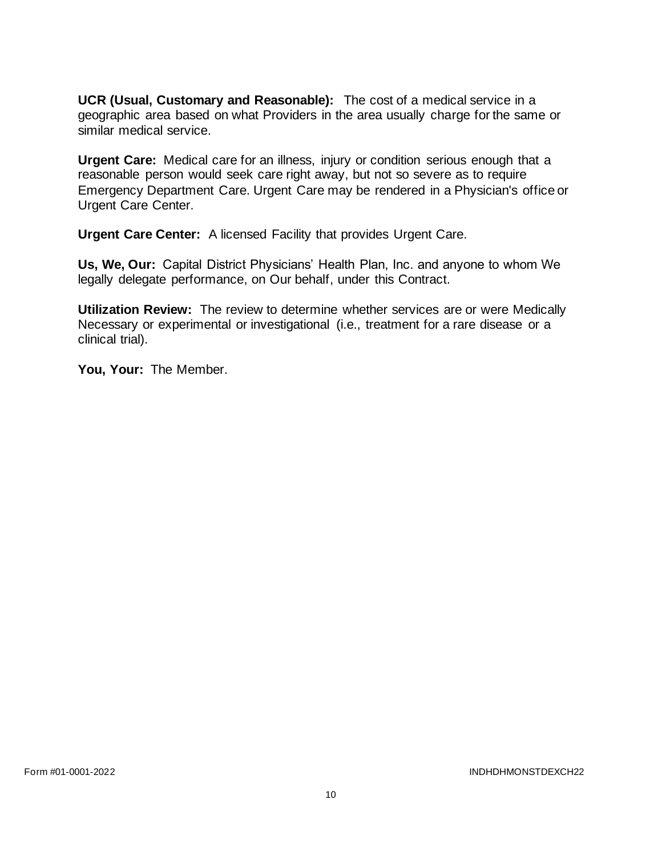**UCR (Usual, Customary and Reasonable):** The cost of a medical service in a geographic area based on what Providers in the area usually charge for the same or similar medical service.

**Urgent Care:** Medical care for an illness, injury or condition serious enough that a reasonable person would seek care right away, but not so severe as to require Emergency Department Care. Urgent Care may be rendered in a Physician's office or Urgent Care Center.

**Urgent Care Center:** A licensed Facility that provides Urgent Care.

**Us, We, Our:** Capital District Physicians' Health Plan, Inc. and anyone to whom We legally delegate performance, on Our behalf, under this Contract.

**Utilization Review:** The review to determine whether services are or were Medically Necessary or experimental or investigational (i.e., treatment for a rare disease or a clinical trial).

**You, Your:** The Member.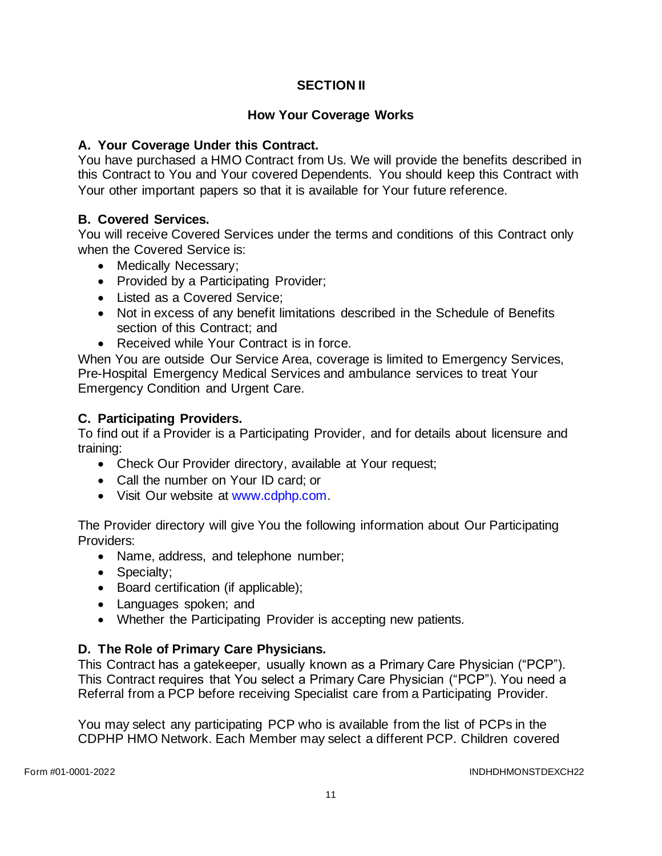# **SECTION II**

## **How Your Coverage Works**

## **A. Your Coverage Under this Contract.**

You have purchased a HMO Contract from Us. We will provide the benefits described in this Contract to You and Your covered Dependents. You should keep this Contract with Your other important papers so that it is available for Your future reference.

## **B. Covered Services.**

You will receive Covered Services under the terms and conditions of this Contract only when the Covered Service is:

- Medically Necessary;
- Provided by a Participating Provider;
- Listed as a Covered Service;
- Not in excess of any benefit limitations described in the Schedule of Benefits section of this Contract; and
- Received while Your Contract is in force.

When You are outside Our Service Area, coverage is limited to Emergency Services, Pre-Hospital Emergency Medical Services and ambulance services to treat Your Emergency Condition and Urgent Care.

## **C. Participating Providers.**

To find out if a Provider is a Participating Provider, and for details about licensure and training:

- Check Our Provider directory, available at Your request;
- Call the number on Your ID card; or
- Visit Our website at [www.cdphp.com.](http://www.cdphp.com/)

The Provider directory will give You the following information about Our Participating Providers:

- Name, address, and telephone number;
- Specialty;
- Board certification (if applicable);
- Languages spoken; and
- Whether the Participating Provider is accepting new patients.

# **D. The Role of Primary Care Physicians.**

This Contract has a gatekeeper, usually known as a Primary Care Physician ("PCP"). This Contract requires that You select a Primary Care Physician ("PCP"). You need a Referral from a PCP before receiving Specialist care from a Participating Provider.

You may select any participating PCP who is available from the list of PCPs in the CDPHP HMO Network. Each Member may select a different PCP. Children covered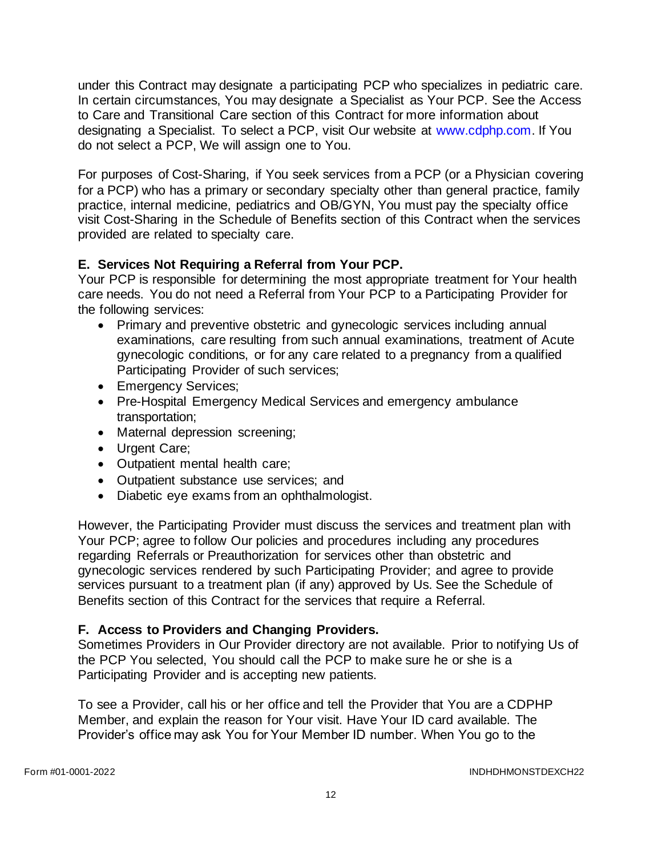under this Contract may designate a participating PCP who specializes in pediatric care. In certain circumstances, You may designate a Specialist as Your PCP. See the Access to Care and Transitional Care section of this Contract for more information about designating a Specialist. To select a PCP, visit Our website at [www.cdphp.com.](http://www.cdphp.com/) If You do not select a PCP, We will assign one to You.

For purposes of Cost-Sharing, if You seek services from a PCP (or a Physician covering for a PCP) who has a primary or secondary specialty other than general practice, family practice, internal medicine, pediatrics and OB/GYN, You must pay the specialty office visit Cost-Sharing in the Schedule of Benefits section of this Contract when the services provided are related to specialty care.

# **E. Services Not Requiring a Referral from Your PCP.**

Your PCP is responsible for determining the most appropriate treatment for Your health care needs. You do not need a Referral from Your PCP to a Participating Provider for the following services:

- Primary and preventive obstetric and gynecologic services including annual examinations, care resulting from such annual examinations, treatment of Acute gynecologic conditions, or for any care related to a pregnancy from a qualified Participating Provider of such services;
- Emergency Services;
- Pre-Hospital Emergency Medical Services and emergency ambulance transportation;
- Maternal depression screening;
- Urgent Care;
- Outpatient mental health care;
- Outpatient substance use services; and
- Diabetic eye exams from an ophthalmologist.

However, the Participating Provider must discuss the services and treatment plan with Your PCP; agree to follow Our policies and procedures including any procedures regarding Referrals or Preauthorization for services other than obstetric and gynecologic services rendered by such Participating Provider; and agree to provide services pursuant to a treatment plan (if any) approved by Us. See the Schedule of Benefits section of this Contract for the services that require a Referral.

# **F. Access to Providers and Changing Providers.**

Sometimes Providers in Our Provider directory are not available. Prior to notifying Us of the PCP You selected, You should call the PCP to make sure he or she is a Participating Provider and is accepting new patients.

To see a Provider, call his or her office and tell the Provider that You are a CDPHP Member, and explain the reason for Your visit. Have Your ID card available. The Provider's office may ask You for Your Member ID number. When You go to the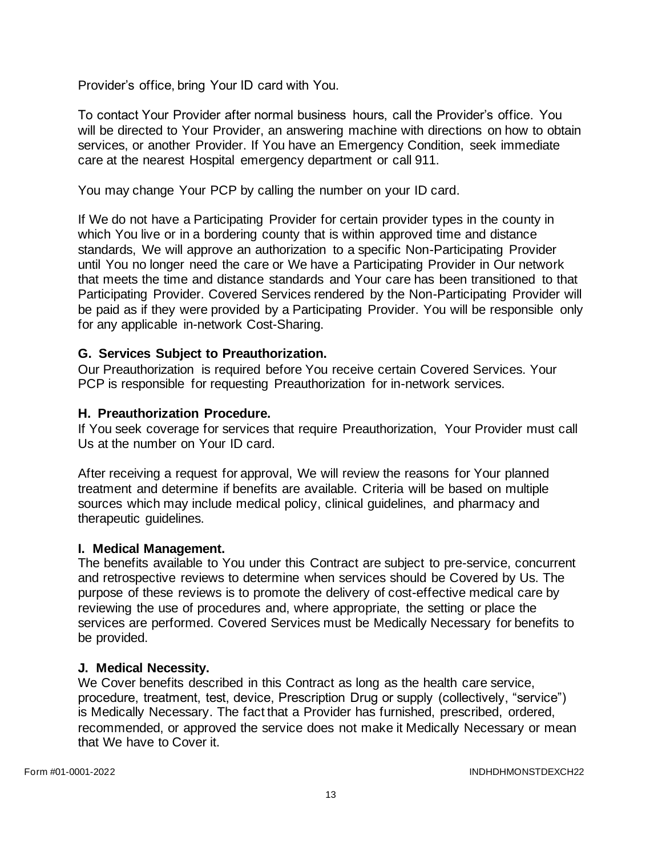Provider's office, bring Your ID card with You.

To contact Your Provider after normal business hours, call the Provider's office. You will be directed to Your Provider, an answering machine with directions on how to obtain services, or another Provider. If You have an Emergency Condition, seek immediate care at the nearest Hospital emergency department or call 911.

You may change Your PCP by calling the number on your ID card.

If We do not have a Participating Provider for certain provider types in the county in which You live or in a bordering county that is within approved time and distance standards, We will approve an authorization to a specific Non-Participating Provider until You no longer need the care or We have a Participating Provider in Our network that meets the time and distance standards and Your care has been transitioned to that Participating Provider. Covered Services rendered by the Non-Participating Provider will be paid as if they were provided by a Participating Provider. You will be responsible only for any applicable in-network Cost-Sharing.

#### **G. Services Subject to Preauthorization.**

Our Preauthorization is required before You receive certain Covered Services. Your PCP is responsible for requesting Preauthorization for in-network services.

#### **H. Preauthorization Procedure.**

If You seek coverage for services that require Preauthorization, Your Provider must call Us at the number on Your ID card.

After receiving a request for approval, We will review the reasons for Your planned treatment and determine if benefits are available. Criteria will be based on multiple sources which may include medical policy, clinical guidelines, and pharmacy and therapeutic guidelines.

#### **I. Medical Management.**

The benefits available to You under this Contract are subject to pre-service, concurrent and retrospective reviews to determine when services should be Covered by Us. The purpose of these reviews is to promote the delivery of cost-effective medical care by reviewing the use of procedures and, where appropriate, the setting or place the services are performed. Covered Services must be Medically Necessary for benefits to be provided.

#### **J. Medical Necessity.**

We Cover benefits described in this Contract as long as the health care service, procedure, treatment, test, device, Prescription Drug or supply (collectively, "service") is Medically Necessary. The fact that a Provider has furnished, prescribed, ordered, recommended, or approved the service does not make it Medically Necessary or mean that We have to Cover it.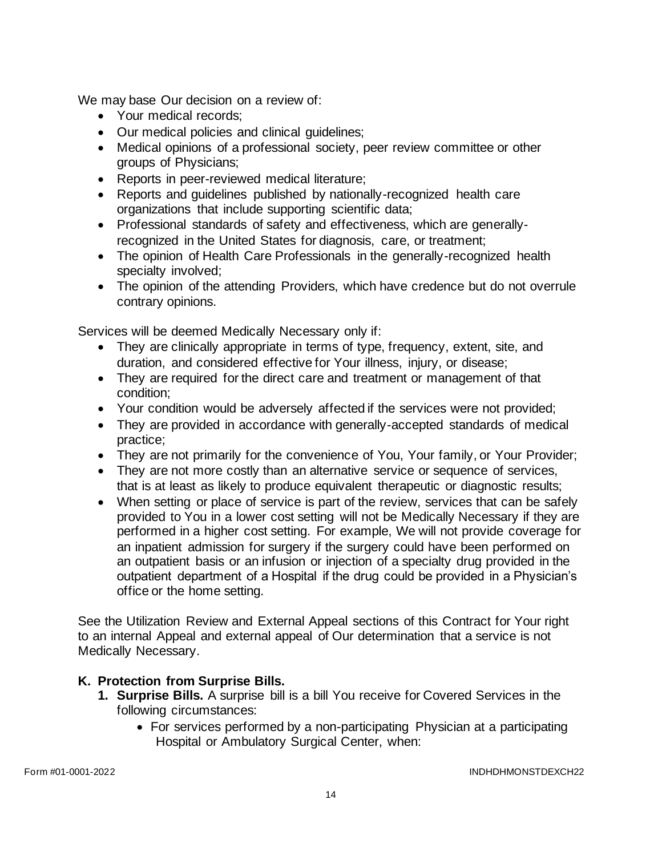We may base Our decision on a review of:

- Your medical records:
- Our medical policies and clinical guidelines;
- Medical opinions of a professional society, peer review committee or other groups of Physicians;
- Reports in peer-reviewed medical literature;
- Reports and guidelines published by nationally-recognized health care organizations that include supporting scientific data;
- Professional standards of safety and effectiveness, which are generallyrecognized in the United States for diagnosis, care, or treatment;
- The opinion of Health Care Professionals in the generally-recognized health specialty involved;
- The opinion of the attending Providers, which have credence but do not overrule contrary opinions.

Services will be deemed Medically Necessary only if:

- They are clinically appropriate in terms of type, frequency, extent, site, and duration, and considered effective for Your illness, injury, or disease;
- They are required for the direct care and treatment or management of that condition;
- Your condition would be adversely affected if the services were not provided;
- They are provided in accordance with generally-accepted standards of medical practice;
- They are not primarily for the convenience of You, Your family, or Your Provider;
- They are not more costly than an alternative service or sequence of services, that is at least as likely to produce equivalent therapeutic or diagnostic results;
- When setting or place of service is part of the review, services that can be safely provided to You in a lower cost setting will not be Medically Necessary if they are performed in a higher cost setting. For example, We will not provide coverage for an inpatient admission for surgery if the surgery could have been performed on an outpatient basis or an infusion or injection of a specialty drug provided in the outpatient department of a Hospital if the drug could be provided in a Physician's office or the home setting.

See the Utilization Review and External Appeal sections of this Contract for Your right to an internal Appeal and external appeal of Our determination that a service is not Medically Necessary.

#### **K. Protection from Surprise Bills.**

- **1. Surprise Bills.** A surprise bill is a bill You receive for Covered Services in the following circumstances:
	- For services performed by a non-participating Physician at a participating Hospital or Ambulatory Surgical Center, when: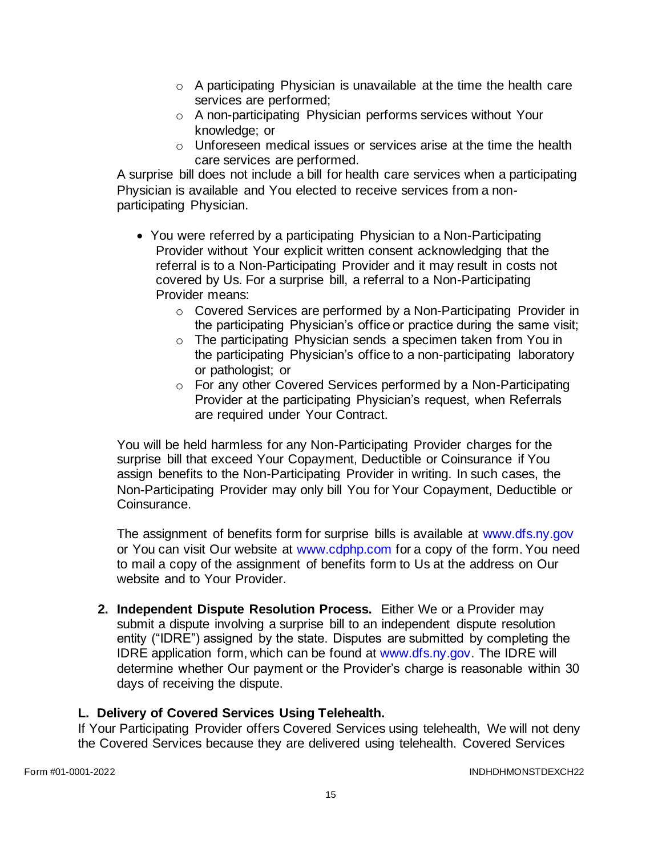- $\circ$  A participating Physician is unavailable at the time the health care services are performed;
- o A non-participating Physician performs services without Your knowledge; or
- o Unforeseen medical issues or services arise at the time the health care services are performed.

A surprise bill does not include a bill for health care services when a participating Physician is available and You elected to receive services from a nonparticipating Physician.

- You were referred by a participating Physician to a Non-Participating Provider without Your explicit written consent acknowledging that the referral is to a Non-Participating Provider and it may result in costs not covered by Us. For a surprise bill, a referral to a Non-Participating Provider means:
	- o Covered Services are performed by a Non-Participating Provider in the participating Physician's office or practice during the same visit;
	- o The participating Physician sends a specimen taken from You in the participating Physician's office to a non-participating laboratory or pathologist; or
	- o For any other Covered Services performed by a Non-Participating Provider at the participating Physician's request, when Referrals are required under Your Contract.

You will be held harmless for any Non-Participating Provider charges for the surprise bill that exceed Your Copayment, Deductible or Coinsurance if You assign benefits to the Non-Participating Provider in writing. In such cases, the Non-Participating Provider may only bill You for Your Copayment, Deductible or Coinsurance.

The assignment of benefits form for surprise bills is available at [www.dfs.ny.gov](http://www.dfs.ny.gov/) or You can visit Our website at [www.cdphp.com](http://www.cdphp.com/) for a copy of the form. You need to mail a copy of the assignment of benefits form to Us at the address on Our website and to Your Provider.

**2. Independent Dispute Resolution Process.** Either We or a Provider may submit a dispute involving a surprise bill to an independent dispute resolution entity ("IDRE") assigned by the state. Disputes are submitted by completing the IDRE application form, which can be found at [www.dfs.ny.gov.](http://www.dfs.ny.gov/) The IDRE will determine whether Our payment or the Provider's charge is reasonable within 30 days of receiving the dispute.

# **L. Delivery of Covered Services Using Telehealth.**

If Your Participating Provider offers Covered Services using telehealth, We will not deny the Covered Services because they are delivered using telehealth. Covered Services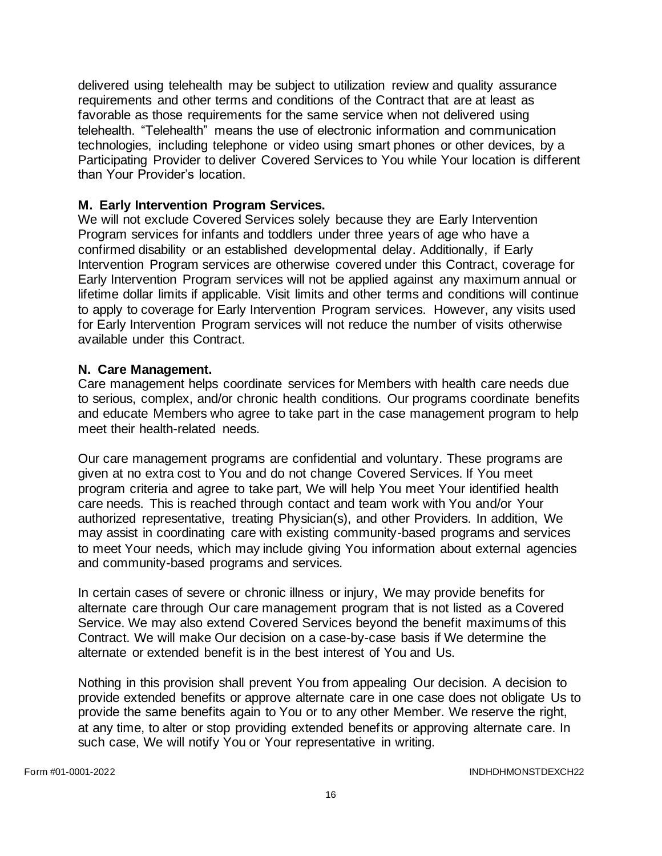delivered using telehealth may be subject to utilization review and quality assurance requirements and other terms and conditions of the Contract that are at least as favorable as those requirements for the same service when not delivered using telehealth. "Telehealth" means the use of electronic information and communication technologies, including telephone or video using smart phones or other devices, by a Participating Provider to deliver Covered Services to You while Your location is different than Your Provider's location.

### **M. Early Intervention Program Services.**

We will not exclude Covered Services solely because they are Early Intervention Program services for infants and toddlers under three years of age who have a confirmed disability or an established developmental delay. Additionally, if Early Intervention Program services are otherwise covered under this Contract, coverage for Early Intervention Program services will not be applied against any maximum annual or lifetime dollar limits if applicable. Visit limits and other terms and conditions will continue to apply to coverage for Early Intervention Program services. However, any visits used for Early Intervention Program services will not reduce the number of visits otherwise available under this Contract.

#### **N. Care Management.**

Care management helps coordinate services for Members with health care needs due to serious, complex, and/or chronic health conditions. Our programs coordinate benefits and educate Members who agree to take part in the case management program to help meet their health-related needs.

Our care management programs are confidential and voluntary. These programs are given at no extra cost to You and do not change Covered Services. If You meet program criteria and agree to take part, We will help You meet Your identified health care needs. This is reached through contact and team work with You and/or Your authorized representative, treating Physician(s), and other Providers. In addition, We may assist in coordinating care with existing community-based programs and services to meet Your needs, which may include giving You information about external agencies and community-based programs and services.

In certain cases of severe or chronic illness or injury, We may provide benefits for alternate care through Our care management program that is not listed as a Covered Service. We may also extend Covered Services beyond the benefit maximums of this Contract. We will make Our decision on a case-by-case basis if We determine the alternate or extended benefit is in the best interest of You and Us.

Nothing in this provision shall prevent You from appealing Our decision. A decision to provide extended benefits or approve alternate care in one case does not obligate Us to provide the same benefits again to You or to any other Member. We reserve the right, at any time, to alter or stop providing extended benefits or approving alternate care. In such case, We will notify You or Your representative in writing.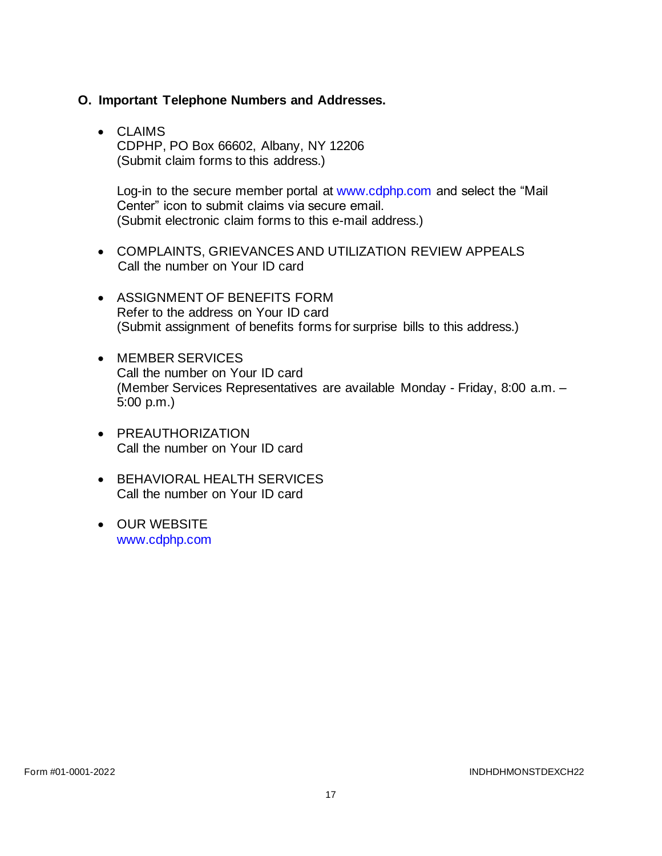#### **O. Important Telephone Numbers and Addresses.**

• CLAIMS CDPHP, PO Box 66602, Albany, NY 12206 (Submit claim forms to this address.)

Log-in to the secure member portal at [www.cdphp.com](http://www.cdphp.com/) and select the "Mail Center" icon to submit claims via secure email. (Submit electronic claim forms to this e-mail address.)

- COMPLAINTS, GRIEVANCES AND UTILIZATION REVIEW APPEALS Call the number on Your ID card
- ASSIGNMENT OF BENEFITS FORM Refer to the address on Your ID card (Submit assignment of benefits forms for surprise bills to this address.)
- MEMBER SERVICES Call the number on Your ID card (Member Services Representatives are available Monday - Friday, 8:00 a.m. – 5:00 p.m.)
- PREAUTHORIZATION Call the number on Your ID card
- BEHAVIORAL HEALTH SERVICES Call the number on Your ID card
- OUR WEBSITE [www.cdphp.com](http://www.cdphp.com/)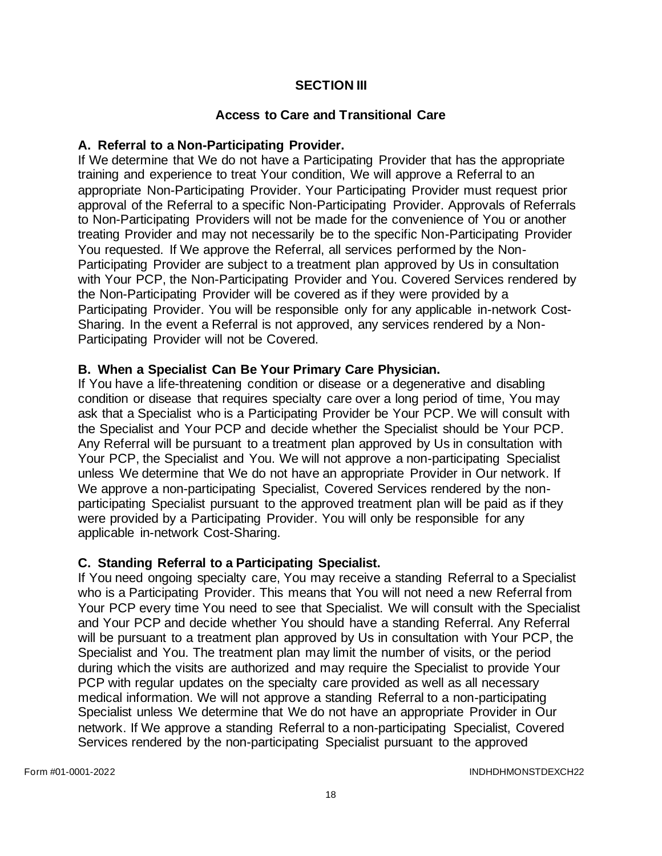## **SECTION III**

### **Access to Care and Transitional Care**

### **A. Referral to a Non-Participating Provider.**

If We determine that We do not have a Participating Provider that has the appropriate training and experience to treat Your condition, We will approve a Referral to an appropriate Non-Participating Provider. Your Participating Provider must request prior approval of the Referral to a specific Non-Participating Provider. Approvals of Referrals to Non-Participating Providers will not be made for the convenience of You or another treating Provider and may not necessarily be to the specific Non-Participating Provider You requested. If We approve the Referral, all services performed by the Non-Participating Provider are subject to a treatment plan approved by Us in consultation with Your PCP, the Non-Participating Provider and You. Covered Services rendered by the Non-Participating Provider will be covered as if they were provided by a Participating Provider. You will be responsible only for any applicable in-network Cost-Sharing. In the event a Referral is not approved, any services rendered by a Non-Participating Provider will not be Covered.

## **B. When a Specialist Can Be Your Primary Care Physician.**

If You have a life-threatening condition or disease or a degenerative and disabling condition or disease that requires specialty care over a long period of time, You may ask that a Specialist who is a Participating Provider be Your PCP. We will consult with the Specialist and Your PCP and decide whether the Specialist should be Your PCP. Any Referral will be pursuant to a treatment plan approved by Us in consultation with Your PCP, the Specialist and You. We will not approve a non-participating Specialist unless We determine that We do not have an appropriate Provider in Our network. If We approve a non-participating Specialist, Covered Services rendered by the nonparticipating Specialist pursuant to the approved treatment plan will be paid as if they were provided by a Participating Provider. You will only be responsible for any applicable in-network Cost-Sharing.

#### **C. Standing Referral to a Participating Specialist.**

If You need ongoing specialty care, You may receive a standing Referral to a Specialist who is a Participating Provider. This means that You will not need a new Referral from Your PCP every time You need to see that Specialist. We will consult with the Specialist and Your PCP and decide whether You should have a standing Referral. Any Referral will be pursuant to a treatment plan approved by Us in consultation with Your PCP, the Specialist and You. The treatment plan may limit the number of visits, or the period during which the visits are authorized and may require the Specialist to provide Your PCP with regular updates on the specialty care provided as well as all necessary medical information. We will not approve a standing Referral to a non-participating Specialist unless We determine that We do not have an appropriate Provider in Our network. If We approve a standing Referral to a non-participating Specialist, Covered Services rendered by the non-participating Specialist pursuant to the approved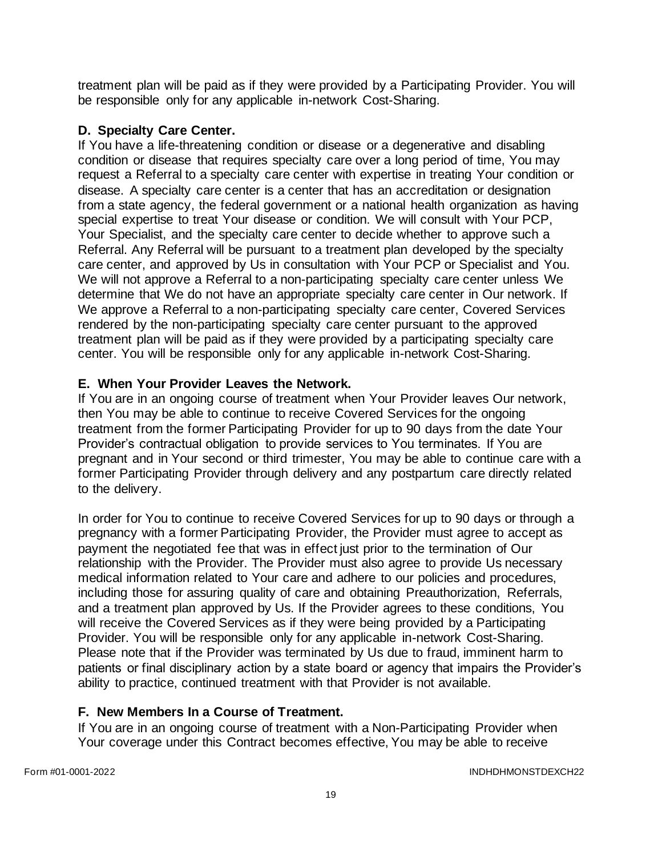treatment plan will be paid as if they were provided by a Participating Provider. You will be responsible only for any applicable in-network Cost-Sharing.

## **D. Specialty Care Center.**

If You have a life-threatening condition or disease or a degenerative and disabling condition or disease that requires specialty care over a long period of time, You may request a Referral to a specialty care center with expertise in treating Your condition or disease. A specialty care center is a center that has an accreditation or designation from a state agency, the federal government or a national health organization as having special expertise to treat Your disease or condition. We will consult with Your PCP, Your Specialist, and the specialty care center to decide whether to approve such a Referral. Any Referral will be pursuant to a treatment plan developed by the specialty care center, and approved by Us in consultation with Your PCP or Specialist and You. We will not approve a Referral to a non-participating specialty care center unless We determine that We do not have an appropriate specialty care center in Our network. If We approve a Referral to a non-participating specialty care center, Covered Services rendered by the non-participating specialty care center pursuant to the approved treatment plan will be paid as if they were provided by a participating specialty care center. You will be responsible only for any applicable in-network Cost-Sharing.

## **E. When Your Provider Leaves the Network.**

If You are in an ongoing course of treatment when Your Provider leaves Our network, then You may be able to continue to receive Covered Services for the ongoing treatment from the former Participating Provider for up to 90 days from the date Your Provider's contractual obligation to provide services to You terminates. If You are pregnant and in Your second or third trimester, You may be able to continue care with a former Participating Provider through delivery and any postpartum care directly related to the delivery.

In order for You to continue to receive Covered Services for up to 90 days or through a pregnancy with a former Participating Provider, the Provider must agree to accept as payment the negotiated fee that was in effect just prior to the termination of Our relationship with the Provider. The Provider must also agree to provide Us necessary medical information related to Your care and adhere to our policies and procedures, including those for assuring quality of care and obtaining Preauthorization, Referrals, and a treatment plan approved by Us. If the Provider agrees to these conditions, You will receive the Covered Services as if they were being provided by a Participating Provider. You will be responsible only for any applicable in-network Cost-Sharing. Please note that if the Provider was terminated by Us due to fraud, imminent harm to patients or final disciplinary action by a state board or agency that impairs the Provider's ability to practice, continued treatment with that Provider is not available.

#### **F. New Members In a Course of Treatment.**

If You are in an ongoing course of treatment with a Non-Participating Provider when Your coverage under this Contract becomes effective, You may be able to receive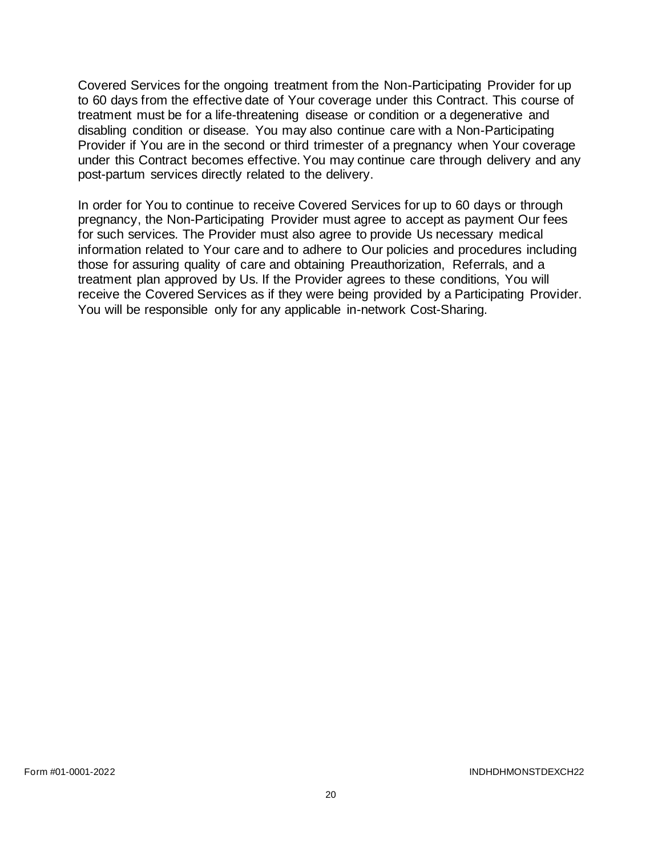Covered Services for the ongoing treatment from the Non-Participating Provider for up to 60 days from the effective date of Your coverage under this Contract. This course of treatment must be for a life-threatening disease or condition or a degenerative and disabling condition or disease. You may also continue care with a Non-Participating Provider if You are in the second or third trimester of a pregnancy when Your coverage under this Contract becomes effective. You may continue care through delivery and any post-partum services directly related to the delivery.

In order for You to continue to receive Covered Services for up to 60 days or through pregnancy, the Non-Participating Provider must agree to accept as payment Our fees for such services. The Provider must also agree to provide Us necessary medical information related to Your care and to adhere to Our policies and procedures including those for assuring quality of care and obtaining Preauthorization, Referrals, and a treatment plan approved by Us. If the Provider agrees to these conditions, You will receive the Covered Services as if they were being provided by a Participating Provider. You will be responsible only for any applicable in-network Cost-Sharing.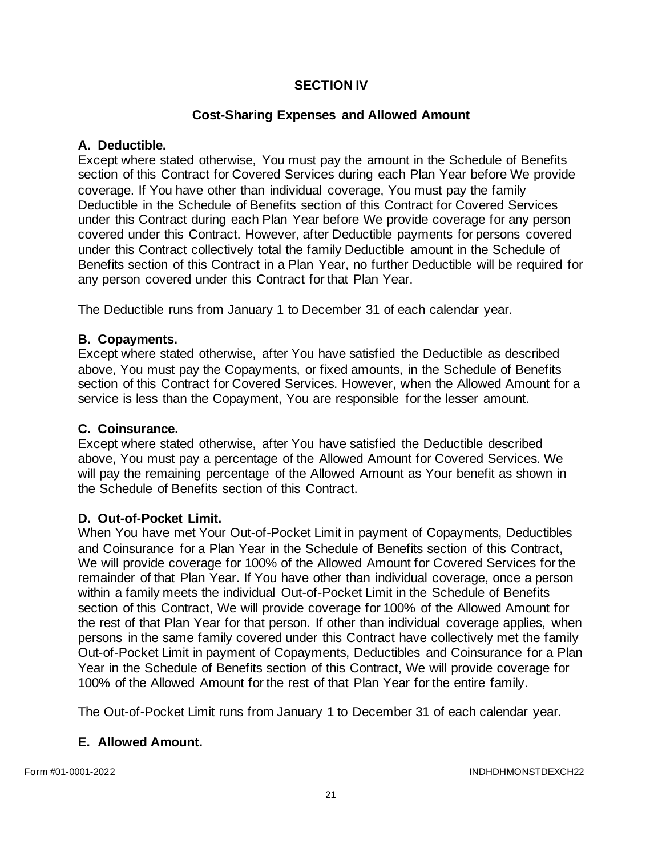## **SECTION IV**

## **Cost-Sharing Expenses and Allowed Amount**

### **A. Deductible.**

Except where stated otherwise, You must pay the amount in the Schedule of Benefits section of this Contract for Covered Services during each Plan Year before We provide coverage. If You have other than individual coverage, You must pay the family Deductible in the Schedule of Benefits section of this Contract for Covered Services under this Contract during each Plan Year before We provide coverage for any person covered under this Contract. However, after Deductible payments for persons covered under this Contract collectively total the family Deductible amount in the Schedule of Benefits section of this Contract in a Plan Year, no further Deductible will be required for any person covered under this Contract for that Plan Year.

The Deductible runs from January 1 to December 31 of each calendar year.

## **B. Copayments.**

Except where stated otherwise, after You have satisfied the Deductible as described above, You must pay the Copayments, or fixed amounts, in the Schedule of Benefits section of this Contract for Covered Services. However, when the Allowed Amount for a service is less than the Copayment, You are responsible for the lesser amount.

#### **C. Coinsurance.**

Except where stated otherwise, after You have satisfied the Deductible described above, You must pay a percentage of the Allowed Amount for Covered Services. We will pay the remaining percentage of the Allowed Amount as Your benefit as shown in the Schedule of Benefits section of this Contract.

#### **D. Out-of-Pocket Limit.**

When You have met Your Out-of-Pocket Limit in payment of Copayments, Deductibles and Coinsurance for a Plan Year in the Schedule of Benefits section of this Contract, We will provide coverage for 100% of the Allowed Amount for Covered Services for the remainder of that Plan Year. If You have other than individual coverage, once a person within a family meets the individual Out-of-Pocket Limit in the Schedule of Benefits section of this Contract, We will provide coverage for 100% of the Allowed Amount for the rest of that Plan Year for that person. If other than individual coverage applies, when persons in the same family covered under this Contract have collectively met the family Out-of-Pocket Limit in payment of Copayments, Deductibles and Coinsurance for a Plan Year in the Schedule of Benefits section of this Contract, We will provide coverage for 100% of the Allowed Amount for the rest of that Plan Year for the entire family.

The Out-of-Pocket Limit runs from January 1 to December 31 of each calendar year.

# **E. Allowed Amount.**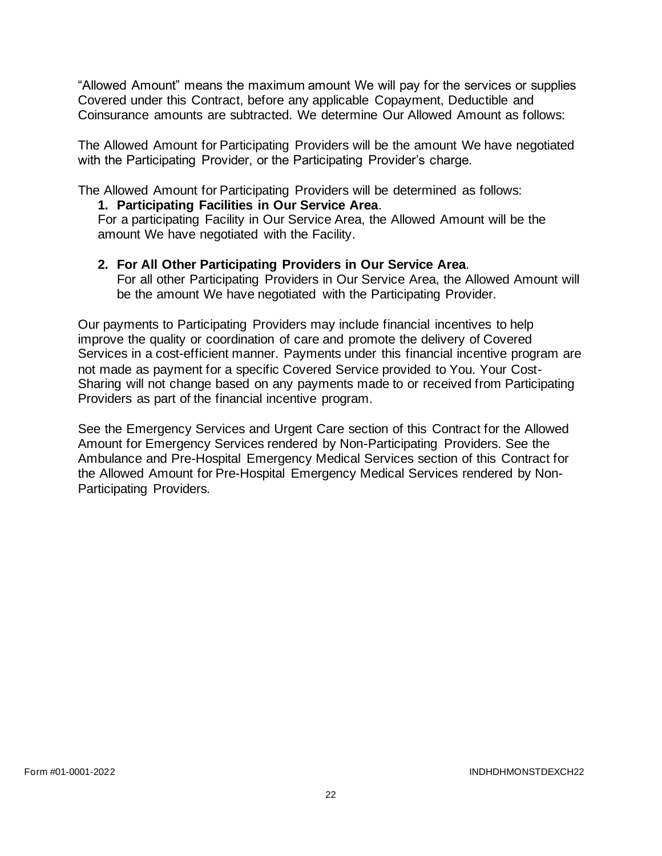"Allowed Amount" means the maximum amount We will pay for the services or supplies Covered under this Contract, before any applicable Copayment, Deductible and Coinsurance amounts are subtracted. We determine Our Allowed Amount as follows:

The Allowed Amount for Participating Providers will be the amount We have negotiated with the Participating Provider, or the Participating Provider's charge.

The Allowed Amount for Participating Providers will be determined as follows:

#### **1. Participating Facilities in Our Service Area**.

For a participating Facility in Our Service Area, the Allowed Amount will be the amount We have negotiated with the Facility.

#### **2. For All Other Participating Providers in Our Service Area**.

For all other Participating Providers in Our Service Area, the Allowed Amount will be the amount We have negotiated with the Participating Provider.

Our payments to Participating Providers may include financial incentives to help improve the quality or coordination of care and promote the delivery of Covered Services in a cost-efficient manner. Payments under this financial incentive program are not made as payment for a specific Covered Service provided to You. Your Cost-Sharing will not change based on any payments made to or received from Participating Providers as part of the financial incentive program.

See the Emergency Services and Urgent Care section of this Contract for the Allowed Amount for Emergency Services rendered by Non-Participating Providers. See the Ambulance and Pre-Hospital Emergency Medical Services section of this Contract for the Allowed Amount for Pre-Hospital Emergency Medical Services rendered by Non-Participating Providers.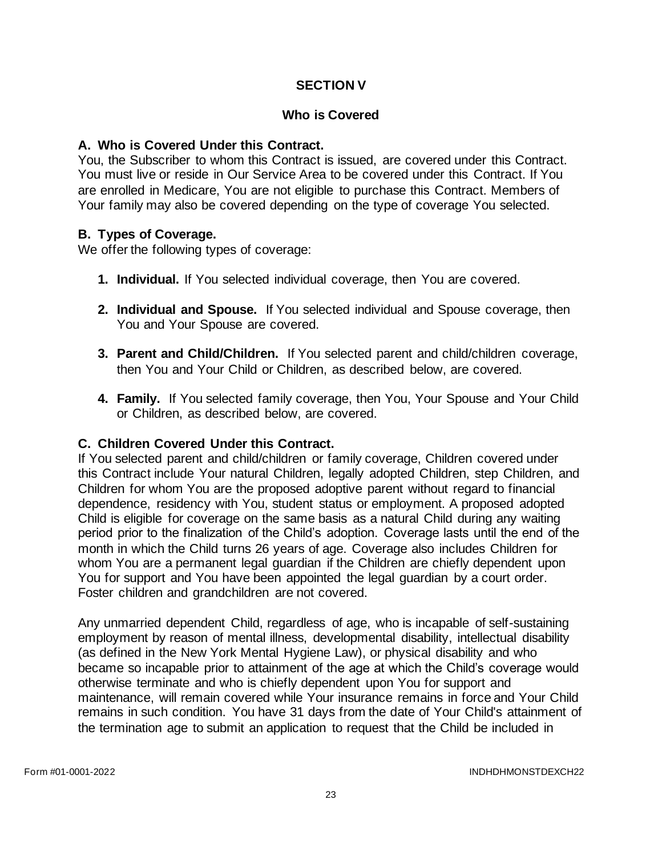## **SECTION V**

#### **Who is Covered**

#### **A. Who is Covered Under this Contract.**

You, the Subscriber to whom this Contract is issued, are covered under this Contract. You must live or reside in Our Service Area to be covered under this Contract. If You are enrolled in Medicare, You are not eligible to purchase this Contract. Members of Your family may also be covered depending on the type of coverage You selected.

#### **B. Types of Coverage.**

We offer the following types of coverage:

- **1. Individual.** If You selected individual coverage, then You are covered.
- **2. Individual and Spouse.** If You selected individual and Spouse coverage, then You and Your Spouse are covered.
- **3. Parent and Child/Children.** If You selected parent and child/children coverage, then You and Your Child or Children, as described below, are covered.
- **4. Family.** If You selected family coverage, then You, Your Spouse and Your Child or Children, as described below, are covered.

#### **C. Children Covered Under this Contract.**

If You selected parent and child/children or family coverage, Children covered under this Contract include Your natural Children, legally adopted Children, step Children, and Children for whom You are the proposed adoptive parent without regard to financial dependence, residency with You, student status or employment. A proposed adopted Child is eligible for coverage on the same basis as a natural Child during any waiting period prior to the finalization of the Child's adoption. Coverage lasts until the end of the month in which the Child turns 26 years of age. Coverage also includes Children for whom You are a permanent legal guardian if the Children are chiefly dependent upon You for support and You have been appointed the legal guardian by a court order. Foster children and grandchildren are not covered.

Any unmarried dependent Child, regardless of age, who is incapable of self-sustaining employment by reason of mental illness, developmental disability, intellectual disability (as defined in the New York Mental Hygiene Law), or physical disability and who became so incapable prior to attainment of the age at which the Child's coverage would otherwise terminate and who is chiefly dependent upon You for support and maintenance, will remain covered while Your insurance remains in force and Your Child remains in such condition. You have 31 days from the date of Your Child's attainment of the termination age to submit an application to request that the Child be included in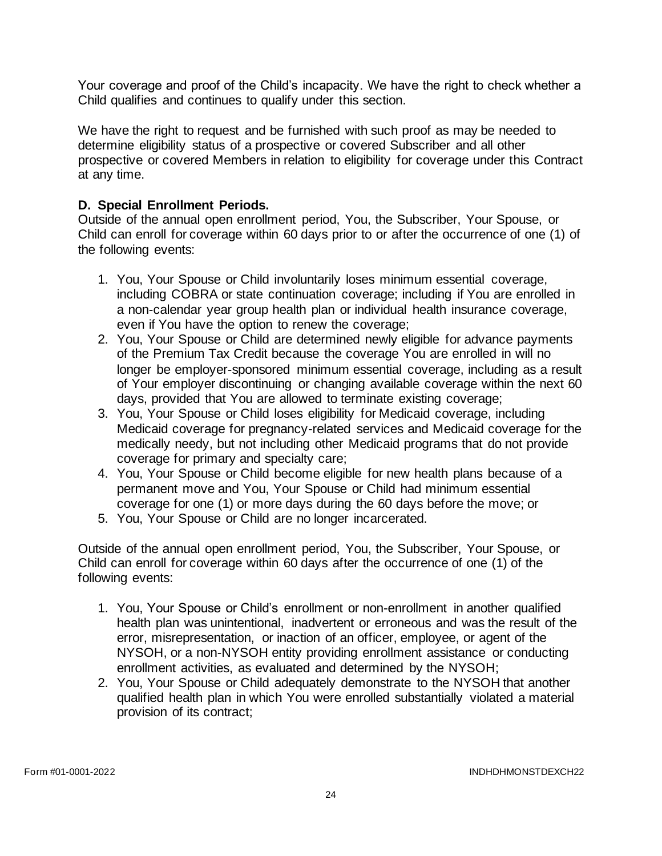Your coverage and proof of the Child's incapacity. We have the right to check whether a Child qualifies and continues to qualify under this section.

We have the right to request and be furnished with such proof as may be needed to determine eligibility status of a prospective or covered Subscriber and all other prospective or covered Members in relation to eligibility for coverage under this Contract at any time.

## **D. Special Enrollment Periods.**

Outside of the annual open enrollment period, You, the Subscriber, Your Spouse, or Child can enroll for coverage within 60 days prior to or after the occurrence of one (1) of the following events:

- 1. You, Your Spouse or Child involuntarily loses minimum essential coverage, including COBRA or state continuation coverage; including if You are enrolled in a non-calendar year group health plan or individual health insurance coverage, even if You have the option to renew the coverage;
- 2. You, Your Spouse or Child are determined newly eligible for advance payments of the Premium Tax Credit because the coverage You are enrolled in will no longer be employer-sponsored minimum essential coverage, including as a result of Your employer discontinuing or changing available coverage within the next 60 days, provided that You are allowed to terminate existing coverage;
- 3. You, Your Spouse or Child loses eligibility for Medicaid coverage, including Medicaid coverage for pregnancy-related services and Medicaid coverage for the medically needy, but not including other Medicaid programs that do not provide coverage for primary and specialty care;
- 4. You, Your Spouse or Child become eligible for new health plans because of a permanent move and You, Your Spouse or Child had minimum essential coverage for one (1) or more days during the 60 days before the move; or
- 5. You, Your Spouse or Child are no longer incarcerated.

Outside of the annual open enrollment period, You, the Subscriber, Your Spouse, or Child can enroll for coverage within 60 days after the occurrence of one (1) of the following events:

- 1. You, Your Spouse or Child's enrollment or non-enrollment in another qualified health plan was unintentional, inadvertent or erroneous and was the result of the error, misrepresentation, or inaction of an officer, employee, or agent of the NYSOH, or a non-NYSOH entity providing enrollment assistance or conducting enrollment activities, as evaluated and determined by the NYSOH;
- 2. You, Your Spouse or Child adequately demonstrate to the NYSOH that another qualified health plan in which You were enrolled substantially violated a material provision of its contract;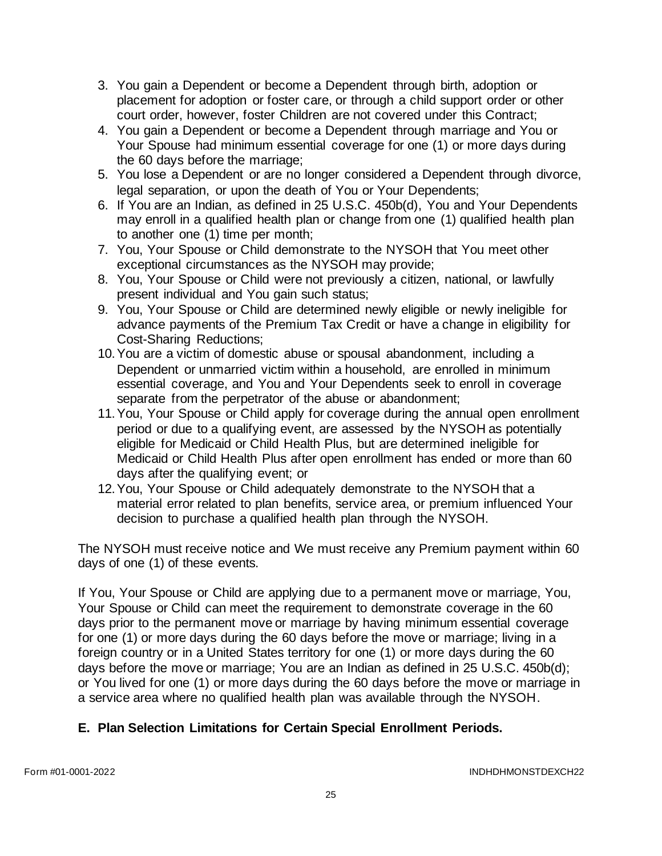- 3. You gain a Dependent or become a Dependent through birth, adoption or placement for adoption or foster care, or through a child support order or other court order, however, foster Children are not covered under this Contract;
- 4. You gain a Dependent or become a Dependent through marriage and You or Your Spouse had minimum essential coverage for one (1) or more days during the 60 days before the marriage;
- 5. You lose a Dependent or are no longer considered a Dependent through divorce, legal separation, or upon the death of You or Your Dependents;
- 6. If You are an Indian, as defined in 25 U.S.C. 450b(d), You and Your Dependents may enroll in a qualified health plan or change from one (1) qualified health plan to another one (1) time per month;
- 7. You, Your Spouse or Child demonstrate to the NYSOH that You meet other exceptional circumstances as the NYSOH may provide;
- 8. You, Your Spouse or Child were not previously a citizen, national, or lawfully present individual and You gain such status;
- 9. You, Your Spouse or Child are determined newly eligible or newly ineligible for advance payments of the Premium Tax Credit or have a change in eligibility for Cost-Sharing Reductions;
- 10.You are a victim of domestic abuse or spousal abandonment, including a Dependent or unmarried victim within a household, are enrolled in minimum essential coverage, and You and Your Dependents seek to enroll in coverage separate from the perpetrator of the abuse or abandonment;
- 11.You, Your Spouse or Child apply for coverage during the annual open enrollment period or due to a qualifying event, are assessed by the NYSOH as potentially eligible for Medicaid or Child Health Plus, but are determined ineligible for Medicaid or Child Health Plus after open enrollment has ended or more than 60 days after the qualifying event; or
- 12.You, Your Spouse or Child adequately demonstrate to the NYSOH that a material error related to plan benefits, service area, or premium influenced Your decision to purchase a qualified health plan through the NYSOH.

The NYSOH must receive notice and We must receive any Premium payment within 60 days of one (1) of these events.

If You, Your Spouse or Child are applying due to a permanent move or marriage, You, Your Spouse or Child can meet the requirement to demonstrate coverage in the 60 days prior to the permanent move or marriage by having minimum essential coverage for one (1) or more days during the 60 days before the move or marriage; living in a foreign country or in a United States territory for one (1) or more days during the 60 days before the move or marriage; You are an Indian as defined in 25 U.S.C. 450b(d); or You lived for one (1) or more days during the 60 days before the move or marriage in a service area where no qualified health plan was available through the NYSOH.

# **E. Plan Selection Limitations for Certain Special Enrollment Periods.**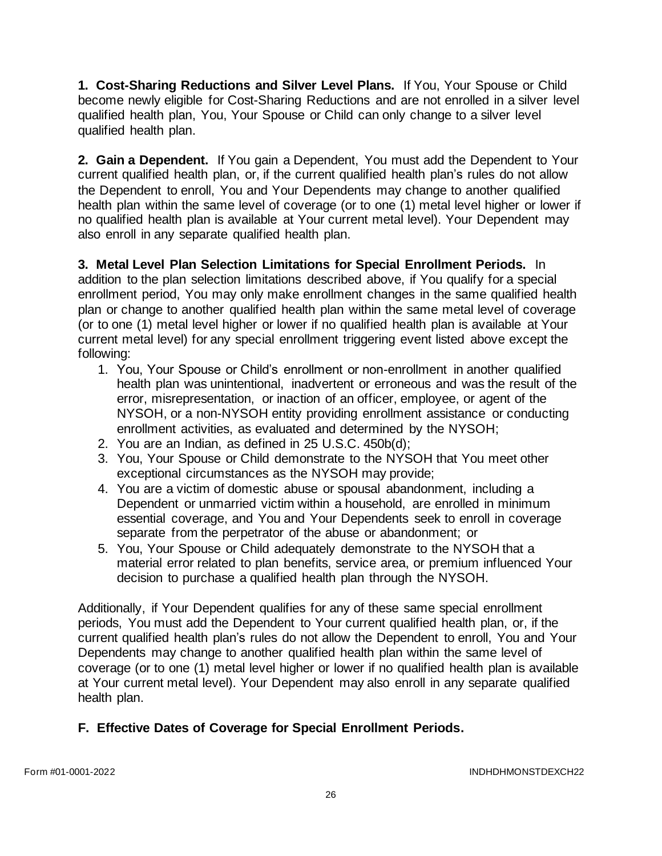**1. Cost-Sharing Reductions and Silver Level Plans.** If You, Your Spouse or Child become newly eligible for Cost-Sharing Reductions and are not enrolled in a silver level qualified health plan, You, Your Spouse or Child can only change to a silver level qualified health plan.

**2. Gain a Dependent.** If You gain a Dependent, You must add the Dependent to Your current qualified health plan, or, if the current qualified health plan's rules do not allow the Dependent to enroll, You and Your Dependents may change to another qualified health plan within the same level of coverage (or to one (1) metal level higher or lower if no qualified health plan is available at Your current metal level). Your Dependent may also enroll in any separate qualified health plan.

**3. Metal Level Plan Selection Limitations for Special Enrollment Periods.** In addition to the plan selection limitations described above, if You qualify for a special enrollment period, You may only make enrollment changes in the same qualified health plan or change to another qualified health plan within the same metal level of coverage (or to one (1) metal level higher or lower if no qualified health plan is available at Your current metal level) for any special enrollment triggering event listed above except the following:

- 1. You, Your Spouse or Child's enrollment or non-enrollment in another qualified health plan was unintentional, inadvertent or erroneous and was the result of the error, misrepresentation, or inaction of an officer, employee, or agent of the NYSOH, or a non-NYSOH entity providing enrollment assistance or conducting enrollment activities, as evaluated and determined by the NYSOH;
- 2. You are an Indian, as defined in 25 U.S.C. 450b(d);
- 3. You, Your Spouse or Child demonstrate to the NYSOH that You meet other exceptional circumstances as the NYSOH may provide;
- 4. You are a victim of domestic abuse or spousal abandonment, including a Dependent or unmarried victim within a household, are enrolled in minimum essential coverage, and You and Your Dependents seek to enroll in coverage separate from the perpetrator of the abuse or abandonment; or
- 5. You, Your Spouse or Child adequately demonstrate to the NYSOH that a material error related to plan benefits, service area, or premium influenced Your decision to purchase a qualified health plan through the NYSOH.

Additionally, if Your Dependent qualifies for any of these same special enrollment periods, You must add the Dependent to Your current qualified health plan, or, if the current qualified health plan's rules do not allow the Dependent to enroll, You and Your Dependents may change to another qualified health plan within the same level of coverage (or to one (1) metal level higher or lower if no qualified health plan is available at Your current metal level). Your Dependent may also enroll in any separate qualified health plan.

# **F. Effective Dates of Coverage for Special Enrollment Periods.**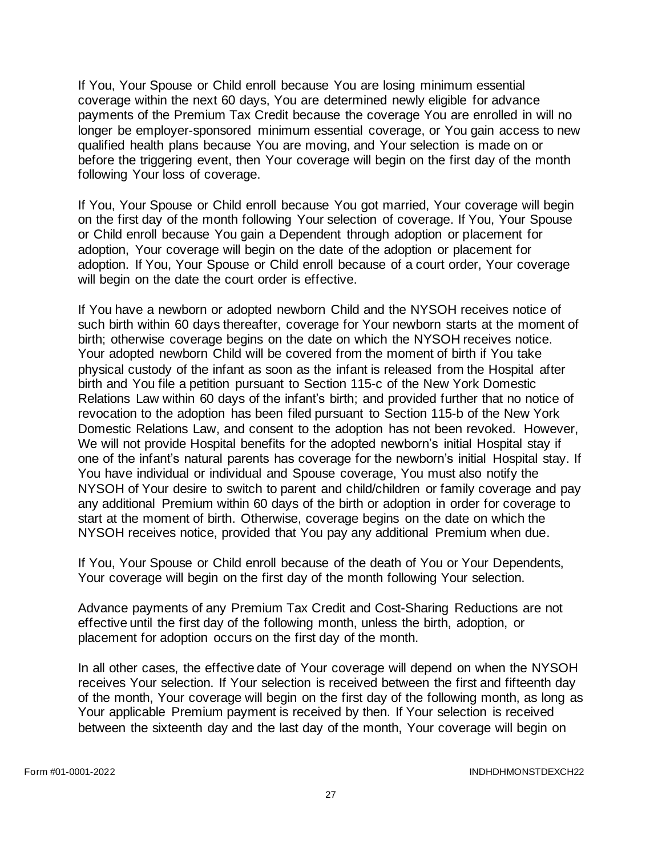If You, Your Spouse or Child enroll because You are losing minimum essential coverage within the next 60 days, You are determined newly eligible for advance payments of the Premium Tax Credit because the coverage You are enrolled in will no longer be employer-sponsored minimum essential coverage, or You gain access to new qualified health plans because You are moving, and Your selection is made on or before the triggering event, then Your coverage will begin on the first day of the month following Your loss of coverage.

If You, Your Spouse or Child enroll because You got married, Your coverage will begin on the first day of the month following Your selection of coverage. If You, Your Spouse or Child enroll because You gain a Dependent through adoption or placement for adoption, Your coverage will begin on the date of the adoption or placement for adoption. If You, Your Spouse or Child enroll because of a court order, Your coverage will begin on the date the court order is effective.

If You have a newborn or adopted newborn Child and the NYSOH receives notice of such birth within 60 days thereafter, coverage for Your newborn starts at the moment of birth; otherwise coverage begins on the date on which the NYSOH receives notice. Your adopted newborn Child will be covered from the moment of birth if You take physical custody of the infant as soon as the infant is released from the Hospital after birth and You file a petition pursuant to Section 115-c of the New York Domestic Relations Law within 60 days of the infant's birth; and provided further that no notice of revocation to the adoption has been filed pursuant to Section 115-b of the New York Domestic Relations Law, and consent to the adoption has not been revoked. However, We will not provide Hospital benefits for the adopted newborn's initial Hospital stay if one of the infant's natural parents has coverage for the newborn's initial Hospital stay. If You have individual or individual and Spouse coverage, You must also notify the NYSOH of Your desire to switch to parent and child/children or family coverage and pay any additional Premium within 60 days of the birth or adoption in order for coverage to start at the moment of birth. Otherwise, coverage begins on the date on which the NYSOH receives notice, provided that You pay any additional Premium when due.

If You, Your Spouse or Child enroll because of the death of You or Your Dependents, Your coverage will begin on the first day of the month following Your selection.

Advance payments of any Premium Tax Credit and Cost-Sharing Reductions are not effective until the first day of the following month, unless the birth, adoption, or placement for adoption occurs on the first day of the month.

In all other cases, the effective date of Your coverage will depend on when the NYSOH receives Your selection. If Your selection is received between the first and fifteenth day of the month, Your coverage will begin on the first day of the following month, as long as Your applicable Premium payment is received by then. If Your selection is received between the sixteenth day and the last day of the month, Your coverage will begin on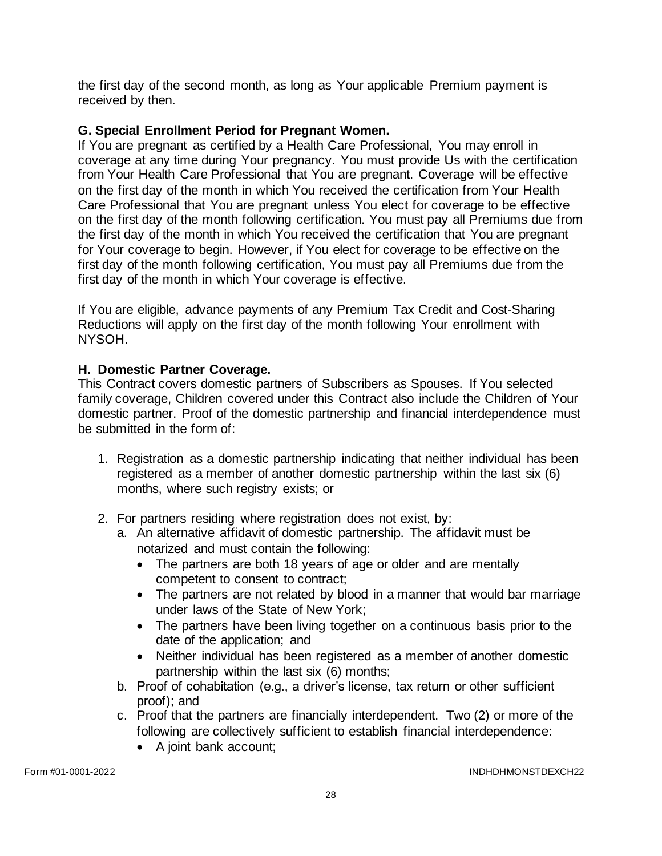the first day of the second month, as long as Your applicable Premium payment is received by then.

## **G. Special Enrollment Period for Pregnant Women.**

If You are pregnant as certified by a Health Care Professional, You may enroll in coverage at any time during Your pregnancy. You must provide Us with the certification from Your Health Care Professional that You are pregnant. Coverage will be effective on the first day of the month in which You received the certification from Your Health Care Professional that You are pregnant unless You elect for coverage to be effective on the first day of the month following certification. You must pay all Premiums due from the first day of the month in which You received the certification that You are pregnant for Your coverage to begin. However, if You elect for coverage to be effective on the first day of the month following certification, You must pay all Premiums due from the first day of the month in which Your coverage is effective.

If You are eligible, advance payments of any Premium Tax Credit and Cost-Sharing Reductions will apply on the first day of the month following Your enrollment with NYSOH.

## **H. Domestic Partner Coverage.**

This Contract covers domestic partners of Subscribers as Spouses. If You selected family coverage, Children covered under this Contract also include the Children of Your domestic partner. Proof of the domestic partnership and financial interdependence must be submitted in the form of:

- 1. Registration as a domestic partnership indicating that neither individual has been registered as a member of another domestic partnership within the last six (6) months, where such registry exists; or
- 2. For partners residing where registration does not exist, by:
	- a. An alternative affidavit of domestic partnership. The affidavit must be notarized and must contain the following:
		- The partners are both 18 years of age or older and are mentally competent to consent to contract;
		- The partners are not related by blood in a manner that would bar marriage under laws of the State of New York;
		- The partners have been living together on a continuous basis prior to the date of the application; and
		- Neither individual has been registered as a member of another domestic partnership within the last six (6) months;
	- b. Proof of cohabitation (e.g., a driver's license, tax return or other sufficient proof); and
	- c. Proof that the partners are financially interdependent. Two (2) or more of the following are collectively sufficient to establish financial interdependence:
		- A joint bank account;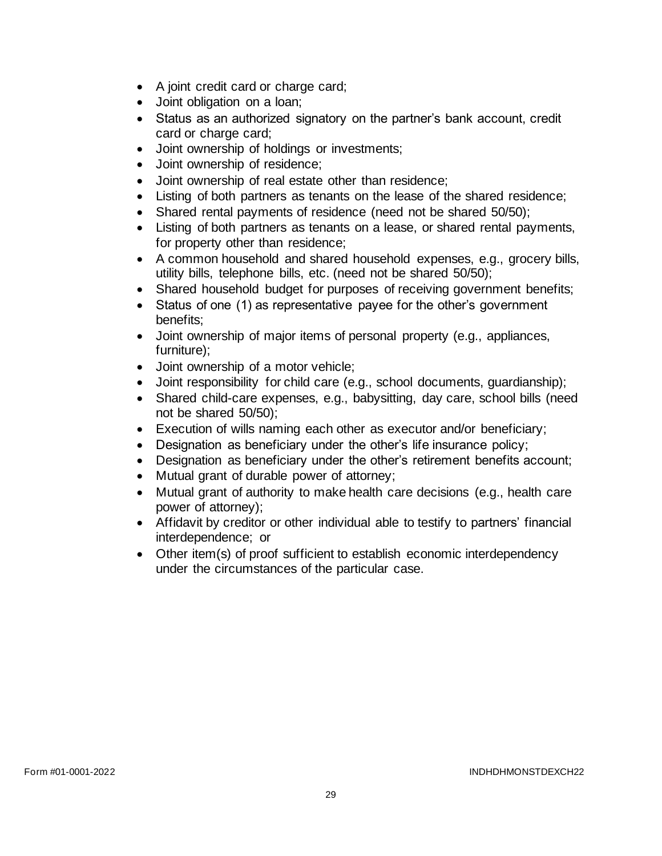- A joint credit card or charge card;
- Joint obligation on a loan;
- Status as an authorized signatory on the partner's bank account, credit card or charge card;
- Joint ownership of holdings or investments;
- Joint ownership of residence;
- Joint ownership of real estate other than residence;
- Listing of both partners as tenants on the lease of the shared residence;
- Shared rental payments of residence (need not be shared 50/50);
- Listing of both partners as tenants on a lease, or shared rental payments, for property other than residence;
- A common household and shared household expenses, e.g., grocery bills, utility bills, telephone bills, etc. (need not be shared 50/50);
- Shared household budget for purposes of receiving government benefits;
- Status of one (1) as representative payee for the other's government benefits;
- Joint ownership of major items of personal property (e.g., appliances, furniture);
- Joint ownership of a motor vehicle;
- Joint responsibility for child care (e.g., school documents, guardianship);
- Shared child-care expenses, e.g., babysitting, day care, school bills (need not be shared 50/50);
- Execution of wills naming each other as executor and/or beneficiary;
- Designation as beneficiary under the other's life insurance policy;
- Designation as beneficiary under the other's retirement benefits account;
- Mutual grant of durable power of attorney;
- Mutual grant of authority to make health care decisions (e.g., health care power of attorney);
- Affidavit by creditor or other individual able to testify to partners' financial interdependence; or
- Other item(s) of proof sufficient to establish economic interdependency under the circumstances of the particular case.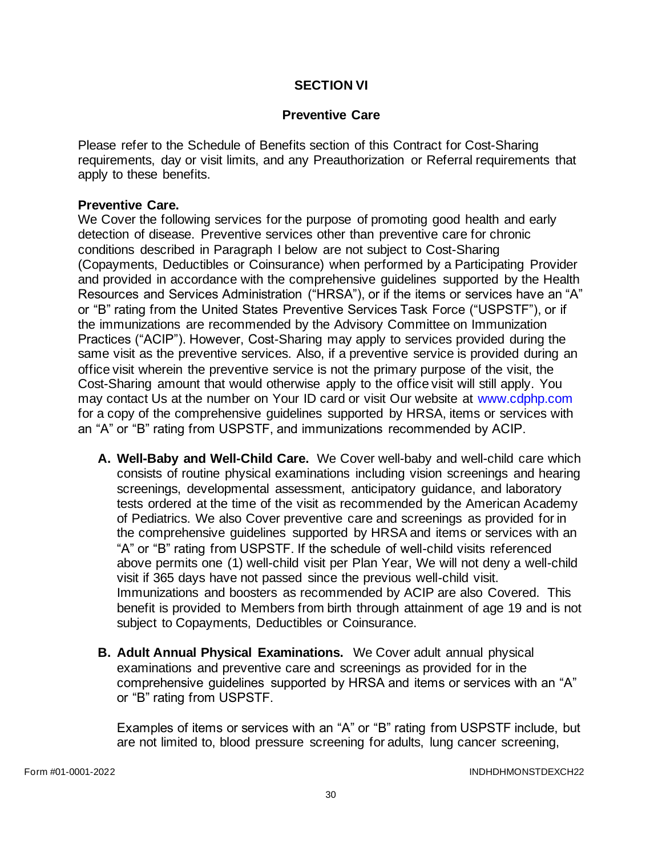#### **SECTION VI**

#### **Preventive Care**

Please refer to the Schedule of Benefits section of this Contract for Cost-Sharing requirements, day or visit limits, and any Preauthorization or Referral requirements that apply to these benefits.

#### **Preventive Care.**

We Cover the following services for the purpose of promoting good health and early detection of disease. Preventive services other than preventive care for chronic conditions described in Paragraph I below are not subject to Cost-Sharing (Copayments, Deductibles or Coinsurance) when performed by a Participating Provider and provided in accordance with the comprehensive guidelines supported by the Health Resources and Services Administration ("HRSA"), or if the items or services have an "A" or "B" rating from the United States Preventive Services Task Force ("USPSTF"), or if the immunizations are recommended by the Advisory Committee on Immunization Practices ("ACIP"). However, Cost-Sharing may apply to services provided during the same visit as the preventive services. Also, if a preventive service is provided during an office visit wherein the preventive service is not the primary purpose of the visit, the Cost-Sharing amount that would otherwise apply to the office visit will still apply. You may contact Us at the number on Your ID card or visit Our website at [www.cdphp.com](http://www.cdphp.com/) for a copy of the comprehensive guidelines supported by HRSA, items or services with an "A" or "B" rating from USPSTF, and immunizations recommended by ACIP.

- **A. Well-Baby and Well-Child Care.** We Cover well-baby and well-child care which consists of routine physical examinations including vision screenings and hearing screenings, developmental assessment, anticipatory guidance, and laboratory tests ordered at the time of the visit as recommended by the American Academy of Pediatrics. We also Cover preventive care and screenings as provided for in the comprehensive guidelines supported by HRSA and items or services with an "A" or "B" rating from USPSTF. If the schedule of well-child visits referenced above permits one (1) well-child visit per Plan Year, We will not deny a well-child visit if 365 days have not passed since the previous well-child visit. Immunizations and boosters as recommended by ACIP are also Covered. This benefit is provided to Members from birth through attainment of age 19 and is not subject to Copayments, Deductibles or Coinsurance.
- **B. Adult Annual Physical Examinations.** We Cover adult annual physical examinations and preventive care and screenings as provided for in the comprehensive guidelines supported by HRSA and items or services with an "A" or "B" rating from USPSTF.

Examples of items or services with an "A" or "B" rating from USPSTF include, but are not limited to, blood pressure screening for adults, lung cancer screening,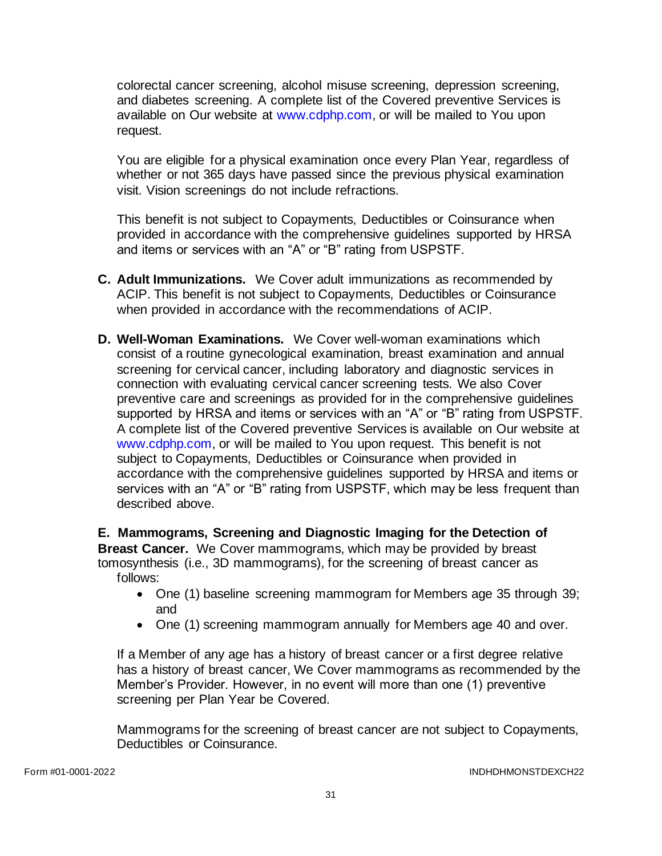colorectal cancer screening, alcohol misuse screening, depression screening, and diabetes screening. A complete list of the Covered preventive Services is available on Our website at [www.cdphp.com,](http://www.cdphp.com/) or will be mailed to You upon request.

You are eligible for a physical examination once every Plan Year, regardless of whether or not 365 days have passed since the previous physical examination visit. Vision screenings do not include refractions.

This benefit is not subject to Copayments, Deductibles or Coinsurance when provided in accordance with the comprehensive guidelines supported by HRSA and items or services with an "A" or "B" rating from USPSTF.

- **C. Adult Immunizations.** We Cover adult immunizations as recommended by ACIP. This benefit is not subject to Copayments, Deductibles or Coinsurance when provided in accordance with the recommendations of ACIP.
- **D. Well-Woman Examinations.** We Cover well-woman examinations which consist of a routine gynecological examination, breast examination and annual screening for cervical cancer, including laboratory and diagnostic services in connection with evaluating cervical cancer screening tests. We also Cover preventive care and screenings as provided for in the comprehensive guidelines supported by HRSA and items or services with an "A" or "B" rating from USPSTF. A complete list of the Covered preventive Services is available on Our website at [www.cdphp.com,](http://www.cdphp.com/) or will be mailed to You upon request. This benefit is not subject to Copayments, Deductibles or Coinsurance when provided in accordance with the comprehensive guidelines supported by HRSA and items or services with an "A" or "B" rating from USPSTF, which may be less frequent than described above.

**E. Mammograms, Screening and Diagnostic Imaging for the Detection of Breast Cancer.** We Cover mammograms, which may be provided by breast tomosynthesis (i.e., 3D mammograms), for the screening of breast cancer as follows:

- One (1) baseline screening mammogram for Members age 35 through 39; and
- One (1) screening mammogram annually for Members age 40 and over.

If a Member of any age has a history of breast cancer or a first degree relative has a history of breast cancer, We Cover mammograms as recommended by the Member's Provider. However, in no event will more than one (1) preventive screening per Plan Year be Covered.

Mammograms for the screening of breast cancer are not subject to Copayments, Deductibles or Coinsurance.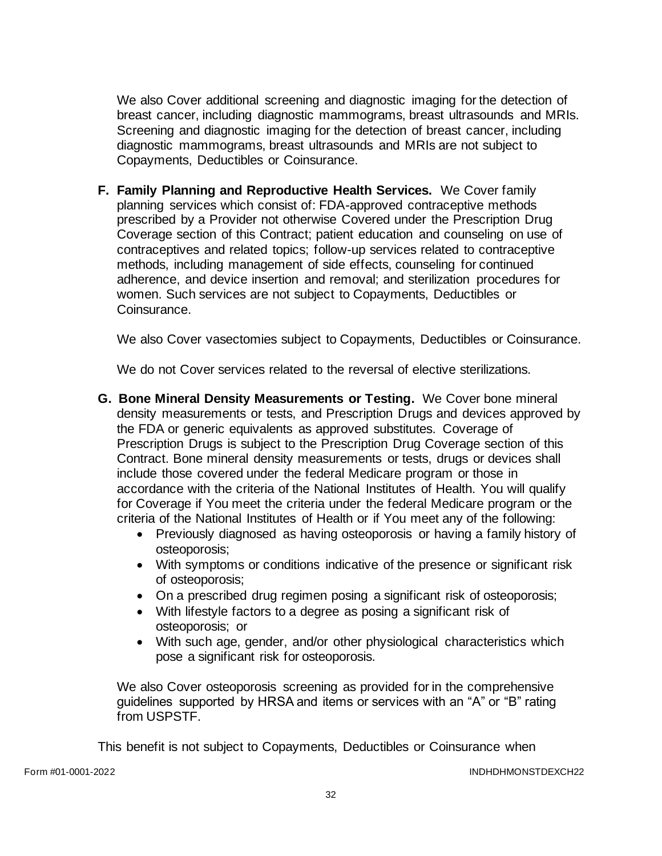We also Cover additional screening and diagnostic imaging for the detection of breast cancer, including diagnostic mammograms, breast ultrasounds and MRIs. Screening and diagnostic imaging for the detection of breast cancer, including diagnostic mammograms, breast ultrasounds and MRIs are not subject to Copayments, Deductibles or Coinsurance.

**F. Family Planning and Reproductive Health Services.** We Cover family planning services which consist of: FDA-approved contraceptive methods prescribed by a Provider not otherwise Covered under the Prescription Drug Coverage section of this Contract; patient education and counseling on use of contraceptives and related topics; follow-up services related to contraceptive methods, including management of side effects, counseling for continued adherence, and device insertion and removal; and sterilization procedures for women. Such services are not subject to Copayments, Deductibles or Coinsurance.

We also Cover vasectomies subject to Copayments, Deductibles or Coinsurance.

We do not Cover services related to the reversal of elective sterilizations.

- **G. Bone Mineral Density Measurements or Testing.** We Cover bone mineral density measurements or tests, and Prescription Drugs and devices approved by the FDA or generic equivalents as approved substitutes. Coverage of Prescription Drugs is subject to the Prescription Drug Coverage section of this Contract. Bone mineral density measurements or tests, drugs or devices shall include those covered under the federal Medicare program or those in accordance with the criteria of the National Institutes of Health. You will qualify for Coverage if You meet the criteria under the federal Medicare program or the criteria of the National Institutes of Health or if You meet any of the following:
	- Previously diagnosed as having osteoporosis or having a family history of osteoporosis;
	- With symptoms or conditions indicative of the presence or significant risk of osteoporosis;
	- On a prescribed drug regimen posing a significant risk of osteoporosis;
	- With lifestyle factors to a degree as posing a significant risk of osteoporosis; or
	- With such age, gender, and/or other physiological characteristics which pose a significant risk for osteoporosis.

We also Cover osteoporosis screening as provided for in the comprehensive guidelines supported by HRSA and items or services with an "A" or "B" rating from USPSTF.

This benefit is not subject to Copayments, Deductibles or Coinsurance when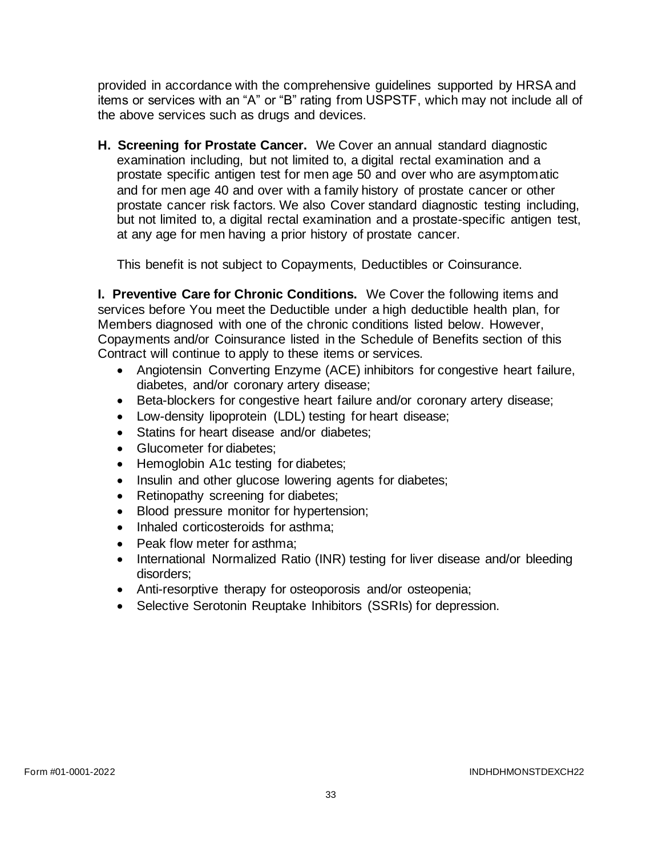provided in accordance with the comprehensive guidelines supported by HRSA and items or services with an "A" or "B" rating from USPSTF, which may not include all of the above services such as drugs and devices.

**H. Screening for Prostate Cancer.** We Cover an annual standard diagnostic examination including, but not limited to, a digital rectal examination and a prostate specific antigen test for men age 50 and over who are asymptomatic and for men age 40 and over with a family history of prostate cancer or other prostate cancer risk factors. We also Cover standard diagnostic testing including, but not limited to, a digital rectal examination and a prostate-specific antigen test, at any age for men having a prior history of prostate cancer.

This benefit is not subject to Copayments, Deductibles or Coinsurance.

**I. Preventive Care for Chronic Conditions.** We Cover the following items and services before You meet the Deductible under a high deductible health plan, for Members diagnosed with one of the chronic conditions listed below. However, Copayments and/or Coinsurance listed in the Schedule of Benefits section of this Contract will continue to apply to these items or services.

- Angiotensin Converting Enzyme (ACE) inhibitors for congestive heart failure, diabetes, and/or coronary artery disease;
- Beta-blockers for congestive heart failure and/or coronary artery disease;
- Low-density lipoprotein (LDL) testing for heart disease;
- Statins for heart disease and/or diabetes;
- Glucometer for diabetes:
- Hemoglobin A1c testing for diabetes;
- Insulin and other glucose lowering agents for diabetes;
- Retinopathy screening for diabetes;
- Blood pressure monitor for hypertension;
- Inhaled corticosteroids for asthma;
- Peak flow meter for asthma:
- International Normalized Ratio (INR) testing for liver disease and/or bleeding disorders;
- Anti-resorptive therapy for osteoporosis and/or osteopenia;
- Selective Serotonin Reuptake Inhibitors (SSRIs) for depression.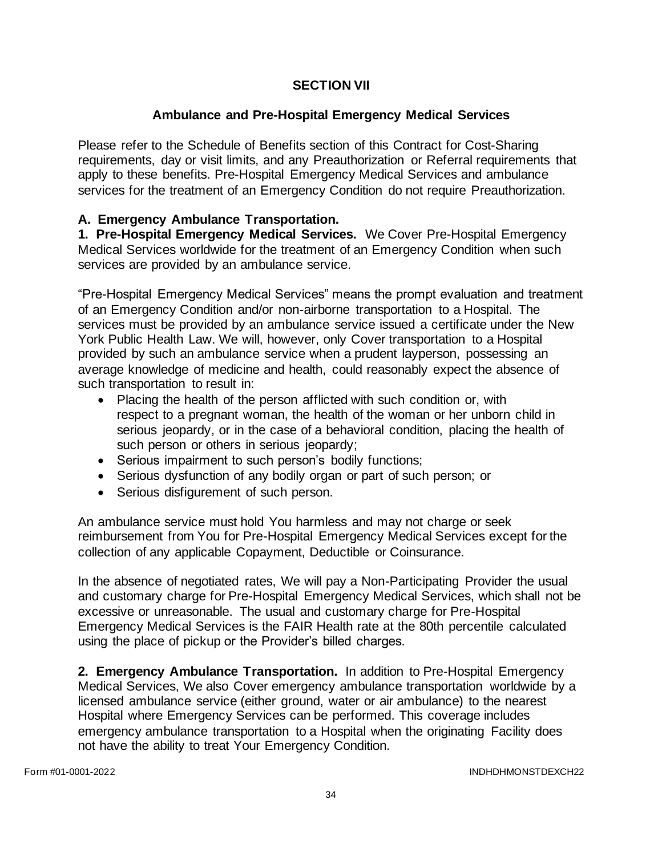## **SECTION VII**

## **Ambulance and Pre-Hospital Emergency Medical Services**

Please refer to the Schedule of Benefits section of this Contract for Cost-Sharing requirements, day or visit limits, and any Preauthorization or Referral requirements that apply to these benefits. Pre-Hospital Emergency Medical Services and ambulance services for the treatment of an Emergency Condition do not require Preauthorization.

## **A. Emergency Ambulance Transportation.**

**1. Pre-Hospital Emergency Medical Services.** We Cover Pre-Hospital Emergency Medical Services worldwide for the treatment of an Emergency Condition when such services are provided by an ambulance service.

"Pre-Hospital Emergency Medical Services" means the prompt evaluation and treatment of an Emergency Condition and/or non-airborne transportation to a Hospital. The services must be provided by an ambulance service issued a certificate under the New York Public Health Law. We will, however, only Cover transportation to a Hospital provided by such an ambulance service when a prudent layperson, possessing an average knowledge of medicine and health, could reasonably expect the absence of such transportation to result in:

- Placing the health of the person afflicted with such condition or, with respect to a pregnant woman, the health of the woman or her unborn child in serious jeopardy, or in the case of a behavioral condition, placing the health of such person or others in serious jeopardy;
- Serious impairment to such person's bodily functions;
- Serious dysfunction of any bodily organ or part of such person; or
- Serious disfigurement of such person.

An ambulance service must hold You harmless and may not charge or seek reimbursement from You for Pre-Hospital Emergency Medical Services except for the collection of any applicable Copayment, Deductible or Coinsurance.

In the absence of negotiated rates, We will pay a Non-Participating Provider the usual and customary charge for Pre-Hospital Emergency Medical Services, which shall not be excessive or unreasonable. The usual and customary charge for Pre-Hospital Emergency Medical Services is the FAIR Health rate at the 80th percentile calculated using the place of pickup or the Provider's billed charges.

**2. Emergency Ambulance Transportation.** In addition to Pre-Hospital Emergency Medical Services, We also Cover emergency ambulance transportation worldwide by a licensed ambulance service (either ground, water or air ambulance) to the nearest Hospital where Emergency Services can be performed. This coverage includes emergency ambulance transportation to a Hospital when the originating Facility does not have the ability to treat Your Emergency Condition.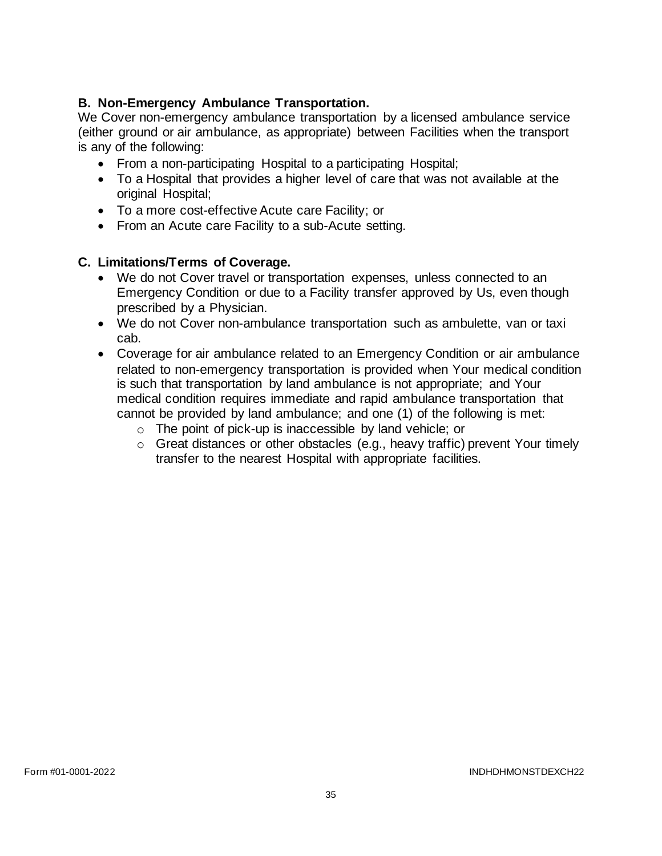# **B. Non-Emergency Ambulance Transportation.**

We Cover non-emergency ambulance transportation by a licensed ambulance service (either ground or air ambulance, as appropriate) between Facilities when the transport is any of the following:

- From a non-participating Hospital to a participating Hospital;
- To a Hospital that provides a higher level of care that was not available at the original Hospital;
- To a more cost-effective Acute care Facility; or
- From an Acute care Facility to a sub-Acute setting.

## **C. Limitations/Terms of Coverage.**

- We do not Cover travel or transportation expenses, unless connected to an Emergency Condition or due to a Facility transfer approved by Us, even though prescribed by a Physician.
- We do not Cover non-ambulance transportation such as ambulette, van or taxi cab.
- Coverage for air ambulance related to an Emergency Condition or air ambulance related to non-emergency transportation is provided when Your medical condition is such that transportation by land ambulance is not appropriate; and Your medical condition requires immediate and rapid ambulance transportation that cannot be provided by land ambulance; and one (1) of the following is met:
	- o The point of pick-up is inaccessible by land vehicle; or
	- o Great distances or other obstacles (e.g., heavy traffic) prevent Your timely transfer to the nearest Hospital with appropriate facilities.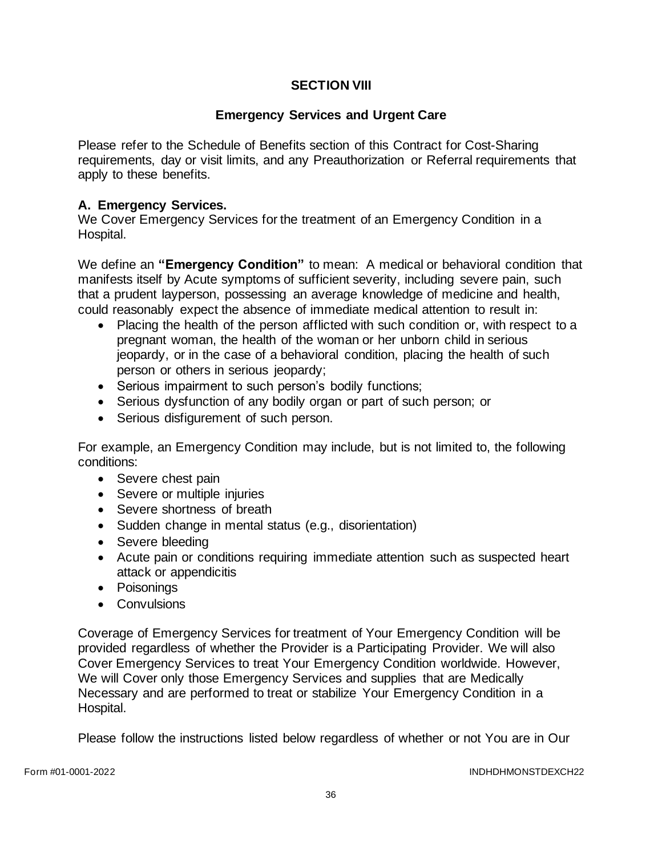# **SECTION VIII**

## **Emergency Services and Urgent Care**

Please refer to the Schedule of Benefits section of this Contract for Cost-Sharing requirements, day or visit limits, and any Preauthorization or Referral requirements that apply to these benefits.

## **A. Emergency Services.**

We Cover Emergency Services for the treatment of an Emergency Condition in a Hospital.

We define an **"Emergency Condition"** to mean: A medical or behavioral condition that manifests itself by Acute symptoms of sufficient severity, including severe pain, such that a prudent layperson, possessing an average knowledge of medicine and health, could reasonably expect the absence of immediate medical attention to result in:

- Placing the health of the person afflicted with such condition or, with respect to a pregnant woman, the health of the woman or her unborn child in serious jeopardy, or in the case of a behavioral condition, placing the health of such person or others in serious jeopardy;
- Serious impairment to such person's bodily functions;
- Serious dysfunction of any bodily organ or part of such person; or
- Serious disfigurement of such person.

For example, an Emergency Condition may include, but is not limited to, the following conditions:

- Severe chest pain
- Severe or multiple injuries
- Severe shortness of breath
- Sudden change in mental status (e.g., disorientation)
- Severe bleeding
- Acute pain or conditions requiring immediate attention such as suspected heart attack or appendicitis
- Poisonings
- Convulsions

Coverage of Emergency Services for treatment of Your Emergency Condition will be provided regardless of whether the Provider is a Participating Provider. We will also Cover Emergency Services to treat Your Emergency Condition worldwide. However, We will Cover only those Emergency Services and supplies that are Medically Necessary and are performed to treat or stabilize Your Emergency Condition in a Hospital.

Please follow the instructions listed below regardless of whether or not You are in Our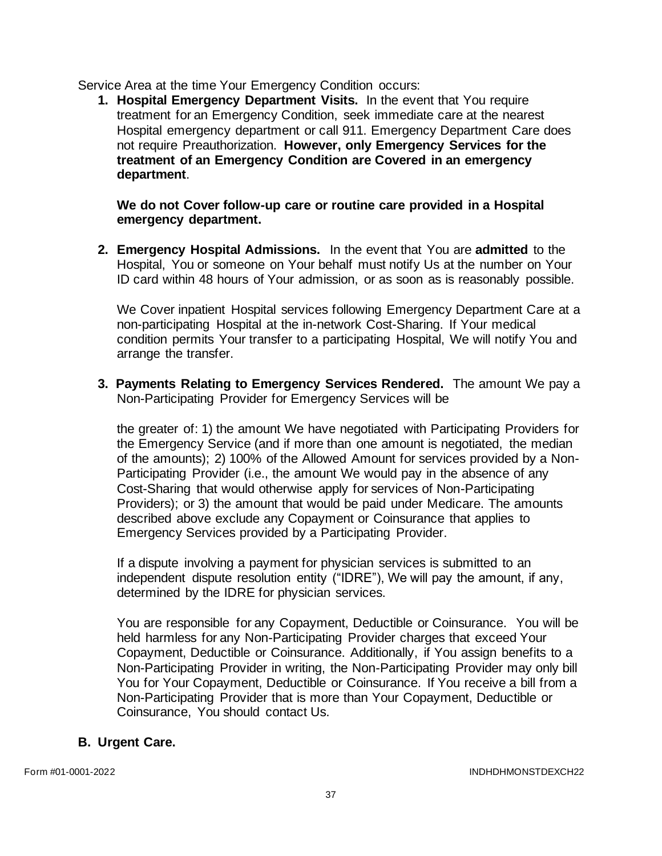Service Area at the time Your Emergency Condition occurs:

**1. Hospital Emergency Department Visits.** In the event that You require treatment for an Emergency Condition, seek immediate care at the nearest Hospital emergency department or call 911. Emergency Department Care does not require Preauthorization. **However, only Emergency Services for the treatment of an Emergency Condition are Covered in an emergency department**.

#### **We do not Cover follow-up care or routine care provided in a Hospital emergency department.**

**2. Emergency Hospital Admissions.** In the event that You are **admitted** to the Hospital, You or someone on Your behalf must notify Us at the number on Your ID card within 48 hours of Your admission, or as soon as is reasonably possible.

We Cover inpatient Hospital services following Emergency Department Care at a non-participating Hospital at the in-network Cost-Sharing. If Your medical condition permits Your transfer to a participating Hospital, We will notify You and arrange the transfer.

**3. Payments Relating to Emergency Services Rendered.** The amount We pay a Non-Participating Provider for Emergency Services will be

the greater of: 1) the amount We have negotiated with Participating Providers for the Emergency Service (and if more than one amount is negotiated, the median of the amounts); 2) 100% of the Allowed Amount for services provided by a Non-Participating Provider (i.e., the amount We would pay in the absence of any Cost-Sharing that would otherwise apply for services of Non-Participating Providers); or 3) the amount that would be paid under Medicare. The amounts described above exclude any Copayment or Coinsurance that applies to Emergency Services provided by a Participating Provider.

If a dispute involving a payment for physician services is submitted to an independent dispute resolution entity ("IDRE"), We will pay the amount, if any, determined by the IDRE for physician services.

You are responsible for any Copayment, Deductible or Coinsurance. You will be held harmless for any Non-Participating Provider charges that exceed Your Copayment, Deductible or Coinsurance. Additionally, if You assign benefits to a Non-Participating Provider in writing, the Non-Participating Provider may only bill You for Your Copayment, Deductible or Coinsurance. If You receive a bill from a Non-Participating Provider that is more than Your Copayment, Deductible or Coinsurance, You should contact Us.

# **B. Urgent Care.**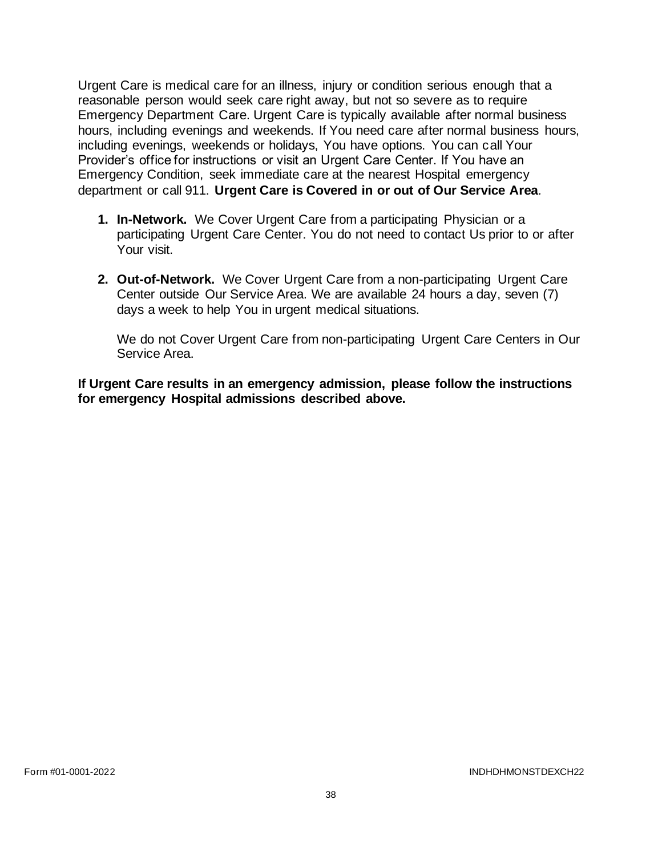Urgent Care is medical care for an illness, injury or condition serious enough that a reasonable person would seek care right away, but not so severe as to require Emergency Department Care. Urgent Care is typically available after normal business hours, including evenings and weekends. If You need care after normal business hours, including evenings, weekends or holidays, You have options. You can call Your Provider's office for instructions or visit an Urgent Care Center. If You have an Emergency Condition, seek immediate care at the nearest Hospital emergency department or call 911. **Urgent Care is Covered in or out of Our Service Area***.* 

- **1. In-Network.** We Cover Urgent Care from a participating Physician or a participating Urgent Care Center. You do not need to contact Us prior to or after Your visit.
- **2. Out-of-Network.** We Cover Urgent Care from a non-participating Urgent Care Center outside Our Service Area. We are available 24 hours a day, seven (7) days a week to help You in urgent medical situations.

We do not Cover Urgent Care from non-participating Urgent Care Centers in Our Service Area.

**If Urgent Care results in an emergency admission, please follow the instructions for emergency Hospital admissions described above.**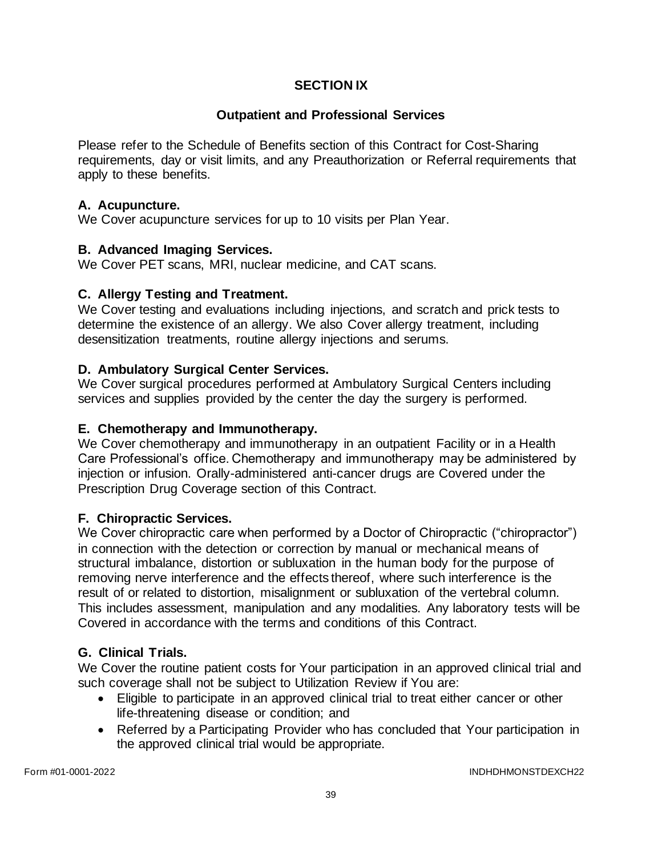# **SECTION IX**

### **Outpatient and Professional Services**

Please refer to the Schedule of Benefits section of this Contract for Cost-Sharing requirements, day or visit limits, and any Preauthorization or Referral requirements that apply to these benefits.

#### **A. Acupuncture.**

We Cover acupuncture services for up to 10 visits per Plan Year.

### **B. Advanced Imaging Services.**

We Cover PET scans, MRI, nuclear medicine, and CAT scans.

### **C. Allergy Testing and Treatment.**

We Cover testing and evaluations including injections, and scratch and prick tests to determine the existence of an allergy. We also Cover allergy treatment, including desensitization treatments, routine allergy injections and serums.

### **D. Ambulatory Surgical Center Services.**

We Cover surgical procedures performed at Ambulatory Surgical Centers including services and supplies provided by the center the day the surgery is performed.

### **E. Chemotherapy and Immunotherapy.**

We Cover chemotherapy and immunotherapy in an outpatient Facility or in a Health Care Professional's office. Chemotherapy and immunotherapy may be administered by injection or infusion. Orally-administered anti-cancer drugs are Covered under the Prescription Drug Coverage section of this Contract.

### **F. Chiropractic Services.**

We Cover chiropractic care when performed by a Doctor of Chiropractic ("chiropractor") in connection with the detection or correction by manual or mechanical means of structural imbalance, distortion or subluxation in the human body for the purpose of removing nerve interference and the effects thereof, where such interference is the result of or related to distortion, misalignment or subluxation of the vertebral column. This includes assessment, manipulation and any modalities. Any laboratory tests will be Covered in accordance with the terms and conditions of this Contract.

### **G. Clinical Trials.**

We Cover the routine patient costs for Your participation in an approved clinical trial and such coverage shall not be subject to Utilization Review if You are:

- Eligible to participate in an approved clinical trial to treat either cancer or other life-threatening disease or condition; and
- Referred by a Participating Provider who has concluded that Your participation in the approved clinical trial would be appropriate.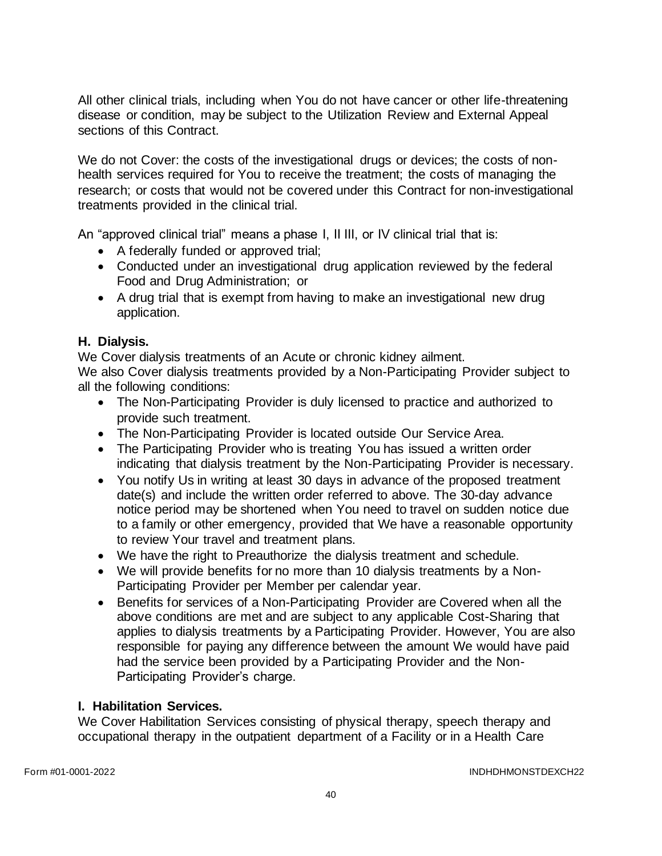All other clinical trials, including when You do not have cancer or other life-threatening disease or condition, may be subject to the Utilization Review and External Appeal sections of this Contract.

We do not Cover: the costs of the investigational drugs or devices; the costs of nonhealth services required for You to receive the treatment; the costs of managing the research; or costs that would not be covered under this Contract for non-investigational treatments provided in the clinical trial.

An "approved clinical trial" means a phase I, II III, or IV clinical trial that is:

- A federally funded or approved trial;
- Conducted under an investigational drug application reviewed by the federal Food and Drug Administration; or
- A drug trial that is exempt from having to make an investigational new drug application.

# **H. Dialysis.**

We Cover dialysis treatments of an Acute or chronic kidney ailment.

We also Cover dialysis treatments provided by a Non-Participating Provider subject to all the following conditions:

- The Non-Participating Provider is duly licensed to practice and authorized to provide such treatment.
- The Non-Participating Provider is located outside Our Service Area.
- The Participating Provider who is treating You has issued a written order indicating that dialysis treatment by the Non-Participating Provider is necessary.
- You notify Us in writing at least 30 days in advance of the proposed treatment date(s) and include the written order referred to above. The 30-day advance notice period may be shortened when You need to travel on sudden notice due to a family or other emergency, provided that We have a reasonable opportunity to review Your travel and treatment plans.
- We have the right to Preauthorize the dialysis treatment and schedule.
- We will provide benefits for no more than 10 dialysis treatments by a Non-Participating Provider per Member per calendar year.
- Benefits for services of a Non-Participating Provider are Covered when all the above conditions are met and are subject to any applicable Cost-Sharing that applies to dialysis treatments by a Participating Provider. However, You are also responsible for paying any difference between the amount We would have paid had the service been provided by a Participating Provider and the Non-Participating Provider's charge.

# **I. Habilitation Services.**

We Cover Habilitation Services consisting of physical therapy, speech therapy and occupational therapy in the outpatient department of a Facility or in a Health Care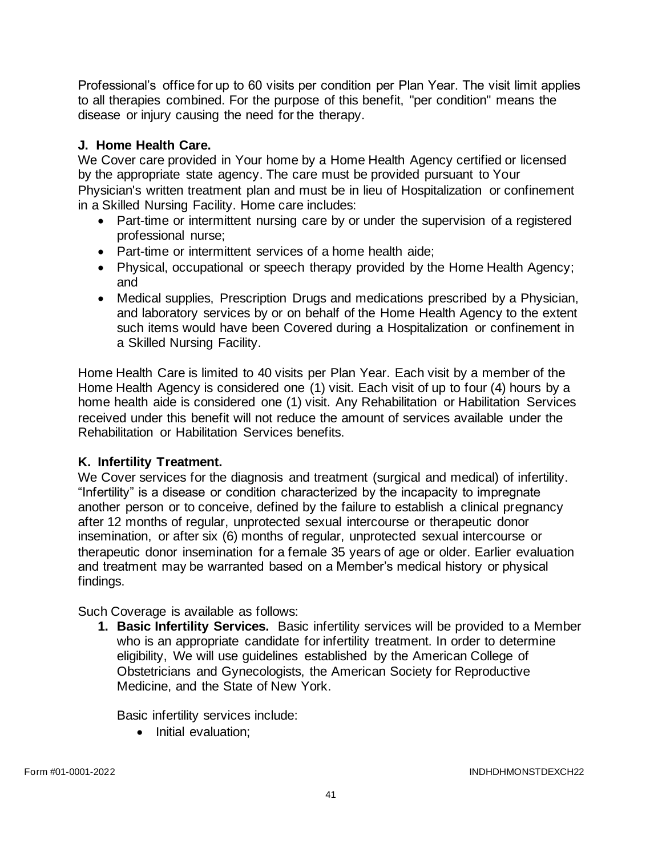Professional's office for up to 60 visits per condition per Plan Year. The visit limit applies to all therapies combined. For the purpose of this benefit, "per condition" means the disease or injury causing the need for the therapy.

# **J. Home Health Care.**

We Cover care provided in Your home by a Home Health Agency certified or licensed by the appropriate state agency. The care must be provided pursuant to Your Physician's written treatment plan and must be in lieu of Hospitalization or confinement in a Skilled Nursing Facility. Home care includes:

- Part-time or intermittent nursing care by or under the supervision of a registered professional nurse;
- Part-time or intermittent services of a home health aide;
- Physical, occupational or speech therapy provided by the Home Health Agency; and
- Medical supplies, Prescription Drugs and medications prescribed by a Physician, and laboratory services by or on behalf of the Home Health Agency to the extent such items would have been Covered during a Hospitalization or confinement in a Skilled Nursing Facility.

Home Health Care is limited to 40 visits per Plan Year. Each visit by a member of the Home Health Agency is considered one (1) visit. Each visit of up to four (4) hours by a home health aide is considered one (1) visit. Any Rehabilitation or Habilitation Services received under this benefit will not reduce the amount of services available under the Rehabilitation or Habilitation Services benefits.

# **K. Infertility Treatment.**

We Cover services for the diagnosis and treatment (surgical and medical) of infertility. "Infertility" is a disease or condition characterized by the incapacity to impregnate another person or to conceive, defined by the failure to establish a clinical pregnancy after 12 months of regular, unprotected sexual intercourse or therapeutic donor insemination, or after six (6) months of regular, unprotected sexual intercourse or therapeutic donor insemination for a female 35 years of age or older. Earlier evaluation and treatment may be warranted based on a Member's medical history or physical findings.

Such Coverage is available as follows:

**1. Basic Infertility Services.** Basic infertility services will be provided to a Member who is an appropriate candidate for infertility treatment. In order to determine eligibility, We will use guidelines established by the American College of Obstetricians and Gynecologists, the American Society for Reproductive Medicine, and the State of New York.

Basic infertility services include:

• Initial evaluation;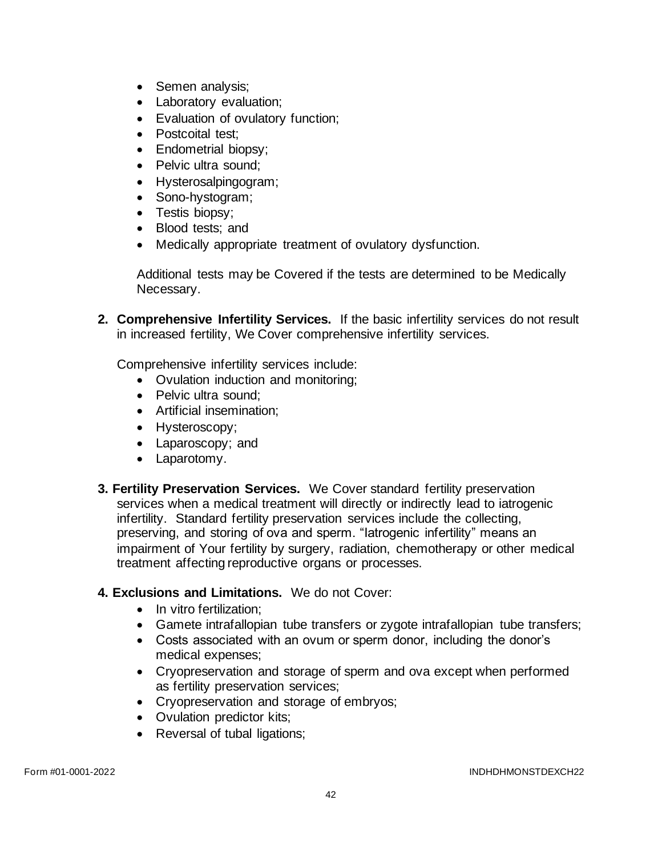- Semen analysis;
- Laboratory evaluation;
- Evaluation of ovulatory function;
- Postcoital test:
- Endometrial biopsy:
- Pelvic ultra sound;
- Hysterosalpingogram;
- Sono-hystogram;
- Testis biopsy;
- Blood tests; and
- Medically appropriate treatment of ovulatory dysfunction.

Additional tests may be Covered if the tests are determined to be Medically Necessary.

**2. Comprehensive Infertility Services.** If the basic infertility services do not result in increased fertility, We Cover comprehensive infertility services.

Comprehensive infertility services include:

- Ovulation induction and monitoring;
- Pelvic ultra sound:
- Artificial insemination;
- Hysteroscopy;
- Laparoscopy; and
- Laparotomy.
- **3. Fertility Preservation Services.** We Cover standard fertility preservation services when a medical treatment will directly or indirectly lead to iatrogenic infertility. Standard fertility preservation services include the collecting, preserving, and storing of ova and sperm. "Iatrogenic infertility" means an impairment of Your fertility by surgery, radiation, chemotherapy or other medical treatment affecting reproductive organs or processes.

### **4. Exclusions and Limitations.** We do not Cover:

- In vitro fertilization:
- Gamete intrafallopian tube transfers or zygote intrafallopian tube transfers;
- Costs associated with an ovum or sperm donor, including the donor's medical expenses;
- Cryopreservation and storage of sperm and ova except when performed as fertility preservation services;
- Cryopreservation and storage of embryos;
- Ovulation predictor kits;
- Reversal of tubal ligations;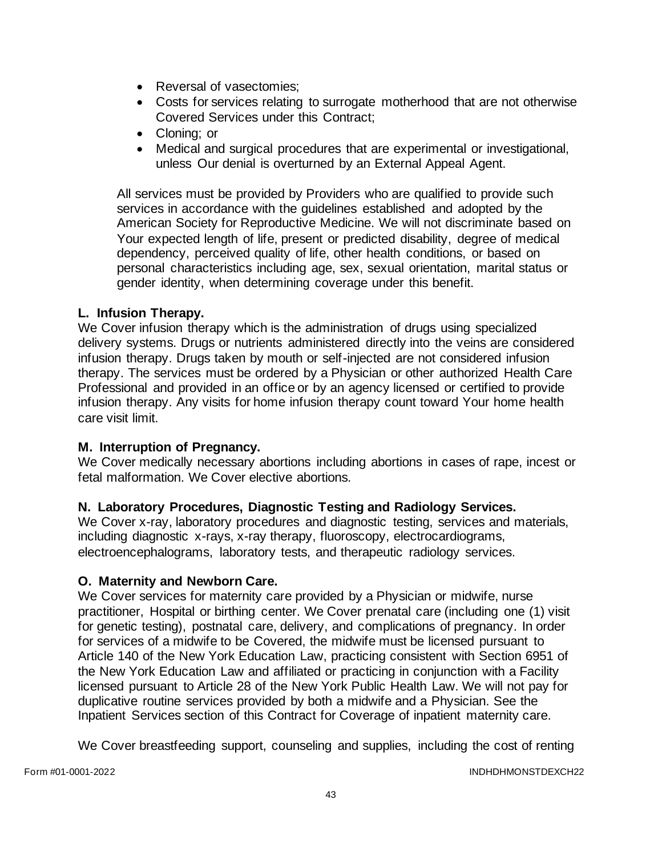- Reversal of vasectomies:
- Costs for services relating to surrogate motherhood that are not otherwise Covered Services under this Contract;
- Cloning; or
- Medical and surgical procedures that are experimental or investigational, unless Our denial is overturned by an External Appeal Agent.

All services must be provided by Providers who are qualified to provide such services in accordance with the guidelines established and adopted by the American Society for Reproductive Medicine. We will not discriminate based on Your expected length of life, present or predicted disability, degree of medical dependency, perceived quality of life, other health conditions, or based on personal characteristics including age, sex, sexual orientation, marital status or gender identity, when determining coverage under this benefit.

### **L. Infusion Therapy.**

We Cover infusion therapy which is the administration of drugs using specialized delivery systems. Drugs or nutrients administered directly into the veins are considered infusion therapy. Drugs taken by mouth or self-injected are not considered infusion therapy. The services must be ordered by a Physician or other authorized Health Care Professional and provided in an office or by an agency licensed or certified to provide infusion therapy. Any visits for home infusion therapy count toward Your home health care visit limit.

### **M. Interruption of Pregnancy.**

We Cover medically necessary abortions including abortions in cases of rape, incest or fetal malformation. We Cover elective abortions.

### **N. Laboratory Procedures, Diagnostic Testing and Radiology Services.**

We Cover x-ray, laboratory procedures and diagnostic testing, services and materials, including diagnostic x-rays, x-ray therapy, fluoroscopy, electrocardiograms, electroencephalograms, laboratory tests, and therapeutic radiology services.

### **O. Maternity and Newborn Care.**

We Cover services for maternity care provided by a Physician or midwife, nurse practitioner, Hospital or birthing center. We Cover prenatal care (including one (1) visit for genetic testing), postnatal care, delivery, and complications of pregnancy. In order for services of a midwife to be Covered, the midwife must be licensed pursuant to Article 140 of the New York Education Law, practicing consistent with Section 6951 of the New York Education Law and affiliated or practicing in conjunction with a Facility licensed pursuant to Article 28 of the New York Public Health Law. We will not pay for duplicative routine services provided by both a midwife and a Physician. See the Inpatient Services section of this Contract for Coverage of inpatient maternity care.

We Cover breastfeeding support, counseling and supplies, including the cost of renting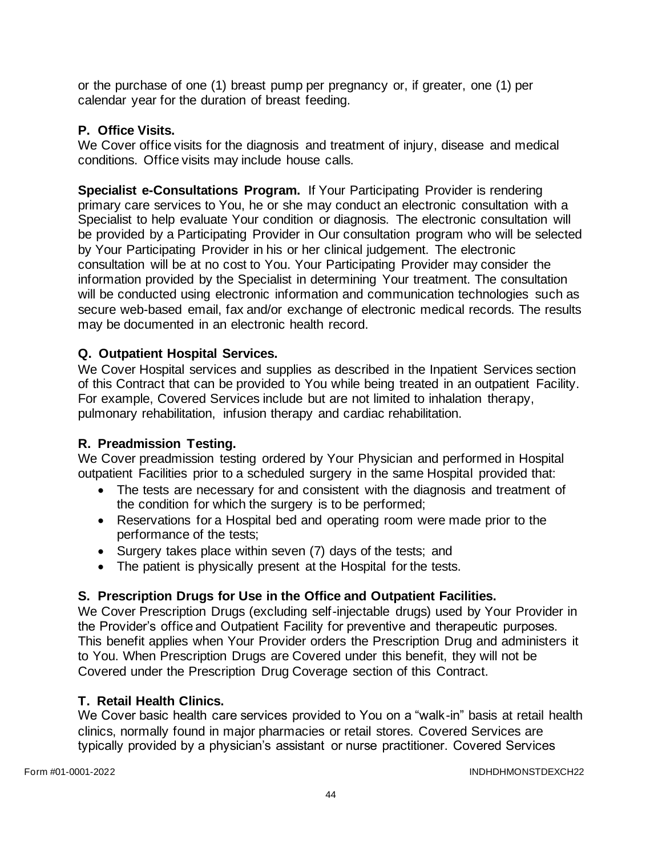or the purchase of one (1) breast pump per pregnancy or, if greater, one (1) per calendar year for the duration of breast feeding.

## **P. Office Visits.**

We Cover office visits for the diagnosis and treatment of injury, disease and medical conditions. Office visits may include house calls.

**Specialist e-Consultations Program.** If Your Participating Provider is rendering primary care services to You, he or she may conduct an electronic consultation with a Specialist to help evaluate Your condition or diagnosis. The electronic consultation will be provided by a Participating Provider in Our consultation program who will be selected by Your Participating Provider in his or her clinical judgement. The electronic consultation will be at no cost to You. Your Participating Provider may consider the information provided by the Specialist in determining Your treatment. The consultation will be conducted using electronic information and communication technologies such as secure web-based email, fax and/or exchange of electronic medical records. The results may be documented in an electronic health record.

## **Q. Outpatient Hospital Services.**

We Cover Hospital services and supplies as described in the Inpatient Services section of this Contract that can be provided to You while being treated in an outpatient Facility. For example, Covered Services include but are not limited to inhalation therapy, pulmonary rehabilitation, infusion therapy and cardiac rehabilitation.

### **R. Preadmission Testing.**

We Cover preadmission testing ordered by Your Physician and performed in Hospital outpatient Facilities prior to a scheduled surgery in the same Hospital provided that:

- The tests are necessary for and consistent with the diagnosis and treatment of the condition for which the surgery is to be performed;
- Reservations for a Hospital bed and operating room were made prior to the performance of the tests;
- Surgery takes place within seven (7) days of the tests; and
- The patient is physically present at the Hospital for the tests.

# **S. Prescription Drugs for Use in the Office and Outpatient Facilities.**

We Cover Prescription Drugs (excluding self-injectable drugs) used by Your Provider in the Provider's office and Outpatient Facility for preventive and therapeutic purposes. This benefit applies when Your Provider orders the Prescription Drug and administers it to You. When Prescription Drugs are Covered under this benefit, they will not be Covered under the Prescription Drug Coverage section of this Contract.

### **T. Retail Health Clinics.**

We Cover basic health care services provided to You on a "walk-in" basis at retail health clinics, normally found in major pharmacies or retail stores. Covered Services are typically provided by a physician's assistant or nurse practitioner. Covered Services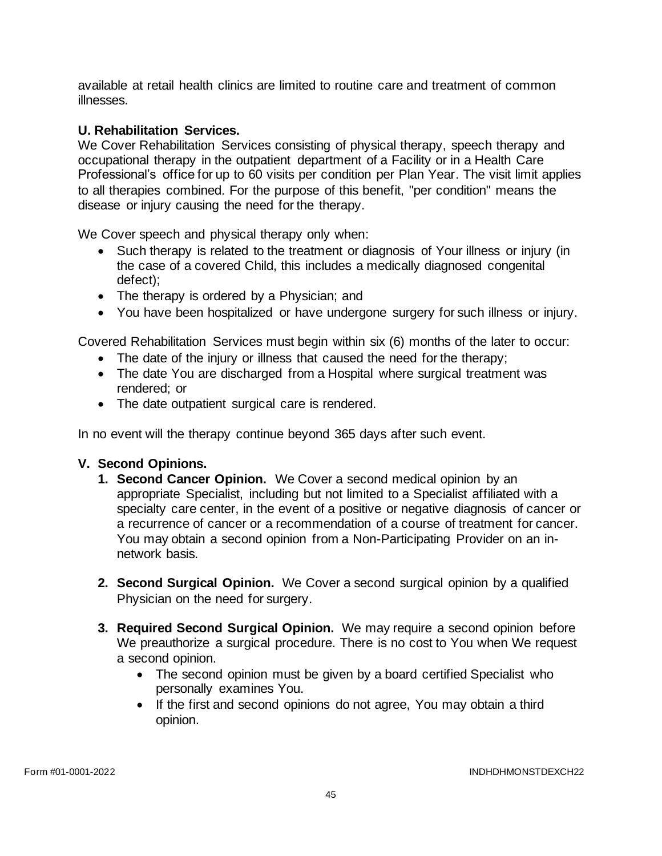available at retail health clinics are limited to routine care and treatment of common illnesses.

## **U. Rehabilitation Services.**

We Cover Rehabilitation Services consisting of physical therapy, speech therapy and occupational therapy in the outpatient department of a Facility or in a Health Care Professional's office for up to 60 visits per condition per Plan Year. The visit limit applies to all therapies combined. For the purpose of this benefit, "per condition" means the disease or injury causing the need for the therapy.

We Cover speech and physical therapy only when:

- Such therapy is related to the treatment or diagnosis of Your illness or injury (in the case of a covered Child, this includes a medically diagnosed congenital defect);
- The therapy is ordered by a Physician; and
- You have been hospitalized or have undergone surgery for such illness or injury.

Covered Rehabilitation Services must begin within six (6) months of the later to occur:

- The date of the injury or illness that caused the need for the therapy;
- The date You are discharged from a Hospital where surgical treatment was rendered; or
- The date outpatient surgical care is rendered.

In no event will the therapy continue beyond 365 days after such event.

### **V. Second Opinions.**

- **1. Second Cancer Opinion.** We Cover a second medical opinion by an appropriate Specialist, including but not limited to a Specialist affiliated with a specialty care center, in the event of a positive or negative diagnosis of cancer or a recurrence of cancer or a recommendation of a course of treatment for cancer. You may obtain a second opinion from a Non-Participating Provider on an innetwork basis.
- **2. Second Surgical Opinion.** We Cover a second surgical opinion by a qualified Physician on the need for surgery.
- **3. Required Second Surgical Opinion.** We may require a second opinion before We preauthorize a surgical procedure. There is no cost to You when We request a second opinion.
	- The second opinion must be given by a board certified Specialist who personally examines You.
	- If the first and second opinions do not agree, You may obtain a third opinion.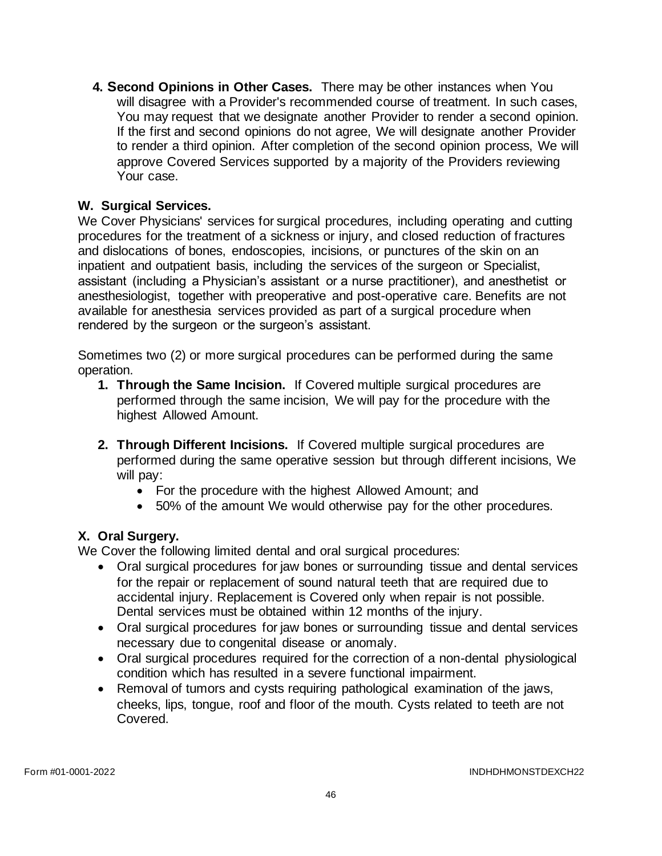**4. Second Opinions in Other Cases.** There may be other instances when You will disagree with a Provider's recommended course of treatment. In such cases, You may request that we designate another Provider to render a second opinion. If the first and second opinions do not agree, We will designate another Provider to render a third opinion. After completion of the second opinion process, We will approve Covered Services supported by a majority of the Providers reviewing Your case.

# **W. Surgical Services.**

We Cover Physicians' services for surgical procedures, including operating and cutting procedures for the treatment of a sickness or injury, and closed reduction of fractures and dislocations of bones, endoscopies, incisions, or punctures of the skin on an inpatient and outpatient basis, including the services of the surgeon or Specialist, assistant (including a Physician's assistant or a nurse practitioner), and anesthetist or anesthesiologist, together with preoperative and post-operative care. Benefits are not available for anesthesia services provided as part of a surgical procedure when rendered by the surgeon or the surgeon's assistant.

Sometimes two (2) or more surgical procedures can be performed during the same operation.

- **1. Through the Same Incision.** If Covered multiple surgical procedures are performed through the same incision, We will pay for the procedure with the highest Allowed Amount.
- **2. Through Different Incisions.** If Covered multiple surgical procedures are performed during the same operative session but through different incisions, We will pay:
	- For the procedure with the highest Allowed Amount; and
	- 50% of the amount We would otherwise pay for the other procedures.

# **X. Oral Surgery.**

We Cover the following limited dental and oral surgical procedures:

- Oral surgical procedures for jaw bones or surrounding tissue and dental services for the repair or replacement of sound natural teeth that are required due to accidental injury. Replacement is Covered only when repair is not possible. Dental services must be obtained within 12 months of the injury.
- Oral surgical procedures for jaw bones or surrounding tissue and dental services necessary due to congenital disease or anomaly.
- Oral surgical procedures required for the correction of a non-dental physiological condition which has resulted in a severe functional impairment.
- Removal of tumors and cysts requiring pathological examination of the jaws, cheeks, lips, tongue, roof and floor of the mouth. Cysts related to teeth are not Covered.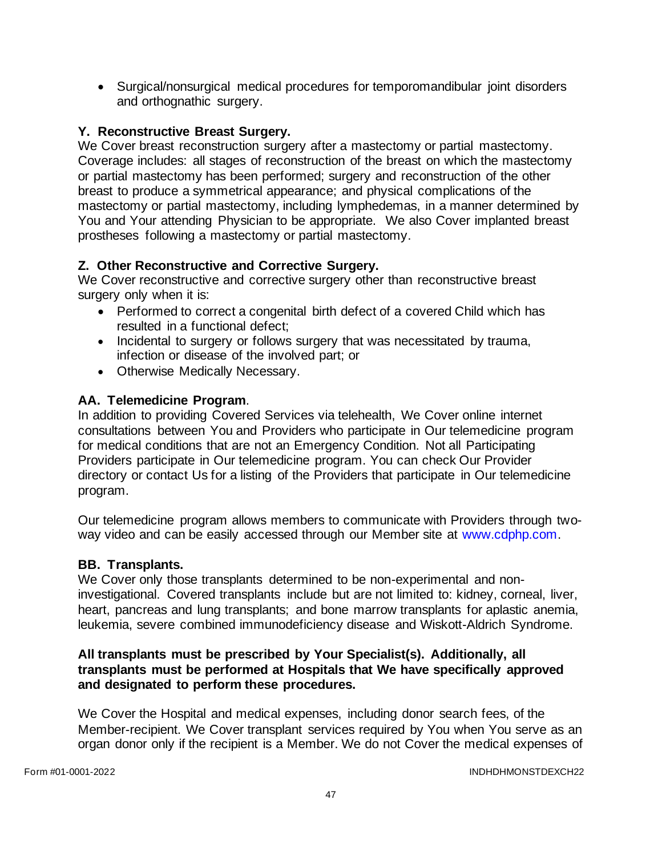• Surgical/nonsurgical medical procedures for temporomandibular joint disorders and orthognathic surgery.

# **Y. Reconstructive Breast Surgery.**

We Cover breast reconstruction surgery after a mastectomy or partial mastectomy. Coverage includes: all stages of reconstruction of the breast on which the mastectomy or partial mastectomy has been performed; surgery and reconstruction of the other breast to produce a symmetrical appearance; and physical complications of the mastectomy or partial mastectomy, including lymphedemas, in a manner determined by You and Your attending Physician to be appropriate. We also Cover implanted breast prostheses following a mastectomy or partial mastectomy.

## **Z. Other Reconstructive and Corrective Surgery.**

We Cover reconstructive and corrective surgery other than reconstructive breast surgery only when it is:

- Performed to correct a congenital birth defect of a covered Child which has resulted in a functional defect;
- Incidental to surgery or follows surgery that was necessitated by trauma, infection or disease of the involved part; or
- Otherwise Medically Necessary.

## **AA. Telemedicine Program**.

In addition to providing Covered Services via telehealth, We Cover online internet consultations between You and Providers who participate in Our telemedicine program for medical conditions that are not an Emergency Condition. Not all Participating Providers participate in Our telemedicine program. You can check Our Provider directory or contact Us for a listing of the Providers that participate in Our telemedicine program.

Our telemedicine program allows members to communicate with Providers through twoway video and can be easily accessed through our Member site at [www.cdphp.com.](http://www.cdphp.com/)

### **BB. Transplants.**

We Cover only those transplants determined to be non-experimental and noninvestigational. Covered transplants include but are not limited to: kidney, corneal, liver, heart, pancreas and lung transplants; and bone marrow transplants for aplastic anemia, leukemia, severe combined immunodeficiency disease and Wiskott-Aldrich Syndrome.

#### **All transplants must be prescribed by Your Specialist(s). Additionally, all transplants must be performed at Hospitals that We have specifically approved and designated to perform these procedures.**

We Cover the Hospital and medical expenses, including donor search fees, of the Member-recipient. We Cover transplant services required by You when You serve as an organ donor only if the recipient is a Member. We do not Cover the medical expenses of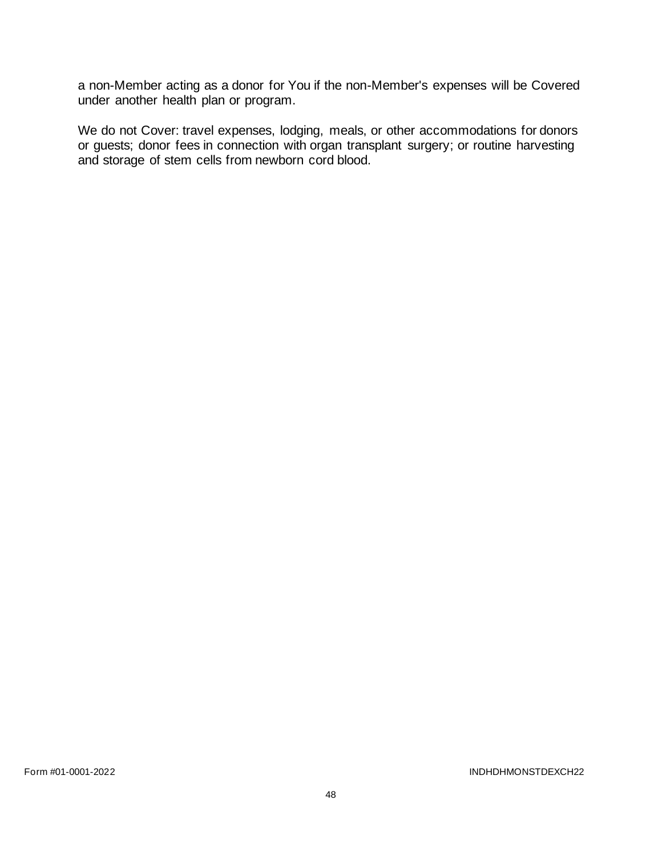a non-Member acting as a donor for You if the non-Member's expenses will be Covered under another health plan or program.

We do not Cover: travel expenses, lodging, meals, or other accommodations for donors or guests; donor fees in connection with organ transplant surgery; or routine harvesting and storage of stem cells from newborn cord blood.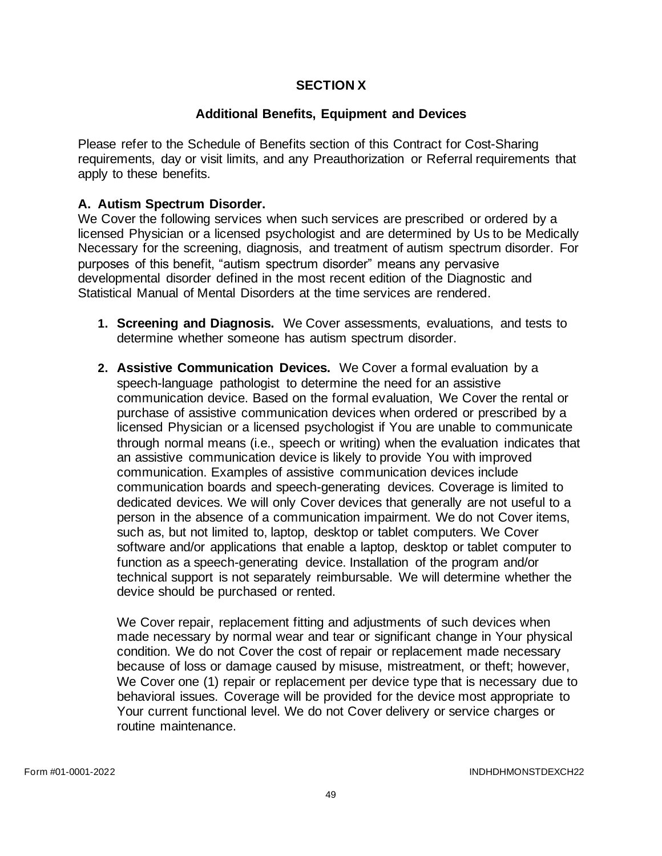### **SECTION X**

### **Additional Benefits, Equipment and Devices**

Please refer to the Schedule of Benefits section of this Contract for Cost-Sharing requirements, day or visit limits, and any Preauthorization or Referral requirements that apply to these benefits.

### **A. Autism Spectrum Disorder.**

We Cover the following services when such services are prescribed or ordered by a licensed Physician or a licensed psychologist and are determined by Us to be Medically Necessary for the screening, diagnosis, and treatment of autism spectrum disorder. For purposes of this benefit, "autism spectrum disorder" means any pervasive developmental disorder defined in the most recent edition of the Diagnostic and Statistical Manual of Mental Disorders at the time services are rendered.

- **1. Screening and Diagnosis.** We Cover assessments, evaluations, and tests to determine whether someone has autism spectrum disorder.
- **2. Assistive Communication Devices.** We Cover a formal evaluation by a speech-language pathologist to determine the need for an assistive communication device. Based on the formal evaluation, We Cover the rental or purchase of assistive communication devices when ordered or prescribed by a licensed Physician or a licensed psychologist if You are unable to communicate through normal means (i.e., speech or writing) when the evaluation indicates that an assistive communication device is likely to provide You with improved communication. Examples of assistive communication devices include communication boards and speech-generating devices. Coverage is limited to dedicated devices. We will only Cover devices that generally are not useful to a person in the absence of a communication impairment. We do not Cover items, such as, but not limited to, laptop, desktop or tablet computers. We Cover software and/or applications that enable a laptop, desktop or tablet computer to function as a speech-generating device. Installation of the program and/or technical support is not separately reimbursable. We will determine whether the device should be purchased or rented.

We Cover repair, replacement fitting and adjustments of such devices when made necessary by normal wear and tear or significant change in Your physical condition. We do not Cover the cost of repair or replacement made necessary because of loss or damage caused by misuse, mistreatment, or theft; however, We Cover one (1) repair or replacement per device type that is necessary due to behavioral issues. Coverage will be provided for the device most appropriate to Your current functional level. We do not Cover delivery or service charges or routine maintenance.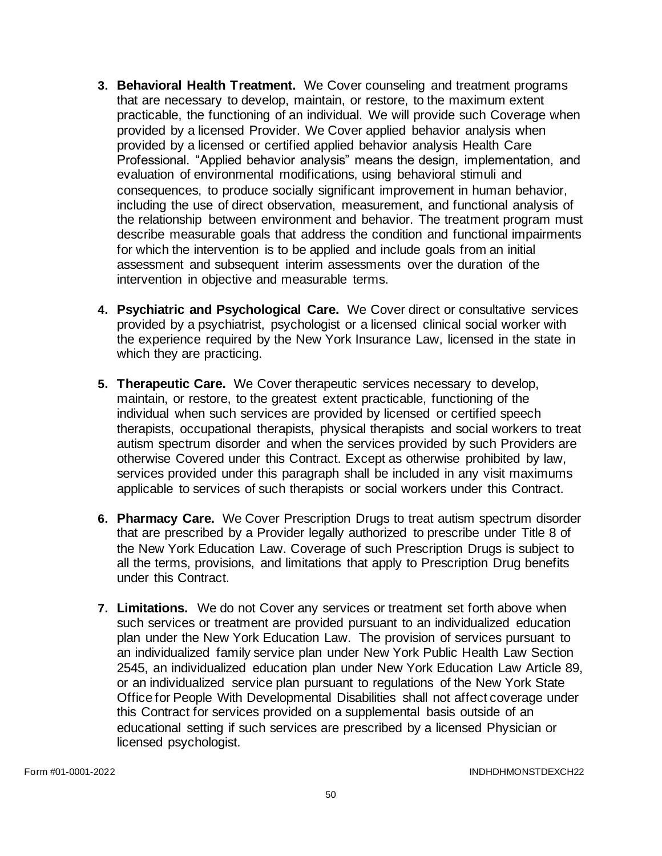- **3. Behavioral Health Treatment.** We Cover counseling and treatment programs that are necessary to develop, maintain, or restore, to the maximum extent practicable, the functioning of an individual. We will provide such Coverage when provided by a licensed Provider. We Cover applied behavior analysis when provided by a licensed or certified applied behavior analysis Health Care Professional. "Applied behavior analysis" means the design, implementation, and evaluation of environmental modifications, using behavioral stimuli and consequences, to produce socially significant improvement in human behavior, including the use of direct observation, measurement, and functional analysis of the relationship between environment and behavior. The treatment program must describe measurable goals that address the condition and functional impairments for which the intervention is to be applied and include goals from an initial assessment and subsequent interim assessments over the duration of the intervention in objective and measurable terms.
- **4. Psychiatric and Psychological Care.** We Cover direct or consultative services provided by a psychiatrist, psychologist or a licensed clinical social worker with the experience required by the New York Insurance Law, licensed in the state in which they are practicing.
- **5. Therapeutic Care.** We Cover therapeutic services necessary to develop, maintain, or restore, to the greatest extent practicable, functioning of the individual when such services are provided by licensed or certified speech therapists, occupational therapists, physical therapists and social workers to treat autism spectrum disorder and when the services provided by such Providers are otherwise Covered under this Contract. Except as otherwise prohibited by law, services provided under this paragraph shall be included in any visit maximums applicable to services of such therapists or social workers under this Contract.
- **6. Pharmacy Care.** We Cover Prescription Drugs to treat autism spectrum disorder that are prescribed by a Provider legally authorized to prescribe under Title 8 of the New York Education Law. Coverage of such Prescription Drugs is subject to all the terms, provisions, and limitations that apply to Prescription Drug benefits under this Contract.
- **7. Limitations.** We do not Cover any services or treatment set forth above when such services or treatment are provided pursuant to an individualized education plan under the New York Education Law. The provision of services pursuant to an individualized family service plan under New York Public Health Law Section 2545, an individualized education plan under New York Education Law Article 89, or an individualized service plan pursuant to regulations of the New York State Office for People With Developmental Disabilities shall not affect coverage under this Contract for services provided on a supplemental basis outside of an educational setting if such services are prescribed by a licensed Physician or licensed psychologist.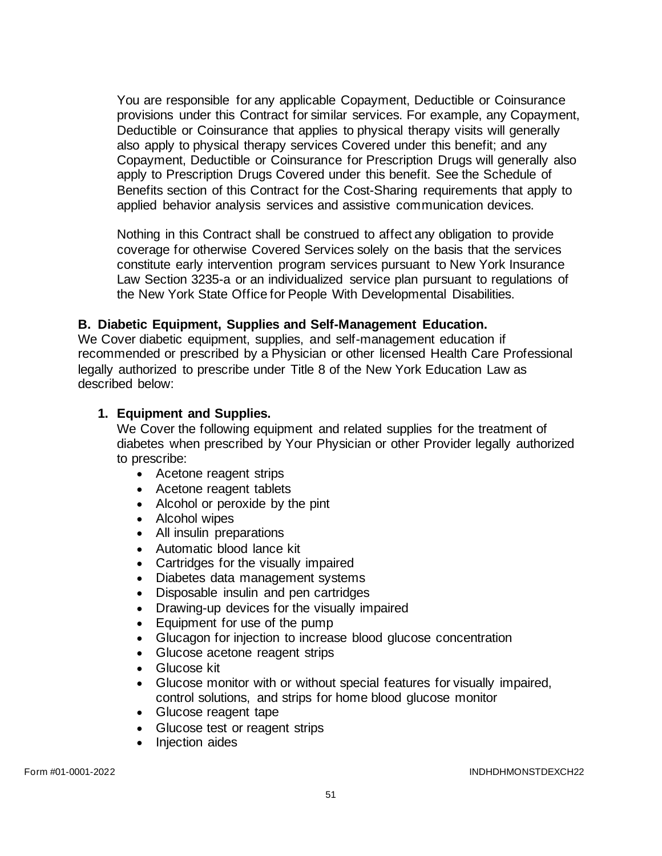You are responsible for any applicable Copayment, Deductible or Coinsurance provisions under this Contract for similar services. For example, any Copayment, Deductible or Coinsurance that applies to physical therapy visits will generally also apply to physical therapy services Covered under this benefit; and any Copayment, Deductible or Coinsurance for Prescription Drugs will generally also apply to Prescription Drugs Covered under this benefit. See the Schedule of Benefits section of this Contract for the Cost-Sharing requirements that apply to applied behavior analysis services and assistive communication devices.

Nothing in this Contract shall be construed to affect any obligation to provide coverage for otherwise Covered Services solely on the basis that the services constitute early intervention program services pursuant to New York Insurance Law Section 3235-a or an individualized service plan pursuant to regulations of the New York State Office for People With Developmental Disabilities.

#### **B. Diabetic Equipment, Supplies and Self-Management Education.**

We Cover diabetic equipment, supplies, and self-management education if recommended or prescribed by a Physician or other licensed Health Care Professional legally authorized to prescribe under Title 8 of the New York Education Law as described below:

#### **1. Equipment and Supplies.**

We Cover the following equipment and related supplies for the treatment of diabetes when prescribed by Your Physician or other Provider legally authorized to prescribe:

- Acetone reagent strips
- Acetone reagent tablets
- Alcohol or peroxide by the pint
- Alcohol wipes
- All insulin preparations
- Automatic blood lance kit
- Cartridges for the visually impaired
- Diabetes data management systems
- Disposable insulin and pen cartridges
- Drawing-up devices for the visually impaired
- Equipment for use of the pump
- Glucagon for injection to increase blood glucose concentration
- Glucose acetone reagent strips
- Glucose kit
- Glucose monitor with or without special features for visually impaired, control solutions, and strips for home blood glucose monitor
- Glucose reagent tape
- Glucose test or reagent strips
- Injection aides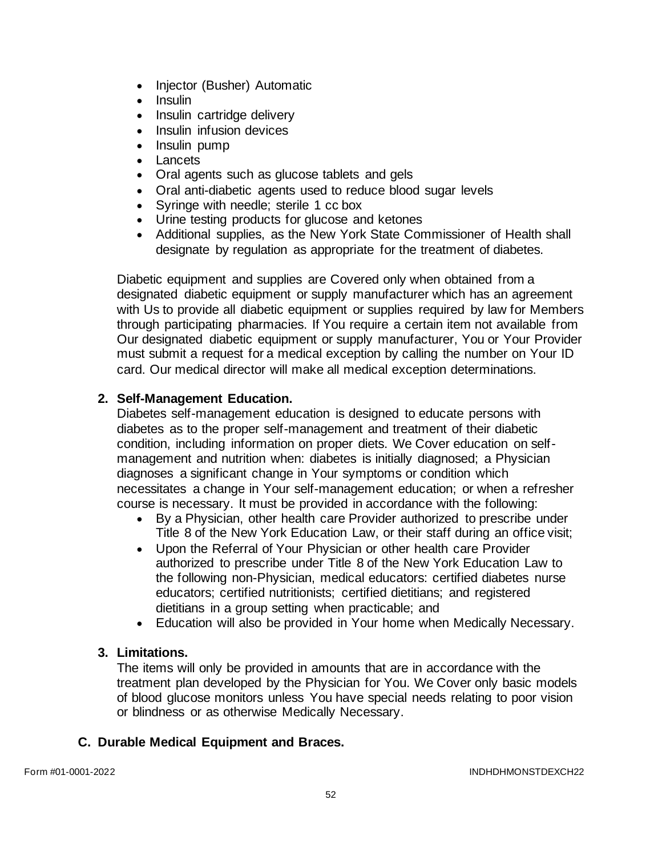- Injector (Busher) Automatic
- Insulin
- Insulin cartridge delivery
- Insulin infusion devices
- Insulin pump
- Lancets
- Oral agents such as glucose tablets and gels
- Oral anti-diabetic agents used to reduce blood sugar levels
- Syringe with needle; sterile 1 cc box
- Urine testing products for glucose and ketones
- Additional supplies, as the New York State Commissioner of Health shall designate by regulation as appropriate for the treatment of diabetes.

Diabetic equipment and supplies are Covered only when obtained from a designated diabetic equipment or supply manufacturer which has an agreement with Us to provide all diabetic equipment or supplies required by law for Members through participating pharmacies. If You require a certain item not available from Our designated diabetic equipment or supply manufacturer, You or Your Provider must submit a request for a medical exception by calling the number on Your ID card. Our medical director will make all medical exception determinations.

# **2. Self-Management Education.**

Diabetes self-management education is designed to educate persons with diabetes as to the proper self-management and treatment of their diabetic condition, including information on proper diets. We Cover education on selfmanagement and nutrition when: diabetes is initially diagnosed; a Physician diagnoses a significant change in Your symptoms or condition which necessitates a change in Your self-management education; or when a refresher course is necessary. It must be provided in accordance with the following:

- By a Physician, other health care Provider authorized to prescribe under Title 8 of the New York Education Law, or their staff during an office visit;
- Upon the Referral of Your Physician or other health care Provider authorized to prescribe under Title 8 of the New York Education Law to the following non-Physician, medical educators: certified diabetes nurse educators; certified nutritionists; certified dietitians; and registered dietitians in a group setting when practicable; and
- Education will also be provided in Your home when Medically Necessary.

### **3. Limitations.**

The items will only be provided in amounts that are in accordance with the treatment plan developed by the Physician for You. We Cover only basic models of blood glucose monitors unless You have special needs relating to poor vision or blindness or as otherwise Medically Necessary.

# **C. Durable Medical Equipment and Braces.**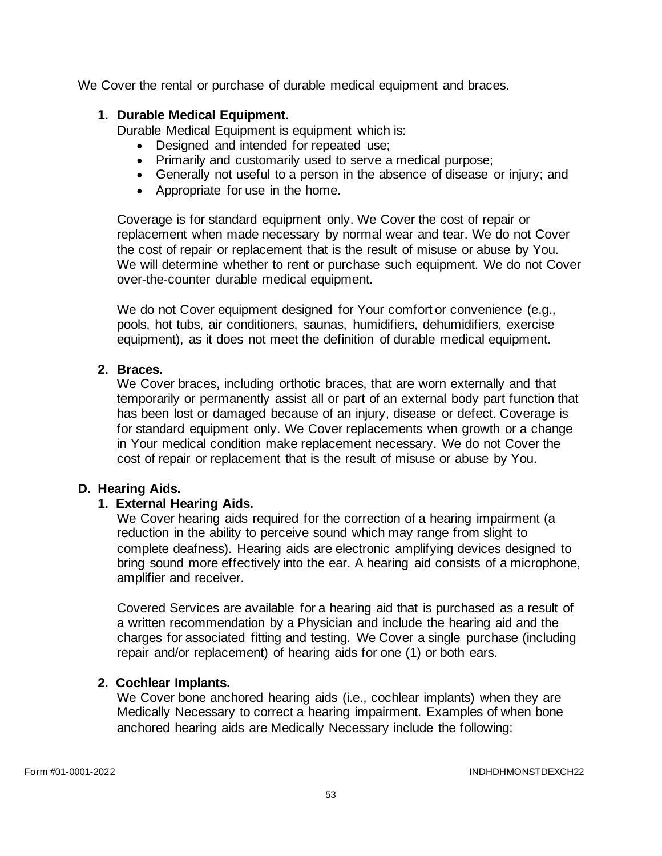We Cover the rental or purchase of durable medical equipment and braces.

### **1. Durable Medical Equipment.**

Durable Medical Equipment is equipment which is:

- Designed and intended for repeated use;
- Primarily and customarily used to serve a medical purpose;
- Generally not useful to a person in the absence of disease or injury; and
- Appropriate for use in the home.

Coverage is for standard equipment only. We Cover the cost of repair or replacement when made necessary by normal wear and tear. We do not Cover the cost of repair or replacement that is the result of misuse or abuse by You. We will determine whether to rent or purchase such equipment. We do not Cover over-the-counter durable medical equipment.

We do not Cover equipment designed for Your comfort or convenience (e.g., pools, hot tubs, air conditioners, saunas, humidifiers, dehumidifiers, exercise equipment), as it does not meet the definition of durable medical equipment.

## **2. Braces.**

We Cover braces, including orthotic braces, that are worn externally and that temporarily or permanently assist all or part of an external body part function that has been lost or damaged because of an injury, disease or defect. Coverage is for standard equipment only. We Cover replacements when growth or a change in Your medical condition make replacement necessary. We do not Cover the cost of repair or replacement that is the result of misuse or abuse by You.

### **D. Hearing Aids.**

### **1. External Hearing Aids.**

We Cover hearing aids required for the correction of a hearing impairment (a reduction in the ability to perceive sound which may range from slight to complete deafness). Hearing aids are electronic amplifying devices designed to bring sound more effectively into the ear. A hearing aid consists of a microphone, amplifier and receiver.

Covered Services are available for a hearing aid that is purchased as a result of a written recommendation by a Physician and include the hearing aid and the charges for associated fitting and testing. We Cover a single purchase (including repair and/or replacement) of hearing aids for one (1) or both ears.

### **2. Cochlear Implants.**

We Cover bone anchored hearing aids (i.e., cochlear implants) when they are Medically Necessary to correct a hearing impairment. Examples of when bone anchored hearing aids are Medically Necessary include the following: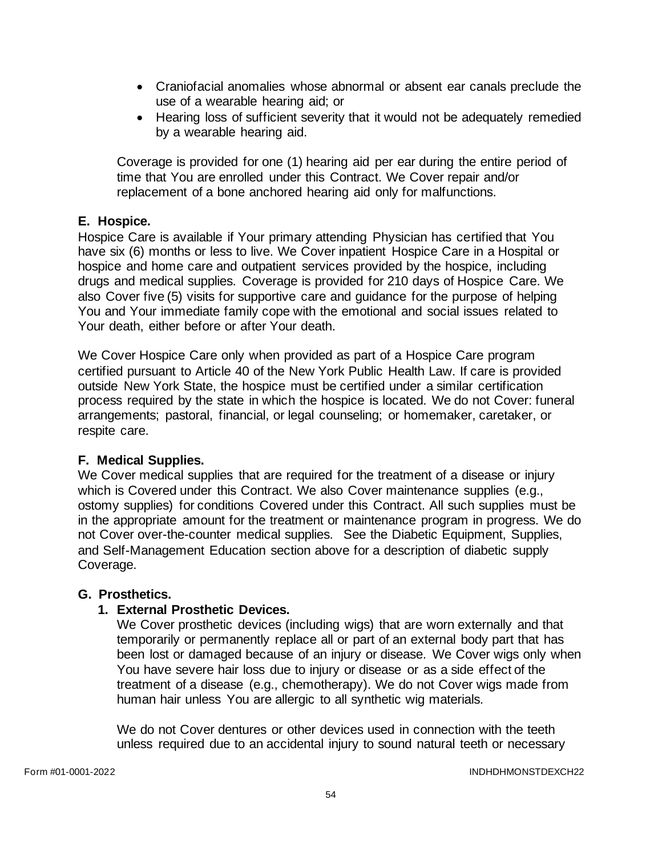- Craniofacial anomalies whose abnormal or absent ear canals preclude the use of a wearable hearing aid; or
- Hearing loss of sufficient severity that it would not be adequately remedied by a wearable hearing aid.

Coverage is provided for one (1) hearing aid per ear during the entire period of time that You are enrolled under this Contract. We Cover repair and/or replacement of a bone anchored hearing aid only for malfunctions.

## **E. Hospice.**

Hospice Care is available if Your primary attending Physician has certified that You have six (6) months or less to live. We Cover inpatient Hospice Care in a Hospital or hospice and home care and outpatient services provided by the hospice, including drugs and medical supplies. Coverage is provided for 210 days of Hospice Care. We also Cover five (5) visits for supportive care and guidance for the purpose of helping You and Your immediate family cope with the emotional and social issues related to Your death, either before or after Your death.

We Cover Hospice Care only when provided as part of a Hospice Care program certified pursuant to Article 40 of the New York Public Health Law. If care is provided outside New York State, the hospice must be certified under a similar certification process required by the state in which the hospice is located. We do not Cover: funeral arrangements; pastoral, financial, or legal counseling; or homemaker, caretaker, or respite care.

# **F. Medical Supplies.**

We Cover medical supplies that are required for the treatment of a disease or injury which is Covered under this Contract. We also Cover maintenance supplies (e.g., ostomy supplies) for conditions Covered under this Contract. All such supplies must be in the appropriate amount for the treatment or maintenance program in progress. We do not Cover over-the-counter medical supplies. See the Diabetic Equipment, Supplies, and Self-Management Education section above for a description of diabetic supply Coverage.

### **G. Prosthetics.**

### **1. External Prosthetic Devices.**

We Cover prosthetic devices (including wigs) that are worn externally and that temporarily or permanently replace all or part of an external body part that has been lost or damaged because of an injury or disease. We Cover wigs only when You have severe hair loss due to injury or disease or as a side effect of the treatment of a disease (e.g., chemotherapy). We do not Cover wigs made from human hair unless You are allergic to all synthetic wig materials.

We do not Cover dentures or other devices used in connection with the teeth unless required due to an accidental injury to sound natural teeth or necessary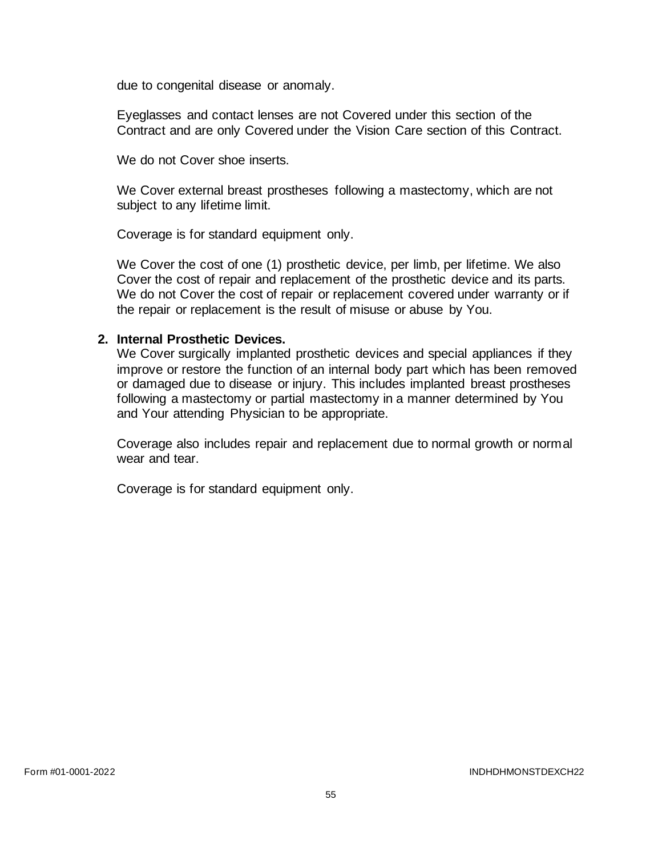due to congenital disease or anomaly.

Eyeglasses and contact lenses are not Covered under this section of the Contract and are only Covered under the Vision Care section of this Contract.

We do not Cover shoe inserts.

We Cover external breast prostheses following a mastectomy, which are not subject to any lifetime limit.

Coverage is for standard equipment only.

We Cover the cost of one (1) prosthetic device, per limb, per lifetime. We also Cover the cost of repair and replacement of the prosthetic device and its parts. We do not Cover the cost of repair or replacement covered under warranty or if the repair or replacement is the result of misuse or abuse by You.

#### **2. Internal Prosthetic Devices.**

We Cover surgically implanted prosthetic devices and special appliances if they improve or restore the function of an internal body part which has been removed or damaged due to disease or injury. This includes implanted breast prostheses following a mastectomy or partial mastectomy in a manner determined by You and Your attending Physician to be appropriate.

Coverage also includes repair and replacement due to normal growth or normal wear and tear.

Coverage is for standard equipment only.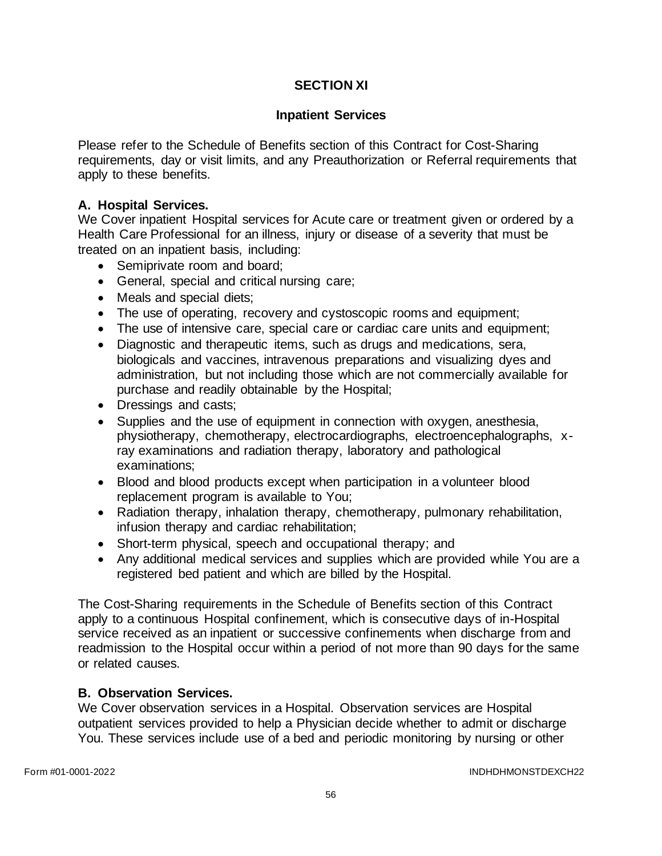# **SECTION XI**

#### **Inpatient Services**

Please refer to the Schedule of Benefits section of this Contract for Cost-Sharing requirements, day or visit limits, and any Preauthorization or Referral requirements that apply to these benefits.

### **A. Hospital Services.**

We Cover inpatient Hospital services for Acute care or treatment given or ordered by a Health Care Professional for an illness, injury or disease of a severity that must be treated on an inpatient basis, including:

- Semiprivate room and board;
- General, special and critical nursing care;
- Meals and special diets;
- The use of operating, recovery and cystoscopic rooms and equipment;
- The use of intensive care, special care or cardiac care units and equipment;
- Diagnostic and therapeutic items, such as drugs and medications, sera, biologicals and vaccines, intravenous preparations and visualizing dyes and administration, but not including those which are not commercially available for purchase and readily obtainable by the Hospital;
- Dressings and casts;
- Supplies and the use of equipment in connection with oxygen, anesthesia, physiotherapy, chemotherapy, electrocardiographs, electroencephalographs, xray examinations and radiation therapy, laboratory and pathological examinations;
- Blood and blood products except when participation in a volunteer blood replacement program is available to You;
- Radiation therapy, inhalation therapy, chemotherapy, pulmonary rehabilitation, infusion therapy and cardiac rehabilitation;
- Short-term physical, speech and occupational therapy; and
- Any additional medical services and supplies which are provided while You are a registered bed patient and which are billed by the Hospital.

The Cost-Sharing requirements in the Schedule of Benefits section of this Contract apply to a continuous Hospital confinement, which is consecutive days of in-Hospital service received as an inpatient or successive confinements when discharge from and readmission to the Hospital occur within a period of not more than 90 days for the same or related causes.

### **B. Observation Services.**

We Cover observation services in a Hospital. Observation services are Hospital outpatient services provided to help a Physician decide whether to admit or discharge You. These services include use of a bed and periodic monitoring by nursing or other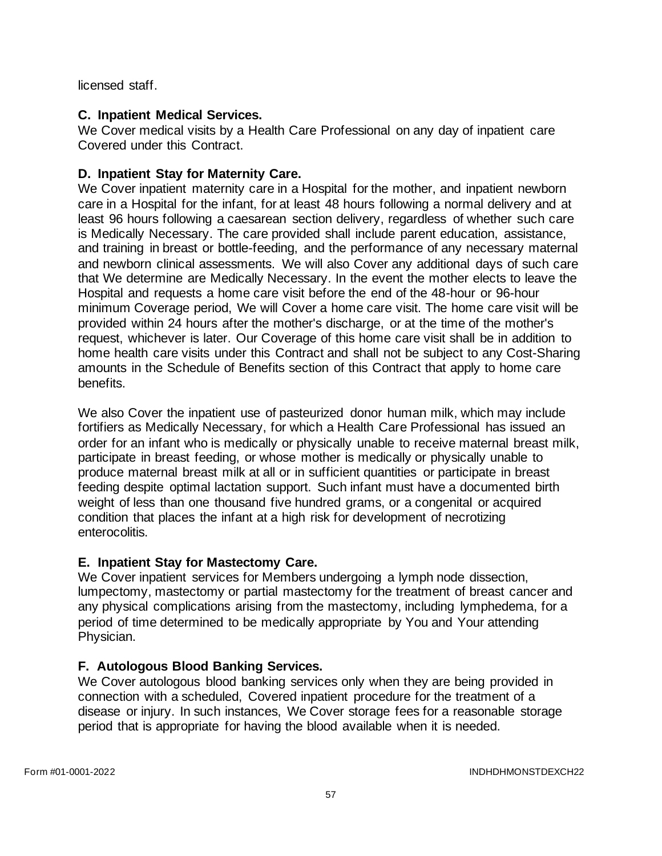licensed staff.

# **C. Inpatient Medical Services.**

We Cover medical visits by a Health Care Professional on any day of inpatient care Covered under this Contract.

# **D. Inpatient Stay for Maternity Care.**

We Cover inpatient maternity care in a Hospital for the mother, and inpatient newborn care in a Hospital for the infant, for at least 48 hours following a normal delivery and at least 96 hours following a caesarean section delivery, regardless of whether such care is Medically Necessary. The care provided shall include parent education, assistance, and training in breast or bottle-feeding, and the performance of any necessary maternal and newborn clinical assessments. We will also Cover any additional days of such care that We determine are Medically Necessary. In the event the mother elects to leave the Hospital and requests a home care visit before the end of the 48-hour or 96-hour minimum Coverage period, We will Cover a home care visit. The home care visit will be provided within 24 hours after the mother's discharge, or at the time of the mother's request, whichever is later. Our Coverage of this home care visit shall be in addition to home health care visits under this Contract and shall not be subject to any Cost-Sharing amounts in the Schedule of Benefits section of this Contract that apply to home care benefits.

We also Cover the inpatient use of pasteurized donor human milk, which may include fortifiers as Medically Necessary, for which a Health Care Professional has issued an order for an infant who is medically or physically unable to receive maternal breast milk, participate in breast feeding, or whose mother is medically or physically unable to produce maternal breast milk at all or in sufficient quantities or participate in breast feeding despite optimal lactation support. Such infant must have a documented birth weight of less than one thousand five hundred grams, or a congenital or acquired condition that places the infant at a high risk for development of necrotizing enterocolitis.

# **E. Inpatient Stay for Mastectomy Care.**

We Cover inpatient services for Members undergoing a lymph node dissection, lumpectomy, mastectomy or partial mastectomy for the treatment of breast cancer and any physical complications arising from the mastectomy, including lymphedema, for a period of time determined to be medically appropriate by You and Your attending Physician.

# **F. Autologous Blood Banking Services.**

We Cover autologous blood banking services only when they are being provided in connection with a scheduled, Covered inpatient procedure for the treatment of a disease or injury. In such instances, We Cover storage fees for a reasonable storage period that is appropriate for having the blood available when it is needed.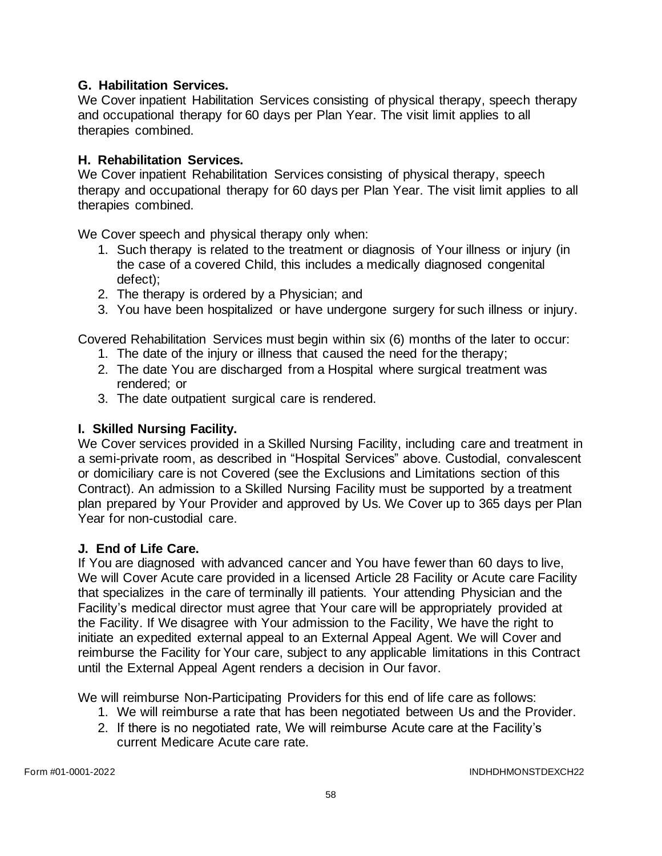### **G. Habilitation Services.**

We Cover inpatient Habilitation Services consisting of physical therapy, speech therapy and occupational therapy for 60 days per Plan Year. The visit limit applies to all therapies combined.

## **H. Rehabilitation Services.**

We Cover inpatient Rehabilitation Services consisting of physical therapy, speech therapy and occupational therapy for 60 days per Plan Year. The visit limit applies to all therapies combined.

We Cover speech and physical therapy only when:

- 1. Such therapy is related to the treatment or diagnosis of Your illness or injury (in the case of a covered Child, this includes a medically diagnosed congenital defect);
- 2. The therapy is ordered by a Physician; and
- 3. You have been hospitalized or have undergone surgery for such illness or injury.

Covered Rehabilitation Services must begin within six (6) months of the later to occur:

- 1. The date of the injury or illness that caused the need for the therapy;
- 2. The date You are discharged from a Hospital where surgical treatment was rendered; or
- 3. The date outpatient surgical care is rendered.

### **I. Skilled Nursing Facility.**

We Cover services provided in a Skilled Nursing Facility, including care and treatment in a semi-private room, as described in "Hospital Services" above. Custodial, convalescent or domiciliary care is not Covered (see the Exclusions and Limitations section of this Contract). An admission to a Skilled Nursing Facility must be supported by a treatment plan prepared by Your Provider and approved by Us. We Cover up to 365 days per Plan Year for non-custodial care.

# **J. End of Life Care.**

If You are diagnosed with advanced cancer and You have fewer than 60 days to live, We will Cover Acute care provided in a licensed Article 28 Facility or Acute care Facility that specializes in the care of terminally ill patients. Your attending Physician and the Facility's medical director must agree that Your care will be appropriately provided at the Facility. If We disagree with Your admission to the Facility, We have the right to initiate an expedited external appeal to an External Appeal Agent. We will Cover and reimburse the Facility for Your care, subject to any applicable limitations in this Contract until the External Appeal Agent renders a decision in Our favor.

We will reimburse Non-Participating Providers for this end of life care as follows:

- 1. We will reimburse a rate that has been negotiated between Us and the Provider.
- 2. If there is no negotiated rate, We will reimburse Acute care at the Facility's current Medicare Acute care rate.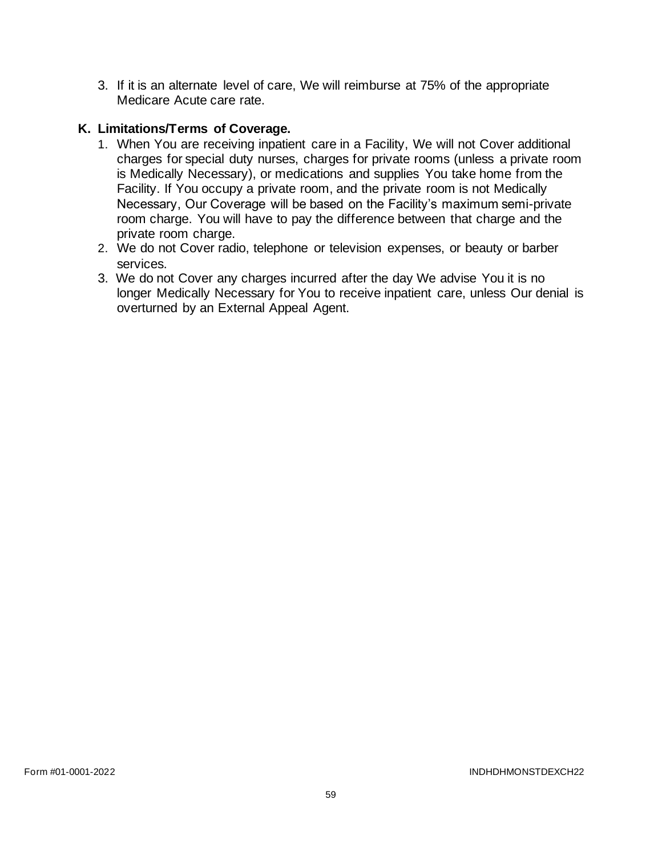3. If it is an alternate level of care, We will reimburse at 75% of the appropriate Medicare Acute care rate.

## **K. Limitations/Terms of Coverage.**

- 1. When You are receiving inpatient care in a Facility, We will not Cover additional charges for special duty nurses, charges for private rooms (unless a private room is Medically Necessary), or medications and supplies You take home from the Facility. If You occupy a private room, and the private room is not Medically Necessary, Our Coverage will be based on the Facility's maximum semi-private room charge. You will have to pay the difference between that charge and the private room charge.
- 2. We do not Cover radio, telephone or television expenses, or beauty or barber services.
- 3. We do not Cover any charges incurred after the day We advise You it is no longer Medically Necessary for You to receive inpatient care, unless Our denial is overturned by an External Appeal Agent.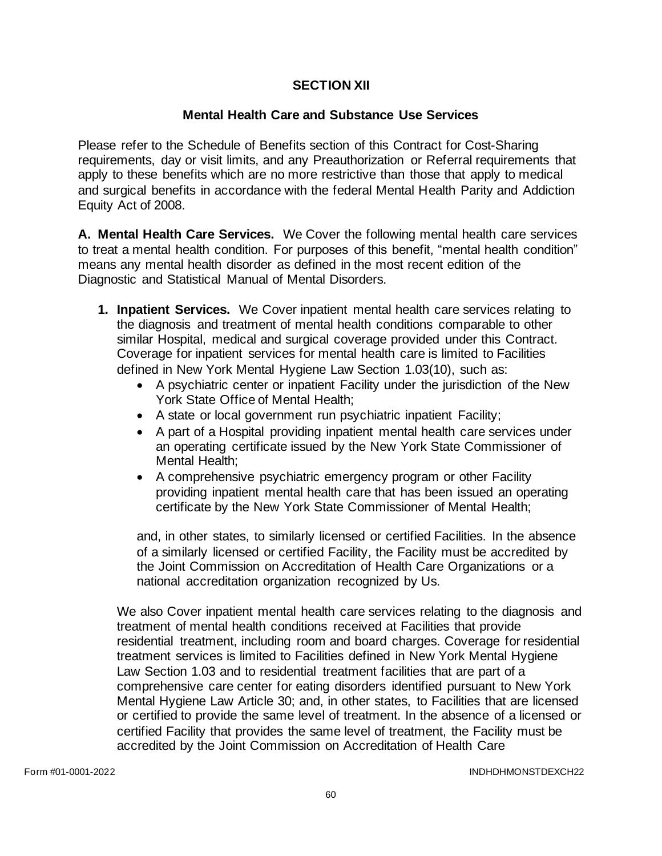### **SECTION XII**

### **Mental Health Care and Substance Use Services**

Please refer to the Schedule of Benefits section of this Contract for Cost-Sharing requirements, day or visit limits, and any Preauthorization or Referral requirements that apply to these benefits which are no more restrictive than those that apply to medical and surgical benefits in accordance with the federal Mental Health Parity and Addiction Equity Act of 2008.

**A. Mental Health Care Services.** We Cover the following mental health care services to treat a mental health condition. For purposes of this benefit, "mental health condition" means any mental health disorder as defined in the most recent edition of the Diagnostic and Statistical Manual of Mental Disorders.

- **1. Inpatient Services.** We Cover inpatient mental health care services relating to the diagnosis and treatment of mental health conditions comparable to other similar Hospital, medical and surgical coverage provided under this Contract. Coverage for inpatient services for mental health care is limited to Facilities defined in New York Mental Hygiene Law Section 1.03(10), such as:
	- A psychiatric center or inpatient Facility under the jurisdiction of the New York State Office of Mental Health;
	- A state or local government run psychiatric inpatient Facility;
	- A part of a Hospital providing inpatient mental health care services under an operating certificate issued by the New York State Commissioner of Mental Health;
	- A comprehensive psychiatric emergency program or other Facility providing inpatient mental health care that has been issued an operating certificate by the New York State Commissioner of Mental Health;

and, in other states, to similarly licensed or certified Facilities. In the absence of a similarly licensed or certified Facility, the Facility must be accredited by the Joint Commission on Accreditation of Health Care Organizations or a national accreditation organization recognized by Us.

We also Cover inpatient mental health care services relating to the diagnosis and treatment of mental health conditions received at Facilities that provide residential treatment, including room and board charges. Coverage for residential treatment services is limited to Facilities defined in New York Mental Hygiene Law Section 1.03 and to residential treatment facilities that are part of a comprehensive care center for eating disorders identified pursuant to New York Mental Hygiene Law Article 30; and, in other states, to Facilities that are licensed or certified to provide the same level of treatment. In the absence of a licensed or certified Facility that provides the same level of treatment, the Facility must be accredited by the Joint Commission on Accreditation of Health Care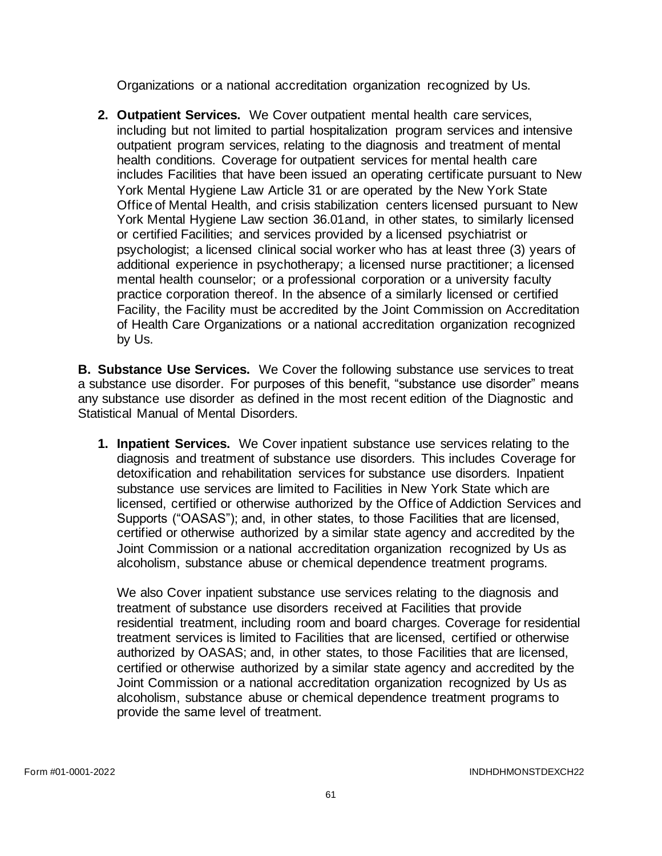Organizations or a national accreditation organization recognized by Us.

**2. Outpatient Services.** We Cover outpatient mental health care services, including but not limited to partial hospitalization program services and intensive outpatient program services, relating to the diagnosis and treatment of mental health conditions. Coverage for outpatient services for mental health care includes Facilities that have been issued an operating certificate pursuant to New York Mental Hygiene Law Article 31 or are operated by the New York State Office of Mental Health, and crisis stabilization centers licensed pursuant to New York Mental Hygiene Law section 36.01and, in other states, to similarly licensed or certified Facilities; and services provided by a licensed psychiatrist or psychologist; a licensed clinical social worker who has at least three (3) years of additional experience in psychotherapy; a licensed nurse practitioner; a licensed mental health counselor; or a professional corporation or a university faculty practice corporation thereof. In the absence of a similarly licensed or certified Facility, the Facility must be accredited by the Joint Commission on Accreditation of Health Care Organizations or a national accreditation organization recognized by Us.

**B. Substance Use Services.** We Cover the following substance use services to treat a substance use disorder. For purposes of this benefit, "substance use disorder" means any substance use disorder as defined in the most recent edition of the Diagnostic and Statistical Manual of Mental Disorders.

**1. Inpatient Services.** We Cover inpatient substance use services relating to the diagnosis and treatment of substance use disorders. This includes Coverage for detoxification and rehabilitation services for substance use disorders. Inpatient substance use services are limited to Facilities in New York State which are licensed, certified or otherwise authorized by the Office of Addiction Services and Supports ("OASAS"); and, in other states, to those Facilities that are licensed, certified or otherwise authorized by a similar state agency and accredited by the Joint Commission or a national accreditation organization recognized by Us as alcoholism, substance abuse or chemical dependence treatment programs.

We also Cover inpatient substance use services relating to the diagnosis and treatment of substance use disorders received at Facilities that provide residential treatment, including room and board charges. Coverage for residential treatment services is limited to Facilities that are licensed, certified or otherwise authorized by OASAS; and, in other states, to those Facilities that are licensed, certified or otherwise authorized by a similar state agency and accredited by the Joint Commission or a national accreditation organization recognized by Us as alcoholism, substance abuse or chemical dependence treatment programs to provide the same level of treatment.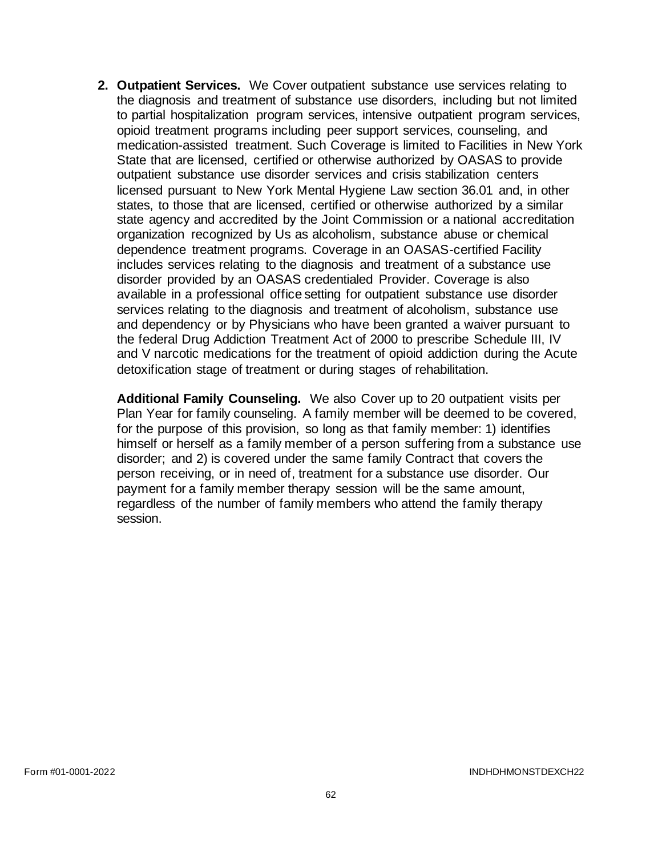**2. Outpatient Services.** We Cover outpatient substance use services relating to the diagnosis and treatment of substance use disorders, including but not limited to partial hospitalization program services, intensive outpatient program services, opioid treatment programs including peer support services, counseling, and medication-assisted treatment. Such Coverage is limited to Facilities in New York State that are licensed, certified or otherwise authorized by OASAS to provide outpatient substance use disorder services and crisis stabilization centers licensed pursuant to New York Mental Hygiene Law section 36.01 and, in other states, to those that are licensed, certified or otherwise authorized by a similar state agency and accredited by the Joint Commission or a national accreditation organization recognized by Us as alcoholism, substance abuse or chemical dependence treatment programs. Coverage in an OASAS-certified Facility includes services relating to the diagnosis and treatment of a substance use disorder provided by an OASAS credentialed Provider. Coverage is also available in a professional office setting for outpatient substance use disorder services relating to the diagnosis and treatment of alcoholism, substance use and dependency or by Physicians who have been granted a waiver pursuant to the federal Drug Addiction Treatment Act of 2000 to prescribe Schedule III, IV and V narcotic medications for the treatment of opioid addiction during the Acute detoxification stage of treatment or during stages of rehabilitation.

**Additional Family Counseling.** We also Cover up to 20 outpatient visits per Plan Year for family counseling. A family member will be deemed to be covered, for the purpose of this provision, so long as that family member: 1) identifies himself or herself as a family member of a person suffering from a substance use disorder; and 2) is covered under the same family Contract that covers the person receiving, or in need of, treatment for a substance use disorder. Our payment for a family member therapy session will be the same amount, regardless of the number of family members who attend the family therapy session.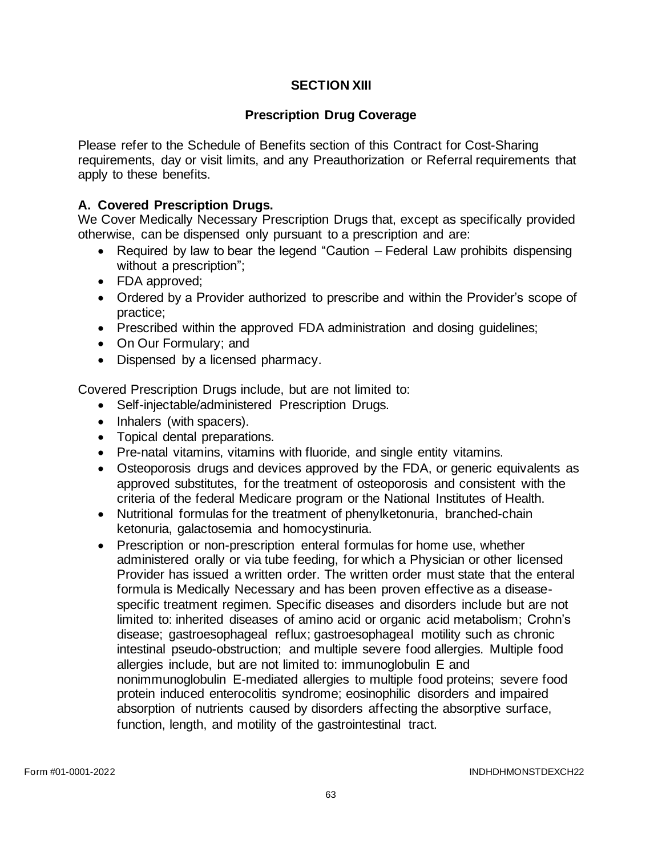# **SECTION XIII**

## **Prescription Drug Coverage**

Please refer to the Schedule of Benefits section of this Contract for Cost-Sharing requirements, day or visit limits, and any Preauthorization or Referral requirements that apply to these benefits.

### **A. Covered Prescription Drugs.**

We Cover Medically Necessary Prescription Drugs that, except as specifically provided otherwise, can be dispensed only pursuant to a prescription and are:

- Required by law to bear the legend "Caution Federal Law prohibits dispensing without a prescription";
- FDA approved;
- Ordered by a Provider authorized to prescribe and within the Provider's scope of practice;
- Prescribed within the approved FDA administration and dosing guidelines;
- On Our Formulary; and
- Dispensed by a licensed pharmacy.

Covered Prescription Drugs include, but are not limited to:

- Self-injectable/administered Prescription Drugs.
- Inhalers (with spacers).
- Topical dental preparations.
- Pre-natal vitamins, vitamins with fluoride, and single entity vitamins.
- Osteoporosis drugs and devices approved by the FDA, or generic equivalents as approved substitutes, for the treatment of osteoporosis and consistent with the criteria of the federal Medicare program or the National Institutes of Health.
- Nutritional formulas for the treatment of phenylketonuria, branched-chain ketonuria, galactosemia and homocystinuria.
- Prescription or non-prescription enteral formulas for home use, whether administered orally or via tube feeding, for which a Physician or other licensed Provider has issued a written order. The written order must state that the enteral formula is Medically Necessary and has been proven effective as a diseasespecific treatment regimen. Specific diseases and disorders include but are not limited to: inherited diseases of amino acid or organic acid metabolism; Crohn's disease; gastroesophageal reflux; gastroesophageal motility such as chronic intestinal pseudo-obstruction; and multiple severe food allergies. Multiple food allergies include, but are not limited to: immunoglobulin E and nonimmunoglobulin E-mediated allergies to multiple food proteins; severe food protein induced enterocolitis syndrome; eosinophilic disorders and impaired absorption of nutrients caused by disorders affecting the absorptive surface, function, length, and motility of the gastrointestinal tract.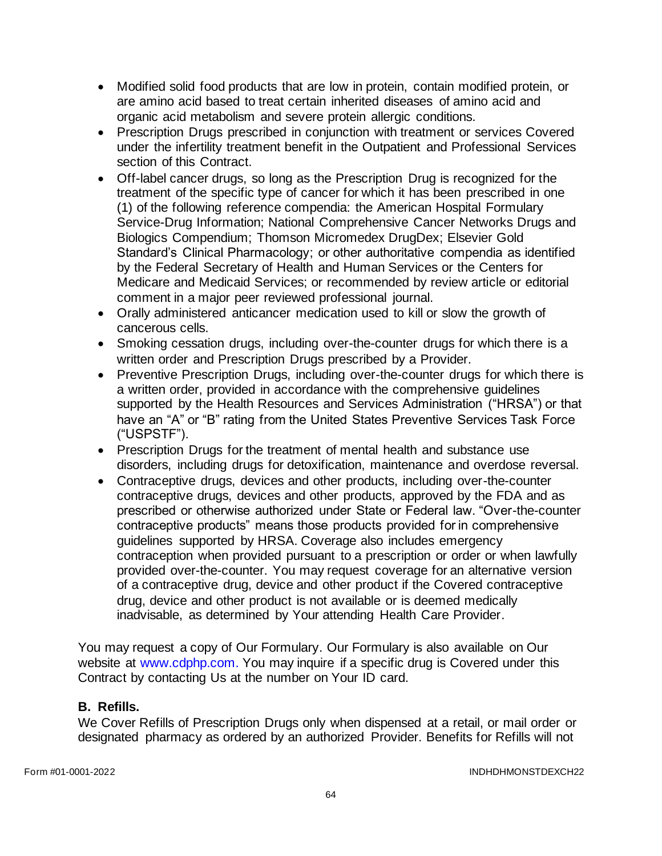- Modified solid food products that are low in protein, contain modified protein, or are amino acid based to treat certain inherited diseases of amino acid and organic acid metabolism and severe protein allergic conditions.
- Prescription Drugs prescribed in conjunction with treatment or services Covered under the infertility treatment benefit in the Outpatient and Professional Services section of this Contract.
- Off-label cancer drugs, so long as the Prescription Drug is recognized for the treatment of the specific type of cancer for which it has been prescribed in one (1) of the following reference compendia: the American Hospital Formulary Service-Drug Information; National Comprehensive Cancer Networks Drugs and Biologics Compendium; Thomson Micromedex DrugDex; Elsevier Gold Standard's Clinical Pharmacology; or other authoritative compendia as identified by the Federal Secretary of Health and Human Services or the Centers for Medicare and Medicaid Services; or recommended by review article or editorial comment in a major peer reviewed professional journal.
- Orally administered anticancer medication used to kill or slow the growth of cancerous cells.
- Smoking cessation drugs, including over-the-counter drugs for which there is a written order and Prescription Drugs prescribed by a Provider.
- Preventive Prescription Drugs, including over-the-counter drugs for which there is a written order, provided in accordance with the comprehensive guidelines supported by the Health Resources and Services Administration ("HRSA") or that have an "A" or "B" rating from the United States Preventive Services Task Force ("USPSTF").
- Prescription Drugs for the treatment of mental health and substance use disorders, including drugs for detoxification, maintenance and overdose reversal.
- Contraceptive drugs, devices and other products, including over-the-counter contraceptive drugs, devices and other products, approved by the FDA and as prescribed or otherwise authorized under State or Federal law. "Over-the-counter contraceptive products" means those products provided for in comprehensive guidelines supported by HRSA. Coverage also includes emergency contraception when provided pursuant to a prescription or order or when lawfully provided over-the-counter. You may request coverage for an alternative version of a contraceptive drug, device and other product if the Covered contraceptive drug, device and other product is not available or is deemed medically inadvisable, as determined by Your attending Health Care Provider.

You may request a copy of Our Formulary. Our Formulary is also available on Our website at [www.cdphp.com.](http://www.cdphp.com/) You may inquire if a specific drug is Covered under this Contract by contacting Us at the number on Your ID card.

### **B. Refills.**

We Cover Refills of Prescription Drugs only when dispensed at a retail, or mail order or designated pharmacy as ordered by an authorized Provider. Benefits for Refills will not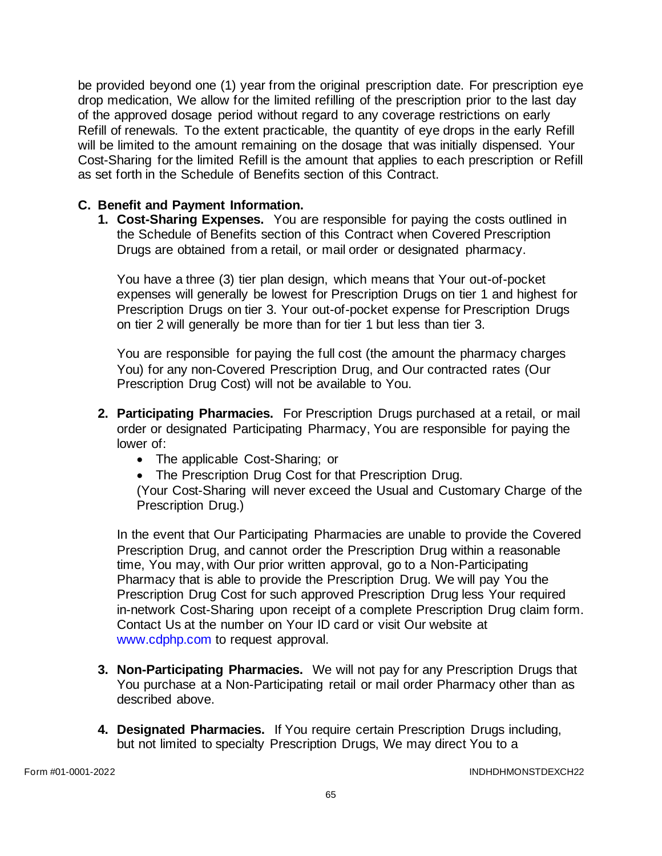be provided beyond one (1) year from the original prescription date. For prescription eye drop medication, We allow for the limited refilling of the prescription prior to the last day of the approved dosage period without regard to any coverage restrictions on early Refill of renewals. To the extent practicable, the quantity of eye drops in the early Refill will be limited to the amount remaining on the dosage that was initially dispensed. Your Cost-Sharing for the limited Refill is the amount that applies to each prescription or Refill as set forth in the Schedule of Benefits section of this Contract.

### **C. Benefit and Payment Information.**

**1. Cost-Sharing Expenses.** You are responsible for paying the costs outlined in the Schedule of Benefits section of this Contract when Covered Prescription Drugs are obtained from a retail, or mail order or designated pharmacy.

You have a three (3) tier plan design, which means that Your out-of-pocket expenses will generally be lowest for Prescription Drugs on tier 1 and highest for Prescription Drugs on tier 3. Your out-of-pocket expense for Prescription Drugs on tier 2 will generally be more than for tier 1 but less than tier 3.

You are responsible for paying the full cost (the amount the pharmacy charges You) for any non-Covered Prescription Drug, and Our contracted rates (Our Prescription Drug Cost) will not be available to You.

- **2. Participating Pharmacies.** For Prescription Drugs purchased at a retail, or mail order or designated Participating Pharmacy, You are responsible for paying the lower of:
	- The applicable Cost-Sharing; or
	- The Prescription Drug Cost for that Prescription Drug.

(Your Cost-Sharing will never exceed the Usual and Customary Charge of the Prescription Drug.)

In the event that Our Participating Pharmacies are unable to provide the Covered Prescription Drug, and cannot order the Prescription Drug within a reasonable time, You may, with Our prior written approval, go to a Non-Participating Pharmacy that is able to provide the Prescription Drug. We will pay You the Prescription Drug Cost for such approved Prescription Drug less Your required in-network Cost-Sharing upon receipt of a complete Prescription Drug claim form. Contact Us at the number on Your ID card or visit Our website at [www.cdphp.com](http://www.cdphp.com/) to request approval.

- **3. Non-Participating Pharmacies.** We will not pay for any Prescription Drugs that You purchase at a Non-Participating retail or mail order Pharmacy other than as described above.
- **4. Designated Pharmacies.** If You require certain Prescription Drugs including, but not limited to specialty Prescription Drugs, We may direct You to a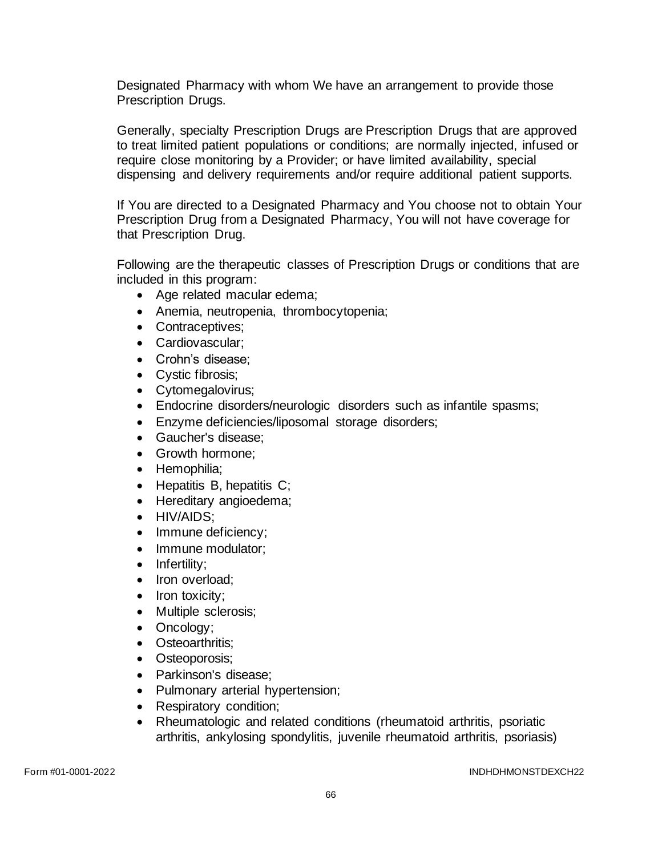Designated Pharmacy with whom We have an arrangement to provide those Prescription Drugs.

Generally, specialty Prescription Drugs are Prescription Drugs that are approved to treat limited patient populations or conditions; are normally injected, infused or require close monitoring by a Provider; or have limited availability, special dispensing and delivery requirements and/or require additional patient supports.

If You are directed to a Designated Pharmacy and You choose not to obtain Your Prescription Drug from a Designated Pharmacy, You will not have coverage for that Prescription Drug.

Following are the therapeutic classes of Prescription Drugs or conditions that are included in this program:

- Age related macular edema;
- Anemia, neutropenia, thrombocytopenia;
- Contraceptives;
- Cardiovascular;
- Crohn's disease;
- Cystic fibrosis;
- Cytomegalovirus;
- Endocrine disorders/neurologic disorders such as infantile spasms;
- Enzyme deficiencies/liposomal storage disorders;
- Gaucher's disease;
- Growth hormone:
- Hemophilia;
- Hepatitis B, hepatitis C:
- Hereditary angioedema;
- HIV/AIDS;
- Immune deficiency;
- Immune modulator;
- Infertility;
- Iron overload;
- Iron toxicity:
- Multiple sclerosis;
- Oncology;
- Osteoarthritis;
- Osteoporosis;
- Parkinson's disease;
- Pulmonary arterial hypertension;
- Respiratory condition;
- Rheumatologic and related conditions (rheumatoid arthritis, psoriatic arthritis, ankylosing spondylitis, juvenile rheumatoid arthritis, psoriasis)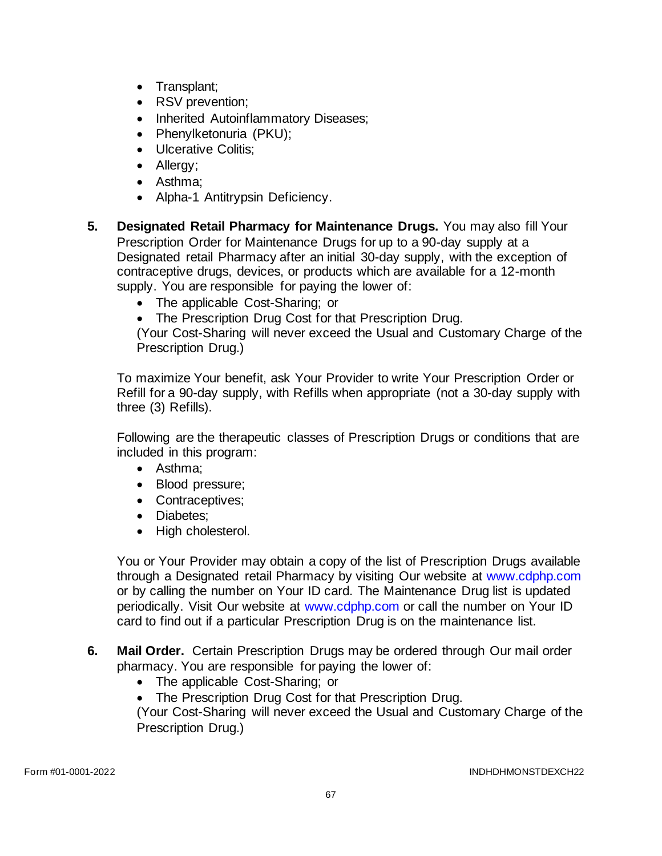- Transplant;
- RSV prevention;
- Inherited Autoinflammatory Diseases;
- Phenylketonuria (PKU);
- Ulcerative Colitis;
- Allergy;
- Asthma;
- Alpha-1 Antitrypsin Deficiency.
- **5. Designated Retail Pharmacy for Maintenance Drugs.** You may also fill Your Prescription Order for Maintenance Drugs for up to a 90-day supply at a Designated retail Pharmacy after an initial 30-day supply, with the exception of contraceptive drugs, devices, or products which are available for a 12-month supply. You are responsible for paying the lower of:
	- The applicable Cost-Sharing; or
	- The Prescription Drug Cost for that Prescription Drug.

(Your Cost-Sharing will never exceed the Usual and Customary Charge of the Prescription Drug.)

To maximize Your benefit, ask Your Provider to write Your Prescription Order or Refill for a 90-day supply, with Refills when appropriate (not a 30-day supply with three (3) Refills).

Following are the therapeutic classes of Prescription Drugs or conditions that are included in this program:

- Asthma;
- Blood pressure;
- Contraceptives:
- Diabetes;
- High cholesterol.

You or Your Provider may obtain a copy of the list of Prescription Drugs available through a Designated retail Pharmacy by visiting Our website at [www.cdphp.com](http://www.cdphp.com/) or by calling the number on Your ID card. The Maintenance Drug list is updated periodically. Visit Our website at [www.cdphp.com](http://www.cdphp.com/) or call the number on Your ID card to find out if a particular Prescription Drug is on the maintenance list.

- **6. Mail Order.** Certain Prescription Drugs may be ordered through Our mail order pharmacy. You are responsible for paying the lower of:
	- The applicable Cost-Sharing; or
	- The Prescription Drug Cost for that Prescription Drug.

(Your Cost-Sharing will never exceed the Usual and Customary Charge of the Prescription Drug.)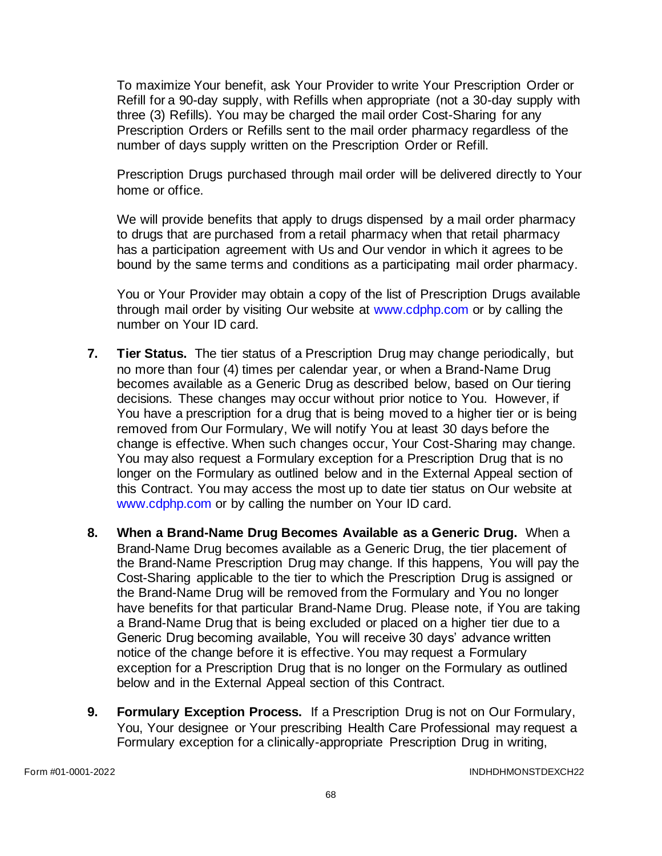To maximize Your benefit, ask Your Provider to write Your Prescription Order or Refill for a 90-day supply, with Refills when appropriate (not a 30-day supply with three (3) Refills). You may be charged the mail order Cost-Sharing for any Prescription Orders or Refills sent to the mail order pharmacy regardless of the number of days supply written on the Prescription Order or Refill.

Prescription Drugs purchased through mail order will be delivered directly to Your home or office.

We will provide benefits that apply to drugs dispensed by a mail order pharmacy to drugs that are purchased from a retail pharmacy when that retail pharmacy has a participation agreement with Us and Our vendor in which it agrees to be bound by the same terms and conditions as a participating mail order pharmacy.

You or Your Provider may obtain a copy of the list of Prescription Drugs available through mail order by visiting Our website at [www.cdphp.com](http://www.cdphp.com/) or by calling the number on Your ID card.

- **7. Tier Status.** The tier status of a Prescription Drug may change periodically, but no more than four (4) times per calendar year, or when a Brand-Name Drug becomes available as a Generic Drug as described below, based on Our tiering decisions. These changes may occur without prior notice to You. However, if You have a prescription for a drug that is being moved to a higher tier or is being removed from Our Formulary, We will notify You at least 30 days before the change is effective. When such changes occur, Your Cost-Sharing may change. You may also request a Formulary exception for a Prescription Drug that is no longer on the Formulary as outlined below and in the External Appeal section of this Contract. You may access the most up to date tier status on Our website at [www.cdphp.com](http://www.cdphp.com/) or by calling the number on Your ID card.
- **8. When a Brand-Name Drug Becomes Available as a Generic Drug.** When a Brand-Name Drug becomes available as a Generic Drug, the tier placement of the Brand-Name Prescription Drug may change. If this happens, You will pay the Cost-Sharing applicable to the tier to which the Prescription Drug is assigned or the Brand-Name Drug will be removed from the Formulary and You no longer have benefits for that particular Brand-Name Drug. Please note, if You are taking a Brand-Name Drug that is being excluded or placed on a higher tier due to a Generic Drug becoming available, You will receive 30 days' advance written notice of the change before it is effective. You may request a Formulary exception for a Prescription Drug that is no longer on the Formulary as outlined below and in the External Appeal section of this Contract.
- **9. Formulary Exception Process.** If a Prescription Drug is not on Our Formulary, You, Your designee or Your prescribing Health Care Professional may request a Formulary exception for a clinically-appropriate Prescription Drug in writing,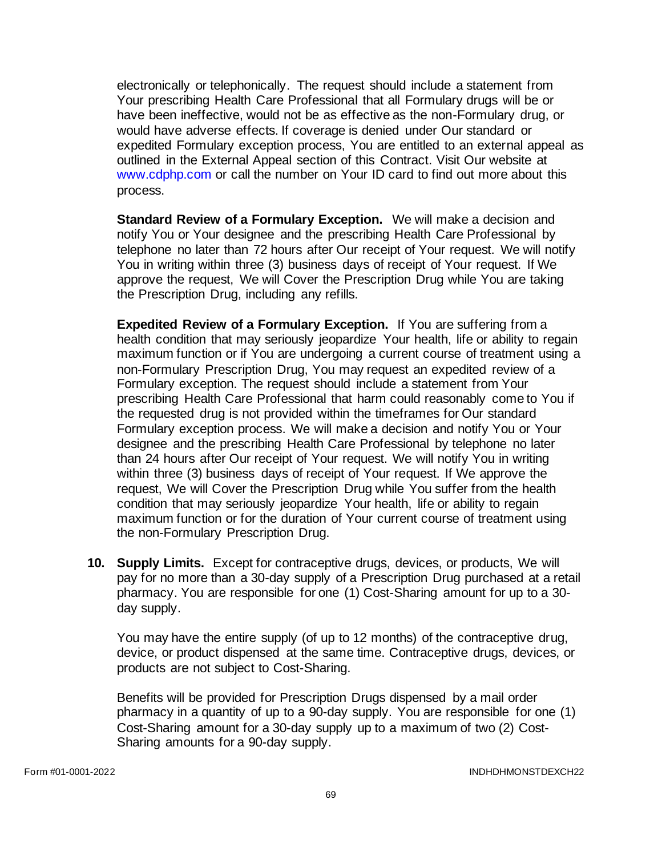electronically or telephonically. The request should include a statement from Your prescribing Health Care Professional that all Formulary drugs will be or have been ineffective, would not be as effective as the non-Formulary drug, or would have adverse effects. If coverage is denied under Our standard or expedited Formulary exception process, You are entitled to an external appeal as outlined in the External Appeal section of this Contract. Visit Our website at [www.cdphp.com](http://www.cdphp.com/) or call the number on Your ID card to find out more about this process.

**Standard Review of a Formulary Exception.** We will make a decision and notify You or Your designee and the prescribing Health Care Professional by telephone no later than 72 hours after Our receipt of Your request. We will notify You in writing within three (3) business days of receipt of Your request. If We approve the request, We will Cover the Prescription Drug while You are taking the Prescription Drug, including any refills.

**Expedited Review of a Formulary Exception.** If You are suffering from a health condition that may seriously jeopardize Your health, life or ability to regain maximum function or if You are undergoing a current course of treatment using a non-Formulary Prescription Drug, You may request an expedited review of a Formulary exception. The request should include a statement from Your prescribing Health Care Professional that harm could reasonably come to You if the requested drug is not provided within the timeframes for Our standard Formulary exception process. We will make a decision and notify You or Your designee and the prescribing Health Care Professional by telephone no later than 24 hours after Our receipt of Your request. We will notify You in writing within three (3) business days of receipt of Your request. If We approve the request, We will Cover the Prescription Drug while You suffer from the health condition that may seriously jeopardize Your health, life or ability to regain maximum function or for the duration of Your current course of treatment using the non-Formulary Prescription Drug.

**10. Supply Limits.** Except for contraceptive drugs, devices, or products, We will pay for no more than a 30-day supply of a Prescription Drug purchased at a retail pharmacy. You are responsible for one (1) Cost-Sharing amount for up to a 30 day supply.

You may have the entire supply (of up to 12 months) of the contraceptive drug, device, or product dispensed at the same time. Contraceptive drugs, devices, or products are not subject to Cost-Sharing.

Benefits will be provided for Prescription Drugs dispensed by a mail order pharmacy in a quantity of up to a 90-day supply. You are responsible for one (1) Cost-Sharing amount for a 30-day supply up to a maximum of two (2) Cost-Sharing amounts for a 90-day supply.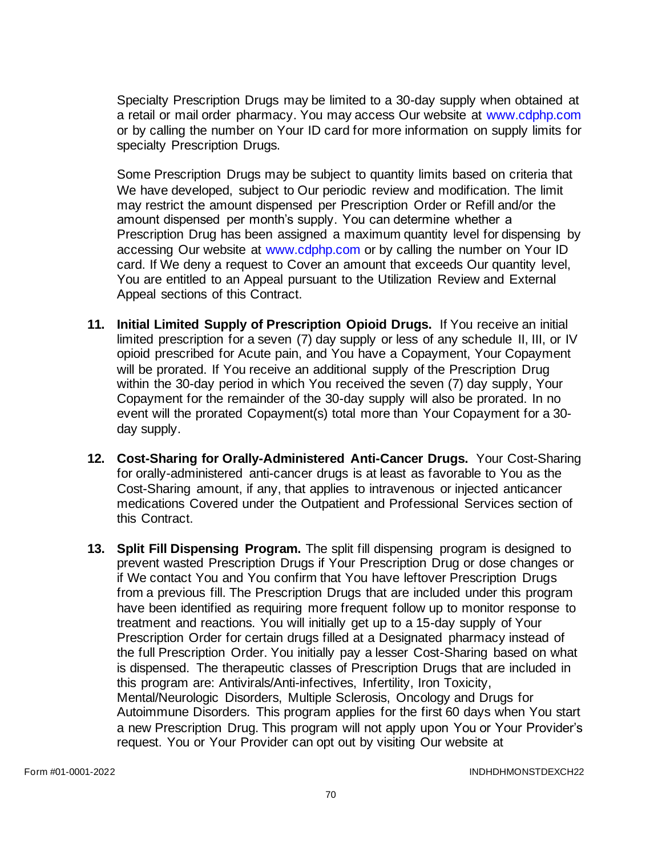Specialty Prescription Drugs may be limited to a 30-day supply when obtained at a retail or mail order pharmacy. You may access Our website at [www.cdphp.com](http://www.cdphp.com/) or by calling the number on Your ID card for more information on supply limits for specialty Prescription Drugs.

Some Prescription Drugs may be subject to quantity limits based on criteria that We have developed, subject to Our periodic review and modification. The limit may restrict the amount dispensed per Prescription Order or Refill and/or the amount dispensed per month's supply. You can determine whether a Prescription Drug has been assigned a maximum quantity level for dispensing by accessing Our website at [www.cdphp.com](http://www.cdphp.com/) or by calling the number on Your ID card. If We deny a request to Cover an amount that exceeds Our quantity level, You are entitled to an Appeal pursuant to the Utilization Review and External Appeal sections of this Contract.

- **11. Initial Limited Supply of Prescription Opioid Drugs.** If You receive an initial limited prescription for a seven (7) day supply or less of any schedule II, III, or IV opioid prescribed for Acute pain, and You have a Copayment, Your Copayment will be prorated. If You receive an additional supply of the Prescription Drug within the 30-day period in which You received the seven (7) day supply, Your Copayment for the remainder of the 30-day supply will also be prorated. In no event will the prorated Copayment(s) total more than Your Copayment for a 30 day supply.
- **12. Cost-Sharing for Orally-Administered Anti-Cancer Drugs.** Your Cost-Sharing for orally-administered anti-cancer drugs is at least as favorable to You as the Cost-Sharing amount, if any, that applies to intravenous or injected anticancer medications Covered under the Outpatient and Professional Services section of this Contract.
- **13. Split Fill Dispensing Program.** The split fill dispensing program is designed to prevent wasted Prescription Drugs if Your Prescription Drug or dose changes or if We contact You and You confirm that You have leftover Prescription Drugs from a previous fill. The Prescription Drugs that are included under this program have been identified as requiring more frequent follow up to monitor response to treatment and reactions. You will initially get up to a 15-day supply of Your Prescription Order for certain drugs filled at a Designated pharmacy instead of the full Prescription Order. You initially pay a lesser Cost-Sharing based on what is dispensed. The therapeutic classes of Prescription Drugs that are included in this program are: Antivirals/Anti-infectives, Infertility, Iron Toxicity, Mental/Neurologic Disorders, Multiple Sclerosis, Oncology and Drugs for Autoimmune Disorders. This program applies for the first 60 days when You start a new Prescription Drug. This program will not apply upon You or Your Provider's request. You or Your Provider can opt out by visiting Our website at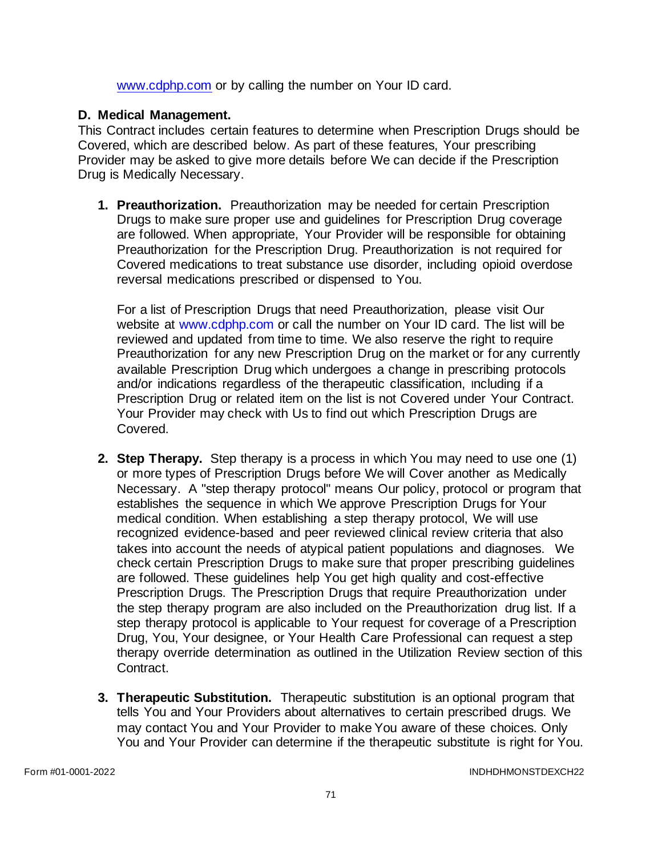[www.cdphp.com](http://www.cdphp.com/) or by calling the number on Your ID card.

## **D. Medical Management.**

This Contract includes certain features to determine when Prescription Drugs should be Covered, which are described below. As part of these features, Your prescribing Provider may be asked to give more details before We can decide if the Prescription Drug is Medically Necessary.

**1. Preauthorization.** Preauthorization may be needed for certain Prescription Drugs to make sure proper use and guidelines for Prescription Drug coverage are followed. When appropriate, Your Provider will be responsible for obtaining Preauthorization for the Prescription Drug. Preauthorization is not required for Covered medications to treat substance use disorder, including opioid overdose reversal medications prescribed or dispensed to You.

For a list of Prescription Drugs that need Preauthorization, please visit Our website at [www.cdphp.com](http://www.cdphp.com/) or call the number on Your ID card. The list will be reviewed and updated from time to time. We also reserve the right to require Preauthorization for any new Prescription Drug on the market or for any currently available Prescription Drug which undergoes a change in prescribing protocols and/or indications regardless of the therapeutic classification, Including if a Prescription Drug or related item on the list is not Covered under Your Contract. Your Provider may check with Us to find out which Prescription Drugs are Covered.

- **2. Step Therapy.** Step therapy is a process in which You may need to use one (1) or more types of Prescription Drugs before We will Cover another as Medically Necessary. A "step therapy protocol" means Our policy, protocol or program that establishes the sequence in which We approve Prescription Drugs for Your medical condition. When establishing a step therapy protocol, We will use recognized evidence-based and peer reviewed clinical review criteria that also takes into account the needs of atypical patient populations and diagnoses. We check certain Prescription Drugs to make sure that proper prescribing guidelines are followed. These guidelines help You get high quality and cost-effective Prescription Drugs. The Prescription Drugs that require Preauthorization under the step therapy program are also included on the Preauthorization drug list. If a step therapy protocol is applicable to Your request for coverage of a Prescription Drug, You, Your designee, or Your Health Care Professional can request a step therapy override determination as outlined in the Utilization Review section of this Contract.
- **3. Therapeutic Substitution.** Therapeutic substitution is an optional program that tells You and Your Providers about alternatives to certain prescribed drugs. We may contact You and Your Provider to make You aware of these choices. Only You and Your Provider can determine if the therapeutic substitute is right for You.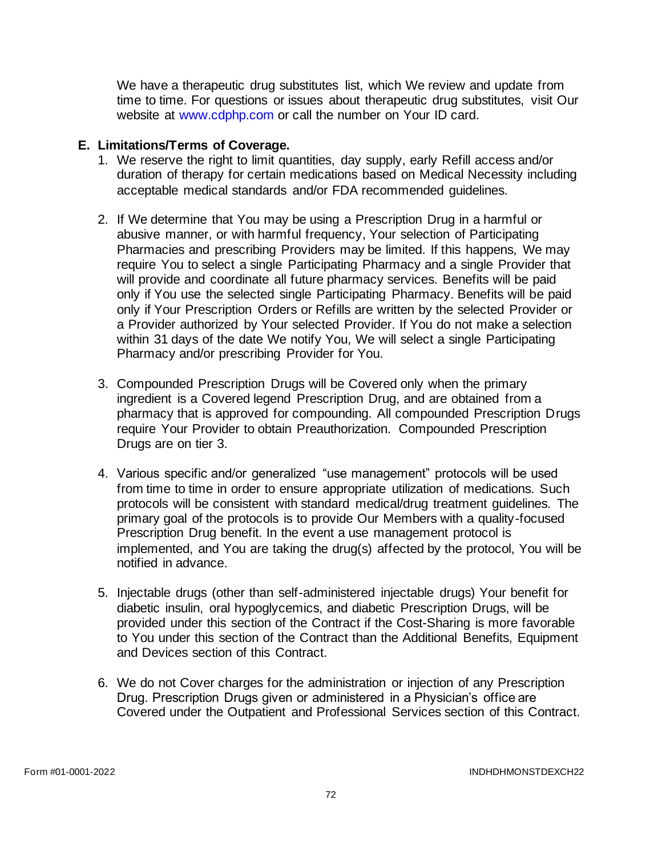We have a therapeutic drug substitutes list, which We review and update from time to time. For questions or issues about therapeutic drug substitutes, visit Our website at [www.cdphp.com](http://www.cdphp.com/) or call the number on Your ID card.

#### **E. Limitations/Terms of Coverage.**

- 1. We reserve the right to limit quantities, day supply, early Refill access and/or duration of therapy for certain medications based on Medical Necessity including acceptable medical standards and/or FDA recommended guidelines.
- 2. If We determine that You may be using a Prescription Drug in a harmful or abusive manner, or with harmful frequency, Your selection of Participating Pharmacies and prescribing Providers may be limited. If this happens, We may require You to select a single Participating Pharmacy and a single Provider that will provide and coordinate all future pharmacy services. Benefits will be paid only if You use the selected single Participating Pharmacy. Benefits will be paid only if Your Prescription Orders or Refills are written by the selected Provider or a Provider authorized by Your selected Provider. If You do not make a selection within 31 days of the date We notify You, We will select a single Participating Pharmacy and/or prescribing Provider for You.
- 3. Compounded Prescription Drugs will be Covered only when the primary ingredient is a Covered legend Prescription Drug, and are obtained from a pharmacy that is approved for compounding. All compounded Prescription Drugs require Your Provider to obtain Preauthorization. Compounded Prescription Drugs are on tier 3.
- 4. Various specific and/or generalized "use management" protocols will be used from time to time in order to ensure appropriate utilization of medications. Such protocols will be consistent with standard medical/drug treatment guidelines. The primary goal of the protocols is to provide Our Members with a quality-focused Prescription Drug benefit. In the event a use management protocol is implemented, and You are taking the drug(s) affected by the protocol, You will be notified in advance.
- 5. Injectable drugs (other than self-administered injectable drugs) Your benefit for diabetic insulin, oral hypoglycemics, and diabetic Prescription Drugs, will be provided under this section of the Contract if the Cost-Sharing is more favorable to You under this section of the Contract than the Additional Benefits, Equipment and Devices section of this Contract.
- 6. We do not Cover charges for the administration or injection of any Prescription Drug. Prescription Drugs given or administered in a Physician's office are Covered under the Outpatient and Professional Services section of this Contract.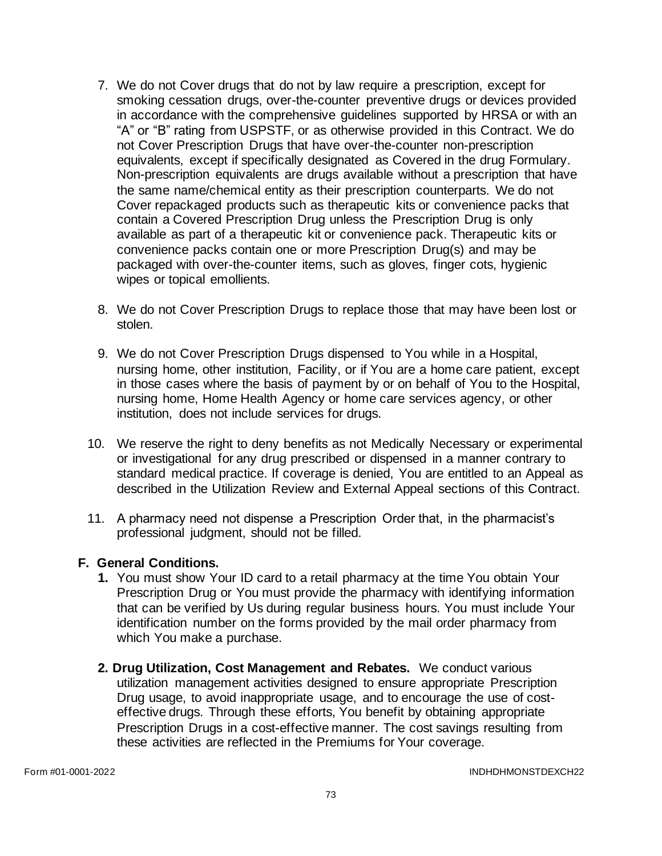- 7. We do not Cover drugs that do not by law require a prescription, except for smoking cessation drugs, over-the-counter preventive drugs or devices provided in accordance with the comprehensive guidelines supported by HRSA or with an "A" or "B" rating from USPSTF, or as otherwise provided in this Contract. We do not Cover Prescription Drugs that have over-the-counter non-prescription equivalents, except if specifically designated as Covered in the drug Formulary. Non-prescription equivalents are drugs available without a prescription that have the same name/chemical entity as their prescription counterparts. We do not Cover repackaged products such as therapeutic kits or convenience packs that contain a Covered Prescription Drug unless the Prescription Drug is only available as part of a therapeutic kit or convenience pack. Therapeutic kits or convenience packs contain one or more Prescription Drug(s) and may be packaged with over-the-counter items, such as gloves, finger cots, hygienic wipes or topical emollients.
- 8. We do not Cover Prescription Drugs to replace those that may have been lost or stolen.
- 9. We do not Cover Prescription Drugs dispensed to You while in a Hospital, nursing home, other institution, Facility, or if You are a home care patient, except in those cases where the basis of payment by or on behalf of You to the Hospital, nursing home, Home Health Agency or home care services agency, or other institution, does not include services for drugs.
- 10. We reserve the right to deny benefits as not Medically Necessary or experimental or investigational for any drug prescribed or dispensed in a manner contrary to standard medical practice. If coverage is denied, You are entitled to an Appeal as described in the Utilization Review and External Appeal sections of this Contract.
- 11. A pharmacy need not dispense a Prescription Order that, in the pharmacist's professional judgment, should not be filled.

## **F. General Conditions.**

- **1.** You must show Your ID card to a retail pharmacy at the time You obtain Your Prescription Drug or You must provide the pharmacy with identifying information that can be verified by Us during regular business hours. You must include Your identification number on the forms provided by the mail order pharmacy from which You make a purchase.
- **2. Drug Utilization, Cost Management and Rebates.** We conduct various utilization management activities designed to ensure appropriate Prescription Drug usage, to avoid inappropriate usage, and to encourage the use of costeffective drugs. Through these efforts, You benefit by obtaining appropriate Prescription Drugs in a cost-effective manner. The cost savings resulting from these activities are reflected in the Premiums for Your coverage.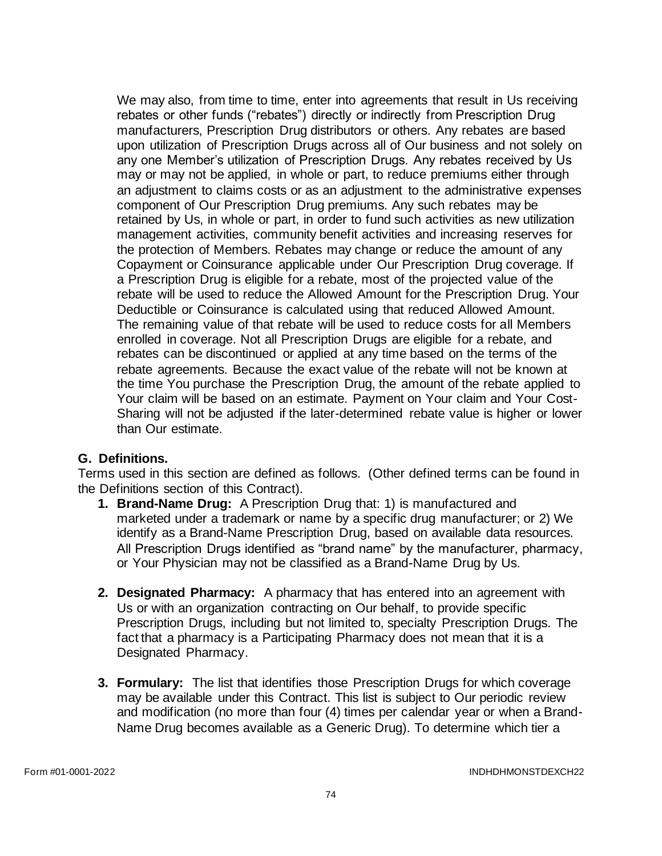We may also, from time to time, enter into agreements that result in Us receiving rebates or other funds ("rebates") directly or indirectly from Prescription Drug manufacturers, Prescription Drug distributors or others. Any rebates are based upon utilization of Prescription Drugs across all of Our business and not solely on any one Member's utilization of Prescription Drugs. Any rebates received by Us may or may not be applied, in whole or part, to reduce premiums either through an adjustment to claims costs or as an adjustment to the administrative expenses component of Our Prescription Drug premiums. Any such rebates may be retained by Us, in whole or part, in order to fund such activities as new utilization management activities, community benefit activities and increasing reserves for the protection of Members. Rebates may change or reduce the amount of any Copayment or Coinsurance applicable under Our Prescription Drug coverage. If a Prescription Drug is eligible for a rebate, most of the projected value of the rebate will be used to reduce the Allowed Amount for the Prescription Drug. Your Deductible or Coinsurance is calculated using that reduced Allowed Amount. The remaining value of that rebate will be used to reduce costs for all Members enrolled in coverage. Not all Prescription Drugs are eligible for a rebate, and rebates can be discontinued or applied at any time based on the terms of the rebate agreements. Because the exact value of the rebate will not be known at the time You purchase the Prescription Drug, the amount of the rebate applied to Your claim will be based on an estimate. Payment on Your claim and Your Cost-Sharing will not be adjusted if the later-determined rebate value is higher or lower than Our estimate.

## **G. Definitions.**

Terms used in this section are defined as follows. (Other defined terms can be found in the Definitions section of this Contract).

- **1. Brand-Name Drug:** A Prescription Drug that: 1) is manufactured and marketed under a trademark or name by a specific drug manufacturer; or 2) We identify as a Brand-Name Prescription Drug, based on available data resources. All Prescription Drugs identified as "brand name" by the manufacturer, pharmacy, or Your Physician may not be classified as a Brand-Name Drug by Us.
- **2. Designated Pharmacy:** A pharmacy that has entered into an agreement with Us or with an organization contracting on Our behalf, to provide specific Prescription Drugs, including but not limited to, specialty Prescription Drugs. The fact that a pharmacy is a Participating Pharmacy does not mean that it is a Designated Pharmacy.
- **3. Formulary:** The list that identifies those Prescription Drugs for which coverage may be available under this Contract. This list is subject to Our periodic review and modification (no more than four (4) times per calendar year or when a Brand-Name Drug becomes available as a Generic Drug). To determine which tier a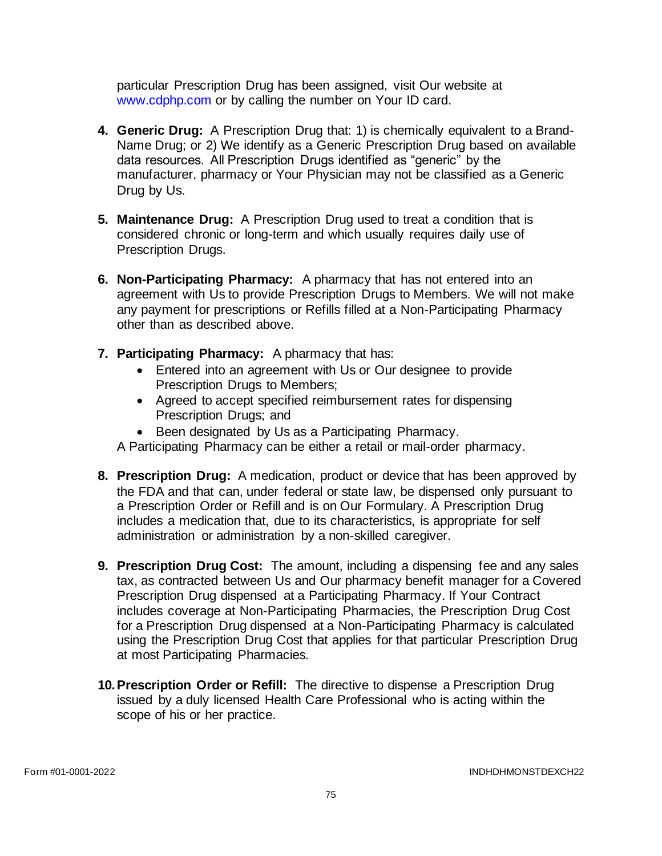particular Prescription Drug has been assigned, visit Our website at [www.cdphp.com](http://www.cdphp.com/) or by calling the number on Your ID card.

- **4. Generic Drug:** A Prescription Drug that: 1) is chemically equivalent to a Brand-Name Drug; or 2) We identify as a Generic Prescription Drug based on available data resources. All Prescription Drugs identified as "generic" by the manufacturer, pharmacy or Your Physician may not be classified as a Generic Drug by Us.
- **5. Maintenance Drug:** A Prescription Drug used to treat a condition that is considered chronic or long-term and which usually requires daily use of Prescription Drugs.
- **6. Non-Participating Pharmacy:** A pharmacy that has not entered into an agreement with Us to provide Prescription Drugs to Members. We will not make any payment for prescriptions or Refills filled at a Non-Participating Pharmacy other than as described above.
- **7. Participating Pharmacy:** A pharmacy that has:
	- Entered into an agreement with Us or Our designee to provide Prescription Drugs to Members;
	- Agreed to accept specified reimbursement rates for dispensing Prescription Drugs; and
	- Been designated by Us as a Participating Pharmacy.

A Participating Pharmacy can be either a retail or mail-order pharmacy.

- **8. Prescription Drug:** A medication, product or device that has been approved by the FDA and that can, under federal or state law, be dispensed only pursuant to a Prescription Order or Refill and is on Our Formulary. A Prescription Drug includes a medication that, due to its characteristics, is appropriate for self administration or administration by a non-skilled caregiver.
- **9. Prescription Drug Cost:** The amount, including a dispensing fee and any sales tax, as contracted between Us and Our pharmacy benefit manager for a Covered Prescription Drug dispensed at a Participating Pharmacy. If Your Contract includes coverage at Non-Participating Pharmacies, the Prescription Drug Cost for a Prescription Drug dispensed at a Non-Participating Pharmacy is calculated using the Prescription Drug Cost that applies for that particular Prescription Drug at most Participating Pharmacies.
- **10.Prescription Order or Refill:** The directive to dispense a Prescription Drug issued by a duly licensed Health Care Professional who is acting within the scope of his or her practice.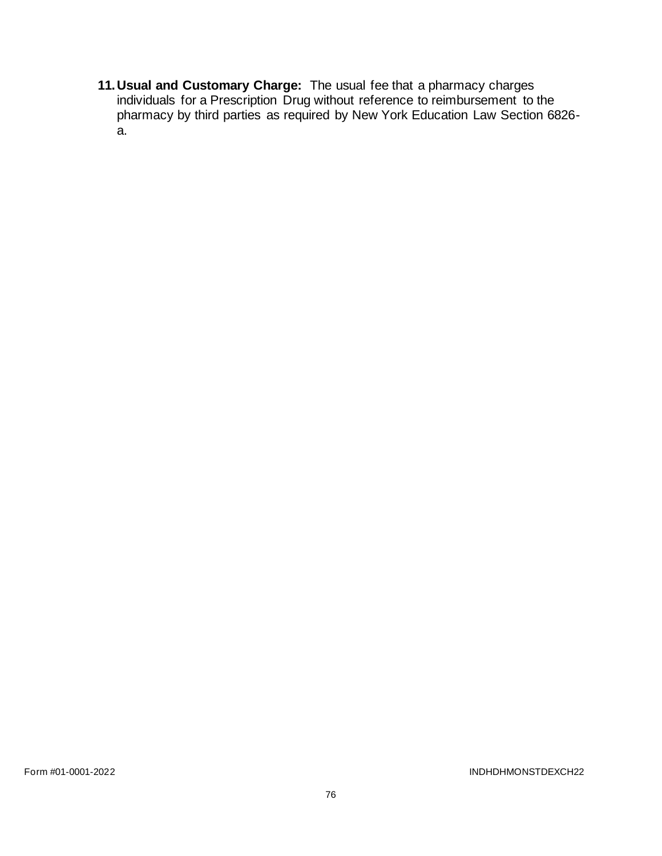**11.Usual and Customary Charge:** The usual fee that a pharmacy charges individuals for a Prescription Drug without reference to reimbursement to the pharmacy by third parties as required by New York Education Law Section 6826 a.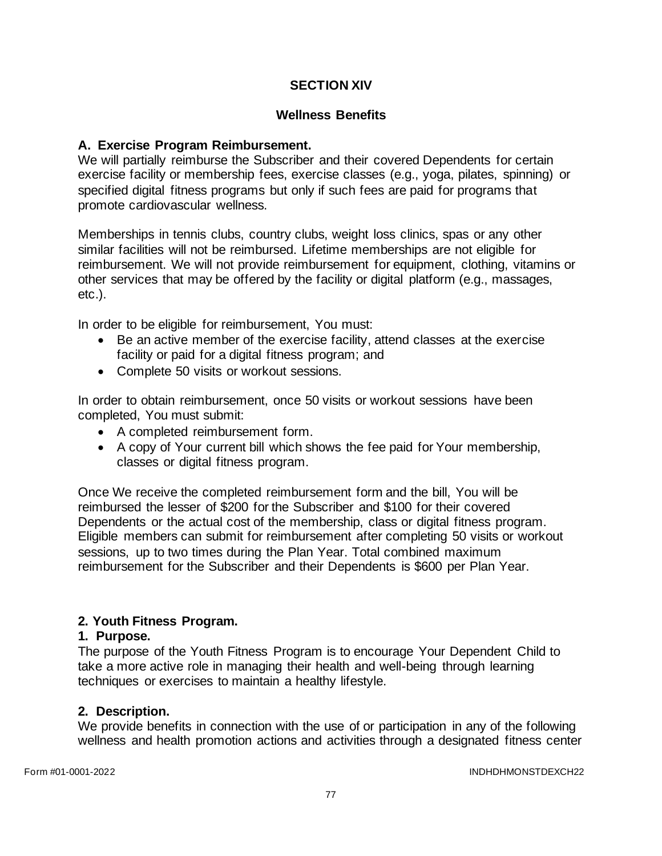# **SECTION XIV**

## **Wellness Benefits**

## **A. Exercise Program Reimbursement.**

We will partially reimburse the Subscriber and their covered Dependents for certain exercise facility or membership fees, exercise classes (e.g., yoga, pilates, spinning) or specified digital fitness programs but only if such fees are paid for programs that promote cardiovascular wellness.

Memberships in tennis clubs, country clubs, weight loss clinics, spas or any other similar facilities will not be reimbursed. Lifetime memberships are not eligible for reimbursement. We will not provide reimbursement for equipment, clothing, vitamins or other services that may be offered by the facility or digital platform (e.g., massages, etc.).

In order to be eligible for reimbursement, You must:

- Be an active member of the exercise facility, attend classes at the exercise facility or paid for a digital fitness program; and
- Complete 50 visits or workout sessions.

In order to obtain reimbursement, once 50 visits or workout sessions have been completed, You must submit:

- A completed reimbursement form.
- A copy of Your current bill which shows the fee paid for Your membership, classes or digital fitness program.

Once We receive the completed reimbursement form and the bill, You will be reimbursed the lesser of \$200 for the Subscriber and \$100 for their covered Dependents or the actual cost of the membership, class or digital fitness program. Eligible members can submit for reimbursement after completing 50 visits or workout sessions, up to two times during the Plan Year. Total combined maximum reimbursement for the Subscriber and their Dependents is \$600 per Plan Year.

## **2. Youth Fitness Program.**

## **1. Purpose.**

The purpose of the Youth Fitness Program is to encourage Your Dependent Child to take a more active role in managing their health and well-being through learning techniques or exercises to maintain a healthy lifestyle.

## **2. Description.**

We provide benefits in connection with the use of or participation in any of the following wellness and health promotion actions and activities through a designated fitness center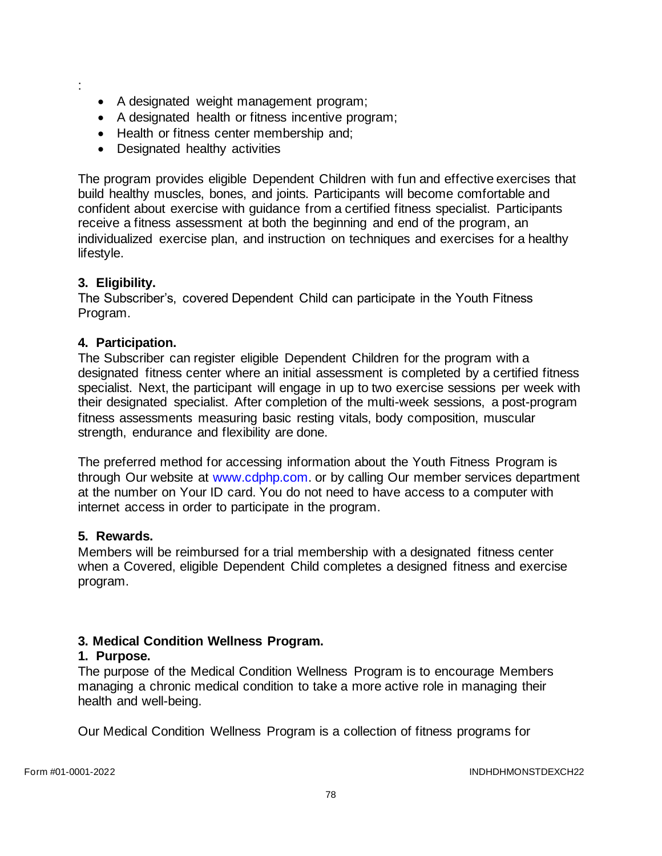- :
- A designated weight management program;
- A designated health or fitness incentive program;
- Health or fitness center membership and:
- Designated healthy activities

The program provides eligible Dependent Children with fun and effective exercises that build healthy muscles, bones, and joints. Participants will become comfortable and confident about exercise with guidance from a certified fitness specialist. Participants receive a fitness assessment at both the beginning and end of the program, an individualized exercise plan, and instruction on techniques and exercises for a healthy lifestyle.

### **3. Eligibility.**

The Subscriber's, covered Dependent Child can participate in the Youth Fitness Program.

### **4. Participation.**

The Subscriber can register eligible Dependent Children for the program with a designated fitness center where an initial assessment is completed by a certified fitness specialist. Next, the participant will engage in up to two exercise sessions per week with their designated specialist. After completion of the multi-week sessions, a post-program fitness assessments measuring basic resting vitals, body composition, muscular strength, endurance and flexibility are done.

The preferred method for accessing information about the Youth Fitness Program is through Our website at [www.cdphp.com.](http://www.cdphp.com/) or by calling Our member services department at the number on Your ID card. You do not need to have access to a computer with internet access in order to participate in the program.

### **5. Rewards.**

Members will be reimbursed for a trial membership with a designated fitness center when a Covered, eligible Dependent Child completes a designed fitness and exercise program.

### **3. Medical Condition Wellness Program.**

### **1. Purpose.**

The purpose of the Medical Condition Wellness Program is to encourage Members managing a chronic medical condition to take a more active role in managing their health and well-being.

Our Medical Condition Wellness Program is a collection of fitness programs for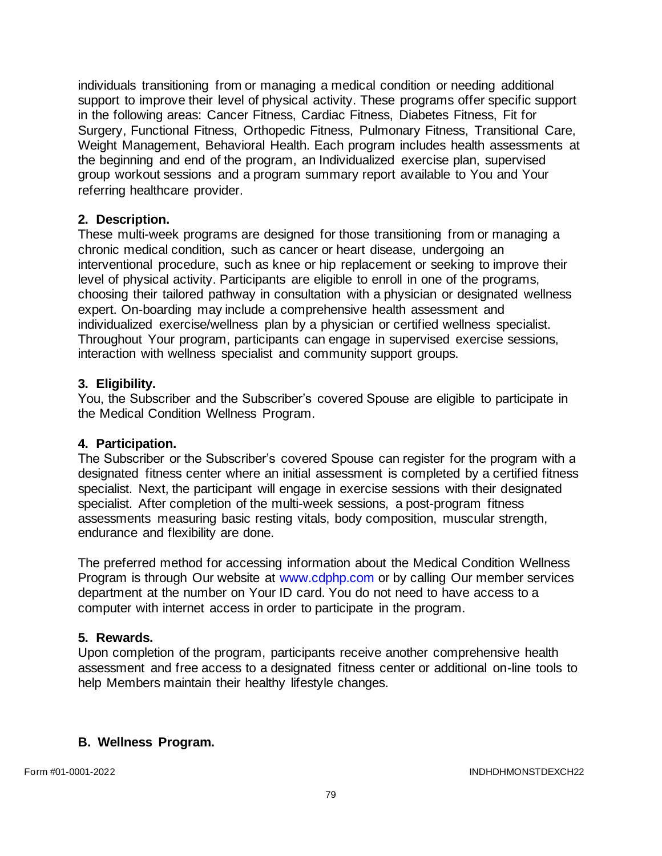individuals transitioning from or managing a medical condition or needing additional support to improve their level of physical activity. These programs offer specific support in the following areas: Cancer Fitness, Cardiac Fitness, Diabetes Fitness, Fit for Surgery, Functional Fitness, Orthopedic Fitness, Pulmonary Fitness, Transitional Care, Weight Management, Behavioral Health. Each program includes health assessments at the beginning and end of the program, an Individualized exercise plan, supervised group workout sessions and a program summary report available to You and Your referring healthcare provider.

## **2. Description.**

These multi-week programs are designed for those transitioning from or managing a chronic medical condition, such as cancer or heart disease, undergoing an interventional procedure, such as knee or hip replacement or seeking to improve their level of physical activity. Participants are eligible to enroll in one of the programs, choosing their tailored pathway in consultation with a physician or designated wellness expert. On-boarding may include a comprehensive health assessment and individualized exercise/wellness plan by a physician or certified wellness specialist. Throughout Your program, participants can engage in supervised exercise sessions, interaction with wellness specialist and community support groups.

### **3. Eligibility.**

You, the Subscriber and the Subscriber's covered Spouse are eligible to participate in the Medical Condition Wellness Program.

## **4. Participation.**

The Subscriber or the Subscriber's covered Spouse can register for the program with a designated fitness center where an initial assessment is completed by a certified fitness specialist. Next, the participant will engage in exercise sessions with their designated specialist. After completion of the multi-week sessions, a post-program fitness assessments measuring basic resting vitals, body composition, muscular strength, endurance and flexibility are done.

The preferred method for accessing information about the Medical Condition Wellness Program is through Our website at [www.cdphp.com](http://www.cdphp.com/) or by calling Our member services department at the number on Your ID card. You do not need to have access to a computer with internet access in order to participate in the program.

## **5. Rewards.**

Upon completion of the program, participants receive another comprehensive health assessment and free access to a designated fitness center or additional on-line tools to help Members maintain their healthy lifestyle changes.

## **B. Wellness Program.**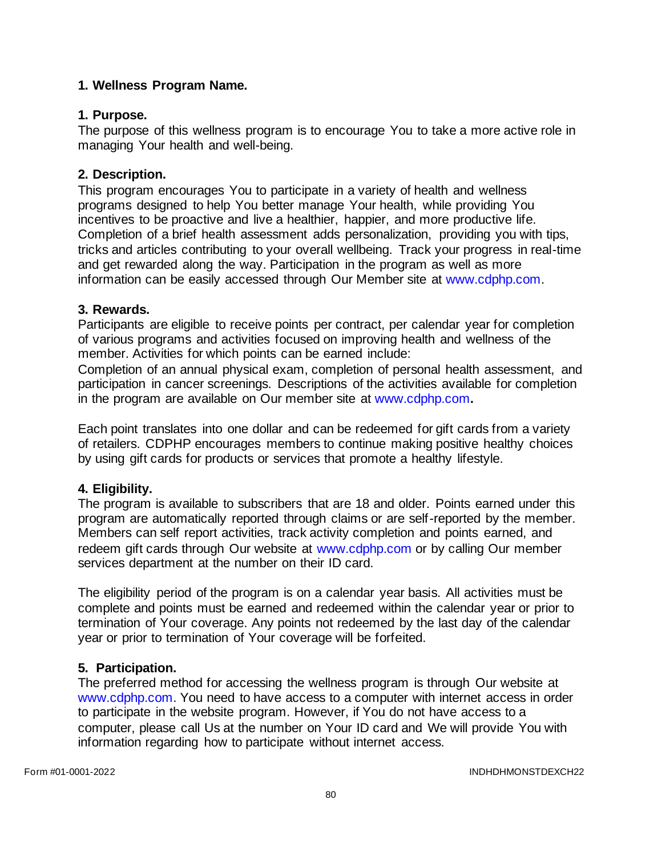# **1. Wellness Program Name.**

# **1. Purpose.**

The purpose of this wellness program is to encourage You to take a more active role in managing Your health and well-being.

## **2. Description.**

This program encourages You to participate in a variety of health and wellness programs designed to help You better manage Your health, while providing You incentives to be proactive and live a healthier, happier, and more productive life. Completion of a brief health assessment adds personalization, providing you with tips, tricks and articles contributing to your overall wellbeing. Track your progress in real-time and get rewarded along the way. Participation in the program as well as more information can be easily accessed through Our Member site at [www.cdphp.com.](http://www.cdphp.com/)

# **3. Rewards.**

Participants are eligible to receive points per contract, per calendar year for completion of various programs and activities focused on improving health and wellness of the member. Activities for which points can be earned include:

Completion of an annual physical exam, completion of personal health assessment, and participation in cancer screenings. Descriptions of the activities available for completion in the program are available on Our member site at [www.cdphp.com](http://www.cdphp.com/)**.**

Each point translates into one dollar and can be redeemed for gift cards from a variety of retailers. CDPHP encourages members to continue making positive healthy choices by using gift cards for products or services that promote a healthy lifestyle.

# **4. Eligibility.**

The program is available to subscribers that are 18 and older. Points earned under this program are automatically reported through claims or are self-reported by the member. Members can self report activities, track activity completion and points earned, and redeem gift cards through Our website at [www.cdphp.com](http://www.cdphp.com/) or by calling Our member services department at the number on their ID card.

The eligibility period of the program is on a calendar year basis. All activities must be complete and points must be earned and redeemed within the calendar year or prior to termination of Your coverage. Any points not redeemed by the last day of the calendar year or prior to termination of Your coverage will be forfeited.

# **5. Participation.**

The preferred method for accessing the wellness program is through Our website at [www.cdphp.com.](http://www.cdphp.com/) You need to have access to a computer with internet access in order to participate in the website program. However, if You do not have access to a computer, please call Us at the number on Your ID card and We will provide You with information regarding how to participate without internet access.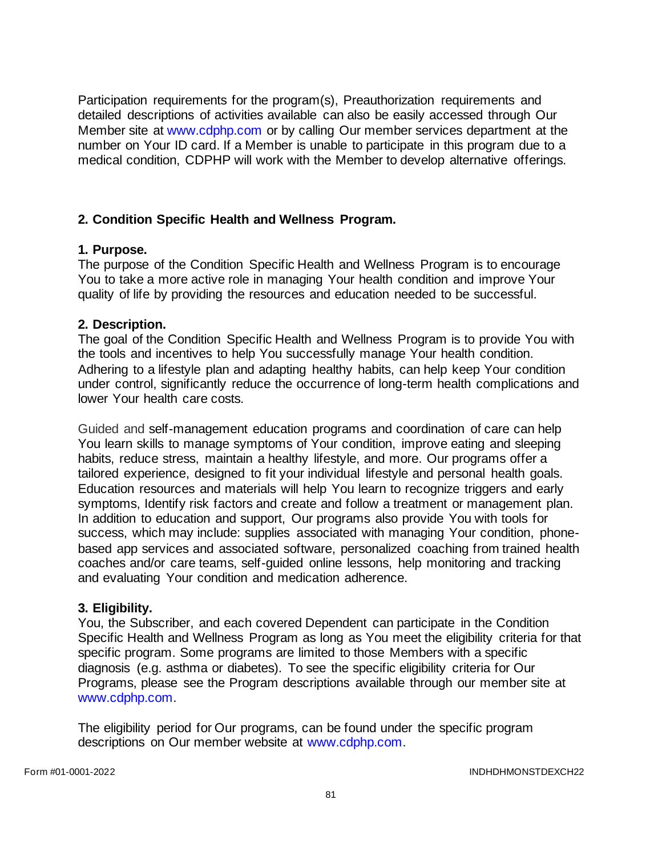Participation requirements for the program(s), Preauthorization requirements and detailed descriptions of activities available can also be easily accessed through Our Member site at [www.cdphp.com](http://www.cdphp.com/) or by calling Our member services department at the number on Your ID card. If a Member is unable to participate in this program due to a medical condition, CDPHP will work with the Member to develop alternative offerings.

## **2. Condition Specific Health and Wellness Program.**

## **1. Purpose.**

The purpose of the Condition Specific Health and Wellness Program is to encourage You to take a more active role in managing Your health condition and improve Your quality of life by providing the resources and education needed to be successful.

## **2. Description.**

The goal of the Condition Specific Health and Wellness Program is to provide You with the tools and incentives to help You successfully manage Your health condition. Adhering to a lifestyle plan and adapting healthy habits, can help keep Your condition under control, significantly reduce the occurrence of long-term health complications and lower Your health care costs.

Guided and self-management education programs and coordination of care can help You learn skills to manage symptoms of Your condition, improve eating and sleeping habits, reduce stress, maintain a healthy lifestyle, and more. Our programs offer a tailored experience, designed to fit your individual lifestyle and personal health goals. Education resources and materials will help You learn to recognize triggers and early symptoms, Identify risk factors and create and follow a treatment or management plan. In addition to education and support, Our programs also provide You with tools for success, which may include: supplies associated with managing Your condition, phonebased app services and associated software, personalized coaching from trained health coaches and/or care teams, self-guided online lessons, help monitoring and tracking and evaluating Your condition and medication adherence.

## **3. Eligibility.**

You, the Subscriber, and each covered Dependent can participate in the Condition Specific Health and Wellness Program as long as You meet the eligibility criteria for that specific program. Some programs are limited to those Members with a specific diagnosis (e.g. asthma or diabetes). To see the specific eligibility criteria for Our Programs, please see the Program descriptions available through our member site at [www.cdphp.com.](http://www.cdphp.com/)

The eligibility period for Our programs, can be found under the specific program descriptions on Our member website at [www.cdphp.com.](http://www.cdphp.com/)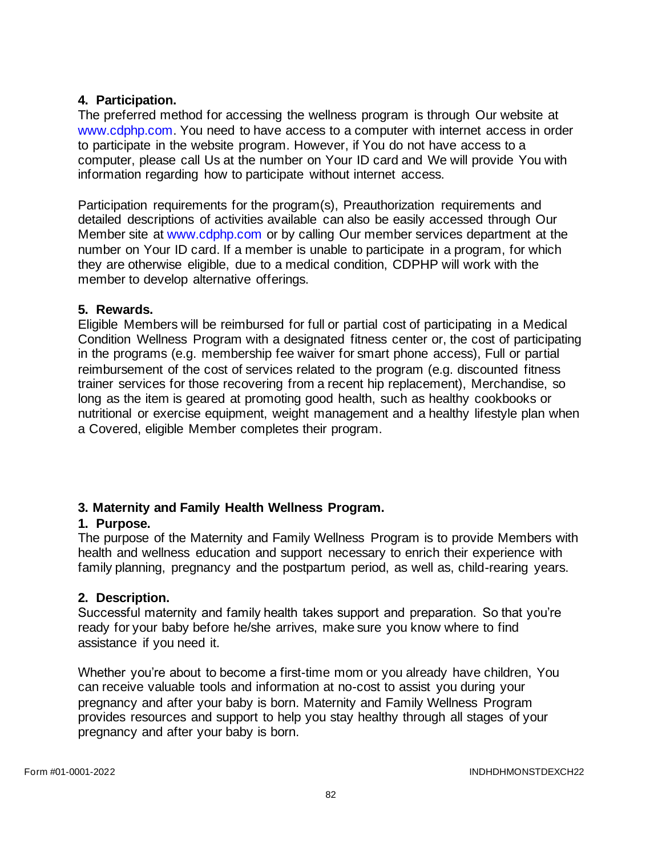# **4. Participation.**

The preferred method for accessing the wellness program is through Our website at [www.cdphp.com.](http://www.cdphp.com/) You need to have access to a computer with internet access in order to participate in the website program. However, if You do not have access to a computer, please call Us at the number on Your ID card and We will provide You with information regarding how to participate without internet access.

Participation requirements for the program(s), Preauthorization requirements and detailed descriptions of activities available can also be easily accessed through Our Member site at [www.cdphp.com](http://www.cdphp.com/) or by calling Our member services department at the number on Your ID card. If a member is unable to participate in a program, for which they are otherwise eligible, due to a medical condition, CDPHP will work with the member to develop alternative offerings.

## **5. Rewards.**

Eligible Members will be reimbursed for full or partial cost of participating in a Medical Condition Wellness Program with a designated fitness center or, the cost of participating in the programs (e.g. membership fee waiver for smart phone access), Full or partial reimbursement of the cost of services related to the program (e.g. discounted fitness trainer services for those recovering from a recent hip replacement), Merchandise, so long as the item is geared at promoting good health, such as healthy cookbooks or nutritional or exercise equipment, weight management and a healthy lifestyle plan when a Covered, eligible Member completes their program.

# **3. Maternity and Family Health Wellness Program.**

## **1. Purpose.**

The purpose of the Maternity and Family Wellness Program is to provide Members with health and wellness education and support necessary to enrich their experience with family planning, pregnancy and the postpartum period, as well as, child-rearing years.

## **2. Description.**

Successful maternity and family health takes support and preparation. So that you're ready for your baby before he/she arrives, make sure you know where to find assistance if you need it.

Whether you're about to become a first-time mom or you already have children, You can receive valuable tools and information at no-cost to assist you during your pregnancy and after your baby is born. Maternity and Family Wellness Program provides resources and support to help you stay healthy through all stages of your pregnancy and after your baby is born.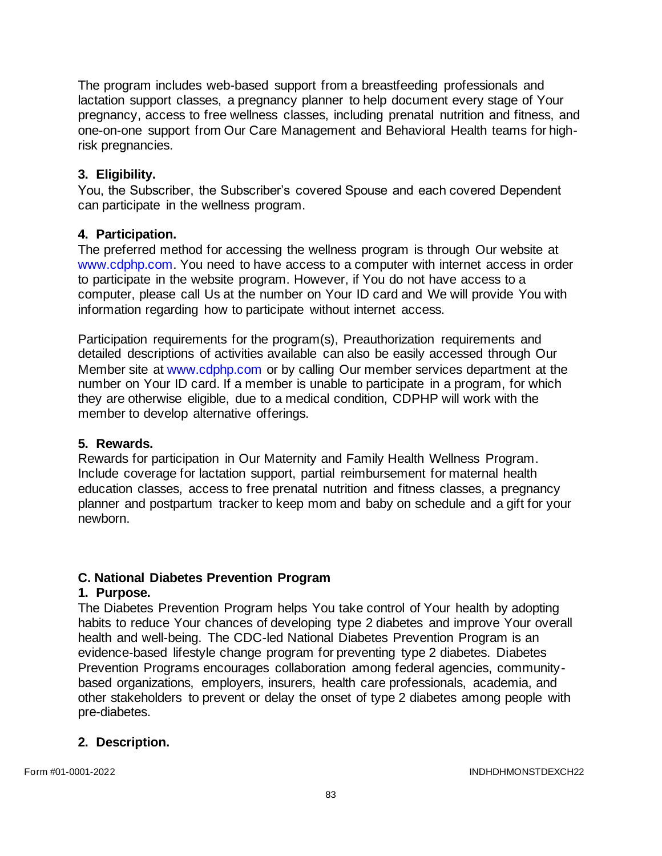The program includes web-based support from a breastfeeding professionals and lactation support classes, a pregnancy planner to help document every stage of Your pregnancy, access to free wellness classes, including prenatal nutrition and fitness, and one-on-one support from Our Care Management and Behavioral Health teams for highrisk pregnancies.

## **3. Eligibility.**

You, the Subscriber, the Subscriber's covered Spouse and each covered Dependent can participate in the wellness program.

# **4. Participation.**

The preferred method for accessing the wellness program is through Our website at [www.cdphp.com.](http://www.cdphp.com/) You need to have access to a computer with internet access in order to participate in the website program. However, if You do not have access to a computer, please call Us at the number on Your ID card and We will provide You with information regarding how to participate without internet access.

Participation requirements for the program(s), Preauthorization requirements and detailed descriptions of activities available can also be easily accessed through Our Member site at [www.cdphp.com](http://www.cdphp.com/) or by calling Our member services department at the number on Your ID card. If a member is unable to participate in a program, for which they are otherwise eligible, due to a medical condition, CDPHP will work with the member to develop alternative offerings.

## **5. Rewards.**

Rewards for participation in Our Maternity and Family Health Wellness Program. Include coverage for lactation support, partial reimbursement for maternal health education classes, access to free prenatal nutrition and fitness classes, a pregnancy planner and postpartum tracker to keep mom and baby on schedule and a gift for your newborn.

# **C. National Diabetes Prevention Program**

## **1. Purpose.**

The Diabetes Prevention Program helps You take control of Your health by adopting habits to reduce Your chances of developing type 2 diabetes and improve Your overall health and well-being. The CDC-led National Diabetes Prevention Program is an evidence-based lifestyle change program for preventing type 2 diabetes. Diabetes Prevention Programs encourages collaboration among federal agencies, communitybased organizations, employers, insurers, health care professionals, academia, and other stakeholders to prevent or delay the onset of type 2 diabetes among people with pre-diabetes.

## **2. Description.**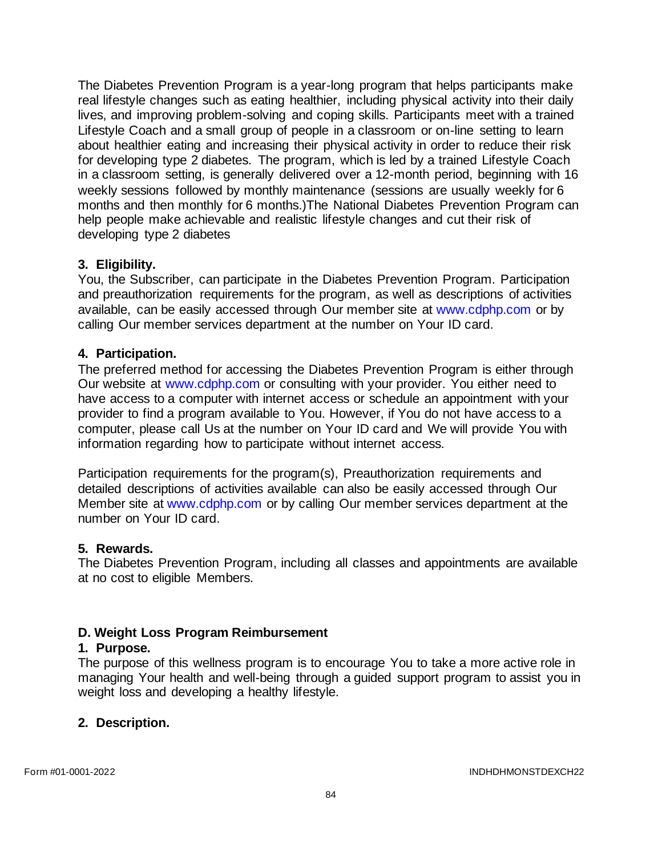The Diabetes Prevention Program is a year-long program that helps participants make real lifestyle changes such as eating healthier, including physical activity into their daily lives, and improving problem-solving and coping skills. Participants meet with a trained Lifestyle Coach and a small group of people in a classroom or on-line setting to learn about healthier eating and increasing their physical activity in order to reduce their risk for developing type 2 diabetes. The program, which is led by a trained Lifestyle Coach in a classroom setting, is generally delivered over a 12-month period, beginning with 16 weekly sessions followed by monthly maintenance (sessions are usually weekly for 6 months and then monthly for 6 months.)The National Diabetes Prevention Program can help people make achievable and realistic lifestyle changes and cut their risk of developing type 2 diabetes

## **3. Eligibility.**

You, the Subscriber, can participate in the Diabetes Prevention Program. Participation and preauthorization requirements for the program, as well as descriptions of activities available, can be easily accessed through Our member site at [www.cdphp.com](http://www.cdphp.com/) or by calling Our member services department at the number on Your ID card.

## **4. Participation.**

The preferred method for accessing the Diabetes Prevention Program is either through Our website at [www.cdphp.com](http://www.cdphp.com/) or consulting with your provider. You either need to have access to a computer with internet access or schedule an appointment with your provider to find a program available to You. However, if You do not have access to a computer, please call Us at the number on Your ID card and We will provide You with information regarding how to participate without internet access.

Participation requirements for the program(s), Preauthorization requirements and detailed descriptions of activities available can also be easily accessed through Our Member site at [www.cdphp.com](http://www.cdphp.com/) or by calling Our member services department at the number on Your ID card.

## **5. Rewards.**

The Diabetes Prevention Program, including all classes and appointments are available at no cost to eligible Members.

## **D. Weight Loss Program Reimbursement**

## **1. Purpose.**

The purpose of this wellness program is to encourage You to take a more active role in managing Your health and well-being through a guided support program to assist you in weight loss and developing a healthy lifestyle.

## **2. Description.**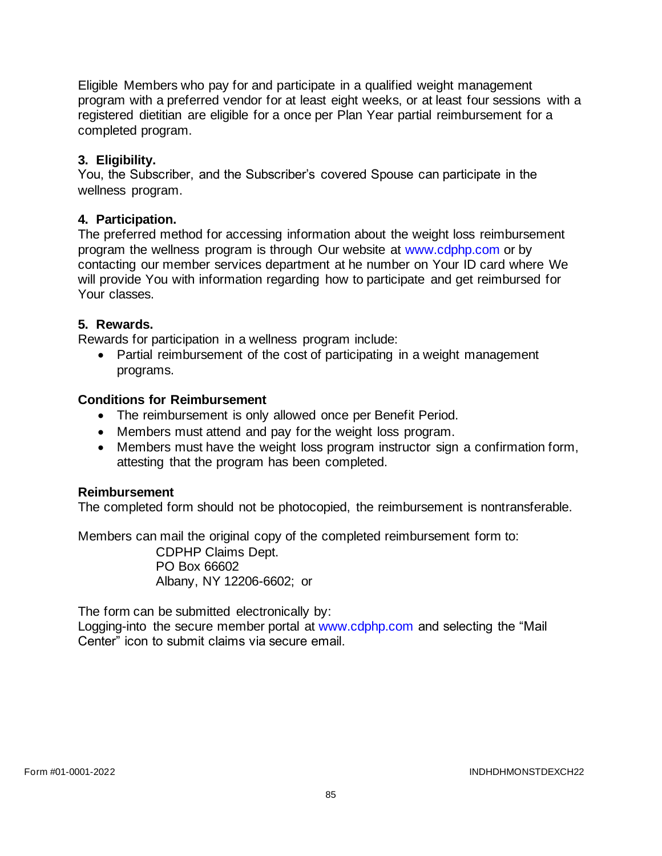Eligible Members who pay for and participate in a qualified weight management program with a preferred vendor for at least eight weeks, or at least four sessions with a registered dietitian are eligible for a once per Plan Year partial reimbursement for a completed program.

# **3. Eligibility.**

You, the Subscriber, and the Subscriber's covered Spouse can participate in the wellness program.

# **4. Participation.**

The preferred method for accessing information about the weight loss reimbursement program the wellness program is through Our website at [www.cdphp.com](http://www.cdphp.com/) or by contacting our member services department at he number on Your ID card where We will provide You with information regarding how to participate and get reimbursed for Your classes.

## **5. Rewards.**

Rewards for participation in a wellness program include:

• Partial reimbursement of the cost of participating in a weight management programs.

## **Conditions for Reimbursement**

- The reimbursement is only allowed once per Benefit Period.
- Members must attend and pay for the weight loss program.
- Members must have the weight loss program instructor sign a confirmation form, attesting that the program has been completed.

## **Reimbursement**

The completed form should not be photocopied, the reimbursement is nontransferable.

Members can mail the original copy of the completed reimbursement form to:

CDPHP Claims Dept. PO Box 66602 Albany, NY 12206-6602; or

The form can be submitted electronically by:

Logging-into the secure member portal at [www.cdphp.com](http://www.cdphp.com/) and selecting the "Mail Center" icon to submit claims via secure email.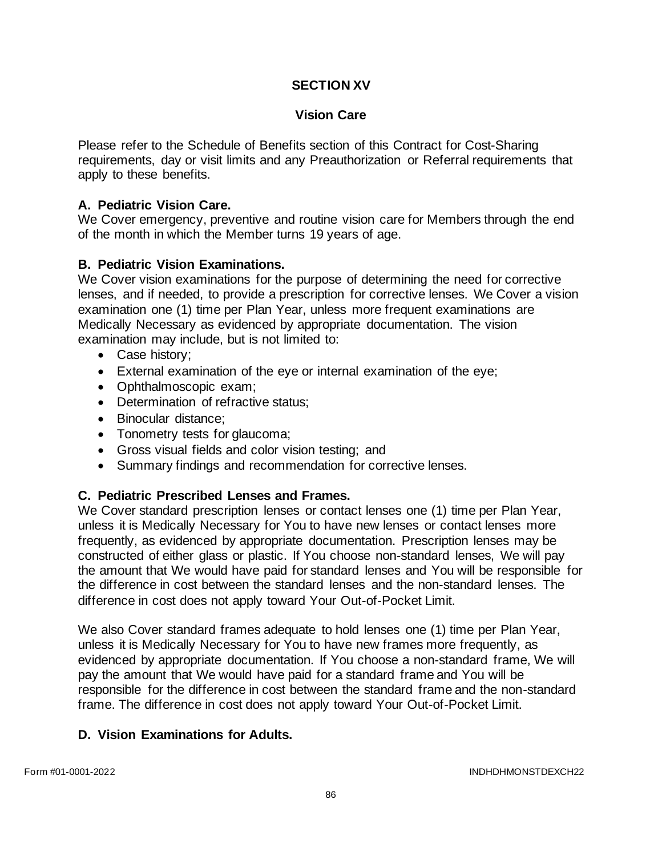# **SECTION XV**

## **Vision Care**

Please refer to the Schedule of Benefits section of this Contract for Cost-Sharing requirements, day or visit limits and any Preauthorization or Referral requirements that apply to these benefits.

### **A. Pediatric Vision Care.**

We Cover emergency, preventive and routine vision care for Members through the end of the month in which the Member turns 19 years of age.

### **B. Pediatric Vision Examinations.**

We Cover vision examinations for the purpose of determining the need for corrective lenses, and if needed, to provide a prescription for corrective lenses. We Cover a vision examination one (1) time per Plan Year, unless more frequent examinations are Medically Necessary as evidenced by appropriate documentation. The vision examination may include, but is not limited to:

- Case history;
- External examination of the eye or internal examination of the eye;
- Ophthalmoscopic exam;
- Determination of refractive status;
- Binocular distance;
- Tonometry tests for glaucoma;
- Gross visual fields and color vision testing; and
- Summary findings and recommendation for corrective lenses.

### **C. Pediatric Prescribed Lenses and Frames.**

We Cover standard prescription lenses or contact lenses one (1) time per Plan Year, unless it is Medically Necessary for You to have new lenses or contact lenses more frequently, as evidenced by appropriate documentation. Prescription lenses may be constructed of either glass or plastic. If You choose non-standard lenses, We will pay the amount that We would have paid for standard lenses and You will be responsible for the difference in cost between the standard lenses and the non-standard lenses. The difference in cost does not apply toward Your Out-of-Pocket Limit.

We also Cover standard frames adequate to hold lenses one (1) time per Plan Year, unless it is Medically Necessary for You to have new frames more frequently, as evidenced by appropriate documentation. If You choose a non-standard frame, We will pay the amount that We would have paid for a standard frame and You will be responsible for the difference in cost between the standard frame and the non-standard frame. The difference in cost does not apply toward Your Out-of-Pocket Limit.

### **D. Vision Examinations for Adults.**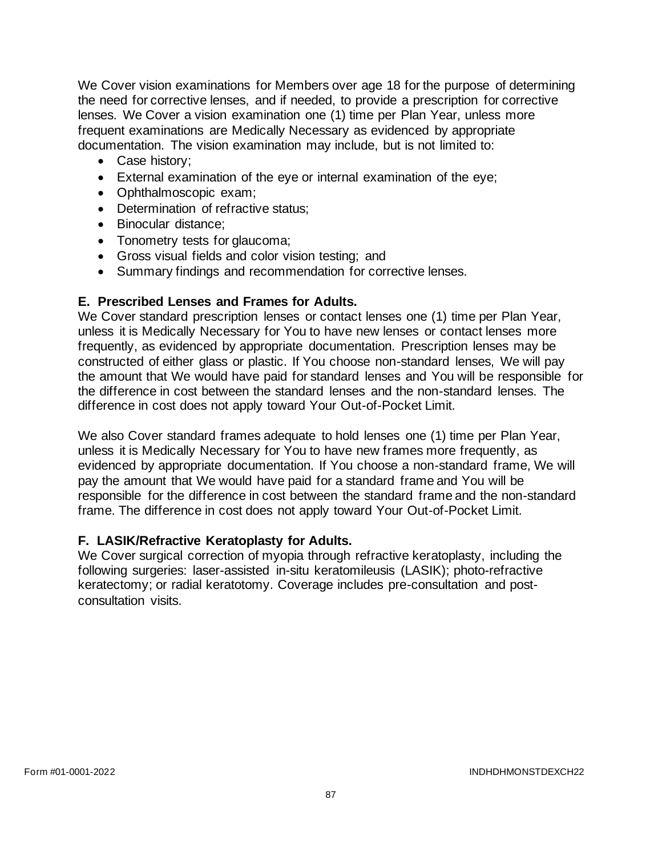We Cover vision examinations for Members over age 18 for the purpose of determining the need for corrective lenses, and if needed, to provide a prescription for corrective lenses. We Cover a vision examination one (1) time per Plan Year, unless more frequent examinations are Medically Necessary as evidenced by appropriate documentation. The vision examination may include, but is not limited to:

- Case history;
- External examination of the eye or internal examination of the eye;
- Ophthalmoscopic exam;
- Determination of refractive status;
- Binocular distance;
- Tonometry tests for glaucoma;
- Gross visual fields and color vision testing; and
- Summary findings and recommendation for corrective lenses.

# **E. Prescribed Lenses and Frames for Adults.**

We Cover standard prescription lenses or contact lenses one (1) time per Plan Year, unless it is Medically Necessary for You to have new lenses or contact lenses more frequently, as evidenced by appropriate documentation. Prescription lenses may be constructed of either glass or plastic. If You choose non-standard lenses, We will pay the amount that We would have paid for standard lenses and You will be responsible for the difference in cost between the standard lenses and the non-standard lenses. The difference in cost does not apply toward Your Out-of-Pocket Limit.

We also Cover standard frames adequate to hold lenses one (1) time per Plan Year, unless it is Medically Necessary for You to have new frames more frequently, as evidenced by appropriate documentation. If You choose a non-standard frame, We will pay the amount that We would have paid for a standard frame and You will be responsible for the difference in cost between the standard frame and the non-standard frame. The difference in cost does not apply toward Your Out-of-Pocket Limit.

# **F. LASIK/Refractive Keratoplasty for Adults.**

We Cover surgical correction of myopia through refractive keratoplasty, including the following surgeries: laser-assisted in-situ keratomileusis (LASIK); photo-refractive keratectomy; or radial keratotomy. Coverage includes pre-consultation and postconsultation visits.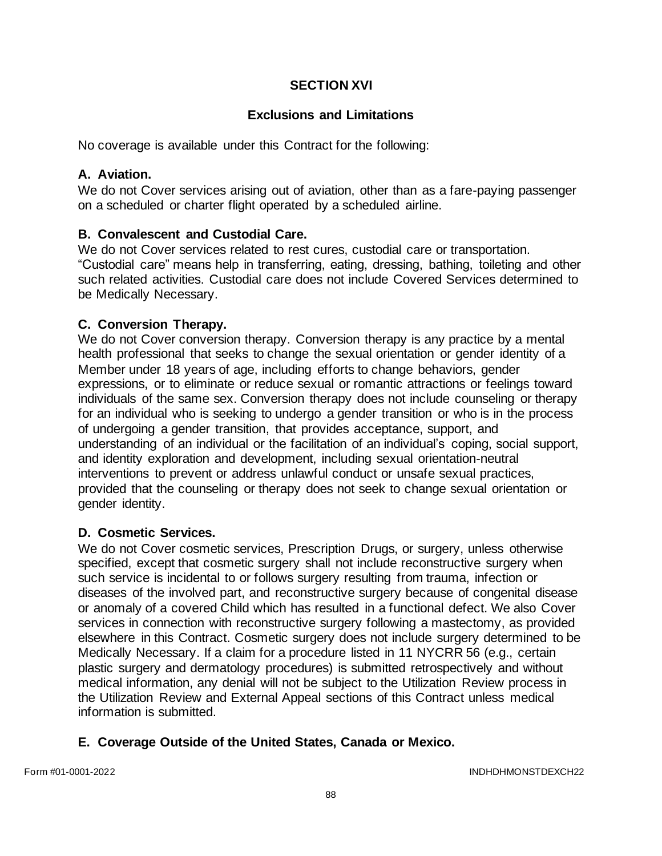# **SECTION XVI**

# **Exclusions and Limitations**

No coverage is available under this Contract for the following:

### **A. Aviation.**

We do not Cover services arising out of aviation, other than as a fare-paying passenger on a scheduled or charter flight operated by a scheduled airline.

## **B. Convalescent and Custodial Care.**

We do not Cover services related to rest cures, custodial care or transportation. "Custodial care" means help in transferring, eating, dressing, bathing, toileting and other such related activities. Custodial care does not include Covered Services determined to be Medically Necessary.

## **C. Conversion Therapy.**

We do not Cover conversion therapy. Conversion therapy is any practice by a mental health professional that seeks to change the sexual orientation or gender identity of a Member under 18 years of age, including efforts to change behaviors, gender expressions, or to eliminate or reduce sexual or romantic attractions or feelings toward individuals of the same sex. Conversion therapy does not include counseling or therapy for an individual who is seeking to undergo a gender transition or who is in the process of undergoing a gender transition, that provides acceptance, support, and understanding of an individual or the facilitation of an individual's coping, social support, and identity exploration and development, including sexual orientation-neutral interventions to prevent or address unlawful conduct or unsafe sexual practices, provided that the counseling or therapy does not seek to change sexual orientation or gender identity.

## **D. Cosmetic Services.**

We do not Cover cosmetic services, Prescription Drugs, or surgery, unless otherwise specified, except that cosmetic surgery shall not include reconstructive surgery when such service is incidental to or follows surgery resulting from trauma, infection or diseases of the involved part, and reconstructive surgery because of congenital disease or anomaly of a covered Child which has resulted in a functional defect. We also Cover services in connection with reconstructive surgery following a mastectomy, as provided elsewhere in this Contract. Cosmetic surgery does not include surgery determined to be Medically Necessary. If a claim for a procedure listed in 11 NYCRR 56 (e.g., certain plastic surgery and dermatology procedures) is submitted retrospectively and without medical information, any denial will not be subject to the Utilization Review process in the Utilization Review and External Appeal sections of this Contract unless medical information is submitted.

## **E. Coverage Outside of the United States, Canada or Mexico.**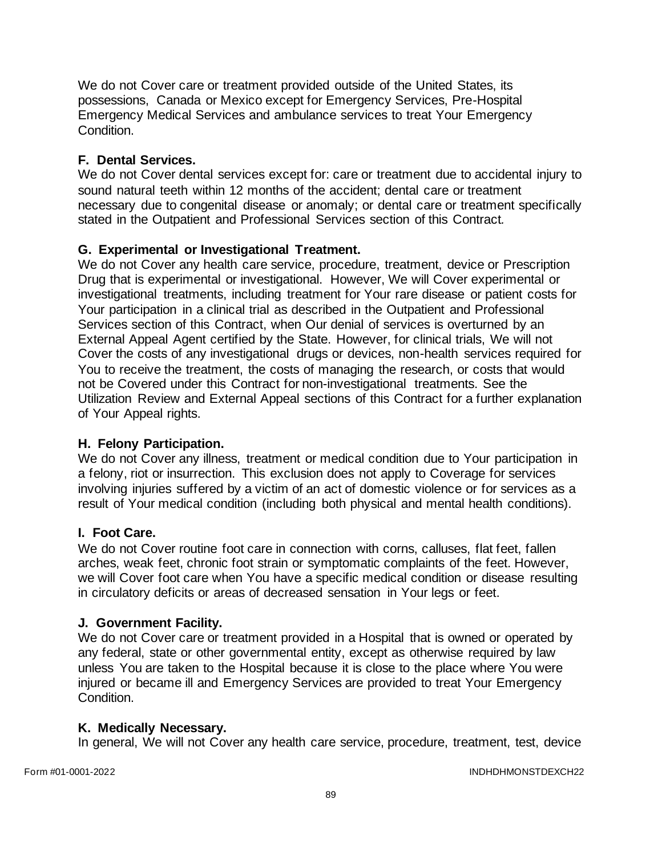We do not Cover care or treatment provided outside of the United States, its possessions, Canada or Mexico except for Emergency Services, Pre-Hospital Emergency Medical Services and ambulance services to treat Your Emergency Condition.

# **F. Dental Services.**

We do not Cover dental services except for: care or treatment due to accidental injury to sound natural teeth within 12 months of the accident; dental care or treatment necessary due to congenital disease or anomaly; or dental care or treatment specifically stated in the Outpatient and Professional Services section of this Contract*.*

# **G. Experimental or Investigational Treatment.**

We do not Cover any health care service, procedure, treatment, device or Prescription Drug that is experimental or investigational. However, We will Cover experimental or investigational treatments, including treatment for Your rare disease or patient costs for Your participation in a clinical trial as described in the Outpatient and Professional Services section of this Contract, when Our denial of services is overturned by an External Appeal Agent certified by the State. However, for clinical trials, We will not Cover the costs of any investigational drugs or devices, non-health services required for You to receive the treatment, the costs of managing the research, or costs that would not be Covered under this Contract for non-investigational treatments. See the Utilization Review and External Appeal sections of this Contract for a further explanation of Your Appeal rights.

## **H. Felony Participation.**

We do not Cover any illness, treatment or medical condition due to Your participation in a felony, riot or insurrection. This exclusion does not apply to Coverage for services involving injuries suffered by a victim of an act of domestic violence or for services as a result of Your medical condition (including both physical and mental health conditions).

## **I. Foot Care.**

We do not Cover routine foot care in connection with corns, calluses, flat feet, fallen arches, weak feet, chronic foot strain or symptomatic complaints of the feet. However, we will Cover foot care when You have a specific medical condition or disease resulting in circulatory deficits or areas of decreased sensation in Your legs or feet.

## **J. Government Facility.**

We do not Cover care or treatment provided in a Hospital that is owned or operated by any federal, state or other governmental entity, except as otherwise required by law unless You are taken to the Hospital because it is close to the place where You were injured or became ill and Emergency Services are provided to treat Your Emergency Condition.

## **K. Medically Necessary.**

In general, We will not Cover any health care service, procedure, treatment, test, device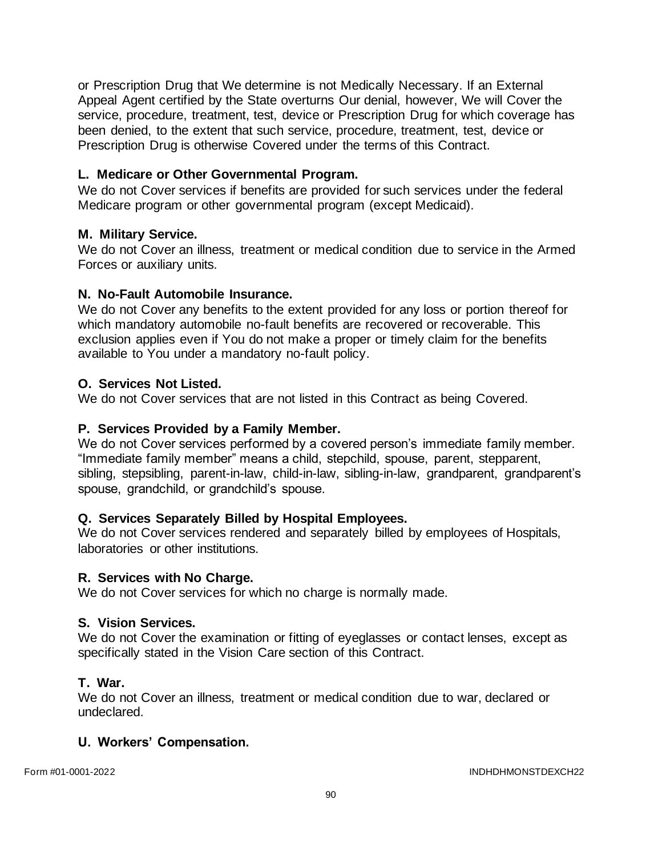or Prescription Drug that We determine is not Medically Necessary. If an External Appeal Agent certified by the State overturns Our denial, however, We will Cover the service, procedure, treatment, test, device or Prescription Drug for which coverage has been denied, to the extent that such service, procedure, treatment, test, device or Prescription Drug is otherwise Covered under the terms of this Contract.

## **L. Medicare or Other Governmental Program.**

We do not Cover services if benefits are provided for such services under the federal Medicare program or other governmental program (except Medicaid).

### **M. Military Service.**

We do not Cover an illness, treatment or medical condition due to service in the Armed Forces or auxiliary units.

### **N. No-Fault Automobile Insurance.**

We do not Cover any benefits to the extent provided for any loss or portion thereof for which mandatory automobile no-fault benefits are recovered or recoverable. This exclusion applies even if You do not make a proper or timely claim for the benefits available to You under a mandatory no-fault policy.

### **O. Services Not Listed.**

We do not Cover services that are not listed in this Contract as being Covered.

### **P. Services Provided by a Family Member.**

We do not Cover services performed by a covered person's immediate family member. "Immediate family member" means a child, stepchild, spouse, parent, stepparent, sibling, stepsibling, parent-in-law, child-in-law, sibling-in-law, grandparent, grandparent's spouse, grandchild, or grandchild's spouse.

### **Q. Services Separately Billed by Hospital Employees.**

We do not Cover services rendered and separately billed by employees of Hospitals, laboratories or other institutions.

### **R. Services with No Charge.**

We do not Cover services for which no charge is normally made.

### **S. Vision Services.**

We do not Cover the examination or fitting of eyeglasses or contact lenses, except as specifically stated in the Vision Care section of this Contract.

### **T. War.**

We do not Cover an illness, treatment or medical condition due to war, declared or undeclared.

### **U. Workers' Compensation.**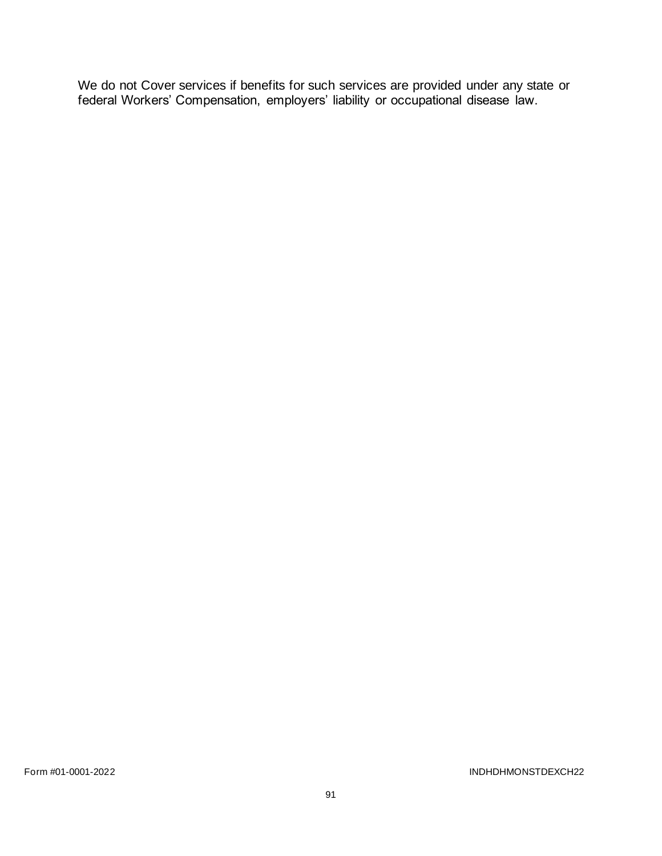We do not Cover services if benefits for such services are provided under any state or federal Workers' Compensation, employers' liability or occupational disease law.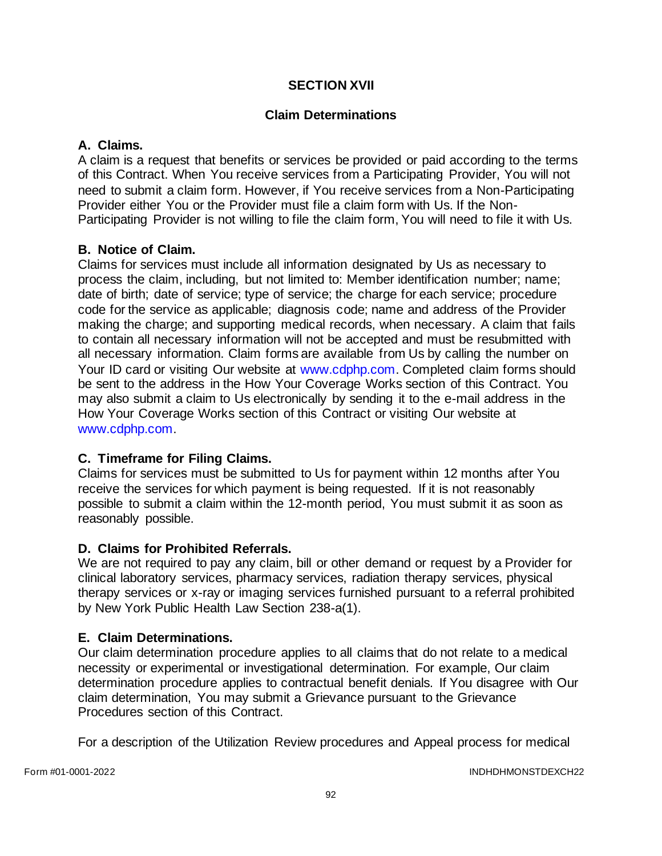# **SECTION XVII**

# **Claim Determinations**

## **A. Claims.**

A claim is a request that benefits or services be provided or paid according to the terms of this Contract. When You receive services from a Participating Provider, You will not need to submit a claim form. However, if You receive services from a Non-Participating Provider either You or the Provider must file a claim form with Us. If the Non-Participating Provider is not willing to file the claim form, You will need to file it with Us.

## **B. Notice of Claim.**

Claims for services must include all information designated by Us as necessary to process the claim, including, but not limited to: Member identification number; name; date of birth; date of service; type of service; the charge for each service; procedure code for the service as applicable; diagnosis code; name and address of the Provider making the charge; and supporting medical records, when necessary. A claim that fails to contain all necessary information will not be accepted and must be resubmitted with all necessary information. Claim forms are available from Us by calling the number on Your ID card or visiting Our website at [www.cdphp.com.](http://www.cdphp.com/) Completed claim forms should be sent to the address in the How Your Coverage Works section of this Contract. You may also submit a claim to Us electronically by sending it to the e-mail address in the How Your Coverage Works section of this Contract or visiting Our website at [www.cdphp.com.](http://www.cdphp.com/)

## **C. Timeframe for Filing Claims.**

Claims for services must be submitted to Us for payment within 12 months after You receive the services for which payment is being requested. If it is not reasonably possible to submit a claim within the 12-month period, You must submit it as soon as reasonably possible.

## **D. Claims for Prohibited Referrals.**

We are not required to pay any claim, bill or other demand or request by a Provider for clinical laboratory services, pharmacy services, radiation therapy services, physical therapy services or x-ray or imaging services furnished pursuant to a referral prohibited by New York Public Health Law Section 238-a(1).

## **E. Claim Determinations.**

Our claim determination procedure applies to all claims that do not relate to a medical necessity or experimental or investigational determination. For example, Our claim determination procedure applies to contractual benefit denials. If You disagree with Our claim determination, You may submit a Grievance pursuant to the Grievance Procedures section of this Contract.

For a description of the Utilization Review procedures and Appeal process for medical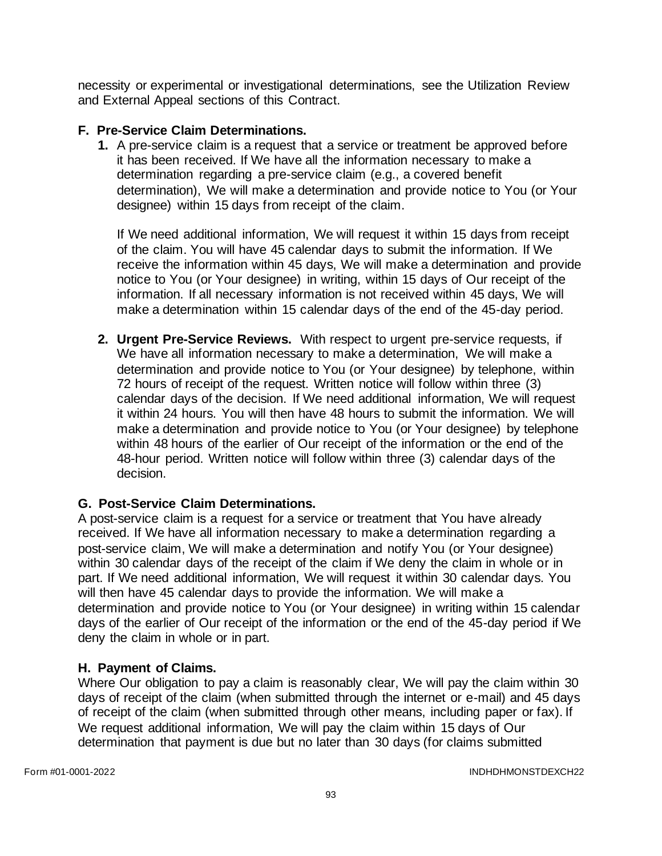necessity or experimental or investigational determinations, see the Utilization Review and External Appeal sections of this Contract.

# **F. Pre-Service Claim Determinations.**

**1.** A pre-service claim is a request that a service or treatment be approved before it has been received. If We have all the information necessary to make a determination regarding a pre-service claim (e.g., a covered benefit determination), We will make a determination and provide notice to You (or Your designee) within 15 days from receipt of the claim.

If We need additional information, We will request it within 15 days from receipt of the claim. You will have 45 calendar days to submit the information. If We receive the information within 45 days, We will make a determination and provide notice to You (or Your designee) in writing, within 15 days of Our receipt of the information. If all necessary information is not received within 45 days, We will make a determination within 15 calendar days of the end of the 45-day period.

**2. Urgent Pre-Service Reviews.** With respect to urgent pre-service requests, if We have all information necessary to make a determination, We will make a determination and provide notice to You (or Your designee) by telephone, within 72 hours of receipt of the request. Written notice will follow within three (3) calendar days of the decision. If We need additional information, We will request it within 24 hours. You will then have 48 hours to submit the information. We will make a determination and provide notice to You (or Your designee) by telephone within 48 hours of the earlier of Our receipt of the information or the end of the 48-hour period. Written notice will follow within three (3) calendar days of the decision.

# **G. Post-Service Claim Determinations.**

A post-service claim is a request for a service or treatment that You have already received. If We have all information necessary to make a determination regarding a post-service claim, We will make a determination and notify You (or Your designee) within 30 calendar days of the receipt of the claim if We deny the claim in whole or in part. If We need additional information, We will request it within 30 calendar days. You will then have 45 calendar days to provide the information. We will make a determination and provide notice to You (or Your designee) in writing within 15 calendar days of the earlier of Our receipt of the information or the end of the 45-day period if We deny the claim in whole or in part.

## **H. Payment of Claims.**

Where Our obligation to pay a claim is reasonably clear, We will pay the claim within 30 days of receipt of the claim (when submitted through the internet or e-mail) and 45 days of receipt of the claim (when submitted through other means, including paper or fax). If We request additional information, We will pay the claim within 15 days of Our determination that payment is due but no later than 30 days (for claims submitted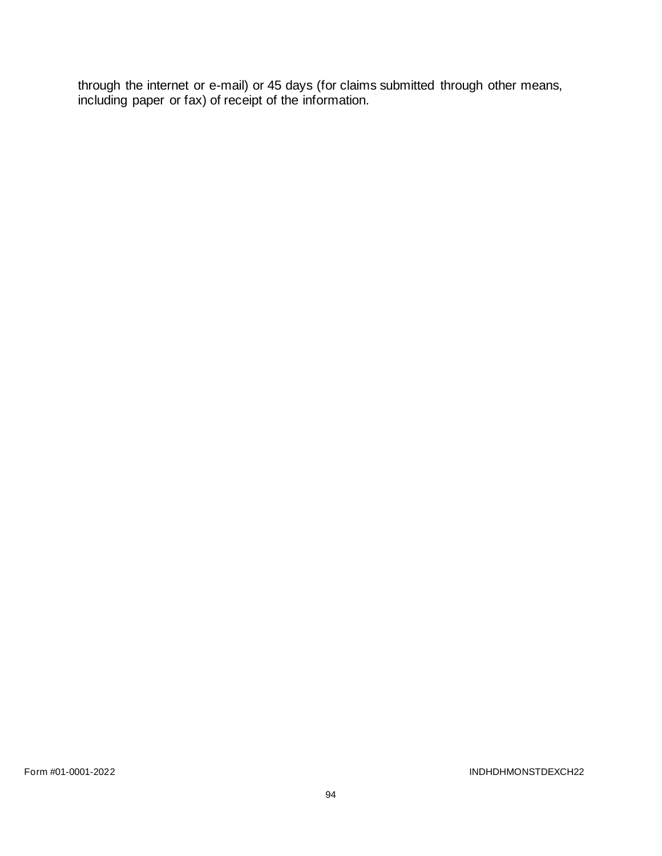through the internet or e-mail) or 45 days (for claims submitted through other means, including paper or fax) of receipt of the information.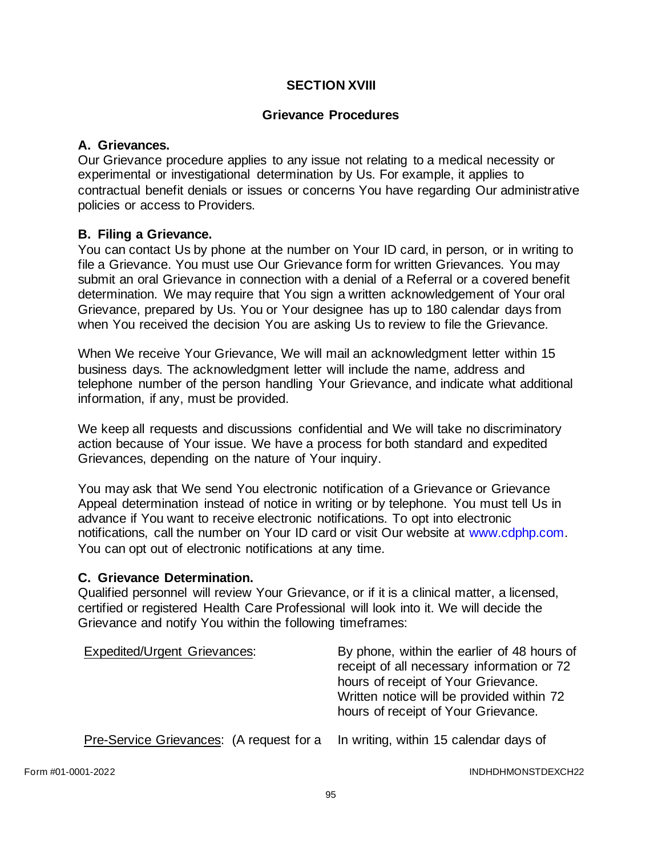## **SECTION XVIII**

### **Grievance Procedures**

### **A. Grievances.**

Our Grievance procedure applies to any issue not relating to a medical necessity or experimental or investigational determination by Us. For example, it applies to contractual benefit denials or issues or concerns You have regarding Our administrative policies or access to Providers.

### **B. Filing a Grievance.**

You can contact Us by phone at the number on Your ID card, in person, or in writing to file a Grievance. You must use Our Grievance form for written Grievances. You may submit an oral Grievance in connection with a denial of a Referral or a covered benefit determination. We may require that You sign a written acknowledgement of Your oral Grievance, prepared by Us. You or Your designee has up to 180 calendar days from when You received the decision You are asking Us to review to file the Grievance.

When We receive Your Grievance, We will mail an acknowledgment letter within 15 business days. The acknowledgment letter will include the name, address and telephone number of the person handling Your Grievance, and indicate what additional information, if any, must be provided.

We keep all requests and discussions confidential and We will take no discriminatory action because of Your issue. We have a process for both standard and expedited Grievances, depending on the nature of Your inquiry.

You may ask that We send You electronic notification of a Grievance or Grievance Appeal determination instead of notice in writing or by telephone. You must tell Us in advance if You want to receive electronic notifications. To opt into electronic notifications, call the number on Your ID card or visit Our website at [www.cdphp.com.](http://www.cdphp.com/) You can opt out of electronic notifications at any time.

### **C. Grievance Determination.**

Qualified personnel will review Your Grievance, or if it is a clinical matter, a licensed, certified or registered Health Care Professional will look into it. We will decide the Grievance and notify You within the following timeframes:

| <b>Expedited/Urgent Grievances:</b>                                             | By phone, within the earlier of 48 hours of<br>receipt of all necessary information or 72<br>hours of receipt of Your Grievance.<br>Written notice will be provided within 72<br>hours of receipt of Your Grievance. |
|---------------------------------------------------------------------------------|----------------------------------------------------------------------------------------------------------------------------------------------------------------------------------------------------------------------|
| Pre-Service Grievances: (A request for a In writing, within 15 calendar days of |                                                                                                                                                                                                                      |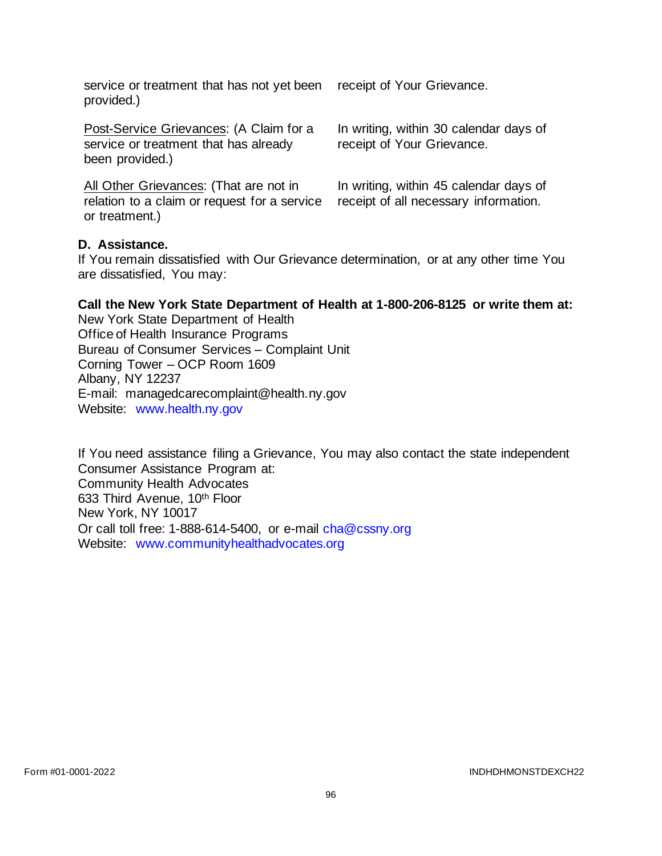service or treatment that has not yet been provided.)

Post-Service Grievances: (A Claim for a service or treatment that has already been provided.)

All Other Grievances: (That are not in relation to a claim or request for a service or treatment.)

receipt of Your Grievance.

In writing, within 30 calendar days of receipt of Your Grievance.

In writing, within 45 calendar days of receipt of all necessary information.

### **D. Assistance.**

If You remain dissatisfied with Our Grievance determination, or at any other time You are dissatisfied, You may:

### **Call the New York State Department of Health at 1-800-206-8125 or write them at:**

New York State Department of Health Office of Health Insurance Programs Bureau of Consumer Services – Complaint Unit Corning Tower – OCP Room 1609 Albany, NY 12237 E-mail: managedcarecomplaint@health.ny.gov Website: [www.health.ny.gov](http://www.health.ny.gov/) 

If You need assistance filing a Grievance, You may also contact the state independent Consumer Assistance Program at: Community Health Advocates 633 Third Avenue, 10th Floor New York, NY 10017 Or call toll free: 1-888-614-5400, or e-mail [cha@cssny.org](mailto:cha@cssny.org) Website: [www.communityhealthadvocates.org](http://www.communityhealthadvocates.org/)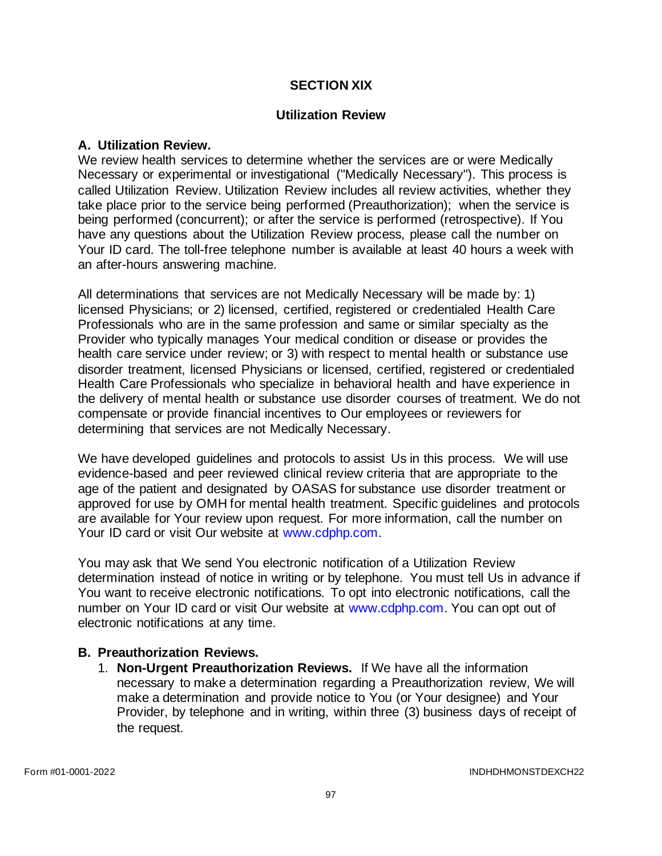### **SECTION XIX**

### **Utilization Review**

### **A. Utilization Review.**

We review health services to determine whether the services are or were Medically Necessary or experimental or investigational ("Medically Necessary"). This process is called Utilization Review. Utilization Review includes all review activities, whether they take place prior to the service being performed (Preauthorization); when the service is being performed (concurrent); or after the service is performed (retrospective). If You have any questions about the Utilization Review process, please call the number on Your ID card. The toll-free telephone number is available at least 40 hours a week with an after-hours answering machine.

All determinations that services are not Medically Necessary will be made by: 1) licensed Physicians; or 2) licensed, certified, registered or credentialed Health Care Professionals who are in the same profession and same or similar specialty as the Provider who typically manages Your medical condition or disease or provides the health care service under review; or 3) with respect to mental health or substance use disorder treatment, licensed Physicians or licensed, certified, registered or credentialed Health Care Professionals who specialize in behavioral health and have experience in the delivery of mental health or substance use disorder courses of treatment. We do not compensate or provide financial incentives to Our employees or reviewers for determining that services are not Medically Necessary.

We have developed guidelines and protocols to assist Us in this process. We will use evidence-based and peer reviewed clinical review criteria that are appropriate to the age of the patient and designated by OASAS for substance use disorder treatment or approved for use by OMH for mental health treatment. Specific guidelines and protocols are available for Your review upon request. For more information, call the number on Your ID card or visit Our website at [www.cdphp.com.](http://www.cdphp.com/)

You may ask that We send You electronic notification of a Utilization Review determination instead of notice in writing or by telephone. You must tell Us in advance if You want to receive electronic notifications. To opt into electronic notifications, call the number on Your ID card or visit Our website at [www.cdphp.com.](http://www.cdphp.com/) You can opt out of electronic notifications at any time.

### **B. Preauthorization Reviews.**

1. **Non-Urgent Preauthorization Reviews.** If We have all the information necessary to make a determination regarding a Preauthorization review, We will make a determination and provide notice to You (or Your designee) and Your Provider, by telephone and in writing, within three (3) business days of receipt of the request.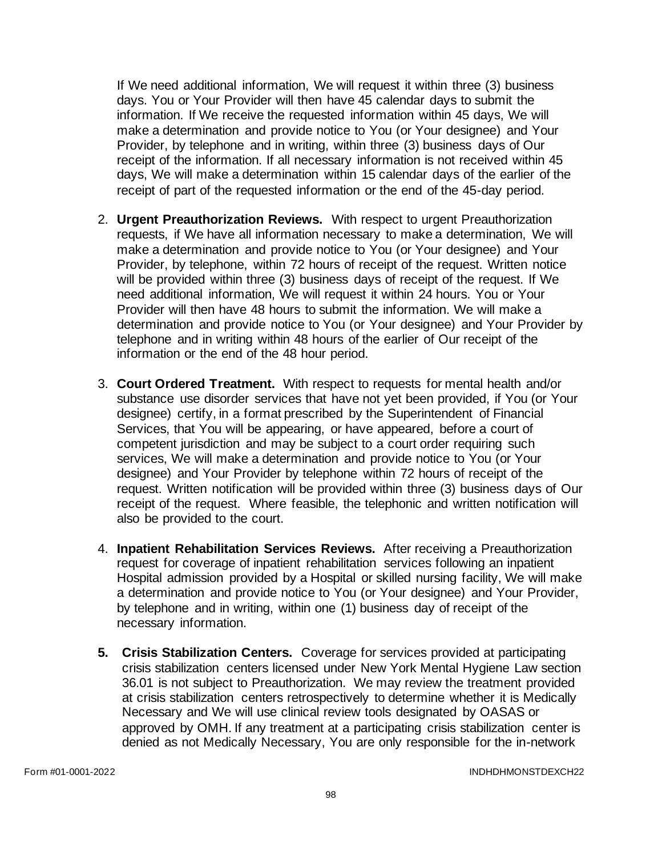If We need additional information, We will request it within three (3) business days. You or Your Provider will then have 45 calendar days to submit the information. If We receive the requested information within 45 days, We will make a determination and provide notice to You (or Your designee) and Your Provider, by telephone and in writing, within three (3) business days of Our receipt of the information. If all necessary information is not received within 45 days, We will make a determination within 15 calendar days of the earlier of the receipt of part of the requested information or the end of the 45-day period.

- 2. **Urgent Preauthorization Reviews.** With respect to urgent Preauthorization requests, if We have all information necessary to make a determination, We will make a determination and provide notice to You (or Your designee) and Your Provider, by telephone, within 72 hours of receipt of the request. Written notice will be provided within three (3) business days of receipt of the request. If We need additional information, We will request it within 24 hours. You or Your Provider will then have 48 hours to submit the information. We will make a determination and provide notice to You (or Your designee) and Your Provider by telephone and in writing within 48 hours of the earlier of Our receipt of the information or the end of the 48 hour period.
- 3. **Court Ordered Treatment.** With respect to requests for mental health and/or substance use disorder services that have not yet been provided, if You (or Your designee) certify, in a format prescribed by the Superintendent of Financial Services, that You will be appearing, or have appeared, before a court of competent jurisdiction and may be subject to a court order requiring such services, We will make a determination and provide notice to You (or Your designee) and Your Provider by telephone within 72 hours of receipt of the request. Written notification will be provided within three (3) business days of Our receipt of the request. Where feasible, the telephonic and written notification will also be provided to the court.
- 4. **Inpatient Rehabilitation Services Reviews.** After receiving a Preauthorization request for coverage of inpatient rehabilitation services following an inpatient Hospital admission provided by a Hospital or skilled nursing facility, We will make a determination and provide notice to You (or Your designee) and Your Provider, by telephone and in writing, within one (1) business day of receipt of the necessary information.
- **5. Crisis Stabilization Centers.** Coverage for services provided at participating crisis stabilization centers licensed under New York Mental Hygiene Law section 36.01 is not subject to Preauthorization. We may review the treatment provided at crisis stabilization centers retrospectively to determine whether it is Medically Necessary and We will use clinical review tools designated by OASAS or approved by OMH. If any treatment at a participating crisis stabilization center is denied as not Medically Necessary, You are only responsible for the in-network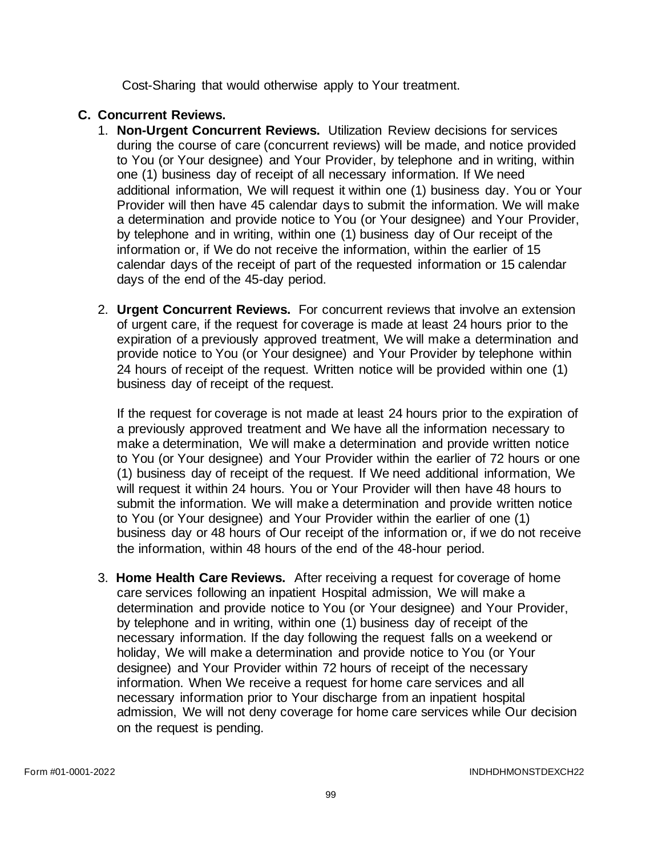Cost-Sharing that would otherwise apply to Your treatment.

# **C. Concurrent Reviews.**

- 1. **Non-Urgent Concurrent Reviews.** Utilization Review decisions for services during the course of care (concurrent reviews) will be made, and notice provided to You (or Your designee) and Your Provider, by telephone and in writing, within one (1) business day of receipt of all necessary information. If We need additional information, We will request it within one (1) business day. You or Your Provider will then have 45 calendar days to submit the information. We will make a determination and provide notice to You (or Your designee) and Your Provider, by telephone and in writing, within one (1) business day of Our receipt of the information or, if We do not receive the information, within the earlier of 15 calendar days of the receipt of part of the requested information or 15 calendar days of the end of the 45-day period.
- 2. **Urgent Concurrent Reviews.** For concurrent reviews that involve an extension of urgent care, if the request for coverage is made at least 24 hours prior to the expiration of a previously approved treatment, We will make a determination and provide notice to You (or Your designee) and Your Provider by telephone within 24 hours of receipt of the request. Written notice will be provided within one (1) business day of receipt of the request.

If the request for coverage is not made at least 24 hours prior to the expiration of a previously approved treatment and We have all the information necessary to make a determination, We will make a determination and provide written notice to You (or Your designee) and Your Provider within the earlier of 72 hours or one (1) business day of receipt of the request. If We need additional information, We will request it within 24 hours. You or Your Provider will then have 48 hours to submit the information. We will make a determination and provide written notice to You (or Your designee) and Your Provider within the earlier of one (1) business day or 48 hours of Our receipt of the information or, if we do not receive the information, within 48 hours of the end of the 48-hour period.

3. **Home Health Care Reviews.** After receiving a request for coverage of home care services following an inpatient Hospital admission, We will make a determination and provide notice to You (or Your designee) and Your Provider, by telephone and in writing, within one (1) business day of receipt of the necessary information. If the day following the request falls on a weekend or holiday, We will make a determination and provide notice to You (or Your designee) and Your Provider within 72 hours of receipt of the necessary information. When We receive a request for home care services and all necessary information prior to Your discharge from an inpatient hospital admission, We will not deny coverage for home care services while Our decision on the request is pending.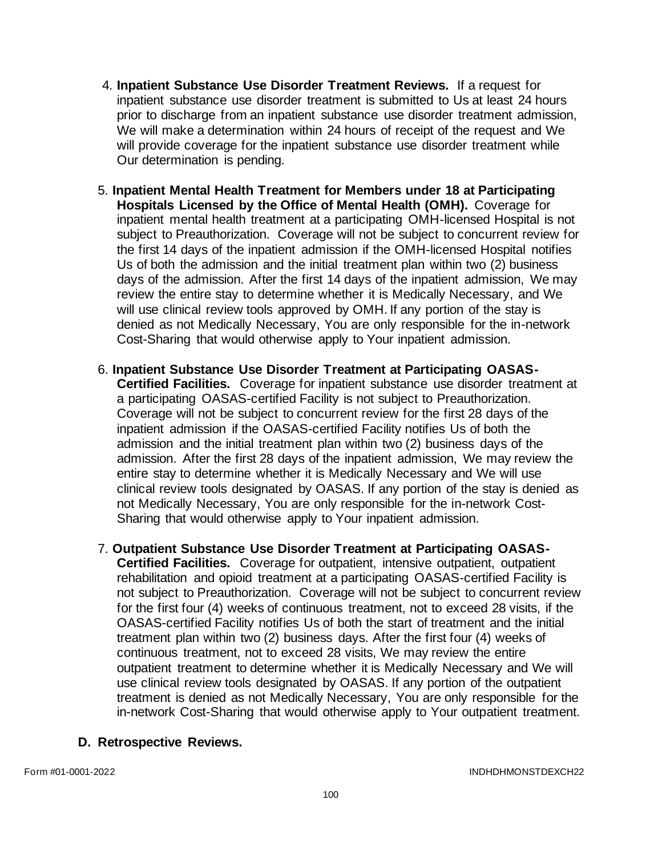- 4. **Inpatient Substance Use Disorder Treatment Reviews.** If a request for inpatient substance use disorder treatment is submitted to Us at least 24 hours prior to discharge from an inpatient substance use disorder treatment admission, We will make a determination within 24 hours of receipt of the request and We will provide coverage for the inpatient substance use disorder treatment while Our determination is pending.
- 5. **Inpatient Mental Health Treatment for Members under 18 at Participating Hospitals Licensed by the Office of Mental Health (OMH).** Coverage for inpatient mental health treatment at a participating OMH-licensed Hospital is not subject to Preauthorization. Coverage will not be subject to concurrent review for the first 14 days of the inpatient admission if the OMH-licensed Hospital notifies Us of both the admission and the initial treatment plan within two (2) business days of the admission. After the first 14 days of the inpatient admission, We may review the entire stay to determine whether it is Medically Necessary, and We will use clinical review tools approved by OMH. If any portion of the stay is denied as not Medically Necessary, You are only responsible for the in-network Cost-Sharing that would otherwise apply to Your inpatient admission.
- 6. **Inpatient Substance Use Disorder Treatment at Participating OASAS-Certified Facilities.** Coverage for inpatient substance use disorder treatment at a participating OASAS-certified Facility is not subject to Preauthorization. Coverage will not be subject to concurrent review for the first 28 days of the inpatient admission if the OASAS-certified Facility notifies Us of both the admission and the initial treatment plan within two (2) business days of the admission. After the first 28 days of the inpatient admission, We may review the entire stay to determine whether it is Medically Necessary and We will use clinical review tools designated by OASAS. If any portion of the stay is denied as not Medically Necessary, You are only responsible for the in-network Cost-Sharing that would otherwise apply to Your inpatient admission.
- 7. **Outpatient Substance Use Disorder Treatment at Participating OASAS-Certified Facilities.** Coverage for outpatient, intensive outpatient, outpatient rehabilitation and opioid treatment at a participating OASAS-certified Facility is not subject to Preauthorization. Coverage will not be subject to concurrent review for the first four (4) weeks of continuous treatment, not to exceed 28 visits, if the OASAS-certified Facility notifies Us of both the start of treatment and the initial treatment plan within two (2) business days. After the first four (4) weeks of continuous treatment, not to exceed 28 visits, We may review the entire outpatient treatment to determine whether it is Medically Necessary and We will use clinical review tools designated by OASAS. If any portion of the outpatient treatment is denied as not Medically Necessary, You are only responsible for the in-network Cost-Sharing that would otherwise apply to Your outpatient treatment.

## **D. Retrospective Reviews.**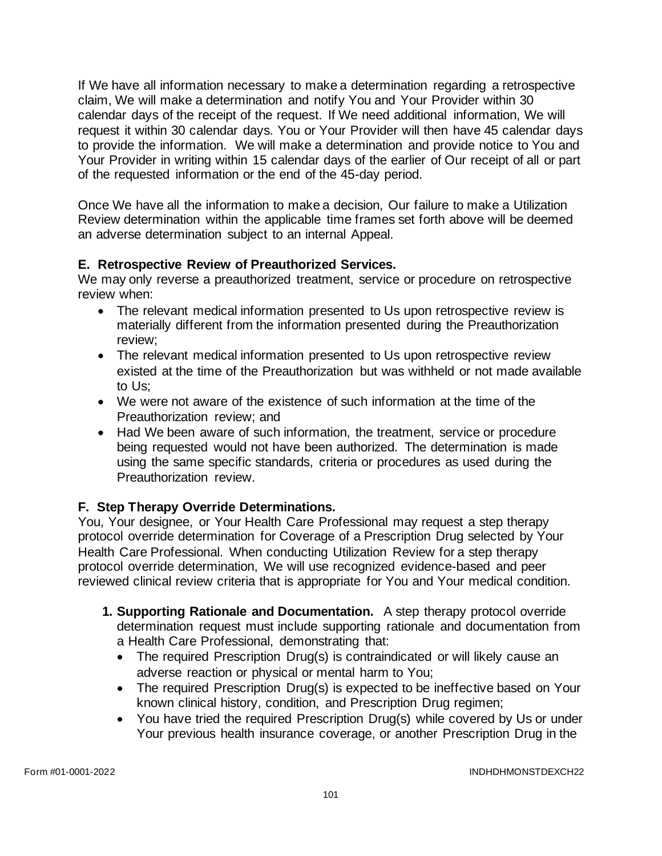If We have all information necessary to make a determination regarding a retrospective claim, We will make a determination and notify You and Your Provider within 30 calendar days of the receipt of the request. If We need additional information, We will request it within 30 calendar days. You or Your Provider will then have 45 calendar days to provide the information. We will make a determination and provide notice to You and Your Provider in writing within 15 calendar days of the earlier of Our receipt of all or part of the requested information or the end of the 45-day period.

Once We have all the information to make a decision, Our failure to make a Utilization Review determination within the applicable time frames set forth above will be deemed an adverse determination subject to an internal Appeal.

# **E. Retrospective Review of Preauthorized Services.**

We may only reverse a preauthorized treatment, service or procedure on retrospective review when:

- The relevant medical information presented to Us upon retrospective review is materially different from the information presented during the Preauthorization review;
- The relevant medical information presented to Us upon retrospective review existed at the time of the Preauthorization but was withheld or not made available to Us;
- We were not aware of the existence of such information at the time of the Preauthorization review; and
- Had We been aware of such information, the treatment, service or procedure being requested would not have been authorized. The determination is made using the same specific standards, criteria or procedures as used during the Preauthorization review.

# **F. Step Therapy Override Determinations.**

You, Your designee, or Your Health Care Professional may request a step therapy protocol override determination for Coverage of a Prescription Drug selected by Your Health Care Professional. When conducting Utilization Review for a step therapy protocol override determination, We will use recognized evidence-based and peer reviewed clinical review criteria that is appropriate for You and Your medical condition.

- **1. Supporting Rationale and Documentation.** A step therapy protocol override determination request must include supporting rationale and documentation from a Health Care Professional, demonstrating that:
	- The required Prescription Drug(s) is contraindicated or will likely cause an adverse reaction or physical or mental harm to You;
	- The required Prescription Drug(s) is expected to be ineffective based on Your known clinical history, condition, and Prescription Drug regimen;
	- You have tried the required Prescription Drug(s) while covered by Us or under Your previous health insurance coverage, or another Prescription Drug in the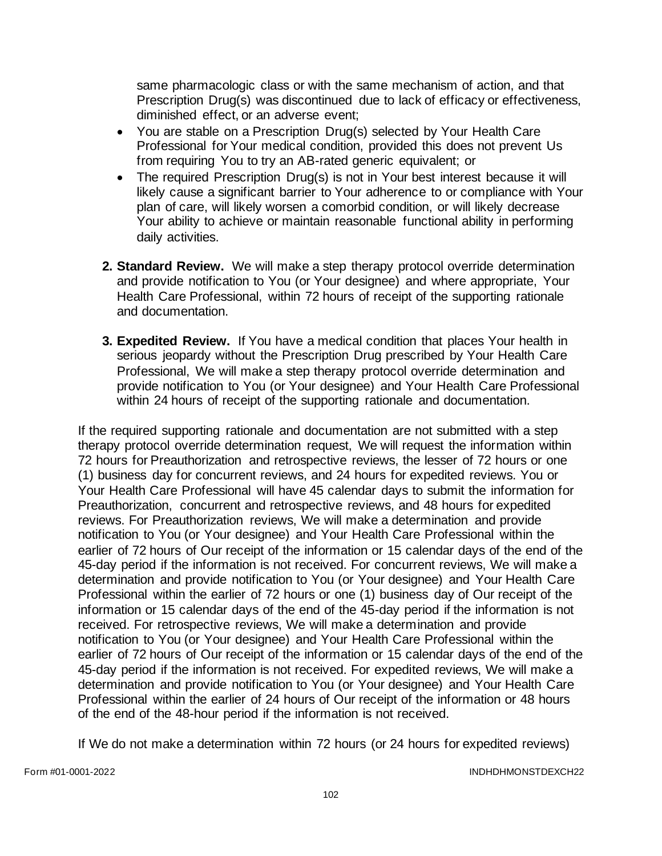same pharmacologic class or with the same mechanism of action, and that Prescription Drug(s) was discontinued due to lack of efficacy or effectiveness, diminished effect, or an adverse event;

- You are stable on a Prescription Drug(s) selected by Your Health Care Professional for Your medical condition, provided this does not prevent Us from requiring You to try an AB-rated generic equivalent; or
- The required Prescription Drug(s) is not in Your best interest because it will likely cause a significant barrier to Your adherence to or compliance with Your plan of care, will likely worsen a comorbid condition, or will likely decrease Your ability to achieve or maintain reasonable functional ability in performing daily activities.
- **2. Standard Review.** We will make a step therapy protocol override determination and provide notification to You (or Your designee) and where appropriate, Your Health Care Professional, within 72 hours of receipt of the supporting rationale and documentation.
- **3. Expedited Review.** If You have a medical condition that places Your health in serious jeopardy without the Prescription Drug prescribed by Your Health Care Professional, We will make a step therapy protocol override determination and provide notification to You (or Your designee) and Your Health Care Professional within 24 hours of receipt of the supporting rationale and documentation.

If the required supporting rationale and documentation are not submitted with a step therapy protocol override determination request, We will request the information within 72 hours for Preauthorization and retrospective reviews, the lesser of 72 hours or one (1) business day for concurrent reviews, and 24 hours for expedited reviews. You or Your Health Care Professional will have 45 calendar days to submit the information for Preauthorization, concurrent and retrospective reviews, and 48 hours for expedited reviews. For Preauthorization reviews, We will make a determination and provide notification to You (or Your designee) and Your Health Care Professional within the earlier of 72 hours of Our receipt of the information or 15 calendar days of the end of the 45-day period if the information is not received. For concurrent reviews, We will make a determination and provide notification to You (or Your designee) and Your Health Care Professional within the earlier of 72 hours or one (1) business day of Our receipt of the information or 15 calendar days of the end of the 45-day period if the information is not received. For retrospective reviews, We will make a determination and provide notification to You (or Your designee) and Your Health Care Professional within the earlier of 72 hours of Our receipt of the information or 15 calendar days of the end of the 45-day period if the information is not received. For expedited reviews, We will make a determination and provide notification to You (or Your designee) and Your Health Care Professional within the earlier of 24 hours of Our receipt of the information or 48 hours of the end of the 48-hour period if the information is not received.

If We do not make a determination within 72 hours (or 24 hours for expedited reviews)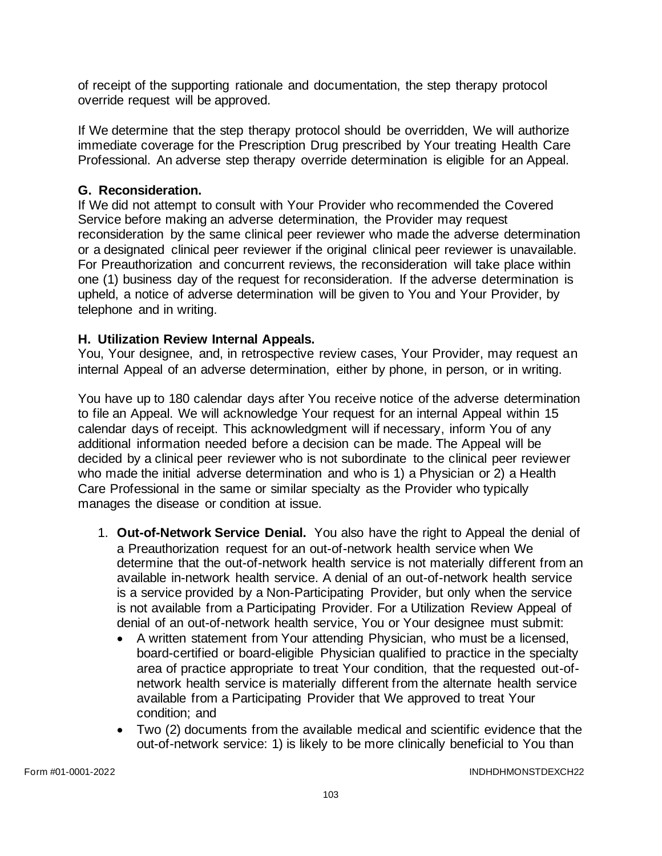of receipt of the supporting rationale and documentation, the step therapy protocol override request will be approved.

If We determine that the step therapy protocol should be overridden, We will authorize immediate coverage for the Prescription Drug prescribed by Your treating Health Care Professional. An adverse step therapy override determination is eligible for an Appeal.

## **G. Reconsideration.**

If We did not attempt to consult with Your Provider who recommended the Covered Service before making an adverse determination, the Provider may request reconsideration by the same clinical peer reviewer who made the adverse determination or a designated clinical peer reviewer if the original clinical peer reviewer is unavailable. For Preauthorization and concurrent reviews, the reconsideration will take place within one (1) business day of the request for reconsideration. If the adverse determination is upheld, a notice of adverse determination will be given to You and Your Provider, by telephone and in writing.

### **H. Utilization Review Internal Appeals.**

You, Your designee, and, in retrospective review cases, Your Provider, may request an internal Appeal of an adverse determination, either by phone, in person, or in writing.

You have up to 180 calendar days after You receive notice of the adverse determination to file an Appeal. We will acknowledge Your request for an internal Appeal within 15 calendar days of receipt. This acknowledgment will if necessary, inform You of any additional information needed before a decision can be made. The Appeal will be decided by a clinical peer reviewer who is not subordinate to the clinical peer reviewer who made the initial adverse determination and who is 1) a Physician or 2) a Health Care Professional in the same or similar specialty as the Provider who typically manages the disease or condition at issue.

- 1. **Out-of-Network Service Denial.** You also have the right to Appeal the denial of a Preauthorization request for an out-of-network health service when We determine that the out-of-network health service is not materially different from an available in-network health service. A denial of an out-of-network health service is a service provided by a Non-Participating Provider, but only when the service is not available from a Participating Provider. For a Utilization Review Appeal of denial of an out-of-network health service, You or Your designee must submit:
	- A written statement from Your attending Physician, who must be a licensed, board-certified or board-eligible Physician qualified to practice in the specialty area of practice appropriate to treat Your condition, that the requested out-ofnetwork health service is materially different from the alternate health service available from a Participating Provider that We approved to treat Your condition; and
	- Two (2) documents from the available medical and scientific evidence that the out-of-network service: 1) is likely to be more clinically beneficial to You than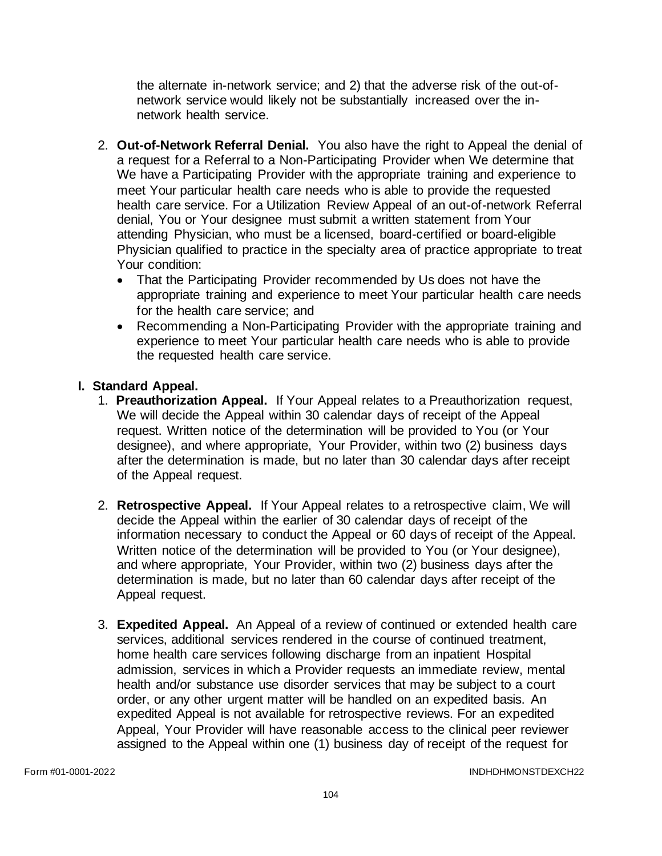the alternate in-network service; and 2) that the adverse risk of the out-ofnetwork service would likely not be substantially increased over the innetwork health service.

- 2. **Out-of-Network Referral Denial.** You also have the right to Appeal the denial of a request for a Referral to a Non-Participating Provider when We determine that We have a Participating Provider with the appropriate training and experience to meet Your particular health care needs who is able to provide the requested health care service. For a Utilization Review Appeal of an out-of-network Referral denial, You or Your designee must submit a written statement from Your attending Physician, who must be a licensed, board-certified or board-eligible Physician qualified to practice in the specialty area of practice appropriate to treat Your condition:
	- That the Participating Provider recommended by Us does not have the appropriate training and experience to meet Your particular health care needs for the health care service; and
	- Recommending a Non-Participating Provider with the appropriate training and experience to meet Your particular health care needs who is able to provide the requested health care service.

# **I. Standard Appeal.**

- 1. **Preauthorization Appeal.** If Your Appeal relates to a Preauthorization request, We will decide the Appeal within 30 calendar days of receipt of the Appeal request. Written notice of the determination will be provided to You (or Your designee), and where appropriate, Your Provider, within two (2) business days after the determination is made, but no later than 30 calendar days after receipt of the Appeal request.
- 2. **Retrospective Appeal.** If Your Appeal relates to a retrospective claim, We will decide the Appeal within the earlier of 30 calendar days of receipt of the information necessary to conduct the Appeal or 60 days of receipt of the Appeal. Written notice of the determination will be provided to You (or Your designee), and where appropriate, Your Provider, within two (2) business days after the determination is made, but no later than 60 calendar days after receipt of the Appeal request.
- 3. **Expedited Appeal.** An Appeal of a review of continued or extended health care services, additional services rendered in the course of continued treatment, home health care services following discharge from an inpatient Hospital admission, services in which a Provider requests an immediate review, mental health and/or substance use disorder services that may be subject to a court order, or any other urgent matter will be handled on an expedited basis. An expedited Appeal is not available for retrospective reviews. For an expedited Appeal, Your Provider will have reasonable access to the clinical peer reviewer assigned to the Appeal within one (1) business day of receipt of the request for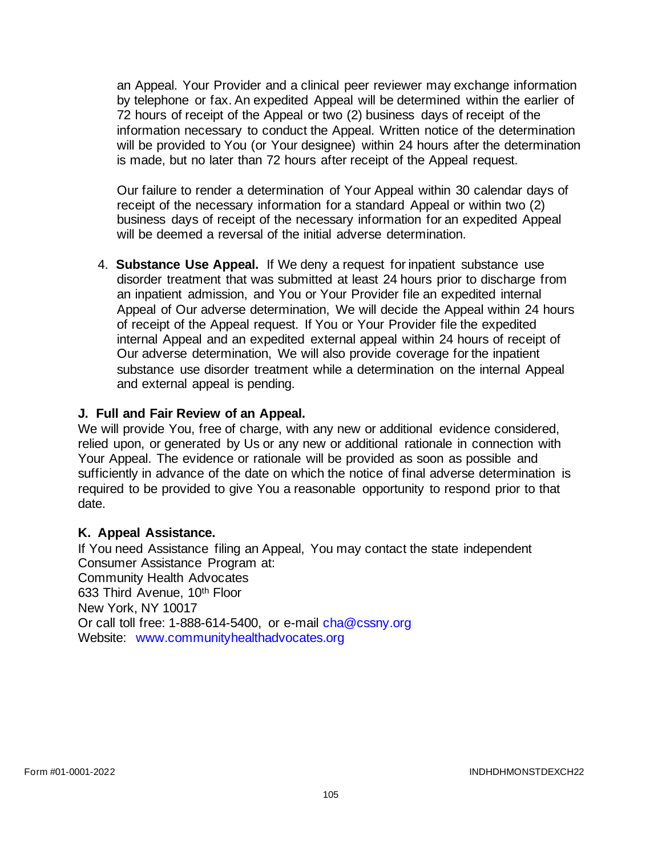an Appeal. Your Provider and a clinical peer reviewer may exchange information by telephone or fax. An expedited Appeal will be determined within the earlier of 72 hours of receipt of the Appeal or two (2) business days of receipt of the information necessary to conduct the Appeal. Written notice of the determination will be provided to You (or Your designee) within 24 hours after the determination is made, but no later than 72 hours after receipt of the Appeal request.

Our failure to render a determination of Your Appeal within 30 calendar days of receipt of the necessary information for a standard Appeal or within two (2) business days of receipt of the necessary information for an expedited Appeal will be deemed a reversal of the initial adverse determination.

4. **Substance Use Appeal.** If We deny a request for inpatient substance use disorder treatment that was submitted at least 24 hours prior to discharge from an inpatient admission, and You or Your Provider file an expedited internal Appeal of Our adverse determination, We will decide the Appeal within 24 hours of receipt of the Appeal request. If You or Your Provider file the expedited internal Appeal and an expedited external appeal within 24 hours of receipt of Our adverse determination, We will also provide coverage for the inpatient substance use disorder treatment while a determination on the internal Appeal and external appeal is pending.

## **J. Full and Fair Review of an Appeal.**

We will provide You, free of charge, with any new or additional evidence considered, relied upon, or generated by Us or any new or additional rationale in connection with Your Appeal. The evidence or rationale will be provided as soon as possible and sufficiently in advance of the date on which the notice of final adverse determination is required to be provided to give You a reasonable opportunity to respond prior to that date.

## **K. Appeal Assistance.**

If You need Assistance filing an Appeal, You may contact the state independent Consumer Assistance Program at: Community Health Advocates 633 Third Avenue, 10th Floor New York, NY 10017 Or call toll free: 1-888-614-5400, or e-mail [cha@cssny.org](mailto:cha@cssny.org) Website: [www.communityhealthadvocates.org](http://www.communityhealthadvocates.org/)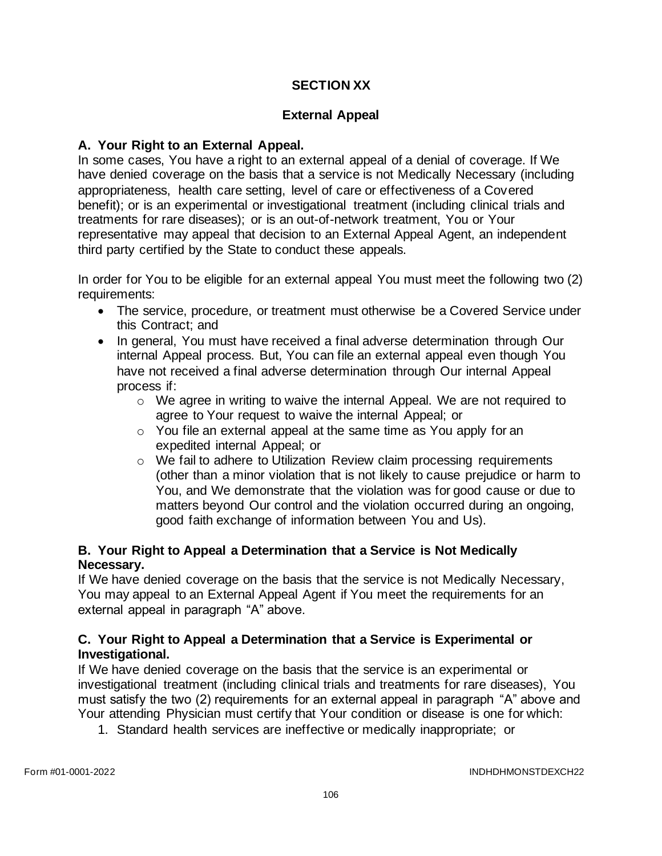# **SECTION XX**

# **External Appeal**

## **A. Your Right to an External Appeal.**

In some cases, You have a right to an external appeal of a denial of coverage. If We have denied coverage on the basis that a service is not Medically Necessary (including appropriateness, health care setting, level of care or effectiveness of a Covered benefit); or is an experimental or investigational treatment (including clinical trials and treatments for rare diseases); or is an out-of-network treatment, You or Your representative may appeal that decision to an External Appeal Agent, an independent third party certified by the State to conduct these appeals.

In order for You to be eligible for an external appeal You must meet the following two (2) requirements:

- The service, procedure, or treatment must otherwise be a Covered Service under this Contract; and
- In general, You must have received a final adverse determination through Our internal Appeal process. But, You can file an external appeal even though You have not received a final adverse determination through Our internal Appeal process if:
	- $\circ$  We agree in writing to waive the internal Appeal. We are not required to agree to Your request to waive the internal Appeal; or
	- o You file an external appeal at the same time as You apply for an expedited internal Appeal; or
	- $\circ$  We fail to adhere to Utilization Review claim processing requirements (other than a minor violation that is not likely to cause prejudice or harm to You, and We demonstrate that the violation was for good cause or due to matters beyond Our control and the violation occurred during an ongoing, good faith exchange of information between You and Us).

# **B. Your Right to Appeal a Determination that a Service is Not Medically Necessary.**

If We have denied coverage on the basis that the service is not Medically Necessary, You may appeal to an External Appeal Agent if You meet the requirements for an external appeal in paragraph "A" above.

## **C. Your Right to Appeal a Determination that a Service is Experimental or Investigational.**

If We have denied coverage on the basis that the service is an experimental or investigational treatment (including clinical trials and treatments for rare diseases), You must satisfy the two (2) requirements for an external appeal in paragraph "A" above and Your attending Physician must certify that Your condition or disease is one for which:

1. Standard health services are ineffective or medically inappropriate; or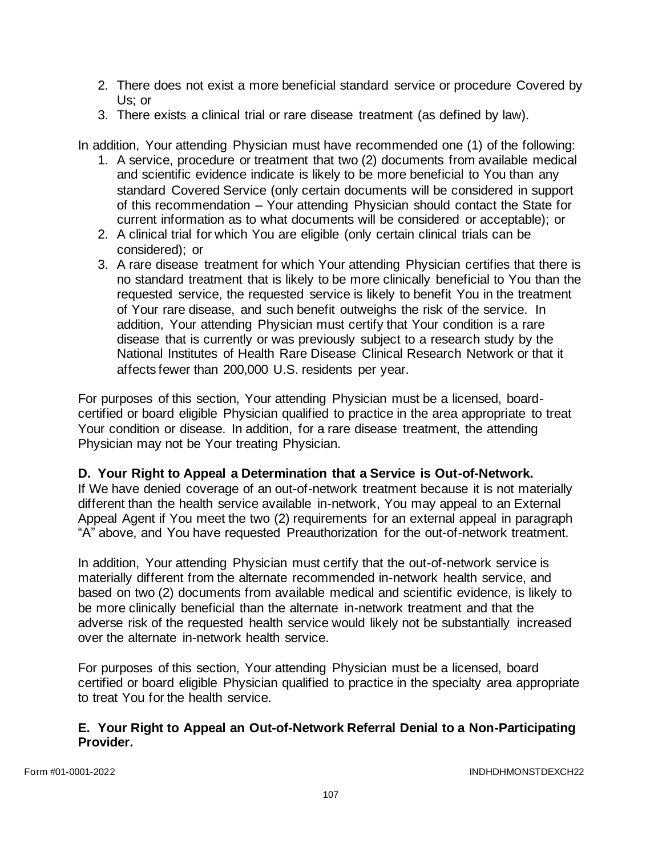- 2. There does not exist a more beneficial standard service or procedure Covered by Us; or
- 3. There exists a clinical trial or rare disease treatment (as defined by law).

In addition, Your attending Physician must have recommended one (1) of the following:

- 1. A service, procedure or treatment that two (2) documents from available medical and scientific evidence indicate is likely to be more beneficial to You than any standard Covered Service (only certain documents will be considered in support of this recommendation – Your attending Physician should contact the State for current information as to what documents will be considered or acceptable); or
- 2. A clinical trial for which You are eligible (only certain clinical trials can be considered); or
- 3. A rare disease treatment for which Your attending Physician certifies that there is no standard treatment that is likely to be more clinically beneficial to You than the requested service, the requested service is likely to benefit You in the treatment of Your rare disease, and such benefit outweighs the risk of the service. In addition, Your attending Physician must certify that Your condition is a rare disease that is currently or was previously subject to a research study by the National Institutes of Health Rare Disease Clinical Research Network or that it affects fewer than 200,000 U.S. residents per year.

For purposes of this section, Your attending Physician must be a licensed, boardcertified or board eligible Physician qualified to practice in the area appropriate to treat Your condition or disease. In addition, for a rare disease treatment, the attending Physician may not be Your treating Physician.

## **D. Your Right to Appeal a Determination that a Service is Out-of-Network.**

If We have denied coverage of an out-of-network treatment because it is not materially different than the health service available in-network, You may appeal to an External Appeal Agent if You meet the two (2) requirements for an external appeal in paragraph "A" above, and You have requested Preauthorization for the out-of-network treatment.

In addition, Your attending Physician must certify that the out-of-network service is materially different from the alternate recommended in-network health service, and based on two (2) documents from available medical and scientific evidence, is likely to be more clinically beneficial than the alternate in-network treatment and that the adverse risk of the requested health service would likely not be substantially increased over the alternate in-network health service.

For purposes of this section, Your attending Physician must be a licensed, board certified or board eligible Physician qualified to practice in the specialty area appropriate to treat You for the health service.

## **E. Your Right to Appeal an Out-of-Network Referral Denial to a Non-Participating Provider.**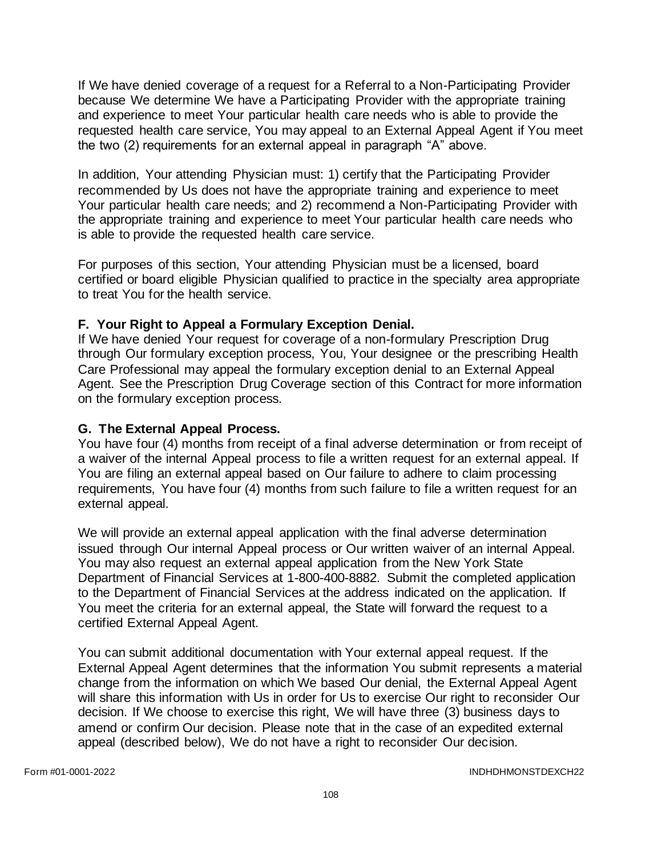If We have denied coverage of a request for a Referral to a Non-Participating Provider because We determine We have a Participating Provider with the appropriate training and experience to meet Your particular health care needs who is able to provide the requested health care service, You may appeal to an External Appeal Agent if You meet the two (2) requirements for an external appeal in paragraph "A" above.

In addition, Your attending Physician must: 1) certify that the Participating Provider recommended by Us does not have the appropriate training and experience to meet Your particular health care needs; and 2) recommend a Non-Participating Provider with the appropriate training and experience to meet Your particular health care needs who is able to provide the requested health care service.

For purposes of this section, Your attending Physician must be a licensed, board certified or board eligible Physician qualified to practice in the specialty area appropriate to treat You for the health service.

## **F. Your Right to Appeal a Formulary Exception Denial.**

If We have denied Your request for coverage of a non-formulary Prescription Drug through Our formulary exception process, You, Your designee or the prescribing Health Care Professional may appeal the formulary exception denial to an External Appeal Agent. See the Prescription Drug Coverage section of this Contract for more information on the formulary exception process.

## **G. The External Appeal Process.**

You have four (4) months from receipt of a final adverse determination or from receipt of a waiver of the internal Appeal process to file a written request for an external appeal. If You are filing an external appeal based on Our failure to adhere to claim processing requirements, You have four (4) months from such failure to file a written request for an external appeal.

We will provide an external appeal application with the final adverse determination issued through Our internal Appeal process or Our written waiver of an internal Appeal. You may also request an external appeal application from the New York State Department of Financial Services at 1-800-400-8882. Submit the completed application to the Department of Financial Services at the address indicated on the application. If You meet the criteria for an external appeal, the State will forward the request to a certified External Appeal Agent.

You can submit additional documentation with Your external appeal request. If the External Appeal Agent determines that the information You submit represents a material change from the information on which We based Our denial, the External Appeal Agent will share this information with Us in order for Us to exercise Our right to reconsider Our decision. If We choose to exercise this right, We will have three (3) business days to amend or confirm Our decision. Please note that in the case of an expedited external appeal (described below), We do not have a right to reconsider Our decision.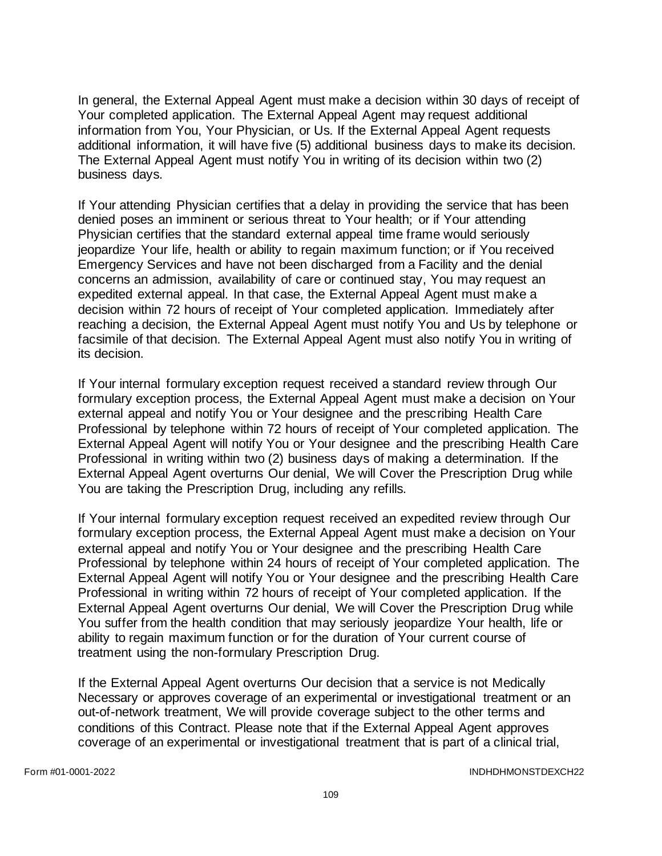In general, the External Appeal Agent must make a decision within 30 days of receipt of Your completed application. The External Appeal Agent may request additional information from You, Your Physician, or Us. If the External Appeal Agent requests additional information, it will have five (5) additional business days to make its decision. The External Appeal Agent must notify You in writing of its decision within two (2) business days.

If Your attending Physician certifies that a delay in providing the service that has been denied poses an imminent or serious threat to Your health; or if Your attending Physician certifies that the standard external appeal time frame would seriously jeopardize Your life, health or ability to regain maximum function; or if You received Emergency Services and have not been discharged from a Facility and the denial concerns an admission, availability of care or continued stay, You may request an expedited external appeal. In that case, the External Appeal Agent must make a decision within 72 hours of receipt of Your completed application. Immediately after reaching a decision, the External Appeal Agent must notify You and Us by telephone or facsimile of that decision. The External Appeal Agent must also notify You in writing of its decision.

If Your internal formulary exception request received a standard review through Our formulary exception process, the External Appeal Agent must make a decision on Your external appeal and notify You or Your designee and the prescribing Health Care Professional by telephone within 72 hours of receipt of Your completed application. The External Appeal Agent will notify You or Your designee and the prescribing Health Care Professional in writing within two (2) business days of making a determination. If the External Appeal Agent overturns Our denial, We will Cover the Prescription Drug while You are taking the Prescription Drug, including any refills.

If Your internal formulary exception request received an expedited review through Our formulary exception process, the External Appeal Agent must make a decision on Your external appeal and notify You or Your designee and the prescribing Health Care Professional by telephone within 24 hours of receipt of Your completed application. The External Appeal Agent will notify You or Your designee and the prescribing Health Care Professional in writing within 72 hours of receipt of Your completed application. If the External Appeal Agent overturns Our denial, We will Cover the Prescription Drug while You suffer from the health condition that may seriously jeopardize Your health, life or ability to regain maximum function or for the duration of Your current course of treatment using the non-formulary Prescription Drug.

If the External Appeal Agent overturns Our decision that a service is not Medically Necessary or approves coverage of an experimental or investigational treatment or an out-of-network treatment, We will provide coverage subject to the other terms and conditions of this Contract. Please note that if the External Appeal Agent approves coverage of an experimental or investigational treatment that is part of a clinical trial,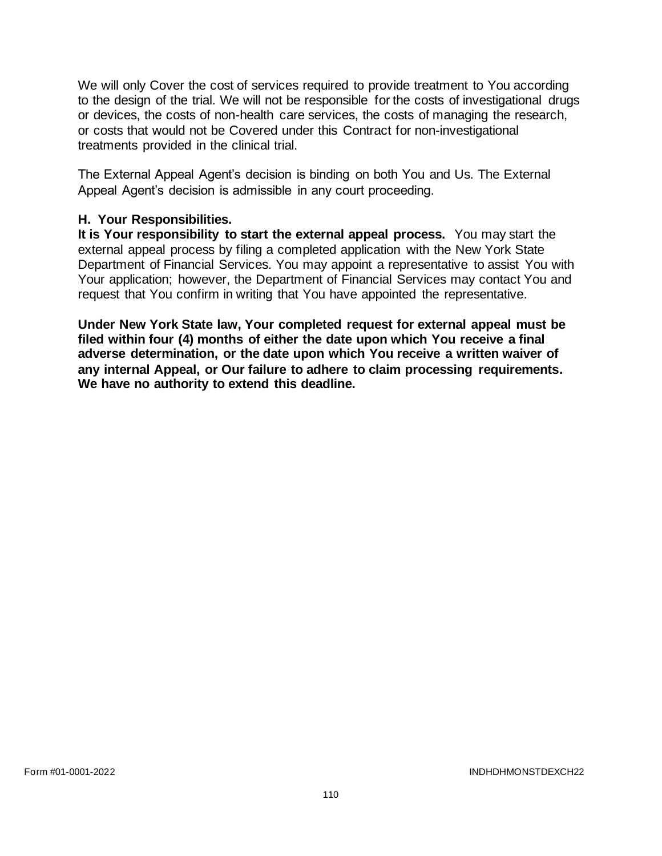We will only Cover the cost of services required to provide treatment to You according to the design of the trial. We will not be responsible for the costs of investigational drugs or devices, the costs of non-health care services, the costs of managing the research, or costs that would not be Covered under this Contract for non-investigational treatments provided in the clinical trial.

The External Appeal Agent's decision is binding on both You and Us. The External Appeal Agent's decision is admissible in any court proceeding.

#### **H. Your Responsibilities.**

**It is Your responsibility to start the external appeal process.** You may start the external appeal process by filing a completed application with the New York State Department of Financial Services. You may appoint a representative to assist You with Your application; however, the Department of Financial Services may contact You and request that You confirm in writing that You have appointed the representative.

**Under New York State law, Your completed request for external appeal must be filed within four (4) months of either the date upon which You receive a final adverse determination, or the date upon which You receive a written waiver of any internal Appeal, or Our failure to adhere to claim processing requirements. We have no authority to extend this deadline.**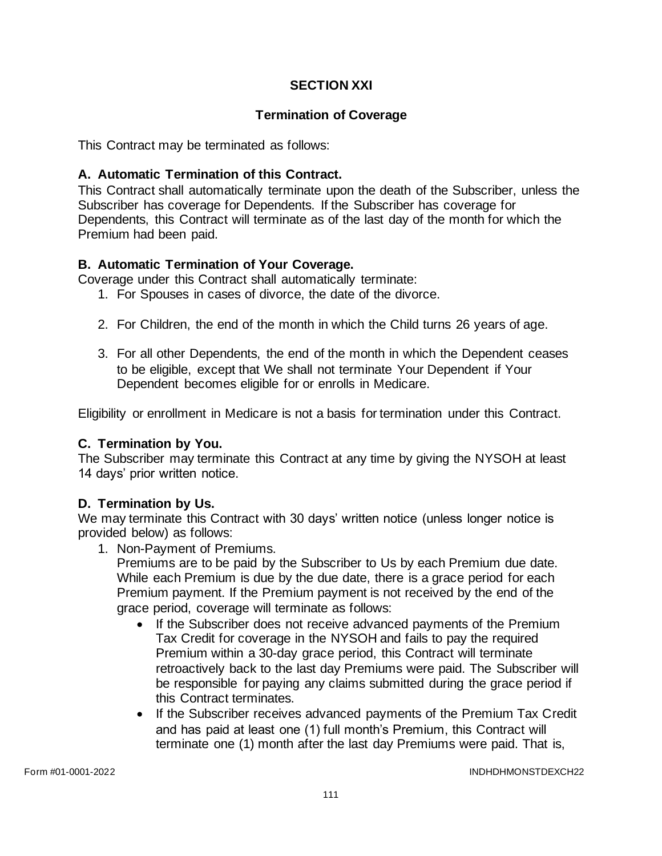# **SECTION XXI**

## **Termination of Coverage**

This Contract may be terminated as follows:

## **A. Automatic Termination of this Contract.**

This Contract shall automatically terminate upon the death of the Subscriber, unless the Subscriber has coverage for Dependents. If the Subscriber has coverage for Dependents, this Contract will terminate as of the last day of the month for which the Premium had been paid.

# **B. Automatic Termination of Your Coverage.**

Coverage under this Contract shall automatically terminate:

- 1. For Spouses in cases of divorce, the date of the divorce.
- 2. For Children, the end of the month in which the Child turns 26 years of age.
- 3. For all other Dependents, the end of the month in which the Dependent ceases to be eligible, except that We shall not terminate Your Dependent if Your Dependent becomes eligible for or enrolls in Medicare.

Eligibility or enrollment in Medicare is not a basis for termination under this Contract.

### **C. Termination by You.**

The Subscriber may terminate this Contract at any time by giving the NYSOH at least 14 days' prior written notice.

### **D. Termination by Us.**

We may terminate this Contract with 30 days' written notice (unless longer notice is provided below) as follows:

1. Non-Payment of Premiums.

Premiums are to be paid by the Subscriber to Us by each Premium due date. While each Premium is due by the due date, there is a grace period for each Premium payment. If the Premium payment is not received by the end of the grace period, coverage will terminate as follows:

- If the Subscriber does not receive advanced payments of the Premium Tax Credit for coverage in the NYSOH and fails to pay the required Premium within a 30-day grace period, this Contract will terminate retroactively back to the last day Premiums were paid. The Subscriber will be responsible for paying any claims submitted during the grace period if this Contract terminates.
- If the Subscriber receives advanced payments of the Premium Tax Credit and has paid at least one (1) full month's Premium, this Contract will terminate one (1) month after the last day Premiums were paid. That is,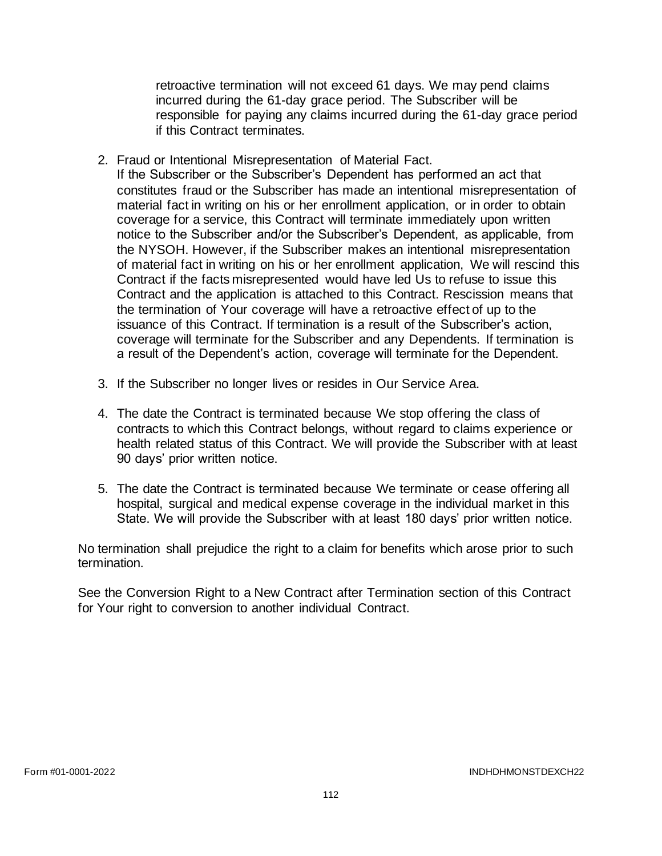retroactive termination will not exceed 61 days. We may pend claims incurred during the 61-day grace period. The Subscriber will be responsible for paying any claims incurred during the 61-day grace period if this Contract terminates.

2. Fraud or Intentional Misrepresentation of Material Fact.

If the Subscriber or the Subscriber's Dependent has performed an act that constitutes fraud or the Subscriber has made an intentional misrepresentation of material fact in writing on his or her enrollment application, or in order to obtain coverage for a service, this Contract will terminate immediately upon written notice to the Subscriber and/or the Subscriber's Dependent, as applicable, from the NYSOH. However, if the Subscriber makes an intentional misrepresentation of material fact in writing on his or her enrollment application, We will rescind this Contract if the facts misrepresented would have led Us to refuse to issue this Contract and the application is attached to this Contract. Rescission means that the termination of Your coverage will have a retroactive effect of up to the issuance of this Contract. If termination is a result of the Subscriber's action, coverage will terminate for the Subscriber and any Dependents. If termination is a result of the Dependent's action, coverage will terminate for the Dependent.

- 3. If the Subscriber no longer lives or resides in Our Service Area.
- 4. The date the Contract is terminated because We stop offering the class of contracts to which this Contract belongs, without regard to claims experience or health related status of this Contract. We will provide the Subscriber with at least 90 days' prior written notice.
- 5. The date the Contract is terminated because We terminate or cease offering all hospital, surgical and medical expense coverage in the individual market in this State. We will provide the Subscriber with at least 180 days' prior written notice.

No termination shall prejudice the right to a claim for benefits which arose prior to such termination.

See the Conversion Right to a New Contract after Termination section of this Contract for Your right to conversion to another individual Contract.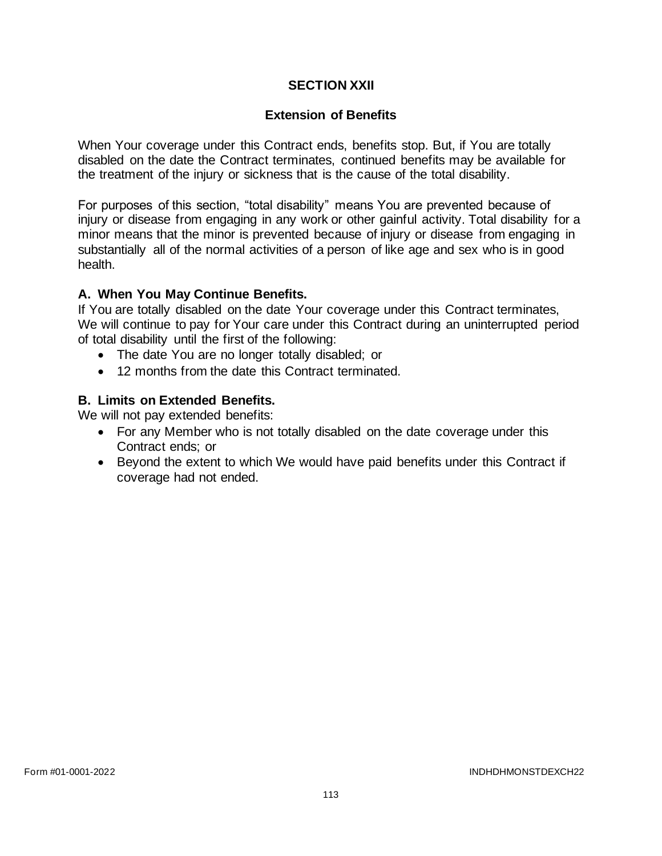## **SECTION XXII**

### **Extension of Benefits**

When Your coverage under this Contract ends, benefits stop. But, if You are totally disabled on the date the Contract terminates, continued benefits may be available for the treatment of the injury or sickness that is the cause of the total disability.

For purposes of this section, "total disability" means You are prevented because of injury or disease from engaging in any work or other gainful activity. Total disability for a minor means that the minor is prevented because of injury or disease from engaging in substantially all of the normal activities of a person of like age and sex who is in good health.

# **A. When You May Continue Benefits.**

If You are totally disabled on the date Your coverage under this Contract terminates, We will continue to pay for Your care under this Contract during an uninterrupted period of total disability until the first of the following:

- The date You are no longer totally disabled; or
- 12 months from the date this Contract terminated.

# **B. Limits on Extended Benefits.**

We will not pay extended benefits:

- For any Member who is not totally disabled on the date coverage under this Contract ends; or
- Beyond the extent to which We would have paid benefits under this Contract if coverage had not ended.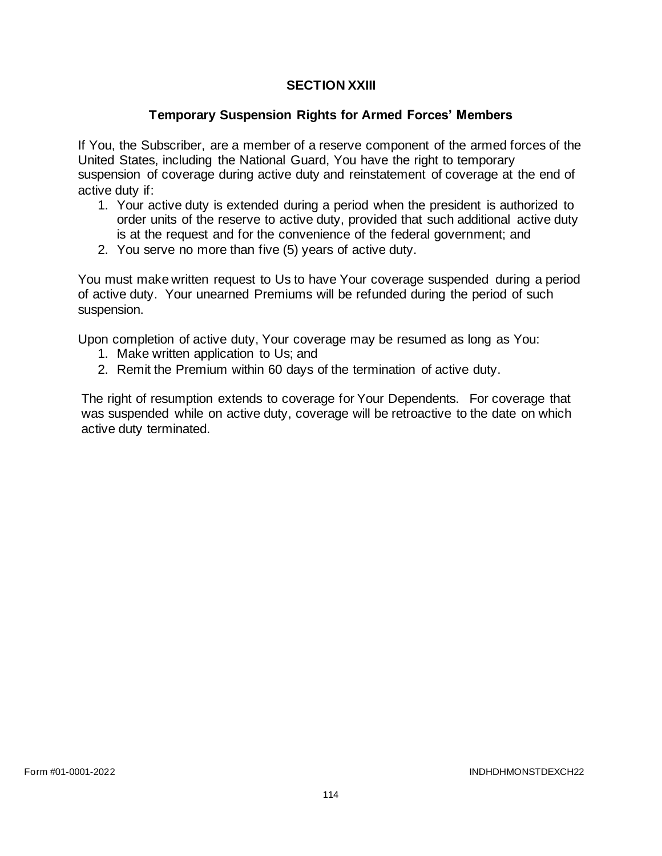# **SECTION XXIII**

## **Temporary Suspension Rights for Armed Forces' Members**

If You, the Subscriber, are a member of a reserve component of the armed forces of the United States, including the National Guard, You have the right to temporary suspension of coverage during active duty and reinstatement of coverage at the end of active duty if:

- 1. Your active duty is extended during a period when the president is authorized to order units of the reserve to active duty, provided that such additional active duty is at the request and for the convenience of the federal government; and
- 2. You serve no more than five (5) years of active duty.

You must make written request to Us to have Your coverage suspended during a period of active duty. Your unearned Premiums will be refunded during the period of such suspension.

Upon completion of active duty, Your coverage may be resumed as long as You:

- 1. Make written application to Us; and
- 2. Remit the Premium within 60 days of the termination of active duty.

The right of resumption extends to coverage for Your Dependents. For coverage that was suspended while on active duty, coverage will be retroactive to the date on which active duty terminated.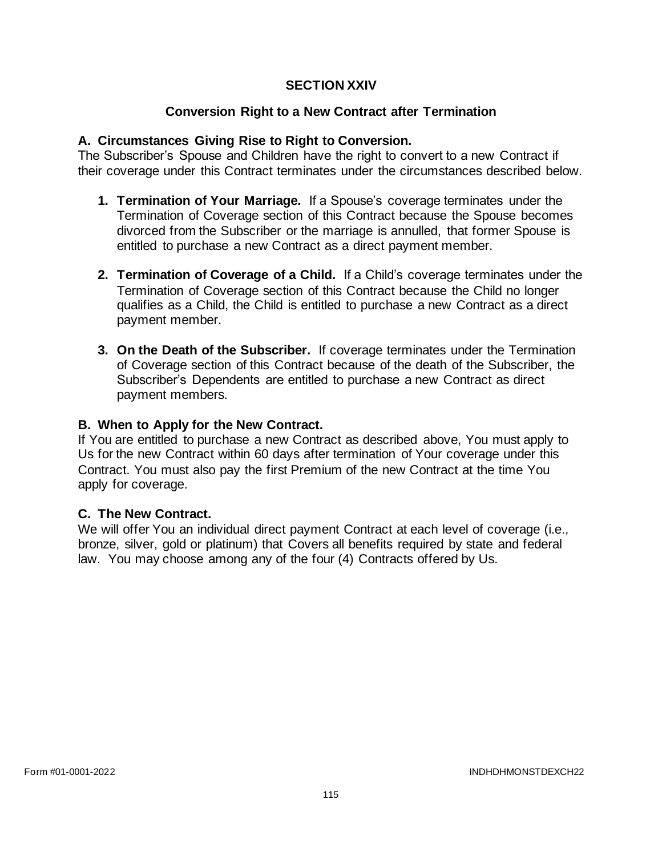## **SECTION XXIV**

# **Conversion Right to a New Contract after Termination**

## **A. Circumstances Giving Rise to Right to Conversion.**

The Subscriber's Spouse and Children have the right to convert to a new Contract if their coverage under this Contract terminates under the circumstances described below.

- **1. Termination of Your Marriage.** If a Spouse's coverage terminates under the Termination of Coverage section of this Contract because the Spouse becomes divorced from the Subscriber or the marriage is annulled, that former Spouse is entitled to purchase a new Contract as a direct payment member.
- **2. Termination of Coverage of a Child.** If a Child's coverage terminates under the Termination of Coverage section of this Contract because the Child no longer qualifies as a Child, the Child is entitled to purchase a new Contract as a direct payment member.
- **3. On the Death of the Subscriber.** If coverage terminates under the Termination of Coverage section of this Contract because of the death of the Subscriber, the Subscriber's Dependents are entitled to purchase a new Contract as direct payment members.

#### **B. When to Apply for the New Contract.**

If You are entitled to purchase a new Contract as described above, You must apply to Us for the new Contract within 60 days after termination of Your coverage under this Contract. You must also pay the first Premium of the new Contract at the time You apply for coverage.

### **C. The New Contract.**

We will offer You an individual direct payment Contract at each level of coverage (i.e., bronze, silver, gold or platinum) that Covers all benefits required by state and federal law. You may choose among any of the four (4) Contracts offered by Us.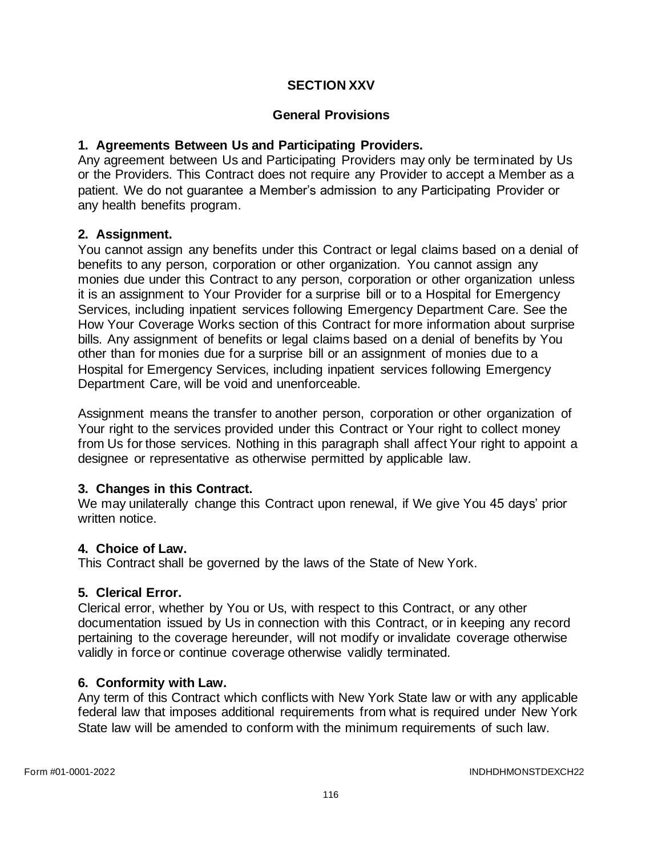## **SECTION XXV**

## **General Provisions**

## **1. Agreements Between Us and Participating Providers.**

Any agreement between Us and Participating Providers may only be terminated by Us or the Providers. This Contract does not require any Provider to accept a Member as a patient. We do not guarantee a Member's admission to any Participating Provider or any health benefits program.

### **2. Assignment.**

You cannot assign any benefits under this Contract or legal claims based on a denial of benefits to any person, corporation or other organization. You cannot assign any monies due under this Contract to any person, corporation or other organization unless it is an assignment to Your Provider for a surprise bill or to a Hospital for Emergency Services, including inpatient services following Emergency Department Care. See the How Your Coverage Works section of this Contract for more information about surprise bills. Any assignment of benefits or legal claims based on a denial of benefits by You other than for monies due for a surprise bill or an assignment of monies due to a Hospital for Emergency Services, including inpatient services following Emergency Department Care, will be void and unenforceable.

Assignment means the transfer to another person, corporation or other organization of Your right to the services provided under this Contract or Your right to collect money from Us for those services. Nothing in this paragraph shall affect Your right to appoint a designee or representative as otherwise permitted by applicable law.

### **3. Changes in this Contract.**

We may unilaterally change this Contract upon renewal, if We give You 45 days' prior written notice.

### **4. Choice of Law.**

This Contract shall be governed by the laws of the State of New York.

### **5. Clerical Error.**

Clerical error, whether by You or Us, with respect to this Contract, or any other documentation issued by Us in connection with this Contract, or in keeping any record pertaining to the coverage hereunder, will not modify or invalidate coverage otherwise validly in force or continue coverage otherwise validly terminated.

### **6. Conformity with Law.**

Any term of this Contract which conflicts with New York State law or with any applicable federal law that imposes additional requirements from what is required under New York State law will be amended to conform with the minimum requirements of such law.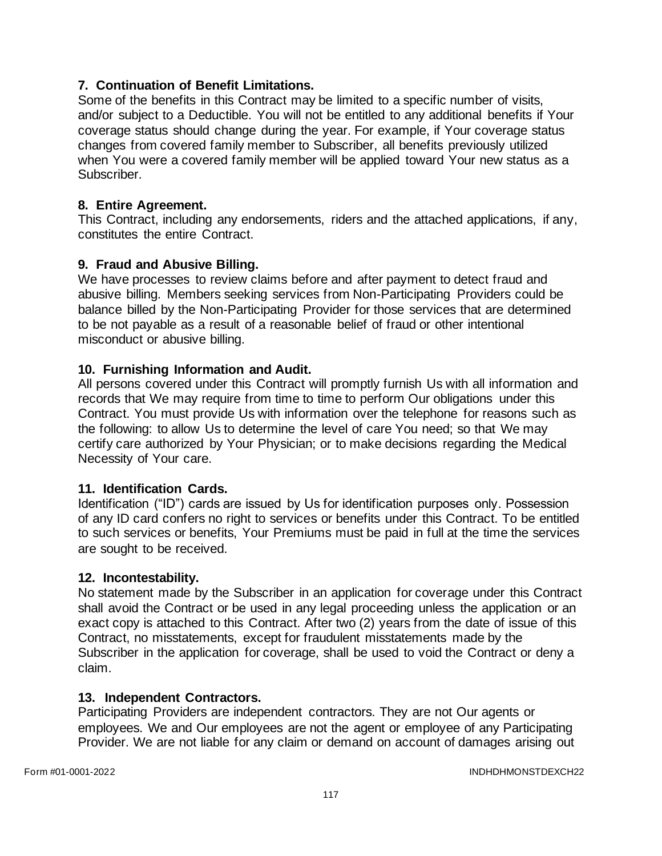# **7. Continuation of Benefit Limitations.**

Some of the benefits in this Contract may be limited to a specific number of visits, and/or subject to a Deductible. You will not be entitled to any additional benefits if Your coverage status should change during the year. For example, if Your coverage status changes from covered family member to Subscriber, all benefits previously utilized when You were a covered family member will be applied toward Your new status as a Subscriber.

## **8. Entire Agreement.**

This Contract, including any endorsements, riders and the attached applications, if any, constitutes the entire Contract.

# **9. Fraud and Abusive Billing.**

We have processes to review claims before and after payment to detect fraud and abusive billing. Members seeking services from Non-Participating Providers could be balance billed by the Non-Participating Provider for those services that are determined to be not payable as a result of a reasonable belief of fraud or other intentional misconduct or abusive billing.

# **10. Furnishing Information and Audit.**

All persons covered under this Contract will promptly furnish Us with all information and records that We may require from time to time to perform Our obligations under this Contract. You must provide Us with information over the telephone for reasons such as the following: to allow Us to determine the level of care You need; so that We may certify care authorized by Your Physician; or to make decisions regarding the Medical Necessity of Your care.

### **11. Identification Cards.**

Identification ("ID") cards are issued by Us for identification purposes only. Possession of any ID card confers no right to services or benefits under this Contract. To be entitled to such services or benefits, Your Premiums must be paid in full at the time the services are sought to be received.

### **12. Incontestability.**

No statement made by the Subscriber in an application for coverage under this Contract shall avoid the Contract or be used in any legal proceeding unless the application or an exact copy is attached to this Contract. After two (2) years from the date of issue of this Contract, no misstatements, except for fraudulent misstatements made by the Subscriber in the application for coverage, shall be used to void the Contract or deny a claim.

### **13. Independent Contractors.**

Participating Providers are independent contractors. They are not Our agents or employees. We and Our employees are not the agent or employee of any Participating Provider. We are not liable for any claim or demand on account of damages arising out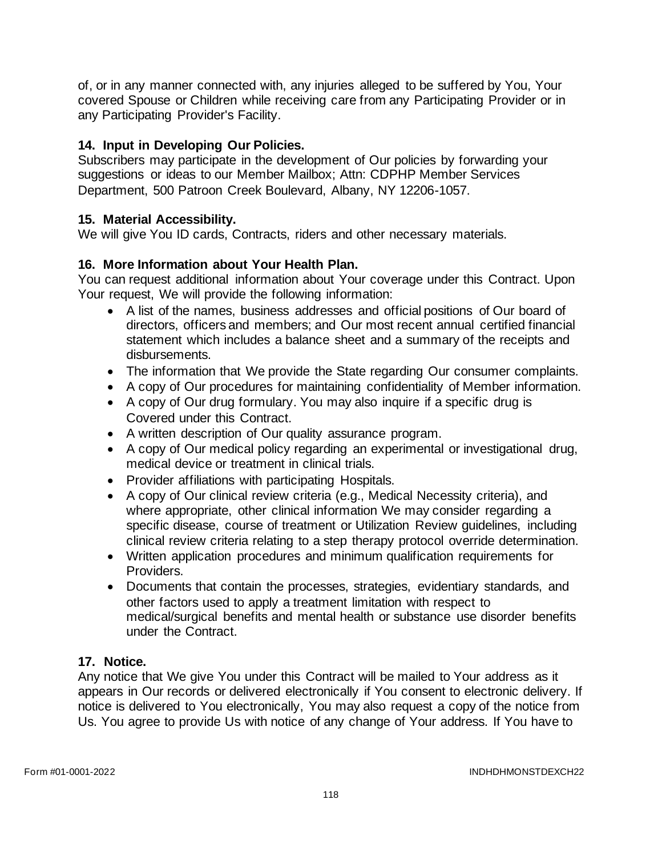of, or in any manner connected with, any injuries alleged to be suffered by You, Your covered Spouse or Children while receiving care from any Participating Provider or in any Participating Provider's Facility.

# **14. Input in Developing Our Policies.**

Subscribers may participate in the development of Our policies by forwarding your suggestions or ideas to our Member Mailbox; Attn: CDPHP Member Services Department, 500 Patroon Creek Boulevard, Albany, NY 12206-1057.

# **15. Material Accessibility.**

We will give You ID cards, Contracts, riders and other necessary materials.

# **16. More Information about Your Health Plan.**

You can request additional information about Your coverage under this Contract. Upon Your request, We will provide the following information:

- A list of the names, business addresses and official positions of Our board of directors, officers and members; and Our most recent annual certified financial statement which includes a balance sheet and a summary of the receipts and disbursements.
- The information that We provide the State regarding Our consumer complaints.
- A copy of Our procedures for maintaining confidentiality of Member information.
- A copy of Our drug formulary. You may also inquire if a specific drug is Covered under this Contract.
- A written description of Our quality assurance program.
- A copy of Our medical policy regarding an experimental or investigational drug, medical device or treatment in clinical trials.
- Provider affiliations with participating Hospitals.
- A copy of Our clinical review criteria (e.g., Medical Necessity criteria), and where appropriate, other clinical information We may consider regarding a specific disease, course of treatment or Utilization Review guidelines, including clinical review criteria relating to a step therapy protocol override determination.
- Written application procedures and minimum qualification requirements for Providers.
- Documents that contain the processes, strategies, evidentiary standards, and other factors used to apply a treatment limitation with respect to medical/surgical benefits and mental health or substance use disorder benefits under the Contract.

# **17. Notice.**

Any notice that We give You under this Contract will be mailed to Your address as it appears in Our records or delivered electronically if You consent to electronic delivery. If notice is delivered to You electronically, You may also request a copy of the notice from Us. You agree to provide Us with notice of any change of Your address. If You have to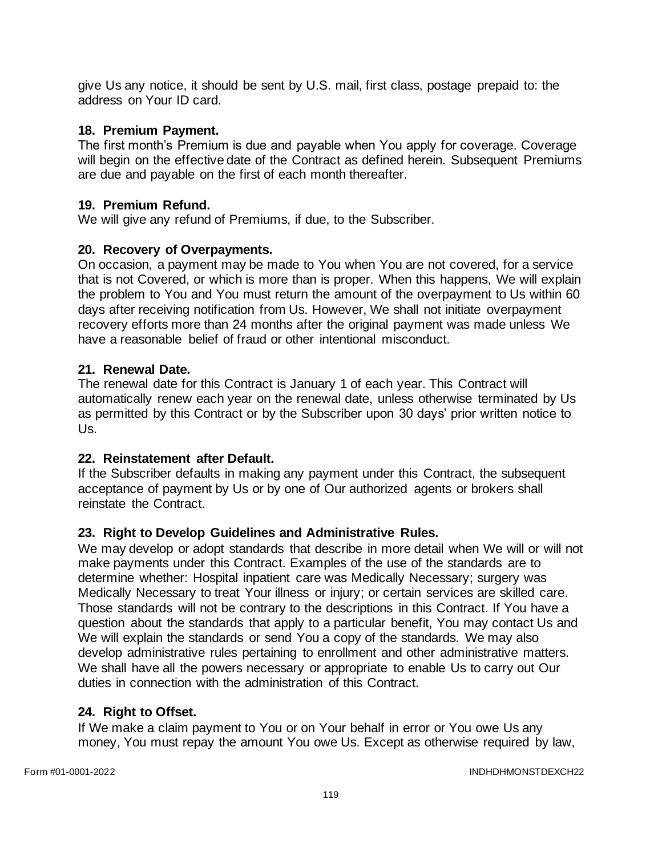give Us any notice, it should be sent by U.S. mail, first class, postage prepaid to: the address on Your ID card.

# **18. Premium Payment.**

The first month's Premium is due and payable when You apply for coverage. Coverage will begin on the effective date of the Contract as defined herein. Subsequent Premiums are due and payable on the first of each month thereafter.

## **19. Premium Refund.**

We will give any refund of Premiums, if due, to the Subscriber.

# **20. Recovery of Overpayments.**

On occasion, a payment may be made to You when You are not covered, for a service that is not Covered, or which is more than is proper. When this happens, We will explain the problem to You and You must return the amount of the overpayment to Us within 60 days after receiving notification from Us. However, We shall not initiate overpayment recovery efforts more than 24 months after the original payment was made unless We have a reasonable belief of fraud or other intentional misconduct.

# **21. Renewal Date.**

The renewal date for this Contract is January 1 of each year. This Contract will automatically renew each year on the renewal date, unless otherwise terminated by Us as permitted by this Contract or by the Subscriber upon 30 days' prior written notice to Us.

# **22. Reinstatement after Default.**

If the Subscriber defaults in making any payment under this Contract, the subsequent acceptance of payment by Us or by one of Our authorized agents or brokers shall reinstate the Contract.

# **23. Right to Develop Guidelines and Administrative Rules.**

We may develop or adopt standards that describe in more detail when We will or will not make payments under this Contract. Examples of the use of the standards are to determine whether: Hospital inpatient care was Medically Necessary; surgery was Medically Necessary to treat Your illness or injury; or certain services are skilled care. Those standards will not be contrary to the descriptions in this Contract. If You have a question about the standards that apply to a particular benefit, You may contact Us and We will explain the standards or send You a copy of the standards. We may also develop administrative rules pertaining to enrollment and other administrative matters. We shall have all the powers necessary or appropriate to enable Us to carry out Our duties in connection with the administration of this Contract.

### **24. Right to Offset.**

If We make a claim payment to You or on Your behalf in error or You owe Us any money, You must repay the amount You owe Us. Except as otherwise required by law,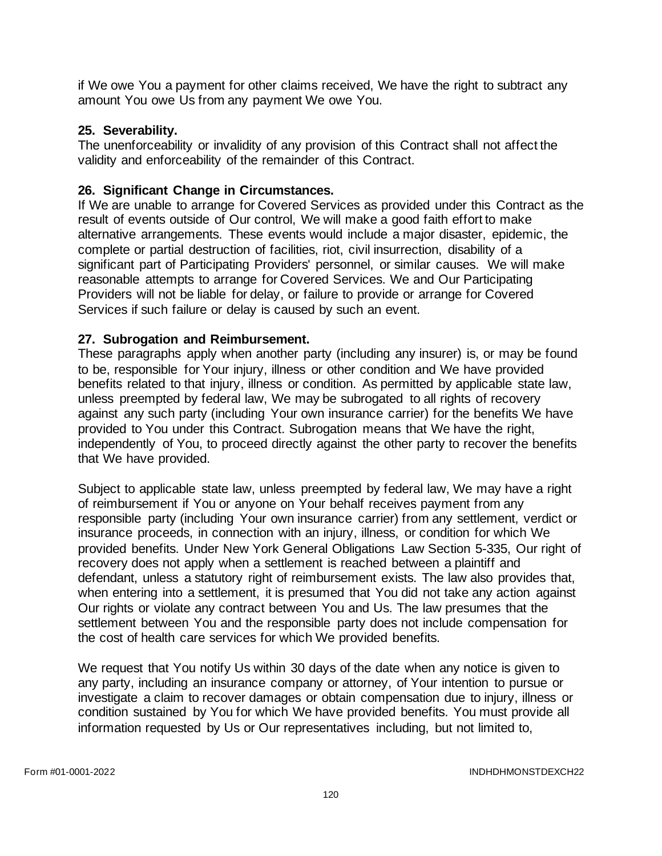if We owe You a payment for other claims received, We have the right to subtract any amount You owe Us from any payment We owe You.

# **25. Severability.**

The unenforceability or invalidity of any provision of this Contract shall not affect the validity and enforceability of the remainder of this Contract.

# **26. Significant Change in Circumstances.**

If We are unable to arrange for Covered Services as provided under this Contract as the result of events outside of Our control, We will make a good faith effort to make alternative arrangements. These events would include a major disaster, epidemic, the complete or partial destruction of facilities, riot, civil insurrection, disability of a significant part of Participating Providers' personnel, or similar causes. We will make reasonable attempts to arrange for Covered Services. We and Our Participating Providers will not be liable for delay, or failure to provide or arrange for Covered Services if such failure or delay is caused by such an event.

# **27. Subrogation and Reimbursement.**

These paragraphs apply when another party (including any insurer) is, or may be found to be, responsible for Your injury, illness or other condition and We have provided benefits related to that injury, illness or condition. As permitted by applicable state law, unless preempted by federal law, We may be subrogated to all rights of recovery against any such party (including Your own insurance carrier) for the benefits We have provided to You under this Contract. Subrogation means that We have the right, independently of You, to proceed directly against the other party to recover the benefits that We have provided.

Subject to applicable state law, unless preempted by federal law, We may have a right of reimbursement if You or anyone on Your behalf receives payment from any responsible party (including Your own insurance carrier) from any settlement, verdict or insurance proceeds, in connection with an injury, illness, or condition for which We provided benefits. Under New York General Obligations Law Section 5-335, Our right of recovery does not apply when a settlement is reached between a plaintiff and defendant, unless a statutory right of reimbursement exists. The law also provides that, when entering into a settlement, it is presumed that You did not take any action against Our rights or violate any contract between You and Us. The law presumes that the settlement between You and the responsible party does not include compensation for the cost of health care services for which We provided benefits.

We request that You notify Us within 30 days of the date when any notice is given to any party, including an insurance company or attorney, of Your intention to pursue or investigate a claim to recover damages or obtain compensation due to injury, illness or condition sustained by You for which We have provided benefits. You must provide all information requested by Us or Our representatives including, but not limited to,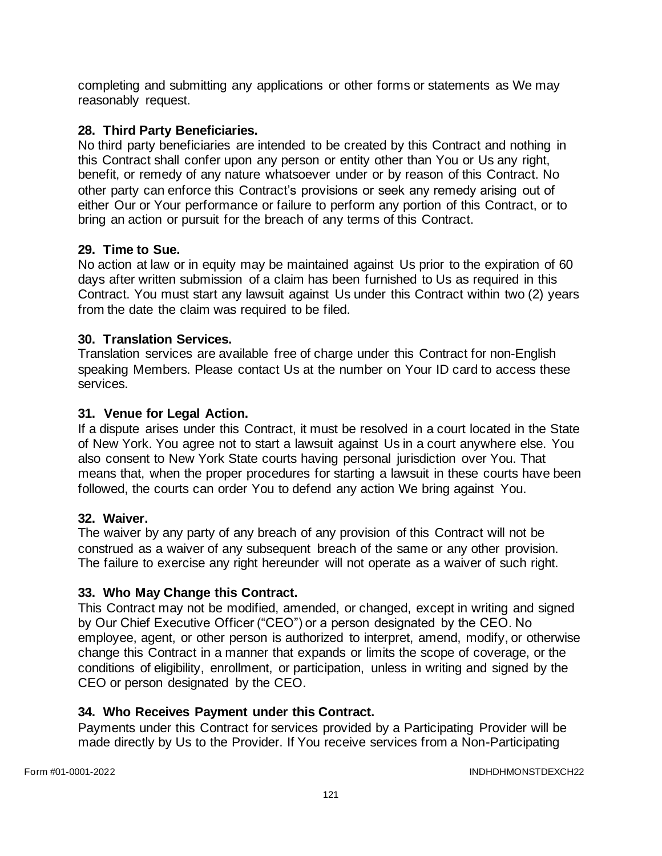completing and submitting any applications or other forms or statements as We may reasonably request.

# **28. Third Party Beneficiaries.**

No third party beneficiaries are intended to be created by this Contract and nothing in this Contract shall confer upon any person or entity other than You or Us any right, benefit, or remedy of any nature whatsoever under or by reason of this Contract. No other party can enforce this Contract's provisions or seek any remedy arising out of either Our or Your performance or failure to perform any portion of this Contract, or to bring an action or pursuit for the breach of any terms of this Contract.

### **29. Time to Sue.**

No action at law or in equity may be maintained against Us prior to the expiration of 60 days after written submission of a claim has been furnished to Us as required in this Contract. You must start any lawsuit against Us under this Contract within two (2) years from the date the claim was required to be filed.

#### **30. Translation Services.**

Translation services are available free of charge under this Contract for non-English speaking Members. Please contact Us at the number on Your ID card to access these services.

#### **31. Venue for Legal Action.**

If a dispute arises under this Contract, it must be resolved in a court located in the State of New York. You agree not to start a lawsuit against Us in a court anywhere else. You also consent to New York State courts having personal jurisdiction over You. That means that, when the proper procedures for starting a lawsuit in these courts have been followed, the courts can order You to defend any action We bring against You.

### **32. Waiver.**

The waiver by any party of any breach of any provision of this Contract will not be construed as a waiver of any subsequent breach of the same or any other provision. The failure to exercise any right hereunder will not operate as a waiver of such right.

### **33. Who May Change this Contract.**

This Contract may not be modified, amended, or changed, except in writing and signed by Our Chief Executive Officer ("CEO") or a person designated by the CEO. No employee, agent, or other person is authorized to interpret, amend, modify, or otherwise change this Contract in a manner that expands or limits the scope of coverage, or the conditions of eligibility, enrollment, or participation, unless in writing and signed by the CEO or person designated by the CEO.

### **34. Who Receives Payment under this Contract.**

Payments under this Contract for services provided by a Participating Provider will be made directly by Us to the Provider. If You receive services from a Non-Participating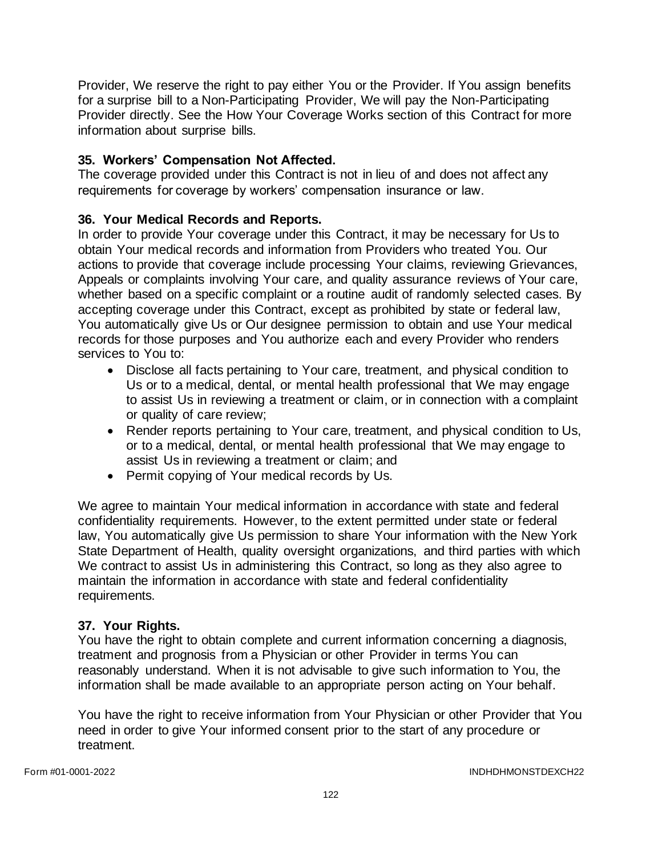Provider, We reserve the right to pay either You or the Provider. If You assign benefits for a surprise bill to a Non-Participating Provider, We will pay the Non-Participating Provider directly. See the How Your Coverage Works section of this Contract for more information about surprise bills.

# **35. Workers' Compensation Not Affected.**

The coverage provided under this Contract is not in lieu of and does not affect any requirements for coverage by workers' compensation insurance or law.

# **36. Your Medical Records and Reports.**

In order to provide Your coverage under this Contract, it may be necessary for Us to obtain Your medical records and information from Providers who treated You. Our actions to provide that coverage include processing Your claims, reviewing Grievances, Appeals or complaints involving Your care, and quality assurance reviews of Your care, whether based on a specific complaint or a routine audit of randomly selected cases. By accepting coverage under this Contract, except as prohibited by state or federal law, You automatically give Us or Our designee permission to obtain and use Your medical records for those purposes and You authorize each and every Provider who renders services to You to:

- Disclose all facts pertaining to Your care, treatment, and physical condition to Us or to a medical, dental, or mental health professional that We may engage to assist Us in reviewing a treatment or claim, or in connection with a complaint or quality of care review;
- Render reports pertaining to Your care, treatment, and physical condition to Us, or to a medical, dental, or mental health professional that We may engage to assist Us in reviewing a treatment or claim; and
- Permit copying of Your medical records by Us.

We agree to maintain Your medical information in accordance with state and federal confidentiality requirements. However, to the extent permitted under state or federal law, You automatically give Us permission to share Your information with the New York State Department of Health, quality oversight organizations, and third parties with which We contract to assist Us in administering this Contract, so long as they also agree to maintain the information in accordance with state and federal confidentiality requirements.

### **37. Your Rights.**

You have the right to obtain complete and current information concerning a diagnosis, treatment and prognosis from a Physician or other Provider in terms You can reasonably understand. When it is not advisable to give such information to You, the information shall be made available to an appropriate person acting on Your behalf.

You have the right to receive information from Your Physician or other Provider that You need in order to give Your informed consent prior to the start of any procedure or treatment.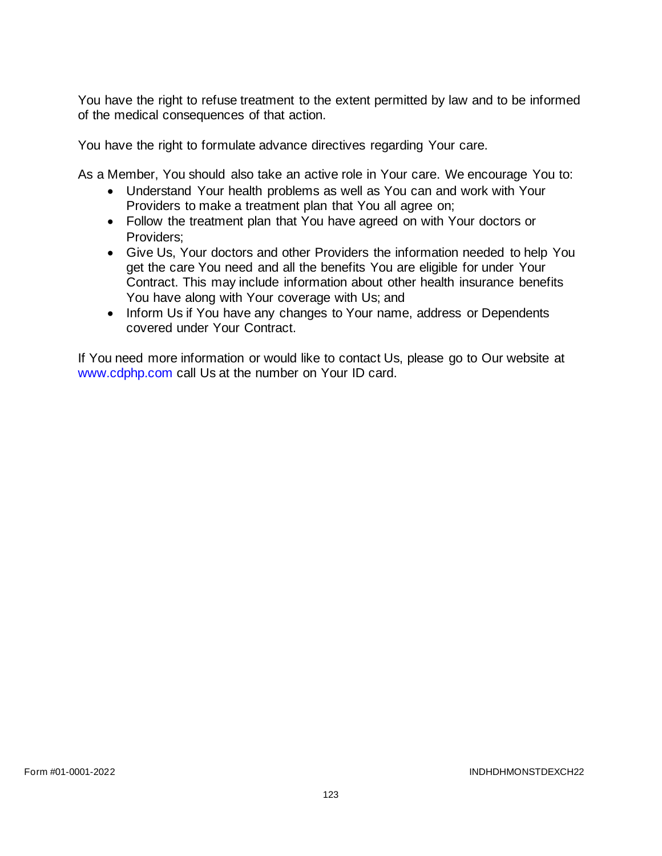You have the right to refuse treatment to the extent permitted by law and to be informed of the medical consequences of that action.

You have the right to formulate advance directives regarding Your care.

As a Member, You should also take an active role in Your care. We encourage You to:

- Understand Your health problems as well as You can and work with Your Providers to make a treatment plan that You all agree on;
- Follow the treatment plan that You have agreed on with Your doctors or Providers;
- Give Us, Your doctors and other Providers the information needed to help You get the care You need and all the benefits You are eligible for under Your Contract. This may include information about other health insurance benefits You have along with Your coverage with Us; and
- Inform Us if You have any changes to Your name, address or Dependents covered under Your Contract.

If You need more information or would like to contact Us, please go to Our website at [www.cdphp.com](http://www.cdphp.com/) call Us at the number on Your ID card.